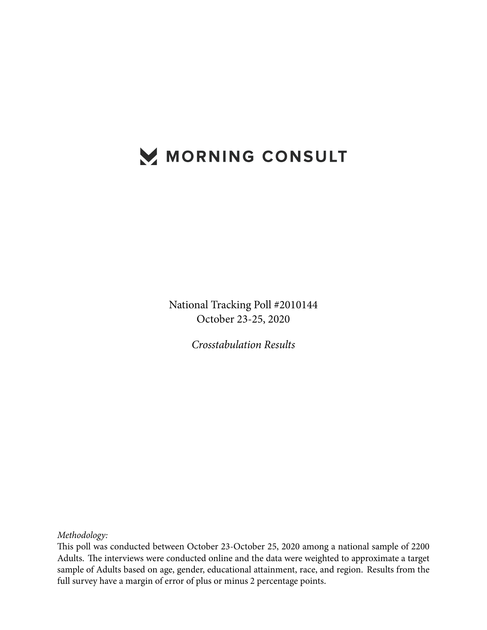## MORNING CONSULT

National Tracking Poll #2010144 October 23-25, 2020

*Crosstabulation Results*

*Methodology:*

This poll was conducted between October 23-October 25, 2020 among a national sample of 2200 Adults. The interviews were conducted online and the data were weighted to approximate a target sample of Adults based on age, gender, educational attainment, race, and region. Results from the full survey have a margin of error of plus or minus 2 percentage points.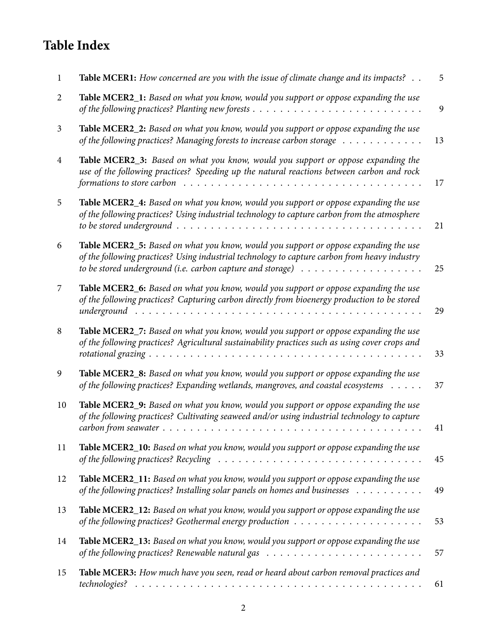## **Table Index**

| $\mathbf{1}$   | <b>Table MCER1:</b> How concerned are you with the issue of climate change and its impacts? $\ldots$                                                                                                                                                                                                                  | 5  |
|----------------|-----------------------------------------------------------------------------------------------------------------------------------------------------------------------------------------------------------------------------------------------------------------------------------------------------------------------|----|
| 2              | Table MCER2_1: Based on what you know, would you support or oppose expanding the use                                                                                                                                                                                                                                  | 9  |
| 3              | Table MCER2_2: Based on what you know, would you support or oppose expanding the use<br>of the following practices? Managing forests to increase carbon storage                                                                                                                                                       | 13 |
| $\overline{4}$ | Table MCER2_3: Based on what you know, would you support or oppose expanding the<br>use of the following practices? Speeding up the natural reactions between carbon and rock                                                                                                                                         | 17 |
| 5              | Table MCER2_4: Based on what you know, would you support or oppose expanding the use<br>of the following practices? Using industrial technology to capture carbon from the atmosphere                                                                                                                                 | 21 |
| 6              | Table MCER2_5: Based on what you know, would you support or oppose expanding the use<br>of the following practices? Using industrial technology to capture carbon from heavy industry<br>to be stored underground (i.e. carbon capture and storage) $\ldots \ldots \ldots \ldots \ldots \ldots$                       | 25 |
| 7              | Table MCER2_6: Based on what you know, would you support or oppose expanding the use<br>of the following practices? Capturing carbon directly from bioenergy production to be stored<br>underground                                                                                                                   | 29 |
| 8              | Table MCER2_7: Based on what you know, would you support or oppose expanding the use<br>of the following practices? Agricultural sustainability practices such as using cover crops and                                                                                                                               | 33 |
| 9              | Table MCER2_8: Based on what you know, would you support or oppose expanding the use<br>of the following practices? Expanding wetlands, mangroves, and coastal ecosystems                                                                                                                                             | 37 |
| 10             | Table MCER2_9: Based on what you know, would you support or oppose expanding the use<br>of the following practices? Cultivating seaweed and/or using industrial technology to capture<br>$carbon from seawater \dots \dots \dots \dots \dots \dots \dots \dots \dots \dots \dots \dots \dots \dots \dots \dots \dots$ | 41 |
| 11             | Table MCER2_10: Based on what you know, would you support or oppose expanding the use<br>of the following practices? Recycling $\ldots \ldots \ldots \ldots \ldots \ldots \ldots \ldots \ldots \ldots \ldots$                                                                                                         | 45 |
| 12             | Table MCER2_11: Based on what you know, would you support or oppose expanding the use<br>of the following practices? Installing solar panels on homes and businesses                                                                                                                                                  | 49 |
| 13             | Table MCER2_12: Based on what you know, would you support or oppose expanding the use                                                                                                                                                                                                                                 | 53 |
| 14             | Table MCER2_13: Based on what you know, would you support or oppose expanding the use                                                                                                                                                                                                                                 | 57 |
| 15             | Table MCER3: How much have you seen, read or heard about carbon removal practices and                                                                                                                                                                                                                                 | 61 |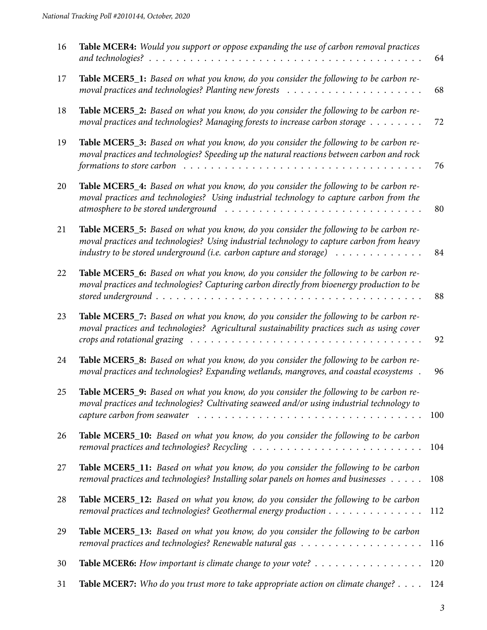| 16 | Table MCER4: Would you support or oppose expanding the use of carbon removal practices                                                                                                                                                                                                                     | 64  |
|----|------------------------------------------------------------------------------------------------------------------------------------------------------------------------------------------------------------------------------------------------------------------------------------------------------------|-----|
| 17 | Table MCER5_1: Based on what you know, do you consider the following to be carbon re-                                                                                                                                                                                                                      | 68  |
| 18 | Table MCER5_2: Based on what you know, do you consider the following to be carbon re-<br>moval practices and technologies? Managing forests to increase carbon storage                                                                                                                                     | 72  |
| 19 | Table MCER5_3: Based on what you know, do you consider the following to be carbon re-<br>moval practices and technologies? Speeding up the natural reactions between carbon and rock<br>formations to store carbon $\dots \dots \dots \dots \dots \dots \dots \dots \dots \dots \dots \dots \dots \dots$   | 76  |
| 20 | Table MCER5_4: Based on what you know, do you consider the following to be carbon re-<br>moval practices and technologies? Using industrial technology to capture carbon from the                                                                                                                          | 80  |
| 21 | Table MCER5_5: Based on what you know, do you consider the following to be carbon re-<br>moval practices and technologies? Using industrial technology to capture carbon from heavy<br>industry to be stored underground (i.e. carbon capture and storage) $\dots \dots \dots \dots$                       | 84  |
| 22 | Table MCER5_6: Based on what you know, do you consider the following to be carbon re-<br>moval practices and technologies? Capturing carbon directly from bioenergy production to be                                                                                                                       | 88  |
| 23 | Table MCER5_7: Based on what you know, do you consider the following to be carbon re-<br>moval practices and technologies? Agricultural sustainability practices such as using cover<br>crops and rotational grazing $\ldots \ldots \ldots \ldots \ldots \ldots \ldots \ldots \ldots \ldots \ldots \ldots$ | 92  |
| 24 | Table MCER5_8: Based on what you know, do you consider the following to be carbon re-<br>moval practices and technologies? Expanding wetlands, mangroves, and coastal ecosystems.                                                                                                                          | 96  |
| 25 | Table MCER5_9: Based on what you know, do you consider the following to be carbon re-<br>moval practices and technologies? Cultivating seaweed and/or using industrial technology to<br>capture carbon from seawater $\ldots \ldots \ldots \ldots \ldots \ldots \ldots \ldots \ldots \ldots \ldots$        | 100 |
| 26 | Table MCER5_10: Based on what you know, do you consider the following to be carbon                                                                                                                                                                                                                         | 104 |
| 27 | Table MCER5_11: Based on what you know, do you consider the following to be carbon<br>removal practices and technologies? Installing solar panels on homes and businesses                                                                                                                                  | 108 |
| 28 | Table MCER5_12: Based on what you know, do you consider the following to be carbon<br>removal practices and technologies? Geothermal energy production                                                                                                                                                     | 112 |
| 29 | Table MCER5_13: Based on what you know, do you consider the following to be carbon                                                                                                                                                                                                                         | 116 |
| 30 | Table MCER6: How important is climate change to your vote?                                                                                                                                                                                                                                                 | 120 |
| 31 | Table MCER7: Who do you trust more to take appropriate action on climate change?                                                                                                                                                                                                                           | 124 |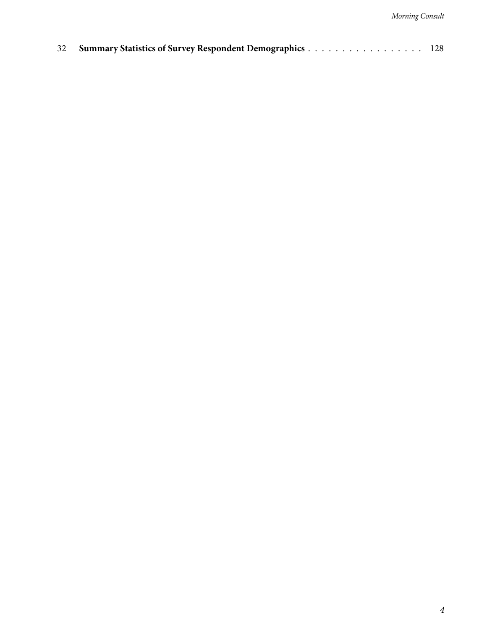|  | 32 Summary Statistics of Survey Respondent Demographics 128 |  |
|--|-------------------------------------------------------------|--|
|--|-------------------------------------------------------------|--|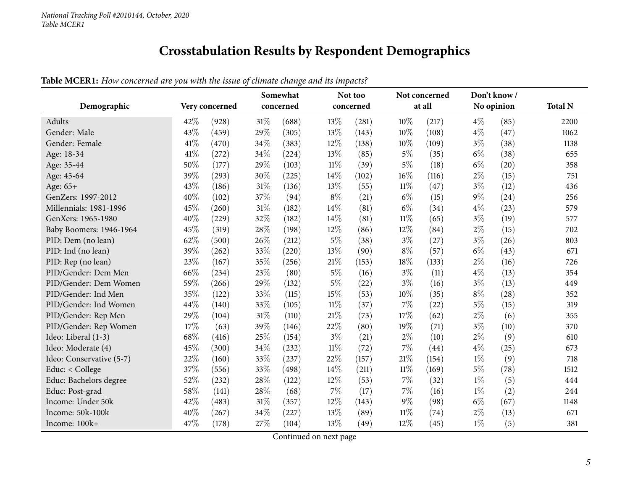## **Crosstabulation Results by Respondent Demographics**

|--|

<span id="page-4-0"></span>

| Demographic              |      | Very concerned |        | Somewhat<br>concerned |        | Not too<br>concerned |        | Not concerned<br>at all |       | Don't know/<br>No opinion | <b>Total N</b> |
|--------------------------|------|----------------|--------|-----------------------|--------|----------------------|--------|-------------------------|-------|---------------------------|----------------|
|                          |      |                |        |                       |        |                      |        |                         |       |                           |                |
| Adults                   | 42%  | (928)          | 31%    | (688)                 | 13%    | (281)                | 10%    | (217)                   | $4\%$ | (85)                      | 2200           |
| Gender: Male             | 43%  | (459)          | 29%    | (305)                 | 13%    | (143)                | 10%    | (108)                   | $4\%$ | (47)                      | 1062           |
| Gender: Female           | 41\% | (470)          | 34%    | (383)                 | 12%    | (138)                | 10%    | (109)                   | $3\%$ | (38)                      | 1138           |
| Age: 18-34               | 41\% | (272)          | 34%    | (224)                 | 13%    | (85)                 | $5\%$  | (35)                    | $6\%$ | (38)                      | 655            |
| Age: 35-44               | 50%  | (177)          | 29%    | (103)                 | $11\%$ | (39)                 | $5\%$  | (18)                    | $6\%$ | (20)                      | 358            |
| Age: 45-64               | 39%  | (293)          | 30%    | (225)                 | 14%    | (102)                | 16%    | (116)                   | $2\%$ | (15)                      | 751            |
| Age: 65+                 | 43%  | (186)          | $31\%$ | (136)                 | 13%    | (55)                 | $11\%$ | (47)                    | $3\%$ | (12)                      | 436            |
| GenZers: 1997-2012       | 40%  | (102)          | 37%    | (94)                  | $8\%$  | (21)                 | $6\%$  | (15)                    | $9\%$ | (24)                      | 256            |
| Millennials: 1981-1996   | 45%  | (260)          | 31%    | (182)                 | 14%    | (81)                 | $6\%$  | (34)                    | $4\%$ | (23)                      | 579            |
| GenXers: 1965-1980       | 40%  | (229)          | 32%    | (182)                 | 14%    | (81)                 | $11\%$ | (65)                    | $3\%$ | (19)                      | 577            |
| Baby Boomers: 1946-1964  | 45%  | (319)          | 28%    | (198)                 | 12%    | (86)                 | 12%    | (84)                    | $2\%$ | (15)                      | 702            |
| PID: Dem (no lean)       | 62%  | (500)          | 26%    | (212)                 | $5\%$  | (38)                 | $3\%$  | (27)                    | $3\%$ | (26)                      | 803            |
| PID: Ind (no lean)       | 39%  | (262)          | 33%    | (220)                 | 13%    | (90)                 | $8\%$  | (57)                    | $6\%$ | (43)                      | 671            |
| PID: Rep (no lean)       | 23%  | (167)          | 35%    | (256)                 | $21\%$ | (153)                | 18%    | (133)                   | $2\%$ | (16)                      | 726            |
| PID/Gender: Dem Men      | 66%  | (234)          | 23%    | (80)                  | $5\%$  | (16)                 | $3\%$  | (11)                    | $4\%$ | (13)                      | 354            |
| PID/Gender: Dem Women    | 59%  | (266)          | 29%    | (132)                 | $5\%$  | (22)                 | $3\%$  | (16)                    | $3\%$ | (13)                      | 449            |
| PID/Gender: Ind Men      | 35%  | (122)          | 33%    | (115)                 | 15%    | (53)                 | 10%    | (35)                    | $8\%$ | (28)                      | 352            |
| PID/Gender: Ind Women    | 44%  | (140)          | 33%    | (105)                 | $11\%$ | (37)                 | 7%     | (22)                    | $5\%$ | (15)                      | 319            |
| PID/Gender: Rep Men      | 29%  | (104)          | $31\%$ | (110)                 | 21%    | (73)                 | 17%    | (62)                    | $2\%$ | (6)                       | 355            |
| PID/Gender: Rep Women    | 17%  | (63)           | 39%    | (146)                 | 22%    | (80)                 | 19%    | (71)                    | $3\%$ | (10)                      | 370            |
| Ideo: Liberal (1-3)      | 68%  | (416)          | 25%    | (154)                 | $3\%$  | (21)                 | $2\%$  | (10)                    | $2\%$ | (9)                       | 610            |
| Ideo: Moderate (4)       | 45%  | (300)          | 34%    | (232)                 | $11\%$ | (72)                 | 7%     | (44)                    | $4\%$ | (25)                      | 673            |
| Ideo: Conservative (5-7) | 22%  | (160)          | 33%    | (237)                 | 22%    | (157)                | 21%    | (154)                   | $1\%$ | (9)                       | 718            |
| Educ: < College          | 37%  | (556)          | 33%    | (498)                 | 14\%   | (211)                | $11\%$ | (169)                   | $5\%$ | (78)                      | 1512           |
| Educ: Bachelors degree   | 52%  | (232)          | 28%    | (122)                 | 12%    | (53)                 | 7%     | (32)                    | $1\%$ | (5)                       | 444            |
| Educ: Post-grad          | 58%  | (141)          | 28%    | (68)                  | 7%     | (17)                 | 7%     | (16)                    | $1\%$ | (2)                       | 244            |
| Income: Under 50k        | 42%  | (483)          | $31\%$ | (357)                 | 12%    | (143)                | $9\%$  | (98)                    | $6\%$ | (67)                      | 1148           |
| Income: 50k-100k         | 40%  | (267)          | 34%    | (227)                 | 13%    | (89)                 | $11\%$ | (74)                    | $2\%$ | (13)                      | 671            |
| Income: 100k+            | 47%  | (178)          | 27%    | (104)                 | 13%    | (49)                 | 12%    | (45)                    | $1\%$ | (5)                       | 381            |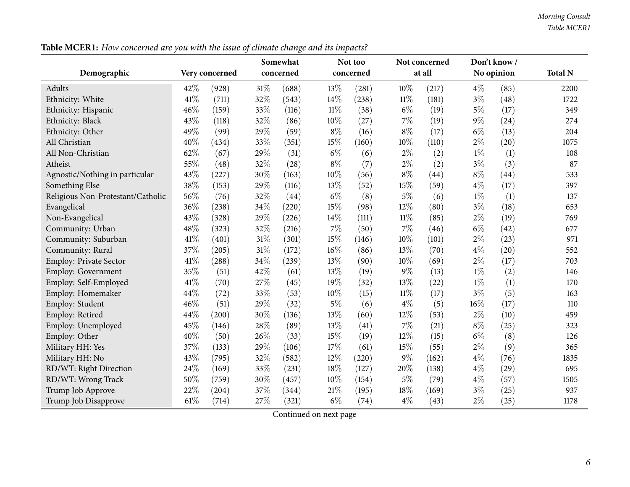|                                   |      |                | o<br>Somewhat |           | Not too |           | Not concerned | Don't know / |        |            |                |
|-----------------------------------|------|----------------|---------------|-----------|---------|-----------|---------------|--------------|--------|------------|----------------|
| Demographic                       |      | Very concerned |               | concerned |         | concerned |               | at all       |        | No opinion | <b>Total N</b> |
| Adults                            | 42%  | (928)          | $31\%$        | (688)     | 13%     | (281)     | 10%           | (217)        | $4\%$  | (85)       | 2200           |
| Ethnicity: White                  | 41\% | (711)          | 32%           | (543)     | 14%     | (238)     | $11\%$        | (181)        | $3\%$  | (48)       | 1722           |
| Ethnicity: Hispanic               | 46%  | (159)          | 33%           | (116)     | $11\%$  | (38)      | $6\%$         | (19)         | $5\%$  | (17)       | 349            |
| Ethnicity: Black                  | 43%  | (118)          | 32%           | (86)      | 10%     | (27)      | 7%            | (19)         | $9\%$  | (24)       | 274            |
| Ethnicity: Other                  | 49%  | (99)           | 29%           | (59)      | $8\%$   | (16)      | $8\%$         | (17)         | $6\%$  | (13)       | 204            |
| All Christian                     | 40%  | (434)          | 33%           | (351)     | 15%     | (160)     | 10%           | (110)        | $2\%$  | (20)       | 1075           |
| All Non-Christian                 | 62%  | (67)           | 29%           | (31)      | $6\%$   | (6)       | $2\%$         | (2)          | $1\%$  | (1)        | 108            |
| Atheist                           | 55%  | (48)           | 32%           | (28)      | $8\%$   | (7)       | $2\%$         | (2)          | $3\%$  | (3)        | 87             |
| Agnostic/Nothing in particular    | 43%  | (227)          | 30%           | (163)     | 10%     | (56)      | $8\%$         | (44)         | $8\%$  | (44)       | 533            |
| Something Else                    | 38%  | (153)          | 29%           | (116)     | 13%     | (52)      | 15%           | (59)         | $4\%$  | (17)       | 397            |
| Religious Non-Protestant/Catholic | 56%  | (76)           | 32%           | (44)      | $6\%$   | (8)       | $5\%$         | (6)          | $1\%$  | (1)        | 137            |
| Evangelical                       | 36%  | (238)          | 34%           | (220)     | 15%     | (98)      | 12%           | (80)         | $3\%$  | (18)       | 653            |
| Non-Evangelical                   | 43%  | (328)          | 29%           | (226)     | 14%     | (111)     | $11\%$        | (85)         | $2\%$  | (19)       | 769            |
| Community: Urban                  | 48%  | (323)          | 32%           | (216)     | $7\%$   | (50)      | 7%            | (46)         | $6\%$  | (42)       | 677            |
| Community: Suburban               | 41\% | (401)          | 31%           | (301)     | 15%     | (146)     | 10%           | (101)        | $2\%$  | (23)       | 971            |
| Community: Rural                  | 37%  | (205)          | 31%           | (172)     | 16%     | (86)      | 13%           | (70)         | $4\%$  | (20)       | 552            |
| Employ: Private Sector            | 41%  | (288)          | 34%           | (239)     | 13%     | (90)      | 10%           | (69)         | $2\%$  | (17)       | 703            |
| Employ: Government                | 35%  | (51)           | 42%           | (61)      | 13%     | (19)      | $9\%$         | (13)         | $1\%$  | (2)        | 146            |
| Employ: Self-Employed             | 41\% | (70)           | 27%           | (45)      | 19%     | (32)      | 13%           | (22)         | $1\%$  | (1)        | 170            |
| Employ: Homemaker                 | 44%  | (72)           | 33%           | (53)      | 10%     | (15)      | $11\%$        | (17)         | $3\%$  | (5)        | 163            |
| Employ: Student                   | 46%  | (51)           | 29%           | (32)      | $5\%$   | (6)       | $4\%$         | (5)          | $16\%$ | (17)       | 110            |
| Employ: Retired                   | 44%  | (200)          | 30%           | (136)     | 13%     | (60)      | 12%           | (53)         | $2\%$  | (10)       | 459            |
| Employ: Unemployed                | 45%  | (146)          | 28%           | (89)      | 13%     | (41)      | 7%            | (21)         | $8\%$  | (25)       | 323            |
| Employ: Other                     | 40%  | (50)           | 26%           | (33)      | 15%     | (19)      | 12%           | (15)         | $6\%$  | (8)        | 126            |
| Military HH: Yes                  | 37%  | (133)          | 29%           | (106)     | 17%     | (61)      | 15%           | (55)         | $2\%$  | (9)        | 365            |
| Military HH: No                   | 43%  | (795)          | 32%           | (582)     | 12%     | (220)     | $9\%$         | (162)        | $4\%$  | (76)       | 1835           |
| RD/WT: Right Direction            | 24%  | (169)          | 33%           | (231)     | 18%     | (127)     | 20%           | (138)        | $4\%$  | (29)       | 695            |
| RD/WT: Wrong Track                | 50%  | (759)          | 30%           | (457)     | $10\%$  | (154)     | $5\%$         | (79)         | $4\%$  | (57)       | 1505           |
| Trump Job Approve                 | 22%  | (204)          | 37%           | (344)     | 21\%    | (195)     | 18%           | (169)        | $3\%$  | (25)       | 937            |
| Trump Job Disapprove              | 61%  | (714)          | 27%           | (321)     | $6\%$   | (74)      | $4\%$         | (43)         | $2\%$  | (25)       | 1178           |

Table MCER1: How concerned are you with the issue of climate change and its impacts?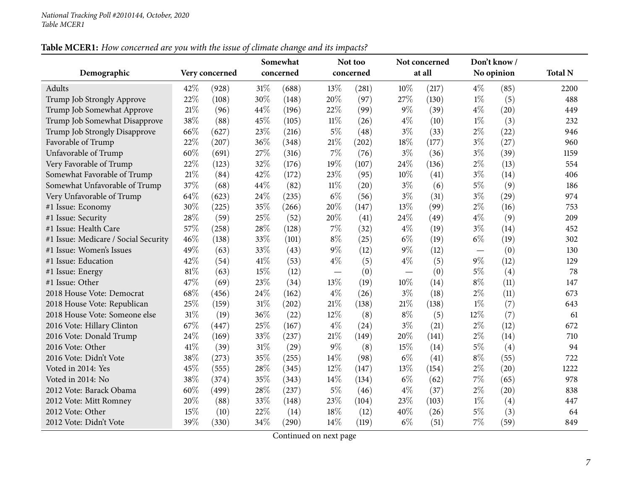## Table MCER1: How concerned are you with the issue of climate change and its impacts?

|                                      |      |                |        | Somewhat  |        | Not too   |       | Not concerned |       | Don't know/ |                |
|--------------------------------------|------|----------------|--------|-----------|--------|-----------|-------|---------------|-------|-------------|----------------|
| Demographic                          |      | Very concerned |        | concerned |        | concerned |       | at all        |       | No opinion  | <b>Total N</b> |
| Adults                               | 42%  | (928)          | $31\%$ | (688)     | 13%    | (281)     | 10%   | (217)         | $4\%$ | (85)        | 2200           |
| Trump Job Strongly Approve           | 22%  | (108)          | 30%    | (148)     | 20%    | (97)      | 27%   | (130)         | $1\%$ | (5)         | 488            |
| Trump Job Somewhat Approve           | 21%  | (96)           | 44\%   | (196)     | 22%    | (99)      | $9\%$ | (39)          | $4\%$ | (20)        | 449            |
| Trump Job Somewhat Disapprove        | 38%  | (88)           | 45%    | (105)     | $11\%$ | (26)      | $4\%$ | (10)          | $1\%$ | (3)         | 232            |
| Trump Job Strongly Disapprove        | 66%  | (627)          | 23%    | (216)     | $5\%$  | (48)      | $3\%$ | (33)          | $2\%$ | (22)        | 946            |
| Favorable of Trump                   | 22%  | (207)          | 36%    | (348)     | 21%    | (202)     | 18%   | (177)         | $3\%$ | (27)        | 960            |
| Unfavorable of Trump                 | 60%  | (691)          | 27%    | (316)     | 7%     | (76)      | $3\%$ | (36)          | $3\%$ | (39)        | 1159           |
| Very Favorable of Trump              | 22%  | (123)          | 32%    | (176)     | 19%    | (107)     | 24%   | (136)         | $2\%$ | (13)        | 554            |
| Somewhat Favorable of Trump          | 21%  | (84)           | 42%    | (172)     | 23%    | (95)      | 10%   | (41)          | $3\%$ | (14)        | 406            |
| Somewhat Unfavorable of Trump        | 37%  | (68)           | 44%    | (82)      | $11\%$ | (20)      | $3\%$ | (6)           | $5\%$ | (9)         | 186            |
| Very Unfavorable of Trump            | 64%  | (623)          | 24\%   | (235)     | $6\%$  | (56)      | $3\%$ | (31)          | $3\%$ | (29)        | 974            |
| #1 Issue: Economy                    | 30%  | (225)          | 35%    | (266)     | 20%    | (147)     | 13%   | (99)          | $2\%$ | (16)        | 753            |
| #1 Issue: Security                   | 28%  | (59)           | 25%    | (52)      | 20%    | (41)      | 24%   | (49)          | $4\%$ | (9)         | 209            |
| #1 Issue: Health Care                | 57%  | (258)          | 28\%   | (128)     | 7%     | (32)      | $4\%$ | (19)          | $3\%$ | (14)        | 452            |
| #1 Issue: Medicare / Social Security | 46%  | (138)          | 33%    | (101)     | $8\%$  | (25)      | $6\%$ | (19)          | $6\%$ | (19)        | 302            |
| #1 Issue: Women's Issues             | 49%  | (63)           | 33%    | (43)      | $9\%$  | (12)      | 9%    | (12)          |       | (0)         | 130            |
| #1 Issue: Education                  | 42%  | (54)           | $41\%$ | (53)      | $4\%$  | (5)       | $4\%$ | (5)           | $9\%$ | (12)        | 129            |
| #1 Issue: Energy                     | 81%  | (63)           | 15%    | (12)      |        | (0)       |       | (0)           | $5\%$ | (4)         | 78             |
| #1 Issue: Other                      | 47%  | (69)           | 23%    | (34)      | 13%    | (19)      | 10%   | (14)          | $8\%$ | (11)        | 147            |
| 2018 House Vote: Democrat            | 68%  | (456)          | 24\%   | (162)     | $4\%$  | (26)      | $3\%$ | (18)          | $2\%$ | (11)        | 673            |
| 2018 House Vote: Republican          | 25%  | (159)          | $31\%$ | (202)     | 21%    | (138)     | 21%   | (138)         | $1\%$ | (7)         | 643            |
| 2018 House Vote: Someone else        | 31%  | (19)           | 36%    | (22)      | 12%    | (8)       | $8\%$ | (5)           | 12%   | (7)         | 61             |
| 2016 Vote: Hillary Clinton           | 67%  | (447)          | 25%    | (167)     | $4\%$  | (24)      | $3\%$ | (21)          | $2\%$ | (12)        | 672            |
| 2016 Vote: Donald Trump              | 24%  | (169)          | 33%    | (237)     | 21%    | (149)     | 20%   | (141)         | $2\%$ | (14)        | 710            |
| 2016 Vote: Other                     | 41\% | (39)           | 31%    | (29)      | $9\%$  | (8)       | 15%   | (14)          | 5%    | (4)         | 94             |
| 2016 Vote: Didn't Vote               | 38%  | (273)          | 35%    | (255)     | 14%    | (98)      | $6\%$ | (41)          | $8\%$ | (55)        | 722            |
| Voted in 2014: Yes                   | 45%  | (555)          | 28\%   | (345)     | 12%    | (147)     | 13%   | (154)         | $2\%$ | (20)        | 1222           |
| Voted in 2014: No                    | 38%  | (374)          | 35%    | (343)     | 14%    | (134)     | $6\%$ | (62)          | 7%    | (65)        | 978            |
| 2012 Vote: Barack Obama              | 60%  | (499)          | 28%    | (237)     | $5\%$  | (46)      | $4\%$ | (37)          | $2\%$ | (20)        | 838            |
| 2012 Vote: Mitt Romney               | 20%  | (88)           | 33%    | (148)     | 23%    | (104)     | 23%   | (103)         | $1\%$ | (4)         | 447            |
| 2012 Vote: Other                     | 15%  | (10)           | 22%    | (14)      | 18%    | (12)      | 40%   | (26)          | $5\%$ | (3)         | 64             |
| 2012 Vote: Didn't Vote               | 39%  | (330)          | 34%    | (290)     | 14%    | (119)     | $6\%$ | (51)          | 7%    | (59)        | 849            |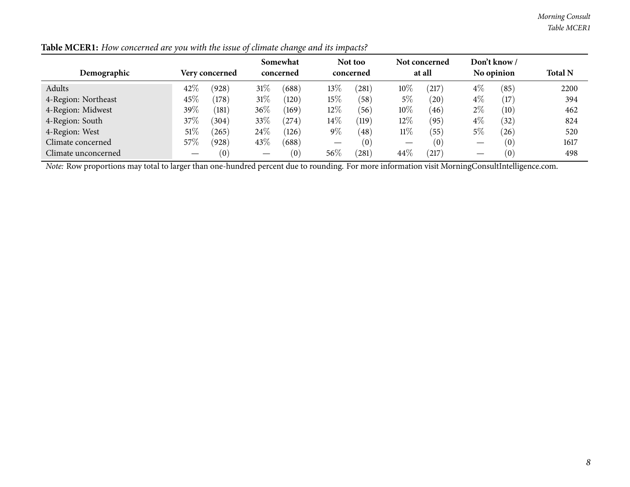| Demographic                                                                                                                                           | Don't know/<br>Somewhat<br>Not too<br>Not concerned<br>No opinion<br>at all<br><b>Very concerned</b><br>concerned<br>concerned |       |        |            |       |       |        |       |       |      |      |  |  |  |
|-------------------------------------------------------------------------------------------------------------------------------------------------------|--------------------------------------------------------------------------------------------------------------------------------|-------|--------|------------|-------|-------|--------|-------|-------|------|------|--|--|--|
| Adults                                                                                                                                                | 42%                                                                                                                            | (928) | $31\%$ | (688)      | 13\%  | (281) | 10%    | (217) | $4\%$ | (85) | 2200 |  |  |  |
| 4-Region: Northeast                                                                                                                                   | 45\%                                                                                                                           | (178) | 31%    | (120)      | 15%   | (58)  | $5\%$  | (20)  | $4\%$ | (17) | 394  |  |  |  |
| 4-Region: Midwest                                                                                                                                     | 39%                                                                                                                            | (181) | $36\%$ | (169)      | 12%   | (56)  | 10%    | (46)  | $2\%$ | (10) | 462  |  |  |  |
| 4-Region: South                                                                                                                                       | 37%                                                                                                                            | (304) | 33\%   | $^{(274)}$ | 14%   | (119) | $12\%$ | (95)  | $4\%$ | (32) | 824  |  |  |  |
| 4-Region: West                                                                                                                                        | 51\%                                                                                                                           | 265)  | 24\%   | (126)      | $9\%$ | (48)  | $11\%$ | (55)  | $5\%$ | (26) | 520  |  |  |  |
| Climate concerned                                                                                                                                     | 57\%                                                                                                                           | (928) | 43\%   | (688)      | —     | (0)   |        | (0)   |       | (0)  | 1617 |  |  |  |
| Climate unconcerned                                                                                                                                   | 44\%<br>56%<br>(281)<br>(217)<br>(0)<br>(0)<br>(0)<br>498                                                                      |       |        |            |       |       |        |       |       |      |      |  |  |  |
| <i>Note:</i> Row proportions may total to larger than one-hundred percent due to rounding. For more information visit MorningConsultIntelligence.com. |                                                                                                                                |       |        |            |       |       |        |       |       |      |      |  |  |  |

Table MCER1: How concerned are you with the issue of climate change and its impacts?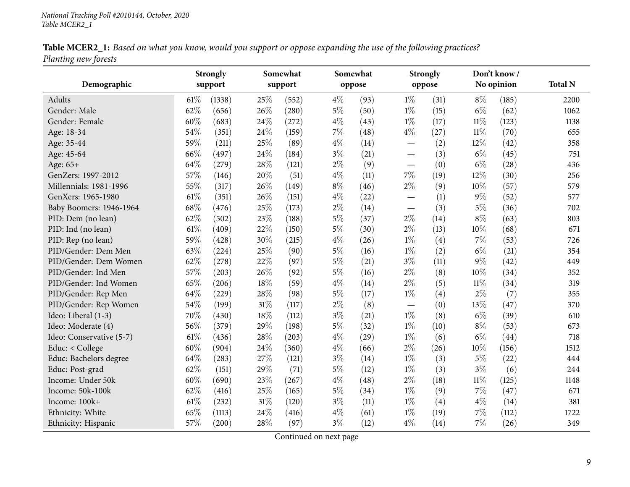| Table MCER2_1: Based on what you know, would you support or oppose expanding the use of the following practices? |  |  |
|------------------------------------------------------------------------------------------------------------------|--|--|
| Planting new forests                                                                                             |  |  |

<span id="page-8-0"></span>

|                          | <b>Strongly</b> |        |     | Somewhat |       | Somewhat |                          | Strongly | Don't know / |            |                |
|--------------------------|-----------------|--------|-----|----------|-------|----------|--------------------------|----------|--------------|------------|----------------|
| Demographic              | support         |        |     | support  |       | oppose   |                          | oppose   |              | No opinion | <b>Total N</b> |
| Adults                   | 61%             | (1338) | 25% | (552)    | $4\%$ | (93)     | $1\%$                    | (31)     | $8\%$        | (185)      | 2200           |
| Gender: Male             | 62%             | (656)  | 26% | (280)    | $5\%$ | (50)     | $1\%$                    | (15)     | $6\%$        | (62)       | 1062           |
| Gender: Female           | 60%             | (683)  | 24% | (272)    | $4\%$ | (43)     | $1\%$                    | (17)     | $11\%$       | (123)      | 1138           |
| Age: 18-34               | 54%             | (351)  | 24% | (159)    | $7\%$ | (48)     | $4\%$                    | (27)     | $11\%$       | (70)       | 655            |
| Age: 35-44               | 59%             | (211)  | 25% | (89)     | $4\%$ | (14)     |                          | (2)      | 12%          | (42)       | 358            |
| Age: 45-64               | 66%             | (497)  | 24% | (184)    | $3\%$ | (21)     | $\overline{\phantom{0}}$ | (3)      | $6\%$        | (45)       | 751            |
| Age: 65+                 | 64%             | (279)  | 28% | (121)    | $2\%$ | (9)      |                          | (0)      | $6\%$        | (28)       | 436            |
| GenZers: 1997-2012       | 57%             | (146)  | 20% | (51)     | $4\%$ | (11)     | $7\%$                    | (19)     | 12%          | (30)       | 256            |
| Millennials: 1981-1996   | 55%             | (317)  | 26% | (149)    | $8\%$ | (46)     | $2\%$                    | (9)      | 10%          | (57)       | 579            |
| GenXers: 1965-1980       | 61%             | (351)  | 26% | (151)    | $4\%$ | (22)     |                          | (1)      | $9\%$        | (52)       | 577            |
| Baby Boomers: 1946-1964  | 68%             | (476)  | 25% | (173)    | $2\%$ | (14)     |                          | (3)      | $5\%$        | (36)       | 702            |
| PID: Dem (no lean)       | 62%             | (502)  | 23% | (188)    | $5\%$ | (37)     | $2\%$                    | (14)     | $8\%$        | (63)       | 803            |
| PID: Ind (no lean)       | 61%             | (409)  | 22% | (150)    | $5\%$ | (30)     | $2\%$                    | (13)     | 10%          | (68)       | 671            |
| PID: Rep (no lean)       | 59%             | (428)  | 30% | (215)    | $4\%$ | (26)     | $1\%$                    | (4)      | $7\%$        | (53)       | 726            |
| PID/Gender: Dem Men      | 63%             | (224)  | 25% | (90)     | $5\%$ | (16)     | $1\%$                    | (2)      | $6\%$        | (21)       | 354            |
| PID/Gender: Dem Women    | 62%             | (278)  | 22% | (97)     | $5\%$ | (21)     | $3\%$                    | (11)     | $9\%$        | (42)       | 449            |
| PID/Gender: Ind Men      | 57%             | (203)  | 26% | (92)     | $5\%$ | (16)     | $2\%$                    | (8)      | 10%          | (34)       | 352            |
| PID/Gender: Ind Women    | 65%             | (206)  | 18% | (59)     | $4\%$ | (14)     | $2\%$                    | (5)      | $11\%$       | (34)       | 319            |
| PID/Gender: Rep Men      | 64%             | (229)  | 28% | (98)     | $5\%$ | (17)     | $1\%$                    | (4)      | $2\%$        | (7)        | 355            |
| PID/Gender: Rep Women    | 54%             | (199)  | 31% | (117)    | $2\%$ | (8)      |                          | (0)      | 13%          | (47)       | 370            |
| Ideo: Liberal (1-3)      | 70%             | (430)  | 18% | (112)    | $3\%$ | (21)     | $1\%$                    | (8)      | $6\%$        | (39)       | 610            |
| Ideo: Moderate (4)       | 56%             | (379)  | 29% | (198)    | $5\%$ | (32)     | $1\%$                    | (10)     | $8\%$        | (53)       | 673            |
| Ideo: Conservative (5-7) | 61%             | (436)  | 28% | (203)    | $4\%$ | (29)     | $1\%$                    | (6)      | $6\%$        | (44)       | 718            |
| Educ: < College          | 60%             | (904)  | 24% | (360)    | $4\%$ | (66)     | $2\%$                    | (26)     | $10\%$       | (156)      | 1512           |
| Educ: Bachelors degree   | 64%             | (283)  | 27% | (121)    | $3\%$ | (14)     | $1\%$                    | (3)      | $5\%$        | (22)       | 444            |
| Educ: Post-grad          | 62%             | (151)  | 29% | (71)     | $5\%$ | (12)     | $1\%$                    | (3)      | $3\%$        | (6)        | 244            |
| Income: Under 50k        | 60%             | (690)  | 23% | (267)    | $4\%$ | (48)     | $2\%$                    | (18)     | $11\%$       | (125)      | 1148           |
| Income: 50k-100k         | 62%             | (416)  | 25% | (165)    | $5\%$ | (34)     | $1\%$                    | (9)      | 7%           | (47)       | 671            |
| Income: 100k+            | 61%             | (232)  | 31% | (120)    | $3\%$ | (11)     | $1\%$                    | (4)      | $4\%$        | (14)       | 381            |
| Ethnicity: White         | 65%             | (1113) | 24% | (416)    | $4\%$ | (61)     | $1\%$                    | (19)     | 7%           | (112)      | 1722           |
| Ethnicity: Hispanic      | 57%             | (200)  | 28% | (97)     | $3\%$ | (12)     | $4\%$                    | (14)     | 7%           | (26)       | 349            |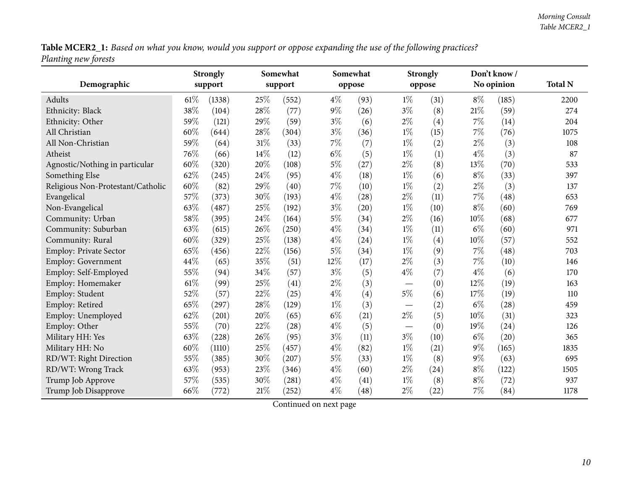Table MCER2\_1: Based on what you know, would you support or oppose expanding the use of the following practices? *Planting new forests*

|                                   | <b>Strongly</b><br>Somewhat |        |        | Somewhat |        | <b>Strongly</b> | Don't know/                     |        |        |            |                |
|-----------------------------------|-----------------------------|--------|--------|----------|--------|-----------------|---------------------------------|--------|--------|------------|----------------|
| Demographic                       | support                     |        |        | support  |        | oppose          |                                 | oppose |        | No opinion | <b>Total N</b> |
| Adults                            | $61\%$                      | (1338) | 25%    | (552)    | $4\%$  | (93)            | $1\%$                           | (31)   | $8\%$  | (185)      | 2200           |
| Ethnicity: Black                  | 38%                         | (104)  | $28\%$ | (77)     | $9\%$  | (26)            | $3\%$                           | (8)    | $21\%$ | (59)       | 274            |
| Ethnicity: Other                  | 59%                         | (121)  | 29%    | (59)     | $3\%$  | (6)             | $2\%$                           | (4)    | 7%     | (14)       | 204            |
| All Christian                     | 60%                         | (644)  | 28%    | (304)    | $3\%$  | (36)            | $1\%$                           | (15)   | $7\%$  | (76)       | 1075           |
| All Non-Christian                 | 59%                         | (64)   | $31\%$ | (33)     | $7\%$  | (7)             | $1\%$                           | (2)    | $2\%$  | (3)        | 108            |
| Atheist                           | 76%                         | (66)   | $14\%$ | (12)     | $6\%$  | (5)             | $1\%$                           | (1)    | $4\%$  | (3)        | 87             |
| Agnostic/Nothing in particular    | 60%                         | (320)  | $20\%$ | (108)    | $5\%$  | (27)            | $2\%$                           | (8)    | 13%    | (70)       | 533            |
| Something Else                    | $62\%$                      | (245)  | $24\%$ | (95)     | $4\%$  | (18)            | $1\%$                           | (6)    | $8\%$  | (33)       | 397            |
| Religious Non-Protestant/Catholic | 60%                         | (82)   | 29%    | (40)     | $7\%$  | (10)            | $1\%$                           | (2)    | $2\%$  | (3)        | 137            |
| Evangelical                       | 57%                         | (373)  | 30%    | (193)    | $4\%$  | (28)            | $2\%$                           | (11)   | 7%     | (48)       | 653            |
| Non-Evangelical                   | 63%                         | (487)  | 25%    | (192)    | $3\%$  | (20)            | $1\%$                           | (10)   | $8\%$  | (60)       | 769            |
| Community: Urban                  | 58%                         | (395)  | $24\%$ | (164)    | $5\%$  | (34)            | $2\%$                           | (16)   | 10%    | (68)       | 677            |
| Community: Suburban               | 63%                         | (615)  | 26%    | (250)    | $4\%$  | (34)            | $1\%$                           | (11)   | $6\%$  | (60)       | 971            |
| Community: Rural                  | 60%                         | (329)  | 25%    | (138)    | $4\%$  | (24)            | $1\%$                           | (4)    | 10%    | (57)       | 552            |
| Employ: Private Sector            | 65%                         | (456)  | 22%    | (156)    | $5\%$  | (34)            | $1\%$                           | (9)    | 7%     | (48)       | 703            |
| Employ: Government                | 44%                         | (65)   | 35%    | (51)     | $12\%$ | (17)            | $2\%$                           | (3)    | 7%     | (10)       | 146            |
| Employ: Self-Employed             | 55%                         | (94)   | 34%    | (57)     | $3\%$  | (5)             | $4\%$                           | (7)    | $4\%$  | (6)        | 170            |
| Employ: Homemaker                 | 61%                         | (99)   | 25%    | (41)     | $2\%$  | (3)             |                                 | (0)    | 12%    | (19)       | 163            |
| Employ: Student                   | 52%                         | (57)   | 22%    | (25)     | $4\%$  | (4)             | $5\%$                           | (6)    | 17%    | (19)       | 110            |
| Employ: Retired                   | 65%                         | (297)  | $28\%$ | (129)    | $1\%$  | (3)             | $\hspace{0.1mm}-\hspace{0.1mm}$ | (2)    | $6\%$  | (28)       | 459            |
| Employ: Unemployed                | 62%                         | (201)  | $20\%$ | (65)     | $6\%$  | (21)            | $2\%$                           | (5)    | 10%    | (31)       | 323            |
| Employ: Other                     | 55%                         | (70)   | $22\%$ | (28)     | $4\%$  | (5)             |                                 | (0)    | 19%    | (24)       | 126            |
| Military HH: Yes                  | 63%                         | (228)  | 26%    | (95)     | $3\%$  | (11)            | $3\%$                           | (10)   | $6\%$  | (20)       | 365            |
| Military HH: No                   | 60%                         | (1110) | 25%    | (457)    | $4\%$  | (82)            | $1\%$                           | (21)   | $9\%$  | (165)      | 1835           |
| RD/WT: Right Direction            | 55%                         | (385)  | 30%    | (207)    | $5\%$  | (33)            | $1\%$                           | (8)    | $9\%$  | (63)       | 695            |
| RD/WT: Wrong Track                | 63%                         | (953)  | 23%    | (346)    | $4\%$  | (60)            | $2\%$                           | (24)   | $8\%$  | (122)      | 1505           |
| Trump Job Approve                 | 57%                         | (535)  | 30%    | (281)    | $4\%$  | (41)            | $1\%$                           | (8)    | $8\%$  | (72)       | 937            |
| Trump Job Disapprove              | 66%                         | (772)  | $21\%$ | (252)    | $4\%$  | (48)            | $2\%$                           | (22)   | 7%     | (84)       | 1178           |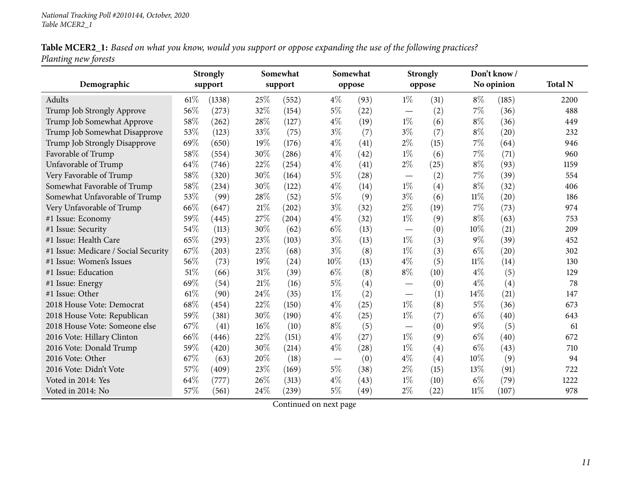Table MCER2\_1: Based on what you know, would you support or oppose expanding the use of the following practices? *Planting new forests*

|                                      | <b>Strongly</b> |        |        | Somewhat |        | Somewhat |                          | <b>Strongly</b> |        | Don't know/ |                |
|--------------------------------------|-----------------|--------|--------|----------|--------|----------|--------------------------|-----------------|--------|-------------|----------------|
| Demographic                          | support         |        |        | support  |        | oppose   |                          | oppose          |        | No opinion  | <b>Total N</b> |
| Adults                               | 61%             | (1338) | 25\%   | (552)    | $4\%$  | (93)     | $1\%$                    | (31)            | $8\%$  | (185)       | 2200           |
| Trump Job Strongly Approve           | 56%             | (273)  | 32%    | (154)    | $5\%$  | (22)     | $\qquad \qquad$          | (2)             | 7%     | (36)        | 488            |
| Trump Job Somewhat Approve           | 58%             | (262)  | 28%    | (127)    | $4\%$  | (19)     | $1\%$                    | (6)             | $8\%$  | (36)        | 449            |
| Trump Job Somewhat Disapprove        | 53%             | (123)  | 33%    | (75)     | $3\%$  | (7)      | $3\%$                    | (7)             | $8\%$  | (20)        | 232            |
| Trump Job Strongly Disapprove        | 69%             | (650)  | 19%    | (176)    | $4\%$  | (41)     | $2\%$                    | (15)            | 7%     | (64)        | 946            |
| Favorable of Trump                   | 58%             | (554)  | 30%    | (286)    | $4\%$  | (42)     | $1\%$                    | (6)             | 7%     | (71)        | 960            |
| Unfavorable of Trump                 | 64%             | (746)  | 22%    | (254)    | $4\%$  | (41)     | $2\%$                    | (25)            | $8\%$  | (93)        | 1159           |
| Very Favorable of Trump              | 58%             | (320)  | 30%    | (164)    | $5\%$  | (28)     |                          | (2)             | 7%     | (39)        | 554            |
| Somewhat Favorable of Trump          | 58%             | (234)  | 30%    | (122)    | $4\%$  | (14)     | $1\%$                    | (4)             | $8\%$  | (32)        | 406            |
| Somewhat Unfavorable of Trump        | 53%             | (99)   | 28%    | (52)     | $5\%$  | (9)      | $3\%$                    | (6)             | $11\%$ | (20)        | 186            |
| Very Unfavorable of Trump            | 66%             | (647)  | 21%    | (202)    | $3\%$  | (32)     | $2\%$                    | (19)            | 7%     | (73)        | 974            |
| #1 Issue: Economy                    | 59%             | (445)  | 27\%   | (204)    | $4\%$  | (32)     | $1\%$                    | (9)             | $8\%$  | (63)        | 753            |
| #1 Issue: Security                   | 54%             | (113)  | 30%    | (62)     | $6\%$  | (13)     |                          | (0)             | 10%    | (21)        | 209            |
| #1 Issue: Health Care                | 65%             | (293)  | 23%    | (103)    | $3\%$  | (13)     | $1\%$                    | (3)             | $9\%$  | (39)        | 452            |
| #1 Issue: Medicare / Social Security | 67%             | (203)  | 23%    | (68)     | $3\%$  | (8)      | $1\%$                    | (3)             | $6\%$  | (20)        | 302            |
| #1 Issue: Women's Issues             | 56%             | (73)   | 19%    | (24)     | $10\%$ | (13)     | $4\%$                    | (5)             | $11\%$ | (14)        | 130            |
| #1 Issue: Education                  | 51%             | (66)   | $31\%$ | (39)     | $6\%$  | (8)      | $8\%$                    | (10)            | $4\%$  | (5)         | 129            |
| #1 Issue: Energy                     | 69%             | (54)   | $21\%$ | (16)     | $5\%$  | (4)      |                          | (0)             | $4\%$  | (4)         | 78             |
| #1 Issue: Other                      | 61\%            | (90)   | 24\%   | (35)     | $1\%$  | (2)      |                          | (1)             | 14%    | (21)        | 147            |
| 2018 House Vote: Democrat            | 68%             | (454)  | 22%    | (150)    | $4\%$  | (25)     | $1\%$                    | (8)             | $5\%$  | (36)        | 673            |
| 2018 House Vote: Republican          | 59%             | (381)  | 30%    | (190)    | $4\%$  | (25)     | $1\%$                    | (7)             | $6\%$  | (40)        | 643            |
| 2018 House Vote: Someone else        | 67%             | (41)   | $16\%$ | (10)     | $8\%$  | (5)      | $\overline{\phantom{0}}$ | (0)             | $9\%$  | (5)         | 61             |
| 2016 Vote: Hillary Clinton           | 66%             | (446)  | 22%    | (151)    | $4\%$  | (27)     | $1\%$                    | (9)             | $6\%$  | (40)        | 672            |
| 2016 Vote: Donald Trump              | 59%             | (420)  | 30%    | (214)    | $4\%$  | (28)     | $1\%$                    | (4)             | $6\%$  | (43)        | 710            |
| 2016 Vote: Other                     | 67%             | (63)   | 20%    | (18)     |        | (0)      | $4\%$                    | (4)             | 10%    | (9)         | 94             |
| 2016 Vote: Didn't Vote               | 57%             | (409)  | 23%    | (169)    | $5\%$  | (38)     | $2\%$                    | (15)            | 13\%   | (91)        | 722            |
| Voted in 2014: Yes                   | 64%             | (777)  | 26%    | (313)    | $4\%$  | (43)     | $1\%$                    | (10)            | $6\%$  | (79)        | 1222           |
| Voted in 2014: No                    | 57%             | (561)  | 24\%   | (239)    | $5\%$  | (49)     | $2\%$                    | (22)            | $11\%$ | (107)       | 978            |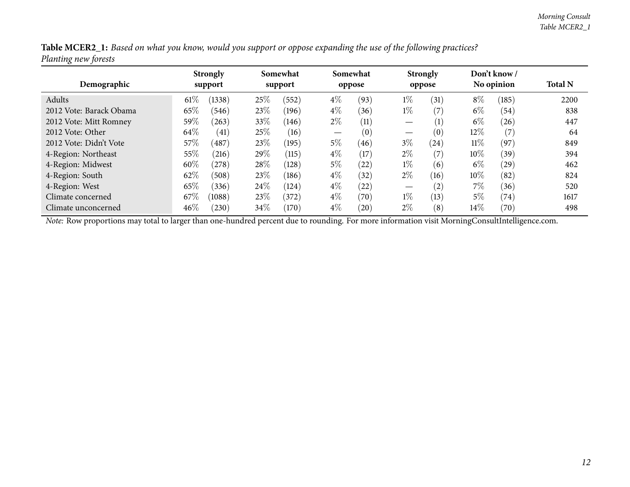| Table MCER2_1: Based on what you know, would you support or oppose expanding the use of the following practices? |  |  |
|------------------------------------------------------------------------------------------------------------------|--|--|
| Planting new forests                                                                                             |  |  |

| Demographic             |        | <b>Strongly</b><br>support |      | Somewhat<br>support |                   | Somewhat<br>oppose |       | <b>Strongly</b><br>oppose |        | Don't know /<br>No opinion | <b>Total N</b> |
|-------------------------|--------|----------------------------|------|---------------------|-------------------|--------------------|-------|---------------------------|--------|----------------------------|----------------|
| Adults                  | 61%    | (1338)                     | 25%  | (552)               | $4\%$             | (93)               | $1\%$ | (31)                      | $8\%$  | (185)                      | 2200           |
| 2012 Vote: Barack Obama | 65\%   | (546)                      | 23\% | (196)               | $4\%$             | (36)               | $1\%$ | (7)                       | $6\%$  | (54)                       | 838            |
| 2012 Vote: Mitt Romney  | $59\%$ | (263)                      | 33\% | (146)               | $2\%$             | (11)               |       | (1)                       | $6\%$  | (26)                       | 447            |
| 2012 Vote: Other        | 64\%   | (41)                       | 25%  | (16)                | $\hspace{0.05cm}$ | (0)                |       | (0)                       | $12\%$ | (7)                        | 64             |
| 2012 Vote: Didn't Vote  | 57\%   | $^{\prime}487$             | 23\% | (195)               | $5\%$             | (46)               | $3\%$ | $\left( 24\right)$        | $11\%$ | (97)                       | 849            |
| 4-Region: Northeast     | 55%    | (216)                      | 29%  | (115)               | $4\%$             | (17)               | $2\%$ | (7)                       | $10\%$ | (39)                       | 394            |
| 4-Region: Midwest       | 60%    | (278)                      | 28\% | (128)               | $5\%$             | (22)               | $1\%$ | (6)                       | $6\%$  | (29)                       | 462            |
| 4-Region: South         | 62%    | (508)                      | 23\% | (186)               | $4\%$             | (32)               | $2\%$ | (16)                      | $10\%$ | (82)                       | 824            |
| 4-Region: West          | 65%    | (336)                      | 24\% | (124)               | $4\%$             | (22)               |       | (2)                       | $7\%$  | (36)                       | 520            |
| Climate concerned       | 67\%   | (1088)                     | 23\% | (372)               | $4\%$             | (70)               | $1\%$ | (13)                      | 5%     | (74)                       | 1617           |
| Climate unconcerned     | 46%    | (230)                      | 34\% | (170)               | $4\%$             | (20)               | $2\%$ | (8)                       | $14\%$ | $\left( 70\right)$         | 498            |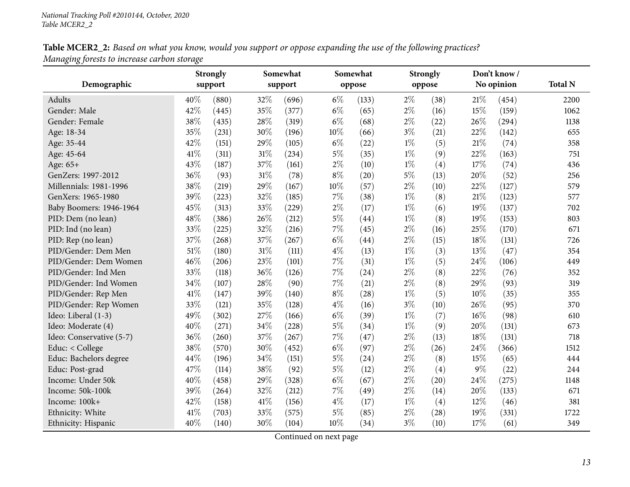| Table MCER2_2: Based on what you know, would you support or oppose expanding the use of the following practices? |  |  |
|------------------------------------------------------------------------------------------------------------------|--|--|
| Managing forests to increase carbon storage                                                                      |  |  |

<span id="page-12-0"></span>

| Demographic              |      | <b>Strongly</b><br>support |        | Somewhat<br>support |       | Somewhat<br>oppose |       | <b>Strongly</b><br>oppose |       | Don't know/<br>No opinion | <b>Total N</b> |
|--------------------------|------|----------------------------|--------|---------------------|-------|--------------------|-------|---------------------------|-------|---------------------------|----------------|
|                          |      |                            |        |                     |       |                    |       |                           |       |                           |                |
| Adults                   | 40%  | (880)                      | 32%    | (696)               | $6\%$ | (133)              | $2\%$ | (38)                      | 21%   | (454)                     | 2200           |
| Gender: Male             | 42%  | (445)                      | 35%    | (377)               | $6\%$ | (65)               | $2\%$ | (16)                      | 15%   | (159)                     | 1062           |
| Gender: Female           | 38%  | (435)                      | 28%    | (319)               | $6\%$ | (68)               | $2\%$ | (22)                      | 26%   | (294)                     | 1138           |
| Age: 18-34               | 35%  | (231)                      | 30%    | (196)               | 10%   | (66)               | $3\%$ | (21)                      | 22%   | (142)                     | 655            |
| Age: 35-44               | 42%  | (151)                      | 29%    | (105)               | $6\%$ | (22)               | $1\%$ | (5)                       | 21%   | (74)                      | 358            |
| Age: 45-64               | 41\% | (311)                      | 31%    | (234)               | $5\%$ | (35)               | $1\%$ | (9)                       | 22%   | (163)                     | 751            |
| Age: 65+                 | 43%  | (187)                      | 37%    | (161)               | $2\%$ | (10)               | $1\%$ | (4)                       | 17%   | (74)                      | 436            |
| GenZers: 1997-2012       | 36%  | (93)                       | $31\%$ | (78)                | $8\%$ | (20)               | $5\%$ | (13)                      | 20%   | (52)                      | 256            |
| Millennials: 1981-1996   | 38%  | (219)                      | 29%    | (167)               | 10%   | (57)               | $2\%$ | (10)                      | 22%   | (127)                     | 579            |
| GenXers: 1965-1980       | 39%  | (223)                      | 32%    | (185)               | 7%    | (38)               | $1\%$ | (8)                       | 21%   | (123)                     | 577            |
| Baby Boomers: 1946-1964  | 45%  | (313)                      | 33%    | (229)               | $2\%$ | (17)               | $1\%$ | (6)                       | 19%   | (137)                     | 702            |
| PID: Dem (no lean)       | 48%  | (386)                      | 26%    | (212)               | $5\%$ | (44)               | $1\%$ | (8)                       | 19%   | (153)                     | 803            |
| PID: Ind (no lean)       | 33%  | (225)                      | 32%    | (216)               | $7\%$ | (45)               | $2\%$ | (16)                      | 25%   | (170)                     | 671            |
| PID: Rep (no lean)       | 37%  | (268)                      | 37%    | (267)               | $6\%$ | (44)               | $2\%$ | (15)                      | 18%   | (131)                     | 726            |
| PID/Gender: Dem Men      | 51%  | (180)                      | $31\%$ | (111)               | $4\%$ | (13)               | $1\%$ | (3)                       | 13%   | (47)                      | 354            |
| PID/Gender: Dem Women    | 46%  | (206)                      | 23%    | (101)               | 7%    | (31)               | $1\%$ | (5)                       | 24%   | (106)                     | 449            |
| PID/Gender: Ind Men      | 33%  | (118)                      | 36%    | (126)               | $7\%$ | (24)               | $2\%$ | (8)                       | 22%   | (76)                      | 352            |
| PID/Gender: Ind Women    | 34%  | (107)                      | 28%    | (90)                | $7\%$ | (21)               | $2\%$ | (8)                       | 29%   | (93)                      | 319            |
| PID/Gender: Rep Men      | 41\% | (147)                      | 39%    | (140)               | $8\%$ | (28)               | $1\%$ | (5)                       | 10%   | (35)                      | 355            |
| PID/Gender: Rep Women    | 33%  | (121)                      | 35%    | (128)               | $4\%$ | (16)               | $3\%$ | (10)                      | 26%   | (95)                      | 370            |
| Ideo: Liberal (1-3)      | 49%  | (302)                      | 27%    | (166)               | $6\%$ | (39)               | $1\%$ | (7)                       | 16%   | (98)                      | 610            |
| Ideo: Moderate (4)       | 40%  | (271)                      | 34%    | (228)               | $5\%$ | (34)               | $1\%$ | (9)                       | 20%   | (131)                     | 673            |
| Ideo: Conservative (5-7) | 36%  | (260)                      | $37\%$ | (267)               | 7%    | (47)               | $2\%$ | (13)                      | 18%   | (131)                     | 718            |
| Educ: < College          | 38%  | (570)                      | 30%    | (452)               | $6\%$ | (97)               | $2\%$ | (26)                      | 24\%  | (366)                     | 1512           |
| Educ: Bachelors degree   | 44%  | (196)                      | 34%    | (151)               | 5%    | (24)               | $2\%$ | (8)                       | 15%   | (65)                      | 444            |
| Educ: Post-grad          | 47%  | (114)                      | 38%    | (92)                | $5\%$ | (12)               | $2\%$ | (4)                       | $9\%$ | (22)                      | 244            |
| Income: Under 50k        | 40%  | (458)                      | 29%    | (328)               | $6\%$ | (67)               | $2\%$ | (20)                      | 24%   | (275)                     | 1148           |
| Income: 50k-100k         | 39%  | (264)                      | 32%    | (212)               | $7\%$ | (49)               | $2\%$ | (14)                      | 20%   | (133)                     | 671            |
| Income: 100k+            | 42%  | (158)                      | 41\%   | (156)               | $4\%$ | (17)               | $1\%$ | (4)                       | 12%   | (46)                      | 381            |
| Ethnicity: White         | 41\% | (703)                      | 33%    | (575)               | 5%    | (85)               | $2\%$ | (28)                      | 19%   | (331)                     | 1722           |
| Ethnicity: Hispanic      | 40%  | (140)                      | 30%    | (104)               | 10%   | (34)               | $3\%$ | (10)                      | 17%   | (61)                      | 349            |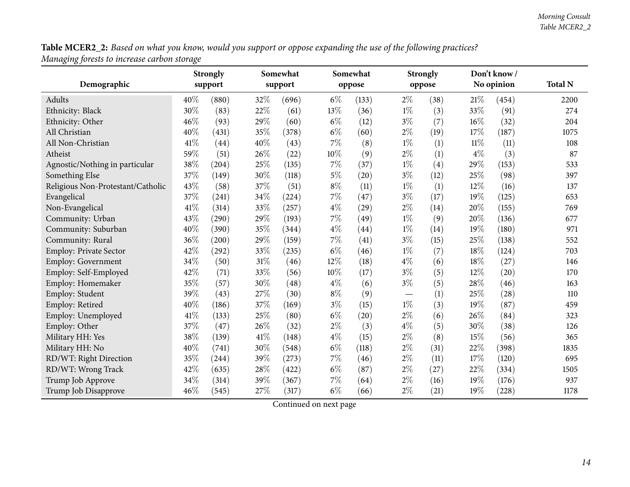Table MCER2\_2: Based on what you know, would you support or oppose expanding the use of the following practices? *Managing forests to increase carbon storage*

|                                   |      | <b>Strongly</b> |        | Somewhat |        | Somewhat           |                               | <b>Strongly</b> |       | Don't know/ |                |  |
|-----------------------------------|------|-----------------|--------|----------|--------|--------------------|-------------------------------|-----------------|-------|-------------|----------------|--|
| Demographic                       |      | support         |        | support  |        | oppose             |                               | oppose          |       | No opinion  | <b>Total N</b> |  |
| Adults                            | 40%  | (880)           | 32%    | (696)    | $6\%$  | (133)              | $2\%$                         | (38)            | 21\%  | (454)       | 2200           |  |
| Ethnicity: Black                  | 30%  | (83)            | $22\%$ | (61)     | 13%    | (36)               | $1\%$                         | (3)             | 33%   | (91)        | 274            |  |
| Ethnicity: Other                  | 46%  | (93)            | 29%    | (60)     | $6\%$  | (12)               | $3\%$                         | (7)             | 16%   | (32)        | 204            |  |
| All Christian                     | 40%  | (431)           | 35%    | (378)    | $6\%$  | (60)               | $2\%$                         | (19)            | 17%   | (187)       | 1075           |  |
| All Non-Christian                 | 41\% | (44)            | 40%    | (43)     | 7%     | (8)                | $1\%$                         | (1)             | 11%   | (11)        | 108            |  |
| Atheist                           | 59%  | (51)            | 26%    | (22)     | $10\%$ | (9)                | $2\%$                         | (1)             | $4\%$ | (3)         | 87             |  |
| Agnostic/Nothing in particular    | 38%  | (204)           | 25%    | (135)    | 7%     | (37)               | $1\%$                         | (4)             | 29%   | (153)       | 533            |  |
| Something Else                    | 37%  | (149)           | 30%    | (118)    | $5\%$  | (20)               | $3\%$                         | (12)            | 25%   | (98)        | 397            |  |
| Religious Non-Protestant/Catholic | 43%  | (58)            | 37%    | (51)     | $8\%$  | (11)               | $1\%$                         | (1)             | 12%   | (16)        | 137            |  |
| Evangelical                       | 37%  | (241)           | 34%    | (224)    | 7%     | (47)               | $3\%$                         | (17)            | 19%   | (125)       | 653            |  |
| Non-Evangelical                   | 41\% | (314)           | 33%    | (257)    | $4\%$  | (29)               | $2\%$                         | (14)            | 20%   | (155)       | 769            |  |
| Community: Urban                  | 43%  | (290)           | 29%    | (193)    | 7%     | (49)               | $1\%$                         | (9)             | 20%   | (136)       | 677            |  |
| Community: Suburban               | 40%  | (390)           | 35%    | (344)    | $4\%$  | $\left( 44\right)$ | $1\%$                         | (14)            | 19%   | (180)       | 971            |  |
| Community: Rural                  | 36%  | (200)           | 29%    | (159)    | 7%     | (41)               | $3\%$                         | (15)            | 25%   | (138)       | 552            |  |
| Employ: Private Sector            | 42%  | (292)           | $33\%$ | (235)    | $6\%$  | (46)               | $1\%$                         | (7)             | 18%   | (124)       | 703            |  |
| <b>Employ: Government</b>         | 34%  | (50)            | $31\%$ | (46)     | 12%    | (18)               | $4\%$                         | (6)             | 18%   | (27)        | 146            |  |
| Employ: Self-Employed             | 42%  | (71)            | 33%    | (56)     | 10%    | (17)               | $3\%$                         | (5)             | 12%   | (20)        | 170            |  |
| Employ: Homemaker                 | 35%  | (57)            | 30%    | (48)     | $4\%$  | (6)                | $3\%$                         | (5)             | 28%   | (46)        | 163            |  |
| Employ: Student                   | 39%  | (43)            | 27%    | (30)     | $8\%$  | (9)                | $\overbrace{\phantom{13333}}$ | (1)             | 25%   | (28)        | 110            |  |
| Employ: Retired                   | 40%  | (186)           | 37%    | (169)    | $3\%$  | (15)               | $1\%$                         | (3)             | 19%   | (87)        | 459            |  |
| Employ: Unemployed                | 41\% | (133)           | $25\%$ | (80)     | $6\%$  | (20)               | $2\%$                         | (6)             | 26%   | (84)        | 323            |  |
| Employ: Other                     | 37%  | (47)            | 26%    | (32)     | $2\%$  | (3)                | $4\%$                         | (5)             | 30%   | (38)        | 126            |  |
| Military HH: Yes                  | 38%  | (139)           | 41\%   | (148)    | $4\%$  | (15)               | $2\%$                         | (8)             | 15%   | (56)        | 365            |  |
| Military HH: No                   | 40%  | (741)           | 30%    | (548)    | $6\%$  | (118)              | $2\%$                         | (31)            | 22%   | (398)       | 1835           |  |
| RD/WT: Right Direction            | 35%  | (244)           | 39%    | (273)    | 7%     | (46)               | $2\%$                         | (11)            | 17%   | (120)       | 695            |  |
| RD/WT: Wrong Track                | 42%  | (635)           | 28%    | (422)    | $6\%$  | (87)               | $2\%$                         | (27)            | 22%   | (334)       | 1505           |  |
| Trump Job Approve                 | 34%  | (314)           | 39%    | (367)    | 7%     | (64)               | $2\%$                         | (16)            | 19%   | (176)       | 937            |  |
| Trump Job Disapprove              | 46%  | (545)           | 27%    | (317)    | $6\%$  | (66)               | $2\%$                         | (21)            | 19%   | (228)       | 1178           |  |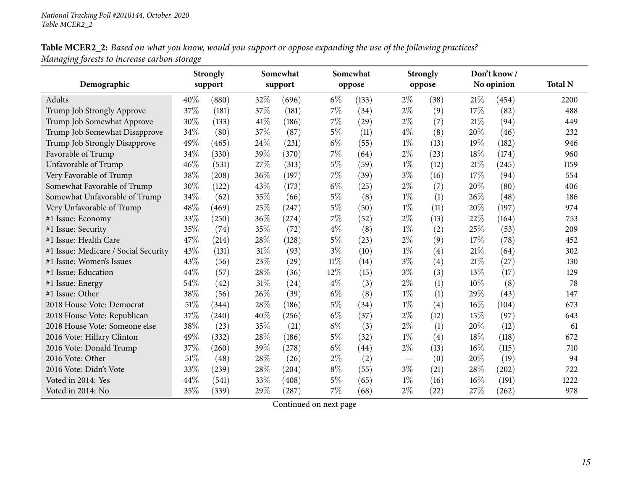Table MCER2\_2: Based on what you know, would you support or oppose expanding the use of the following practices? *Managing forests to increase carbon storage*

|                                      |      | <b>Strongly</b> |        | Somewhat |        | Somewhat |       | <b>Strongly</b> |      | Don't know/ |                |
|--------------------------------------|------|-----------------|--------|----------|--------|----------|-------|-----------------|------|-------------|----------------|
| Demographic                          |      | support         |        | support  |        | oppose   |       | oppose          |      | No opinion  | <b>Total N</b> |
| Adults                               | 40\% | (880)           | 32%    | (696)    | $6\%$  | (133)    | $2\%$ | (38)            | 21%  | (454)       | 2200           |
| Trump Job Strongly Approve           | 37%  | (181)           | 37%    | (181)    | $7\%$  | (34)     | $2\%$ | (9)             | 17%  | (82)        | 488            |
| Trump Job Somewhat Approve           | 30%  | (133)           | 41\%   | (186)    | 7%     | (29)     | $2\%$ | (7)             | 21%  | (94)        | 449            |
| Trump Job Somewhat Disapprove        | 34%  | (80)            | 37%    | (87)     | $5\%$  | (11)     | $4\%$ | (8)             | 20%  | (46)        | 232            |
| Trump Job Strongly Disapprove        | 49%  | (465)           | 24\%   | (231)    | $6\%$  | (55)     | $1\%$ | (13)            | 19%  | (182)       | 946            |
| Favorable of Trump                   | 34%  | (330)           | 39%    | (370)    | $7\%$  | (64)     | $2\%$ | (23)            | 18%  | (174)       | 960            |
| Unfavorable of Trump                 | 46%  | (531)           | 27\%   | (313)    | $5\%$  | (59)     | $1\%$ | (12)            | 21%  | (245)       | 1159           |
| Very Favorable of Trump              | 38%  | (208)           | 36%    | (197)    | $7\%$  | (39)     | $3\%$ | (16)            | 17%  | (94)        | 554            |
| Somewhat Favorable of Trump          | 30%  | (122)           | 43\%   | (173)    | $6\%$  | (25)     | $2\%$ | (7)             | 20%  | (80)        | 406            |
| Somewhat Unfavorable of Trump        | 34%  | (62)            | 35%    | (66)     | $5\%$  | (8)      | $1\%$ | (1)             | 26%  | (48)        | 186            |
| Very Unfavorable of Trump            | 48%  | (469)           | 25%    | (247)    | $5\%$  | (50)     | $1\%$ | (11)            | 20%  | (197)       | 974            |
| #1 Issue: Economy                    | 33%  | (250)           | 36%    | (274)    | $7\%$  | (52)     | $2\%$ | (13)            | 22%  | (164)       | 753            |
| #1 Issue: Security                   | 35%  | (74)            | 35%    | (72)     | $4\%$  | (8)      | $1\%$ | (2)             | 25%  | (53)        | 209            |
| #1 Issue: Health Care                | 47%  | (214)           | 28\%   | (128)    | $5\%$  | (23)     | $2\%$ | (9)             | 17%  | (78)        | 452            |
| #1 Issue: Medicare / Social Security | 43%  | (131)           | $31\%$ | (93)     | $3\%$  | (10)     | $1\%$ | (4)             | 21%  | (64)        | 302            |
| #1 Issue: Women's Issues             | 43%  | (56)            | 23%    | (29)     | $11\%$ | (14)     | $3\%$ | (4)             | 21\% | (27)        | 130            |
| #1 Issue: Education                  | 44%  | (57)            | 28%    | (36)     | 12%    | (15)     | $3\%$ | (3)             | 13%  | (17)        | 129            |
| #1 Issue: Energy                     | 54%  | (42)            | 31%    | (24)     | $4\%$  | (3)      | $2\%$ | (1)             | 10%  | (8)         | 78             |
| #1 Issue: Other                      | 38%  | (56)            | 26%    | (39)     | $6\%$  | (8)      | $1\%$ | (1)             | 29%  | (43)        | 147            |
| 2018 House Vote: Democrat            | 51%  | (344)           | 28\%   | (186)    | $5\%$  | (34)     | $1\%$ | (4)             | 16%  | (104)       | 673            |
| 2018 House Vote: Republican          | 37%  | (240)           | 40%    | (256)    | $6\%$  | (37)     | $2\%$ | (12)            | 15%  | (97)        | 643            |
| 2018 House Vote: Someone else        | 38%  | (23)            | 35%    | (21)     | $6\%$  | (3)      | $2\%$ | (1)             | 20%  | (12)        | 61             |
| 2016 Vote: Hillary Clinton           | 49%  | (332)           | 28%    | (186)    | $5\%$  | (32)     | $1\%$ | (4)             | 18%  | (118)       | 672            |
| 2016 Vote: Donald Trump              | 37%  | (260)           | 39%    | (278)    | $6\%$  | (44)     | $2\%$ | (13)            | 16%  | (115)       | 710            |
| 2016 Vote: Other                     | 51\% | (48)            | 28\%   | (26)     | $2\%$  | (2)      |       | (0)             | 20%  | (19)        | 94             |
| 2016 Vote: Didn't Vote               | 33%  | (239)           | 28\%   | (204)    | $8\%$  | (55)     | $3\%$ | (21)            | 28%  | (202)       | 722            |
| Voted in 2014: Yes                   | 44%  | (541)           | 33%    | (408)    | $5\%$  | (65)     | $1\%$ | (16)            | 16%  | (191)       | 1222           |
| Voted in 2014: No                    | 35%  | (339)           | 29%    | (287)    | 7%     | (68)     | $2\%$ | (22)            | 27%  | (262)       | 978            |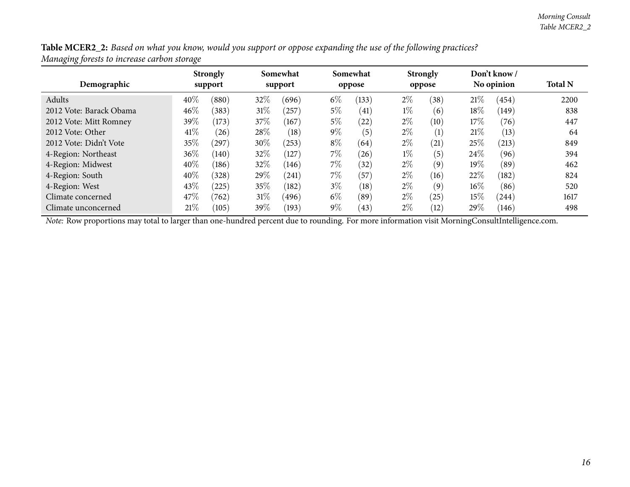| Table MCER2_2: Based on what you know, would you support or oppose expanding the use of the following practices? |  |  |
|------------------------------------------------------------------------------------------------------------------|--|--|
| Managing forests to increase carbon storage                                                                      |  |  |

| Demographic             | <b>Strongly</b><br>support |       | Somewhat<br>support |           | Somewhat<br>oppose |       | <b>Strongly</b><br>oppose |      | Don't know/<br>No opinion |       | <b>Total N</b> |
|-------------------------|----------------------------|-------|---------------------|-----------|--------------------|-------|---------------------------|------|---------------------------|-------|----------------|
|                         |                            |       |                     |           |                    |       |                           |      |                           |       |                |
| Adults                  | 40\%                       | (880) | 32\%                | (696)     | $6\%$              | (133) | $2\%$                     | (38) | 21%                       | (454) | 2200           |
| 2012 Vote: Barack Obama | 46%                        | (383) | $31\%$              | $^{'}257$ | $5\%$              | (41)  | $1\%$                     | (6)  | $18\%$                    | (149) | 838            |
| 2012 Vote: Mitt Romney  | 39\%                       | (173) | 37\%                | (167)     | $5\%$              | (22)  | $2\%$                     | (10) | 17%                       | (76)  | 447            |
| 2012 Vote: Other        | 41\%                       | (26)  | 28\%                | (18)      | $9\%$              | (5)   | $2\%$                     | (1)  | 21%                       | (13)  | 64             |
| 2012 Vote: Didn't Vote  | 35%                        | 297   | 30%                 | (253)     | $8\%$              | (64)  | $2\%$                     | (21) | 25%                       | (213) | 849            |
| 4-Region: Northeast     | 36%                        | (140) | 32\%                | (127)     | $7\%$              | (26)  | $1\%$                     | (5)  | 24\%                      | (96)  | 394            |
| 4-Region: Midwest       | 40\%                       | (186) | 32%                 | (146)     | 7\%                | (32)  | $2\%$                     | (9)  | 19%                       | (89)  | 462            |
| 4-Region: South         | 40%                        | (328) | 29\%                | (241)     | $7\%$              | (57)  | $2\%$                     | (16) | 22%                       | (182) | 824            |
| 4-Region: West          | 43\%                       | (225) | 35%                 | (182)     | $3\%$              | (18)  | $2\%$                     | (9)  | $16\%$                    | (86)  | 520            |
| Climate concerned       | 47\%                       | (762) | $31\%$              | (496)     | $6\%$              | (89)  | $2\%$                     | (25) | 15%                       | (244) | 1617           |
| Climate unconcerned     | 21%                        | (105) | 39\%                | (193)     | $9\%$              | (43)  | $2\%$                     | (12) | 29%                       | (146) | 498            |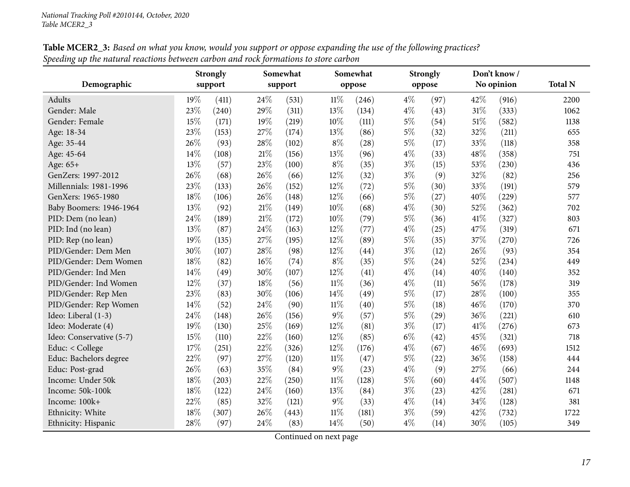<span id="page-16-0"></span>

|                          |     | <b>Strongly</b> |        | Somewhat |        | Somewhat           |       | <b>Strongly</b> |      | Don't know / |                |
|--------------------------|-----|-----------------|--------|----------|--------|--------------------|-------|-----------------|------|--------------|----------------|
| Demographic              |     | support         |        | support  |        | oppose             |       | oppose          |      | No opinion   | <b>Total N</b> |
| <b>Adults</b>            | 19% | (411)           | 24%    | (531)    | 11%    | (246)              | $4\%$ | (97)            | 42%  | (916)        | 2200           |
| Gender: Male             | 23% | (240)           | 29%    | (311)    | 13%    | (134)              | $4\%$ | (43)            | 31%  | (333)        | 1062           |
| Gender: Female           | 15% | (171)           | 19%    | (219)    | 10%    | (111)              | $5\%$ | (54)            | 51%  | (582)        | 1138           |
| Age: 18-34               | 23% | (153)           | 27%    | (174)    | 13%    | (86)               | 5%    | (32)            | 32%  | (211)        | 655            |
| Age: 35-44               | 26% | (93)            | 28%    | (102)    | $8\%$  | (28)               | $5\%$ | (17)            | 33%  | (118)        | 358            |
| Age: 45-64               | 14% | (108)           | $21\%$ | (156)    | 13%    | (96)               | $4\%$ | (33)            | 48%  | (358)        | 751            |
| Age: 65+                 | 13% | (57)            | 23%    | (100)    | $8\%$  | (35)               | $3\%$ | (15)            | 53%  | (230)        | 436            |
| GenZers: 1997-2012       | 26% | (68)            | 26%    | (66)     | 12%    | (32)               | $3\%$ | (9)             | 32%  | (82)         | 256            |
| Millennials: 1981-1996   | 23% | (133)           | 26%    | (152)    | 12%    | (72)               | $5\%$ | (30)            | 33%  | (191)        | 579            |
| GenXers: 1965-1980       | 18% | (106)           | 26%    | (148)    | 12%    | (66)               | $5\%$ | (27)            | 40%  | (229)        | 577            |
| Baby Boomers: 1946-1964  | 13% | (92)            | 21%    | (149)    | 10%    | (68)               | $4\%$ | (30)            | 52%  | (362)        | 702            |
| PID: Dem (no lean)       | 24% | (189)           | 21\%   | (172)    | 10%    | (79)               | $5\%$ | (36)            | 41\% | (327)        | 803            |
| PID: Ind (no lean)       | 13% | (87)            | 24%    | (163)    | 12%    | (77)               | $4\%$ | (25)            | 47%  | (319)        | 671            |
| PID: Rep (no lean)       | 19% | (135)           | 27%    | (195)    | 12%    | (89)               | $5\%$ | (35)            | 37%  | (270)        | 726            |
| PID/Gender: Dem Men      | 30% | (107)           | 28%    | (98)     | 12%    | (44)               | $3\%$ | (12)            | 26%  | (93)         | 354            |
| PID/Gender: Dem Women    | 18% | (82)            | 16%    | (74)     | $8\%$  | (35)               | $5\%$ | (24)            | 52%  | (234)        | 449            |
| PID/Gender: Ind Men      | 14% | (49)            | 30%    | (107)    | 12%    | $\left( 41\right)$ | $4\%$ | (14)            | 40%  | (140)        | 352            |
| PID/Gender: Ind Women    | 12% | (37)            | 18%    | (56)     | $11\%$ | (36)               | $4\%$ | (11)            | 56%  | (178)        | 319            |
| PID/Gender: Rep Men      | 23% | (83)            | 30%    | (106)    | 14%    | (49)               | $5\%$ | (17)            | 28%  | (100)        | 355            |
| PID/Gender: Rep Women    | 14% | (52)            | 24%    | (90)     | $11\%$ | (40)               | 5%    | (18)            | 46%  | (170)        | 370            |
| Ideo: Liberal (1-3)      | 24% | (148)           | 26%    | (156)    | $9\%$  | (57)               | $5\%$ | (29)            | 36%  | (221)        | 610            |
| Ideo: Moderate (4)       | 19% | (130)           | 25%    | (169)    | 12%    | (81)               | $3\%$ | (17)            | 41%  | (276)        | 673            |
| Ideo: Conservative (5-7) | 15% | (110)           | 22%    | (160)    | 12%    | (85)               | $6\%$ | (42)            | 45%  | (321)        | 718            |
| Educ: < College          | 17% | (251)           | 22%    | (326)    | 12%    | (176)              | $4\%$ | (67)            | 46%  | (693)        | 1512           |
| Educ: Bachelors degree   | 22% | (97)            | 27%    | (120)    | $11\%$ | (47)               | $5\%$ | (22)            | 36%  | (158)        | 444            |
| Educ: Post-grad          | 26% | (63)            | 35%    | (84)     | $9\%$  | (23)               | $4\%$ | (9)             | 27%  | (66)         | 244            |
| Income: Under 50k        | 18% | (203)           | 22%    | (250)    | $11\%$ | (128)              | $5\%$ | (60)            | 44%  | (507)        | 1148           |
| Income: 50k-100k         | 18% | (122)           | 24%    | (160)    | 13%    | (84)               | $3\%$ | (23)            | 42%  | (281)        | 671            |
| Income: 100k+            | 22% | (85)            | 32%    | (121)    | $9\%$  | (33)               | $4\%$ | (14)            | 34%  | (128)        | 381            |
| Ethnicity: White         | 18% | (307)           | 26%    | (443)    | $11\%$ | (181)              | $3\%$ | (59)            | 42%  | (732)        | 1722           |
| Ethnicity: Hispanic      | 28% | (97)            | 24%    | (83)     | 14%    | (50)               | $4\%$ | (14)            | 30%  | (105)        | 349            |

**Table MCER2\_3:** Based on what you know, would you support or oppose expanding the use of the following practices? Speeding up the natural reactions between carbon and rock formations to store carbon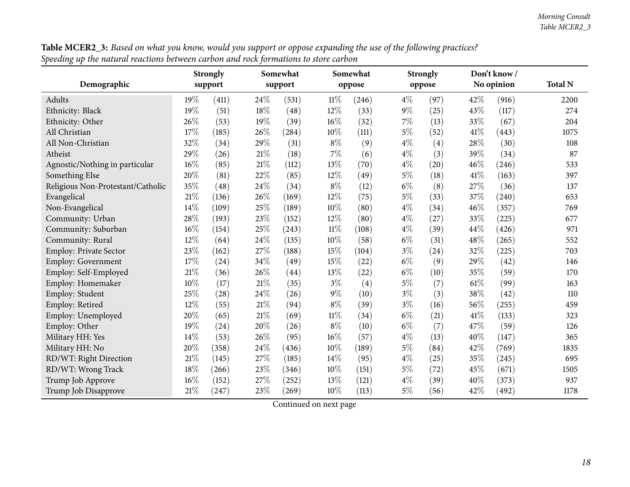|                                   |     | <b>Strongly</b> |        | Somewhat |        | Somewhat |        | <b>Strongly</b> |      | Don't know/ |                |
|-----------------------------------|-----|-----------------|--------|----------|--------|----------|--------|-----------------|------|-------------|----------------|
| Demographic                       |     | support         |        | support  |        | oppose   | oppose |                 |      | No opinion  | <b>Total N</b> |
| Adults                            | 19% | (411)           | 24\%   | (531)    | $11\%$ | (246)    | $4\%$  | (97)            | 42%  | (916)       | 2200           |
| Ethnicity: Black                  | 19% | (51)            | 18%    | (48)     | 12%    | (33)     | $9\%$  | (25)            | 43%  | (117)       | 274            |
| Ethnicity: Other                  | 26% | (53)            | 19%    | (39)     | 16%    | (32)     | 7%     | (13)            | 33%  | (67)        | 204            |
| All Christian                     | 17% | (185)           | 26%    | (284)    | $10\%$ | (111)    | $5\%$  | (52)            | 41\% | (443)       | 1075           |
| All Non-Christian                 | 32% | (34)            | 29%    | (31)     | $8\%$  | (9)      | $4\%$  | (4)             | 28%  | (30)        | 108            |
| Atheist                           | 29% | (26)            | $21\%$ | (18)     | $7\%$  | (6)      | $4\%$  | (3)             | 39%  | (34)        | 87             |
| Agnostic/Nothing in particular    | 16% | (85)            | $21\%$ | (112)    | 13%    | (70)     | $4\%$  | (20)            | 46%  | (246)       | 533            |
| Something Else                    | 20% | (81)            | 22%    | (85)     | 12%    | (49)     | $5\%$  | (18)            | 41\% | (163)       | 397            |
| Religious Non-Protestant/Catholic | 35% | (48)            | 24\%   | (34)     | $8\%$  | (12)     | $6\%$  | (8)             | 27\% | (36)        | 137            |
| Evangelical                       | 21% | (136)           | 26%    | (169)    | 12%    | (75)     | $5\%$  | (33)            | 37%  | (240)       | 653            |
| Non-Evangelical                   | 14% | (109)           | 25%    | (189)    | 10%    | (80)     | $4\%$  | (34)            | 46%  | (357)       | 769            |
| Community: Urban                  | 28% | (193)           | 23%    | (152)    | 12%    | (80)     | $4\%$  | (27)            | 33%  | (225)       | 677            |
| Community: Suburban               | 16% | (154)           | 25%    | (243)    | $11\%$ | (108)    | $4\%$  | (39)            | 44%  | (426)       | 971            |
| Community: Rural                  | 12% | (64)            | 24\%   | (135)    | 10%    | (58)     | $6\%$  | (31)            | 48%  | (265)       | 552            |
| Employ: Private Sector            | 23% | (162)           | $27\%$ | (188)    | 15%    | (104)    | $3\%$  | (24)            | 32%  | (225)       | 703            |
| Employ: Government                | 17% | (24)            | 34\%   | (49)     | 15%    | (22)     | $6\%$  | (9)             | 29%  | (42)        | 146            |
| Employ: Self-Employed             | 21% | (36)            | 26%    | (44)     | 13%    | (22)     | $6\%$  | (10)            | 35%  | (59)        | 170            |
| Employ: Homemaker                 | 10% | (17)            | $21\%$ | (35)     | $3\%$  | (4)      | $5\%$  | (7)             | 61%  | (99)        | 163            |
| Employ: Student                   | 25% | (28)            | 24\%   | (26)     | $9\%$  | (10)     | $3\%$  | (3)             | 38%  | (42)        | 110            |
| Employ: Retired                   | 12% | (55)            | $21\%$ | (94)     | $8\%$  | (39)     | $3\%$  | (16)            | 56%  | (255)       | 459            |
| Employ: Unemployed                | 20% | (65)            | $21\%$ | (69)     | $11\%$ | (34)     | $6\%$  | (21)            | 41\% | (133)       | 323            |
| Employ: Other                     | 19% | (24)            | 20%    | (26)     | $8\%$  | (10)     | $6\%$  | (7)             | 47%  | (59)        | 126            |
| Military HH: Yes                  | 14% | (53)            | 26%    | (95)     | 16%    | (57)     | $4\%$  | (13)            | 40%  | (147)       | 365            |
| Military HH: No                   | 20% | (358)           | 24\%   | (436)    | 10%    | (189)    | $5\%$  | (84)            | 42%  | (769)       | 1835           |
| RD/WT: Right Direction            | 21% | (145)           | 27%    | (185)    | 14%    | (95)     | $4\%$  | (25)            | 35%  | (245)       | 695            |
| RD/WT: Wrong Track                | 18% | (266)           | 23%    | (346)    | $10\%$ | (151)    | $5\%$  | (72)            | 45%  | (671)       | 1505           |
| Trump Job Approve                 | 16% | (152)           | 27%    | (252)    | 13%    | (121)    | $4\%$  | (39)            | 40%  | (373)       | 937            |
| Trump Job Disapprove              | 21% | (247)           | 23%    | (269)    | 10%    | (113)    | $5\%$  | (56)            | 42%  | (492)       | 1178           |

 ${\bf Table \, MCER2\_3:}$  Based on what you know, would you support or oppose expanding the use of the following practices? Speeding up the natural reactions between carbon and rock formations to store carbon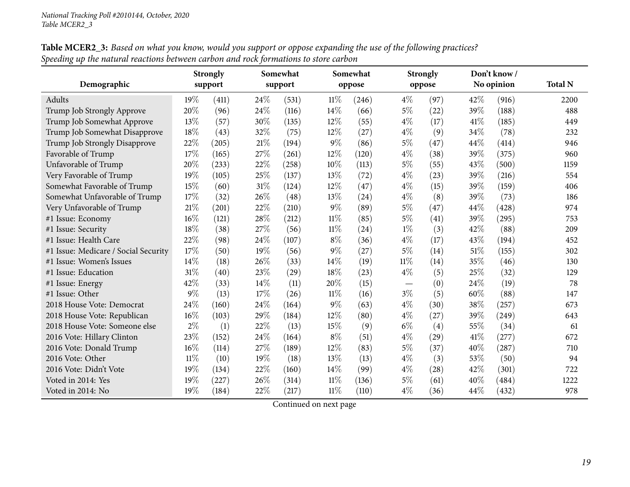|                                      | Somewhat<br><b>Strongly</b> |         |        | Somewhat |        | <b>Strongly</b> |        | Don't know/ |        |            |                |
|--------------------------------------|-----------------------------|---------|--------|----------|--------|-----------------|--------|-------------|--------|------------|----------------|
| Demographic                          |                             | support |        | support  |        | oppose          |        | oppose      |        | No opinion | <b>Total N</b> |
| Adults                               | $19\%$                      | (411)   | 24\%   | (531)    | 11%    | (246)           | $4\%$  | (97)        | 42\%   | (916)      | 2200           |
| Trump Job Strongly Approve           | 20%                         | (96)    | 24\%   | (116)    | 14%    | (66)            | $5\%$  | (22)        | 39%    | (188)      | 488            |
| Trump Job Somewhat Approve           | 13%                         | (57)    | 30%    | (135)    | 12%    | (55)            | $4\%$  | (17)        | 41\%   | (185)      | 449            |
| Trump Job Somewhat Disapprove        | 18%                         | (43)    | 32%    | (75)     | 12%    | (27)            | $4\%$  | (9)         | 34%    | (78)       | 232            |
| Trump Job Strongly Disapprove        | 22%                         | (205)   | 21%    | (194)    | $9\%$  | (86)            | $5\%$  | (47)        | 44\%   | (414)      | 946            |
| Favorable of Trump                   | 17%                         | (165)   | $27\%$ | (261)    | 12%    | (120)           | $4\%$  | (38)        | 39%    | (375)      | 960            |
| Unfavorable of Trump                 | 20%                         | (233)   | $22\%$ | (258)    | 10%    | (113)           | $5\%$  | (55)        | 43%    | (500)      | 1159           |
| Very Favorable of Trump              | 19%                         | (105)   | 25%    | (137)    | 13%    | (72)            | $4\%$  | (23)        | 39%    | (216)      | 554            |
| Somewhat Favorable of Trump          | 15%                         | (60)    | $31\%$ | (124)    | 12%    | (47)            | $4\%$  | (15)        | 39%    | (159)      | 406            |
| Somewhat Unfavorable of Trump        | 17%                         | (32)    | 26%    | (48)     | 13%    | (24)            | $4\%$  | (8)         | 39%    | (73)       | 186            |
| Very Unfavorable of Trump            | 21%                         | (201)   | 22%    | (210)    | $9\%$  | (89)            | $5\%$  | (47)        | 44\%   | (428)      | 974            |
| #1 Issue: Economy                    | 16%                         | (121)   | 28\%   | (212)    | $11\%$ | (85)            | $5\%$  | (41)        | 39%    | (295)      | 753            |
| #1 Issue: Security                   | 18%                         | (38)    | 27%    | (56)     | $11\%$ | (24)            | $1\%$  | (3)         | 42%    | (88)       | 209            |
| #1 Issue: Health Care                | 22%                         | (98)    | 24\%   | (107)    | $8\%$  | (36)            | $4\%$  | (17)        | 43%    | (194)      | 452            |
| #1 Issue: Medicare / Social Security | 17%                         | (50)    | 19%    | (56)     | $9\%$  | (27)            | $5\%$  | (14)        | $51\%$ | (155)      | 302            |
| #1 Issue: Women's Issues             | 14%                         | (18)    | 26%    | (33)     | 14%    | (19)            | $11\%$ | (14)        | 35%    | (46)       | 130            |
| #1 Issue: Education                  | 31%                         | (40)    | 23%    | (29)     | 18%    | (23)            | $4\%$  | (5)         | 25%    | (32)       | 129            |
| #1 Issue: Energy                     | 42%                         | (33)    | 14\%   | (11)     | 20%    | (15)            |        | (0)         | 24%    | (19)       | 78             |
| #1 Issue: Other                      | 9%                          | (13)    | 17%    | (26)     | 11%    | (16)            | $3\%$  | (5)         | 60%    | (88)       | 147            |
| 2018 House Vote: Democrat            | 24%                         | (160)   | 24\%   | (164)    | $9\%$  | (63)            | $4\%$  | (30)        | 38%    | (257)      | 673            |
| 2018 House Vote: Republican          | 16%                         | (103)   | 29%    | (184)    | 12%    | (80)            | $4\%$  | (27)        | 39%    | (249)      | 643            |
| 2018 House Vote: Someone else        | $2\%$                       | (1)     | 22%    | (13)     | 15%    | (9)             | $6\%$  | (4)         | 55%    | (34)       | 61             |
| 2016 Vote: Hillary Clinton           | 23%                         | (152)   | 24\%   | (164)    | $8\%$  | (51)            | $4\%$  | (29)        | 41\%   | (277)      | 672            |
| 2016 Vote: Donald Trump              | 16%                         | (114)   | 27%    | (189)    | 12%    | (83)            | $5\%$  | (37)        | 40%    | (287)      | 710            |
| 2016 Vote: Other                     | $11\%$                      | (10)    | 19%    | (18)     | 13%    | (13)            | $4\%$  | (3)         | 53%    | (50)       | 94             |
| 2016 Vote: Didn't Vote               | 19%                         | (134)   | 22%    | (160)    | 14%    | (99)            | $4\%$  | (28)        | 42%    | (301)      | 722            |
| Voted in 2014: Yes                   | 19%                         | (227)   | 26%    | (314)    | $11\%$ | (136)           | $5\%$  | (61)        | 40%    | (484)      | 1222           |
| Voted in 2014: No                    | 19%                         | (184)   | 22%    | (217)    | $11\%$ | (110)           | $4\%$  | (36)        | 44%    | (432)      | 978            |

 ${\bf Table \, MCER2\_3:}$  Based on what you know, would you support or oppose expanding the use of the following practices? Speeding up the natural reactions between carbon and rock formations to store carbon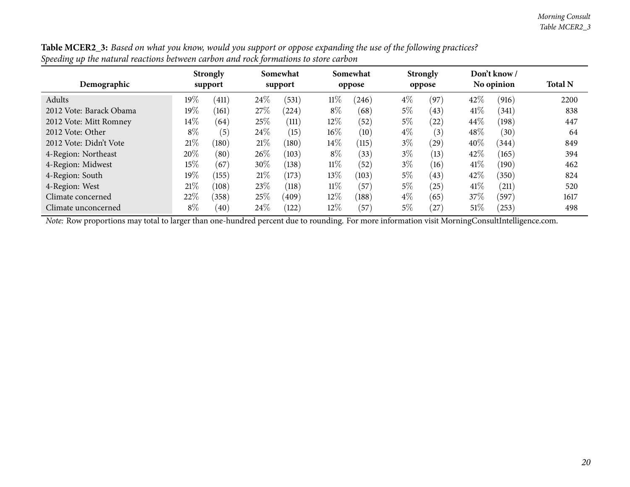| Demographic             | <b>Strongly</b><br>support |       | Somewhat<br>support |       |        | Somewhat<br>oppose |       | <b>Strongly</b><br>oppose |        | Don't know /<br>No opinion | <b>Total N</b> |
|-------------------------|----------------------------|-------|---------------------|-------|--------|--------------------|-------|---------------------------|--------|----------------------------|----------------|
| Adults                  | $19\%$                     | (411) | 24%                 | (531) | $11\%$ | (246)              | $4\%$ | (97)                      | 42\%   | (916)                      | 2200           |
| 2012 Vote: Barack Obama | $19\%$                     | (161) | 27\%                | (224) | $8\%$  | (68)               | 5%    | (43)                      | 41\%   | (341)                      | 838            |
| 2012 Vote: Mitt Romney  | $14\%$                     | (64)  | 25%                 | (111) | 12%    | (52)               | 5%    | (22)                      | 44\%   | (198)                      | 447            |
| 2012 Vote: Other        | $8\%$                      | (5)   | $24\%$              | (15)  | $16\%$ | (10)               | $4\%$ | (3)                       | 48\%   | (30)                       | 64             |
| 2012 Vote: Didn't Vote  | 21%                        | (180) | $21\%$              | (180) | 14\%   | (115)              | $3\%$ | (29)                      | 40%    | (344)                      | 849            |
| 4-Region: Northeast     | 20%                        | (80)  | $26\%$              | (103) | $8\%$  | (33)               | $3\%$ | (13)                      | 42%    | (165)                      | 394            |
| 4-Region: Midwest       | 15\%                       | (67)  | 30%                 | (138) | $11\%$ | (52)               | $3\%$ | (16)                      | 41\%   | (190)                      | 462            |
| 4-Region: South         | 19%                        | (155) | $21\%$              | (173) | 13\%   | (103)              | $5\%$ | (43)                      | 42%    | (350)                      | 824            |
| 4-Region: West          | 21%                        | (108) | 23%                 | (118) | $11\%$ | (57)               | 5%    | (25)                      | 41\%   | (211)                      | 520            |
| Climate concerned       | 22%                        | (358) | 25\%                | (409) | 12%    | (188)              | $4\%$ | (65)                      | 37%    | (597)                      | 1617           |
| Climate unconcerned     | $8\%$                      | (40)  | 24\%                | (122) | $12\%$ | (57)               | $5\%$ | (27)                      | $51\%$ | (253)                      | 498            |

Table MCER2\_3: Based on what you know, would you support or oppose expanding the use of the following practices? Speeding up the natural reactions between carbon and rock formations to store carbon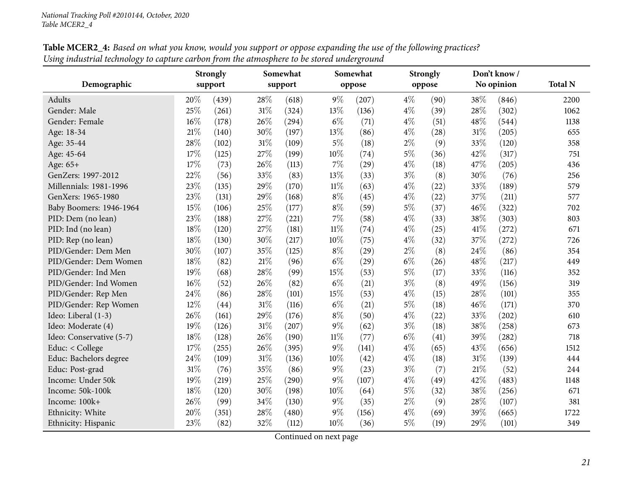<span id="page-20-0"></span>

|                          | <b>Strongly</b> |         | Somewhat |         | Somewhat |        | <b>Strongly</b> |        | Don't know / |            |                |
|--------------------------|-----------------|---------|----------|---------|----------|--------|-----------------|--------|--------------|------------|----------------|
| Demographic              |                 | support |          | support |          | oppose |                 | oppose |              | No opinion | <b>Total N</b> |
| <b>Adults</b>            | 20%             | (439)   | 28%      | (618)   | $9\%$    | (207)  | $4\%$           | (90)   | 38%          | (846)      | 2200           |
| Gender: Male             | 25%             | (261)   | 31%      | (324)   | 13%      | (136)  | $4\%$           | (39)   | 28%          | (302)      | 1062           |
| Gender: Female           | $16\%$          | (178)   | 26%      | (294)   | $6\%$    | (71)   | $4\%$           | (51)   | 48%          | (544)      | 1138           |
| Age: 18-34               | 21%             | (140)   | 30%      | (197)   | 13%      | (86)   | $4\%$           | (28)   | 31%          | (205)      | 655            |
| Age: 35-44               | 28%             | (102)   | $31\%$   | (109)   | $5\%$    | (18)   | $2\%$           | (9)    | 33%          | (120)      | 358            |
| Age: 45-64               | 17%             | (125)   | 27%      | (199)   | 10%      | (74)   | $5\%$           | (36)   | 42%          | (317)      | 751            |
| Age: 65+                 | 17%             | (73)    | 26%      | (113)   | $7\%$    | (29)   | $4\%$           | (18)   | 47%          | (205)      | 436            |
| GenZers: 1997-2012       | 22%             | (56)    | 33%      | (83)    | 13%      | (33)   | $3\%$           | (8)    | 30%          | (76)       | 256            |
| Millennials: 1981-1996   | 23%             | (135)   | 29%      | (170)   | $11\%$   | (63)   | $4\%$           | (22)   | 33%          | (189)      | 579            |
| GenXers: 1965-1980       | 23%             | (131)   | 29%      | (168)   | $8\%$    | (45)   | $4\%$           | (22)   | 37%          | (211)      | 577            |
| Baby Boomers: 1946-1964  | 15%             | (106)   | 25%      | (177)   | $8\%$    | (59)   | $5\%$           | (37)   | 46%          | (322)      | 702            |
| PID: Dem (no lean)       | 23%             | (188)   | 27%      | (221)   | $7\%$    | (58)   | $4\%$           | (33)   | 38%          | (303)      | 803            |
| PID: Ind (no lean)       | 18%             | (120)   | 27%      | (181)   | $11\%$   | (74)   | $4\%$           | (25)   | 41\%         | (272)      | 671            |
| PID: Rep (no lean)       | 18%             | (130)   | 30%      | (217)   | 10%      | (75)   | $4\%$           | (32)   | 37%          | (272)      | 726            |
| PID/Gender: Dem Men      | 30%             | (107)   | 35%      | (125)   | $8\%$    | (29)   | $2\%$           | (8)    | 24%          | (86)       | 354            |
| PID/Gender: Dem Women    | 18%             | (82)    | $21\%$   | (96)    | $6\%$    | (29)   | $6\%$           | (26)   | 48%          | (217)      | 449            |
| PID/Gender: Ind Men      | 19%             | (68)    | 28%      | (99)    | 15%      | (53)   | $5\%$           | (17)   | 33%          | (116)      | 352            |
| PID/Gender: Ind Women    | 16%             | (52)    | 26%      | (82)    | $6\%$    | (21)   | $3\%$           | (8)    | 49%          | (156)      | 319            |
| PID/Gender: Rep Men      | 24%             | (86)    | 28%      | (101)   | 15%      | (53)   | $4\%$           | (15)   | 28%          | (101)      | 355            |
| PID/Gender: Rep Women    | 12%             | (44)    | $31\%$   | (116)   | $6\%$    | (21)   | 5%              | (18)   | 46%          | (171)      | 370            |
| Ideo: Liberal (1-3)      | 26%             | (161)   | 29%      | (176)   | $8\%$    | (50)   | $4\%$           | (22)   | 33%          | (202)      | 610            |
| Ideo: Moderate (4)       | 19%             | (126)   | 31%      | (207)   | $9\%$    | (62)   | $3\%$           | (18)   | 38%          | (258)      | 673            |
| Ideo: Conservative (5-7) | 18%             | (128)   | 26%      | (190)   | $11\%$   | (77)   | $6\%$           | (41)   | 39%          | (282)      | 718            |
| Educ: < College          | 17%             | (255)   | 26%      | (395)   | $9\%$    | (141)  | $4\%$           | (65)   | 43%          | (656)      | 1512           |
| Educ: Bachelors degree   | 24%             | (109)   | $31\%$   | (136)   | 10%      | (42)   | $4\%$           | (18)   | 31%          | (139)      | 444            |
| Educ: Post-grad          | 31%             | (76)    | 35%      | (86)    | $9\%$    | (23)   | $3\%$           | (7)    | 21%          | (52)       | 244            |
| Income: Under 50k        | 19%             | (219)   | 25%      | (290)   | $9\%$    | (107)  | $4\%$           | (49)   | 42%          | (483)      | 1148           |
| Income: 50k-100k         | 18%             | (120)   | 30%      | (198)   | 10%      | (64)   | $5\%$           | (32)   | 38%          | (256)      | 671            |
| Income: 100k+            | 26%             | (99)    | 34%      | (130)   | $9\%$    | (35)   | $2\%$           | (9)    | 28%          | (107)      | 381            |
| Ethnicity: White         | 20%             | (351)   | 28%      | (480)   | $9\%$    | (156)  | $4\%$           | (69)   | 39%          | (665)      | 1722           |
| Ethnicity: Hispanic      | 23%             | (82)    | 32%      | (112)   | 10%      | (36)   | $5\%$           | (19)   | 29%          | (101)      | 349            |

**Table MCER2\_4:** Based on what you know, would you support or oppose expanding the use of the following practices? Using industrial technology to capture carbon from the atmosphere to be stored underground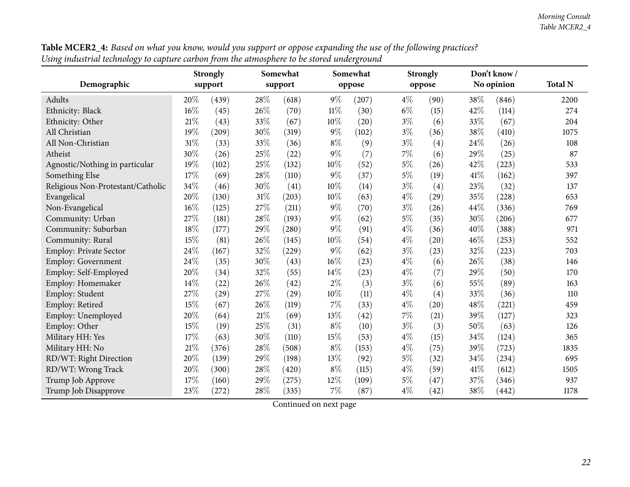| Demographic                       | <b>Strongly</b><br>support |       | Somewhat<br>support |       |        | Somewhat |       | <b>Strongly</b> |      | Don't know/<br>No opinion | <b>Total N</b> |
|-----------------------------------|----------------------------|-------|---------------------|-------|--------|----------|-------|-----------------|------|---------------------------|----------------|
|                                   |                            |       |                     |       |        | oppose   |       | oppose          |      |                           |                |
| Adults                            | 20%                        | (439) | 28\%                | (618) | $9\%$  | (207)    | $4\%$ | (90)            | 38%  | (846)                     | 2200           |
| Ethnicity: Black                  | 16%                        | (45)  | 26%                 | (70)  | $11\%$ | (30)     | $6\%$ | (15)            | 42%  | (114)                     | 274            |
| Ethnicity: Other                  | 21%                        | (43)  | 33%                 | (67)  | 10%    | (20)     | $3\%$ | (6)             | 33%  | (67)                      | 204            |
| All Christian                     | 19%                        | (209) | 30%                 | (319) | $9\%$  | (102)    | $3\%$ | (36)            | 38%  | (410)                     | 1075           |
| All Non-Christian                 | 31%                        | (33)  | 33%                 | (36)  | $8\%$  | (9)      | $3\%$ | (4)             | 24\% | (26)                      | 108            |
| Atheist                           | 30%                        | (26)  | 25%                 | (22)  | $9\%$  | (7)      | 7%    | (6)             | 29%  | (25)                      | 87             |
| Agnostic/Nothing in particular    | 19%                        | (102) | 25%                 | (132) | 10%    | (52)     | $5\%$ | (26)            | 42%  | (223)                     | 533            |
| Something Else                    | 17%                        | (69)  | 28%                 | (110) | $9\%$  | (37)     | $5\%$ | (19)            | 41\% | (162)                     | 397            |
| Religious Non-Protestant/Catholic | 34%                        | (46)  | 30%                 | (41)  | 10%    | (14)     | $3\%$ | (4)             | 23%  | (32)                      | 137            |
| Evangelical                       | 20%                        | (130) | $31\%$              | (203) | 10%    | (63)     | $4\%$ | (29)            | 35%  | (228)                     | 653            |
| Non-Evangelical                   | 16%                        | (125) | 27\%                | (211) | $9\%$  | (70)     | $3\%$ | (26)            | 44%  | (336)                     | 769            |
| Community: Urban                  | 27%                        | (181) | 28\%                | (193) | $9\%$  | (62)     | $5\%$ | (35)            | 30%  | (206)                     | 677            |
| Community: Suburban               | 18%                        | (177) | 29%                 | (280) | $9\%$  | (91)     | $4\%$ | (36)            | 40%  | (388)                     | 971            |
| Community: Rural                  | 15%                        | (81)  | 26%                 | (145) | 10%    | (54)     | $4\%$ | (20)            | 46%  | (253)                     | 552            |
| Employ: Private Sector            | 24%                        | (167) | $32\%$              | (229) | $9\%$  | (62)     | $3\%$ | (23)            | 32%  | (223)                     | 703            |
| Employ: Government                | 24%                        | (35)  | 30%                 | (43)  | $16\%$ | (23)     | $4\%$ | (6)             | 26%  | (38)                      | 146            |
| Employ: Self-Employed             | 20%                        | (34)  | 32%                 | (55)  | 14%    | (23)     | $4\%$ | (7)             | 29%  | (50)                      | 170            |
| Employ: Homemaker                 | 14%                        | (22)  | 26%                 | (42)  | $2\%$  | (3)      | $3\%$ | (6)             | 55%  | (89)                      | 163            |
| Employ: Student                   | 27%                        | (29)  | 27%                 | (29)  | 10%    | (11)     | $4\%$ | (4)             | 33%  | (36)                      | 110            |
| Employ: Retired                   | 15%                        | (67)  | 26%                 | (119) | $7\%$  | (33)     | $4\%$ | (20)            | 48%  | (221)                     | 459            |
| Employ: Unemployed                | 20%                        | (64)  | $21\%$              | (69)  | $13\%$ | (42)     | 7%    | (21)            | 39%  | (127)                     | 323            |
| Employ: Other                     | 15%                        | (19)  | 25%                 | (31)  | $8\%$  | (10)     | $3\%$ | (3)             | 50%  | (63)                      | 126            |
| Military HH: Yes                  | 17%                        | (63)  | 30%                 | (110) | 15%    | (53)     | $4\%$ | (15)            | 34%  | (124)                     | 365            |
| Military HH: No                   | $21\%$                     | (376) | 28%                 | (508) | $8\%$  | (153)    | $4\%$ | (75)            | 39%  | (723)                     | 1835           |
| RD/WT: Right Direction            | 20%                        | (139) | 29%                 | (198) | 13\%   | (92)     | $5\%$ | (32)            | 34%  | (234)                     | 695            |
| RD/WT: Wrong Track                | 20%                        | (300) | 28%                 | (420) | $8\%$  | (115)    | $4\%$ | (59)            | 41\% | (612)                     | 1505           |
| Trump Job Approve                 | 17%                        | (160) | 29%                 | (275) | 12%    | (109)    | $5\%$ | (47)            | 37%  | (346)                     | 937            |
| Trump Job Disapprove              | 23%                        | (272) | 28%                 | (335) | $7\%$  | (87)     | $4\%$ | (42)            | 38\% | (442)                     | 1178           |

 ${\bf Table \, MCER2\_4:}$  Based on what you know, would you support or oppose expanding the use of the following practices? Using industrial technology to capture carbon from the atmosphere to be stored underground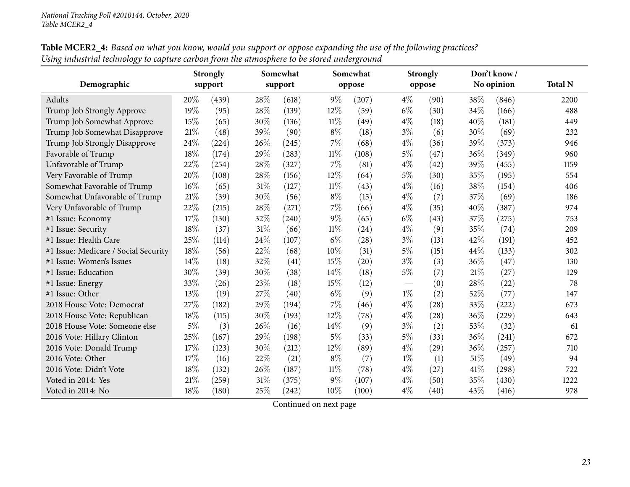|                                      |       | <b>Strongly</b> |        | Somewhat |        | Somewhat |       | <b>Strongly</b> |      | Don't know/ |                |
|--------------------------------------|-------|-----------------|--------|----------|--------|----------|-------|-----------------|------|-------------|----------------|
| Demographic                          |       | support         |        | support  |        | oppose   |       | oppose          |      | No opinion  | <b>Total N</b> |
| Adults                               | 20%   | (439)           | 28%    | (618)    | $9\%$  | (207)    | $4\%$ | (90)            | 38%  | (846)       | 2200           |
| Trump Job Strongly Approve           | 19%   | (95)            | 28%    | (139)    | 12%    | (59)     | $6\%$ | (30)            | 34%  | (166)       | 488            |
| Trump Job Somewhat Approve           | 15%   | (65)            | 30%    | (136)    | $11\%$ | (49)     | $4\%$ | (18)            | 40%  | (181)       | 449            |
| Trump Job Somewhat Disapprove        | 21%   | (48)            | 39%    | (90)     | $8\%$  | (18)     | $3\%$ | (6)             | 30%  | (69)        | 232            |
| Trump Job Strongly Disapprove        | 24%   | (224)           | 26%    | (245)    | $7\%$  | (68)     | $4\%$ | (36)            | 39%  | (373)       | 946            |
| Favorable of Trump                   | 18%   | (174)           | 29%    | (283)    | $11\%$ | (108)    | $5\%$ | (47)            | 36%  | (349)       | 960            |
| Unfavorable of Trump                 | 22%   | (254)           | 28%    | (327)    | $7\%$  | (81)     | $4\%$ | (42)            | 39%  | (455)       | 1159           |
| Very Favorable of Trump              | 20%   | (108)           | 28%    | (156)    | 12%    | (64)     | 5%    | (30)            | 35%  | (195)       | 554            |
| Somewhat Favorable of Trump          | 16%   | (65)            | 31%    | (127)    | $11\%$ | (43)     | $4\%$ | (16)            | 38%  | (154)       | 406            |
| Somewhat Unfavorable of Trump        | 21%   | (39)            | 30%    | (56)     | $8\%$  | (15)     | $4\%$ | (7)             | 37\% | (69)        | 186            |
| Very Unfavorable of Trump            | 22%   | (215)           | 28\%   | (271)    | $7\%$  | (66)     | $4\%$ | (35)            | 40%  | (387)       | 974            |
| #1 Issue: Economy                    | 17%   | (130)           | 32%    | (240)    | $9\%$  | (65)     | $6\%$ | (43)            | 37%  | (275)       | 753            |
| #1 Issue: Security                   | 18%   | (37)            | $31\%$ | (66)     | $11\%$ | (24)     | $4\%$ | (9)             | 35%  | (74)        | 209            |
| #1 Issue: Health Care                | 25%   | (114)           | 24\%   | (107)    | $6\%$  | (28)     | $3\%$ | (13)            | 42\% | (191)       | 452            |
| #1 Issue: Medicare / Social Security | 18%   | (56)            | 22%    | (68)     | 10%    | (31)     | $5\%$ | (15)            | 44%  | (133)       | 302            |
| #1 Issue: Women's Issues             | 14%   | (18)            | 32%    | (41)     | 15%    | (20)     | $3\%$ | (3)             | 36%  | (47)        | 130            |
| #1 Issue: Education                  | 30%   | (39)            | 30%    | (38)     | 14%    | (18)     | $5\%$ | (7)             | 21%  | (27)        | 129            |
| #1 Issue: Energy                     | 33%   | (26)            | 23%    | (18)     | 15%    | (12)     |       | (0)             | 28%  | (22)        | 78             |
| #1 Issue: Other                      | 13%   | (19)            | 27%    | (40)     | $6\%$  | (9)      | $1\%$ | (2)             | 52%  | (77)        | 147            |
| 2018 House Vote: Democrat            | 27%   | (182)           | 29%    | (194)    | $7\%$  | (46)     | $4\%$ | (28)            | 33%  | (222)       | 673            |
| 2018 House Vote: Republican          | 18%   | (115)           | 30%    | (193)    | 12%    | (78)     | $4\%$ | (28)            | 36%  | (229)       | 643            |
| 2018 House Vote: Someone else        | $5\%$ | (3)             | 26%    | (16)     | 14%    | (9)      | $3\%$ | (2)             | 53%  | (32)        | 61             |
| 2016 Vote: Hillary Clinton           | 25%   | (167)           | 29%    | (198)    | $5\%$  | (33)     | $5\%$ | (33)            | 36\% | (241)       | 672            |
| 2016 Vote: Donald Trump              | 17\%  | (123)           | 30%    | (212)    | $12\%$ | (89)     | $4\%$ | (29)            | 36%  | (257)       | 710            |
| 2016 Vote: Other                     | 17%   | (16)            | 22%    | (21)     | $8\%$  | (7)      | $1\%$ | (1)             | 51\% | (49)        | 94             |
| 2016 Vote: Didn't Vote               | 18%   | (132)           | 26%    | (187)    | $11\%$ | (78)     | $4\%$ | (27)            | 41\% | (298)       | 722            |
| Voted in 2014: Yes                   | 21%   | (259)           | $31\%$ | (375)    | 9%     | (107)    | $4\%$ | (50)            | 35%  | (430)       | 1222           |
| Voted in 2014: No                    | 18%   | (180)           | 25%    | (242)    | 10%    | (100)    | $4\%$ | (40)            | 43%  | (416)       | 978            |

 ${\bf Table \, MCER2\_4:}$  Based on what you know, would you support or oppose expanding the use of the following practices? Using industrial technology to capture carbon from the atmosphere to be stored underground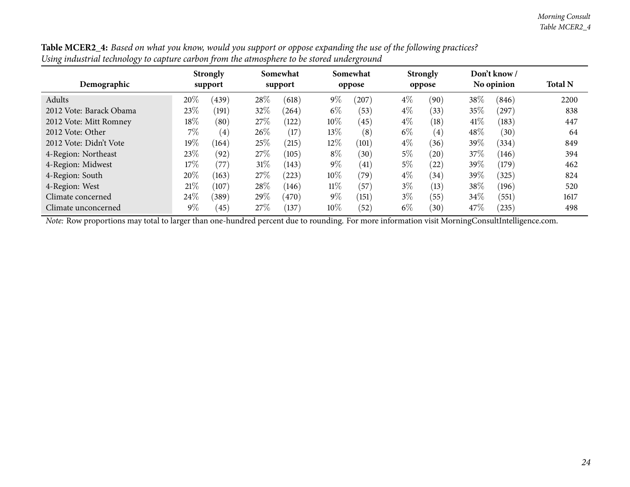| $\sim$ . The contract that the contract $\chi$ and $\sim$ the contract of $\sim$ . The contract of $\chi$ |                            |       |                     |       |                    |       |                           |      |        |                            |                |
|-----------------------------------------------------------------------------------------------------------|----------------------------|-------|---------------------|-------|--------------------|-------|---------------------------|------|--------|----------------------------|----------------|
| Demographic                                                                                               | <b>Strongly</b><br>support |       | Somewhat<br>support |       | Somewhat<br>oppose |       | <b>Strongly</b><br>oppose |      |        | Don't know /<br>No opinion | <b>Total N</b> |
| Adults                                                                                                    | 20%                        | (439) | 28\%                | (618) | $9\%$              | (207) | $4\%$                     | (90) | 38\%   | (846)                      | 2200           |
| 2012 Vote: Barack Obama                                                                                   | 23\%                       | (191) | 32\%                | (264) | $6\%$              | (53)  | $4\%$                     | (33) | 35%    | (297)                      | 838            |
| 2012 Vote: Mitt Romney                                                                                    | $18\%$                     | (80)  | 27\%                | (122) | $10\%$             | (45)  | $4\%$                     | (18) | 41\%   | (183)                      | 447            |
| 2012 Vote: Other                                                                                          | $7\%$                      | (4)   | $26\%$              | (17)  | 13\%               | (8)   | $6\%$                     | (4)  | $48\%$ | (30)                       | 64             |
| 2012 Vote: Didn't Vote                                                                                    | $19\%$                     | (164) | 25\%                | (215) | 12%                | (101) | $4\%$                     | (36) | 39%    | (334)                      | 849            |
| 4-Region: Northeast                                                                                       | 23%                        | (92)  | 27\%                | (105) | $8\%$              | (30)  | $5\%$                     | (20) | 37\%   | (146)                      | 394            |
| 4-Region: Midwest                                                                                         | $17\%$                     | (77)  | $31\%$              | (143) | $9\%$              | (41)  | $5\%$                     | (22) | 39%    | (179)                      | 462            |
| 4-Region: South                                                                                           | 20%                        | (163) | 27\%                | (223) | $10\%$             | (79)  | $4\%$                     | (34) | 39%    | (325)                      | 824            |
| 4-Region: West                                                                                            | 21%                        | (107) | 28\%                | (146) | $11\%$             | (57)  | $3\%$                     | (13) | 38%    | (196)                      | 520            |
| Climate concerned                                                                                         | 24\%                       | (389) | 29%                 | (470) | $9\%$              | (151) | $3\%$                     | (55) | 34\%   | (551)                      | 1617           |
| Climate unconcerned                                                                                       | $9\%$                      | (45)  | 27\%                | (137) | $10\%$             | (52)  | $6\%$                     | (30) | 47\%   | (235)                      | 498            |

Table MCER2\_4: Based on what you know, would you support or oppose expanding the use of the following practices? Using industrial technology to capture carbon from the atmosphere to be stored underground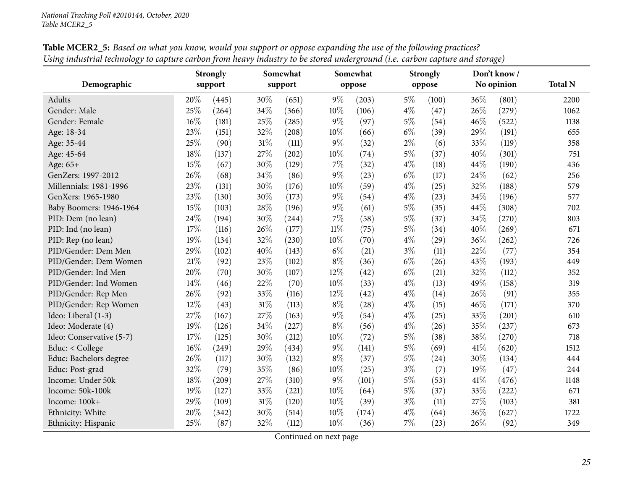<span id="page-24-0"></span>

|                          | <b>Strongly</b> |                     |        | Somewhat |        | Somewhat |       | <b>Strongly</b> |      | Don't know/ |                |
|--------------------------|-----------------|---------------------|--------|----------|--------|----------|-------|-----------------|------|-------------|----------------|
| Demographic              |                 | support             |        | support  |        | oppose   |       | oppose          |      | No opinion  | <b>Total N</b> |
| Adults                   | 20%             | (445)               | 30%    | (651)    | $9\%$  | (203)    | $5\%$ | (100)           | 36%  | (801)       | 2200           |
| Gender: Male             | 25%             | (264)               | 34%    | (366)    | 10%    | (106)    | $4\%$ | (47)            | 26%  | (279)       | 1062           |
| Gender: Female           | 16%             | (181)               | 25%    | (285)    | $9\%$  | (97)     | $5\%$ | (54)            | 46%  | (522)       | 1138           |
| Age: 18-34               | 23%             | (151)               | 32%    | (208)    | 10%    | (66)     | $6\%$ | (39)            | 29%  | (191)       | 655            |
| Age: 35-44               | 25%             | (90)                | 31%    | (111)    | $9\%$  | (32)     | $2\%$ | (6)             | 33%  | (119)       | 358            |
| Age: 45-64               | 18%             | (137)               | 27%    | (202)    | $10\%$ | (74)     | $5\%$ | (37)            | 40%  | (301)       | 751            |
| Age: 65+                 | 15%             | (67)                | 30%    | (129)    | $7\%$  | (32)     | $4\%$ | (18)            | 44%  | (190)       | 436            |
| GenZers: 1997-2012       | 26%             | (68)                | 34%    | (86)     | $9\%$  | (23)     | $6\%$ | (17)            | 24%  | (62)        | 256            |
| Millennials: 1981-1996   | 23%             | (131)               | 30%    | (176)    | 10%    | (59)     | $4\%$ | (25)            | 32%  | (188)       | 579            |
| GenXers: 1965-1980       | 23%             | (130)               | 30%    | (173)    | $9\%$  | (54)     | $4\%$ | (23)            | 34%  | (196)       | 577            |
| Baby Boomers: 1946-1964  | 15%             | (103)               | 28%    | (196)    | $9\%$  | (61)     | $5\%$ | (35)            | 44%  | (308)       | 702            |
| PID: Dem (no lean)       | 24%             | (194)               | 30%    | (244)    | $7\%$  | (58)     | $5\%$ | (37)            | 34%  | (270)       | 803            |
| PID: Ind (no lean)       | 17%             | (116)               | 26%    | (177)    | $11\%$ | (75)     | $5\%$ | (34)            | 40%  | (269)       | 671            |
| PID: Rep (no lean)       | 19%             | (134)               | 32%    | (230)    | 10%    | (70)     | $4\%$ | (29)            | 36%  | (262)       | 726            |
| PID/Gender: Dem Men      | 29%             | (102)               | 40%    | (143)    | $6\%$  | (21)     | $3\%$ | (11)            | 22%  | (77)        | 354            |
| PID/Gender: Dem Women    | $21\%$          | (92)                | 23%    | (102)    | $8\%$  | (36)     | $6\%$ | (26)            | 43%  | (193)       | 449            |
| PID/Gender: Ind Men      | 20%             | (70)                | 30%    | (107)    | 12%    | (42)     | $6\%$ | (21)            | 32%  | (112)       | 352            |
| PID/Gender: Ind Women    | 14%             | (46)                | 22%    | (70)     | 10%    | (33)     | $4\%$ | (13)            | 49%  | (158)       | 319            |
| PID/Gender: Rep Men      | 26%             | (92)                | 33%    | (116)    | 12%    | (42)     | $4\%$ | (14)            | 26%  | (91)        | 355            |
| PID/Gender: Rep Women    | 12%             | (43)                | 31%    | (113)    | $8\%$  | (28)     | $4\%$ | (15)            | 46%  | (171)       | 370            |
| Ideo: Liberal (1-3)      | 27%             | (167)               | 27%    | (163)    | $9\%$  | (54)     | $4\%$ | (25)            | 33%  | (201)       | 610            |
| Ideo: Moderate (4)       | 19%             | (126)               | 34%    | (227)    | $8\%$  | (56)     | $4\%$ | (26)            | 35%  | (237)       | 673            |
| Ideo: Conservative (5-7) | 17%             | (125)               | 30%    | (212)    | 10%    | (72)     | $5\%$ | (38)            | 38%  | (270)       | 718            |
| Educ: $<$ College        | 16%             | (249)               | 29%    | (434)    | $9\%$  | (141)    | $5\%$ | (69)            | 41\% | (620)       | 1512           |
| Educ: Bachelors degree   | 26%             | (117)               | 30%    | (132)    | $8\%$  | (37)     | $5\%$ | (24)            | 30%  | (134)       | 444            |
| Educ: Post-grad          | 32%             | (79)                | 35%    | (86)     | $10\%$ | (25)     | $3\%$ | (7)             | 19%  | (47)        | 244            |
| Income: Under 50k        | 18%             | $\left( 209\right)$ | 27%    | (310)    | $9\%$  | (101)    | $5\%$ | (53)            | 41%  | (476)       | 1148           |
| Income: 50k-100k         | 19%             | (127)               | 33%    | (221)    | 10%    | (64)     | $5\%$ | (37)            | 33%  | (222)       | 671            |
| Income: 100k+            | 29%             | (109)               | $31\%$ | (120)    | 10%    | (39)     | $3\%$ | (11)            | 27%  | (103)       | 381            |
| Ethnicity: White         | 20%             | (342)               | 30%    | (514)    | 10%    | (174)    | $4\%$ | (64)            | 36%  | (627)       | 1722           |
| Ethnicity: Hispanic      | 25%             | (87)                | 32%    | (112)    | $10\%$ | (36)     | 7%    | (23)            | 26%  | (92)        | 349            |

**Table MCER2\_5:** Based on what you know, would you support or oppose expanding the use of the following practices? Using industrial technology to capture carbon from heavy industry to be stored underground (i.e. carbon capture and storage)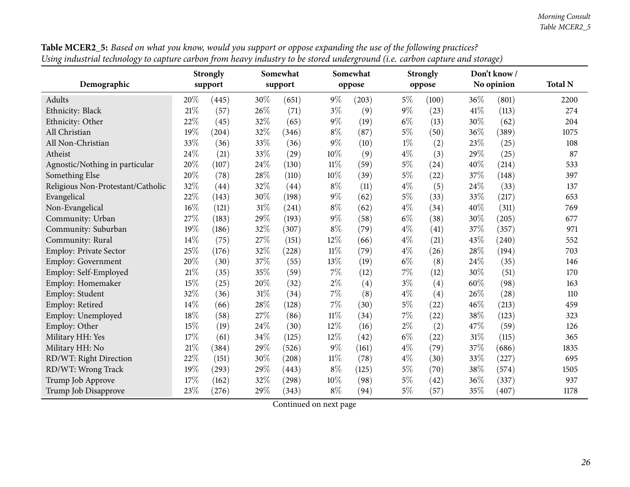| mason an icennewy to empany can confirm nearly maawing to be secret analogically (he. can confirm and storage) |     | <b>Strongly</b> |        | Somewhat |        | Somewhat |       | <b>Strongly</b> |      | Don't know/ |                |
|----------------------------------------------------------------------------------------------------------------|-----|-----------------|--------|----------|--------|----------|-------|-----------------|------|-------------|----------------|
| Demographic                                                                                                    |     | support         |        | support  |        | oppose   |       | oppose          |      | No opinion  | <b>Total N</b> |
| Adults                                                                                                         | 20% | (445)           | 30%    | (651)    | $9\%$  | (203)    | $5\%$ | (100)           | 36%  | (801)       | 2200           |
| Ethnicity: Black                                                                                               | 21% | (57)            | 26%    | (71)     | $3\%$  | (9)      | $9\%$ | (23)            | 41\% | (113)       | 274            |
| Ethnicity: Other                                                                                               | 22% | (45)            | 32%    | (65)     | $9\%$  | (19)     | $6\%$ | (13)            | 30%  | (62)        | 204            |
| All Christian                                                                                                  | 19% | (204)           | 32%    | (346)    | $8\%$  | (87)     | 5%    | (50)            | 36%  | (389)       | 1075           |
| All Non-Christian                                                                                              | 33% | (36)            | 33%    | (36)     | $9\%$  | (10)     | $1\%$ | (2)             | 23%  | (25)        | 108            |
| Atheist                                                                                                        | 24% | (21)            | 33%    | (29)     | 10%    | (9)      | $4\%$ | (3)             | 29%  | (25)        | 87             |
| Agnostic/Nothing in particular                                                                                 | 20% | (107)           | 24\%   | (130)    | 11%    | (59)     | $5\%$ | (24)            | 40%  | (214)       | 533            |
| Something Else                                                                                                 | 20% | (78)            | 28\%   | (110)    | 10%    | (39)     | $5\%$ | (22)            | 37%  | (148)       | 397            |
| Religious Non-Protestant/Catholic                                                                              | 32% | (44)            | 32%    | (44)     | $8\%$  | (11)     | $4\%$ | (5)             | 24%  | (33)        | 137            |
| Evangelical                                                                                                    | 22% | (143)           | 30%    | (198)    | $9\%$  | (62)     | $5\%$ | (33)            | 33%  | (217)       | 653            |
| Non-Evangelical                                                                                                | 16% | (121)           | $31\%$ | (241)    | $8\%$  | (62)     | $4\%$ | (34)            | 40%  | (311)       | 769            |
| Community: Urban                                                                                               | 27% | (183)           | 29%    | (193)    | $9\%$  | (58)     | $6\%$ | (38)            | 30%  | (205)       | 677            |
| Community: Suburban                                                                                            | 19% | (186)           | 32%    | (307)    | $8\%$  | (79)     | $4\%$ | (41)            | 37%  | (357)       | 971            |
| Community: Rural                                                                                               | 14% | (75)            | 27%    | (151)    | 12%    | (66)     | $4\%$ | (21)            | 43%  | (240)       | 552            |
| Employ: Private Sector                                                                                         | 25% | (176)           | 32%    | (228)    | $11\%$ | (79)     | $4\%$ | (26)            | 28%  | (194)       | 703            |
| Employ: Government                                                                                             | 20% | (30)            | 37%    | (55)     | 13%    | (19)     | $6\%$ | (8)             | 24%  | (35)        | 146            |
| Employ: Self-Employed                                                                                          | 21% | (35)            | 35%    | (59)     | $7\%$  | (12)     | $7\%$ | (12)            | 30%  | (51)        | 170            |
| Employ: Homemaker                                                                                              | 15% | (25)            | 20%    | (32)     | $2\%$  | (4)      | $3\%$ | (4)             | 60%  | (98)        | 163            |
| Employ: Student                                                                                                | 32% | (36)            | $31\%$ | (34)     | 7%     | (8)      | $4\%$ | (4)             | 26%  | (28)        | 110            |
| Employ: Retired                                                                                                | 14% | (66)            | 28\%   | (128)    | $7\%$  | (30)     | $5\%$ | (22)            | 46%  | (213)       | 459            |
| Employ: Unemployed                                                                                             | 18% | (58)            | 27%    | (86)     | $11\%$ | (34)     | $7\%$ | (22)            | 38%  | (123)       | 323            |
| Employ: Other                                                                                                  | 15% | (19)            | 24%    | (30)     | 12%    | (16)     | $2\%$ | (2)             | 47%  | (59)        | 126            |
| Military HH: Yes                                                                                               | 17% | (61)            | 34\%   | (125)    | 12%    | (42)     | $6\%$ | (22)            | 31%  | (115)       | 365            |
| Military HH: No                                                                                                | 21% | (384)           | 29%    | (526)    | $9\%$  | (161)    | $4\%$ | (79)            | 37%  | (686)       | 1835           |
| RD/WT: Right Direction                                                                                         | 22% | (151)           | 30%    | (208)    | $11\%$ | (78)     | $4\%$ | (30)            | 33%  | (227)       | 695            |
| RD/WT: Wrong Track                                                                                             | 19% | (293)           | 29%    | (443)    | $8\%$  | (125)    | $5\%$ | (70)            | 38%  | (574)       | 1505           |
| Trump Job Approve                                                                                              | 17% | (162)           | 32%    | (298)    | 10%    | (98)     | $5\%$ | (42)            | 36%  | (337)       | 937            |
| Trump Job Disapprove                                                                                           | 23% | (276)           | 29%    | (343)    | $8\%$  | (94)     | $5\%$ | (57)            | 35%  | (407)       | 1178           |

Table MCER2\_5: Based on what you know, would you support or oppose expanding the use of the following practices? Using industrial technology to capture carbon from heavy industry to be stored underground (i.e. carbon capture and storage)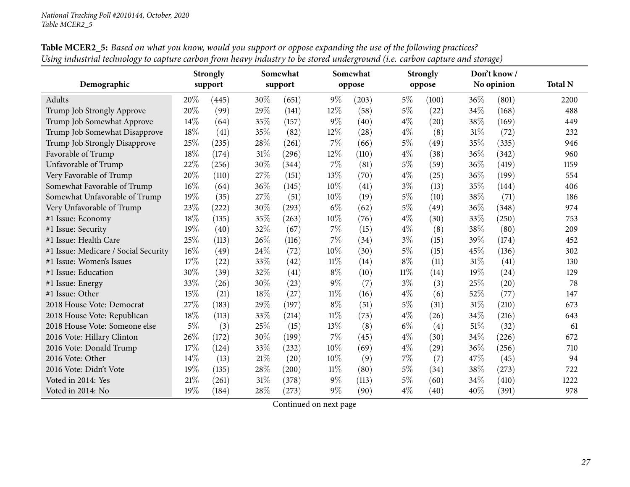| Demographic                          | <b>Strongly</b><br>support |       |        | Somewhat<br>support |        | Somewhat |        | <b>Strongly</b> |        | Don't know /<br>No opinion | <b>Total N</b> |
|--------------------------------------|----------------------------|-------|--------|---------------------|--------|----------|--------|-----------------|--------|----------------------------|----------------|
|                                      |                            |       |        |                     |        | oppose   |        | oppose          |        |                            |                |
| Adults                               | 20%                        | (445) | 30%    | (651)               | $9\%$  | (203)    | $5\%$  | (100)           | 36%    | (801)                      | 2200           |
| Trump Job Strongly Approve           | 20%                        | (99)  | 29%    | (141)               | 12%    | (58)     | $5\%$  | (22)            | 34%    | (168)                      | 488            |
| Trump Job Somewhat Approve           | 14%                        | (64)  | 35%    | (157)               | $9\%$  | (40)     | $4\%$  | (20)            | 38%    | (169)                      | 449            |
| Trump Job Somewhat Disapprove        | 18%                        | (41)  | 35%    | (82)                | 12%    | (28)     | $4\%$  | (8)             | $31\%$ | (72)                       | 232            |
| Trump Job Strongly Disapprove        | 25%                        | (235) | 28\%   | (261)               | 7%     | (66)     | $5\%$  | (49)            | 35%    | (335)                      | 946            |
| Favorable of Trump                   | 18%                        | (174) | $31\%$ | (296)               | 12%    | (110)    | $4\%$  | (38)            | 36%    | (342)                      | 960            |
| Unfavorable of Trump                 | 22%                        | (256) | 30%    | (344)               | 7%     | (81)     | $5\%$  | (59)            | 36%    | (419)                      | 1159           |
| Very Favorable of Trump              | 20%                        | (110) | 27%    | (151)               | 13%    | (70)     | $4\%$  | (25)            | 36%    | (199)                      | 554            |
| Somewhat Favorable of Trump          | 16%                        | (64)  | $36\%$ | (145)               | 10%    | (41)     | $3\%$  | (13)            | 35%    | (144)                      | 406            |
| Somewhat Unfavorable of Trump        | 19%                        | (35)  | 27%    | (51)                | 10%    | (19)     | $5\%$  | (10)            | 38%    | (71)                       | 186            |
| Very Unfavorable of Trump            | 23%                        | (222) | 30%    | (293)               | $6\%$  | (62)     | $5\%$  | (49)            | 36%    | (348)                      | 974            |
| #1 Issue: Economy                    | 18%                        | (135) | 35%    | (263)               | 10%    | (76)     | $4\%$  | (30)            | 33%    | (250)                      | 753            |
| #1 Issue: Security                   | 19%                        | (40)  | 32%    | (67)                | $7\%$  | (15)     | $4\%$  | (8)             | 38%    | (80)                       | 209            |
| #1 Issue: Health Care                | 25%                        | (113) | 26%    | (116)               | $7\%$  | (34)     | $3\%$  | (15)            | 39%    | (174)                      | 452            |
| #1 Issue: Medicare / Social Security | 16%                        | (49)  | $24\%$ | (72)                | 10%    | (30)     | $5\%$  | (15)            | 45%    | (136)                      | 302            |
| #1 Issue: Women's Issues             | 17%                        | (22)  | $33\%$ | (42)                | $11\%$ | (14)     | $8\%$  | (11)            | 31%    | (41)                       | 130            |
| #1 Issue: Education                  | 30%                        | (39)  | 32%    | (41)                | $8\%$  | (10)     | $11\%$ | (14)            | 19%    | (24)                       | 129            |
| #1 Issue: Energy                     | 33%                        | (26)  | 30%    | (23)                | $9\%$  | (7)      | $3\%$  | (3)             | 25%    | (20)                       | 78             |
| #1 Issue: Other                      | 15%                        | (21)  | 18%    | (27)                | $11\%$ | (16)     | $4\%$  | (6)             | 52%    | (77)                       | 147            |
| 2018 House Vote: Democrat            | 27%                        | (183) | 29%    | (197)               | $8\%$  | (51)     | $5\%$  | (31)            | $31\%$ | (210)                      | 673            |
| 2018 House Vote: Republican          | 18%                        | (113) | 33%    | (214)               | $11\%$ | (73)     | $4\%$  | (26)            | 34%    | (216)                      | 643            |
| 2018 House Vote: Someone else        | $5\%$                      | (3)   | 25%    | (15)                | 13%    | (8)      | $6\%$  | (4)             | 51%    | (32)                       | 61             |
| 2016 Vote: Hillary Clinton           | 26%                        | (172) | 30%    | (199)               | $7\%$  | (45)     | $4\%$  | (30)            | 34\%   | (226)                      | 672            |
| 2016 Vote: Donald Trump              | 17%                        | (124) | 33%    | (232)               | 10%    | (69)     | $4\%$  | (29)            | 36%    | (256)                      | 710            |
| 2016 Vote: Other                     | 14\%                       | (13)  | $21\%$ | (20)                | 10%    | (9)      | 7%     | (7)             | 47%    | (45)                       | 94             |
| 2016 Vote: Didn't Vote               | 19%                        | (135) | 28%    | (200)               | $11\%$ | (80)     | $5\%$  | (34)            | 38%    | (273)                      | 722            |
| Voted in 2014: Yes                   | 21%                        | (261) | $31\%$ | (378)               | $9\%$  | (113)    | $5\%$  | (60)            | 34%    | (410)                      | 1222           |
| Voted in 2014: No                    | 19%                        | (184) | 28%    | (273)               | $9\%$  | (90)     | $4\%$  | (40)            | 40%    | (391)                      | 978            |

Table MCER2\_5: Based on what you know, would you support or oppose expanding the use of the following practices? Using industrial technology to capture carbon from heavy industry to be stored underground (i.e. carbon capture and storage)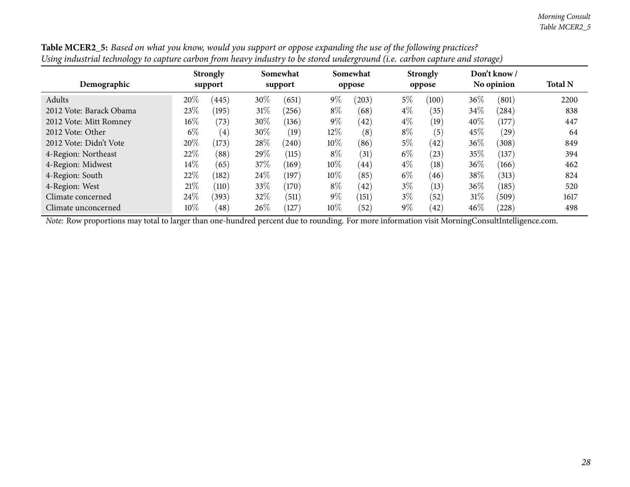|        |       |                                                                |       |                     |       |                         |       |                           |       | <b>Total N</b>                                |
|--------|-------|----------------------------------------------------------------|-------|---------------------|-------|-------------------------|-------|---------------------------|-------|-----------------------------------------------|
| 20%    |       | 30\%                                                           | (651) | $9\%$               | (203) | $5\%$                   | (100) | 36%                       | (801) | 2200                                          |
| 23%    |       | $31\%$                                                         | (256) | $8\%$               | (68)  | $4\%$                   | (35)  | $34\%$                    | (284) | 838                                           |
| $16\%$ | (73)  | 30%                                                            | (136) | $9\%$               | (42)  | $4\%$                   | (19)  | 40%                       | (177) | 447                                           |
| $6\%$  | (4)   | 30\%                                                           | (19)  | 12%                 | (8)   | $8\%$                   | (5)   | 45%                       | (29)  | 64                                            |
| 20%    | (173) | 28\%                                                           | (240) | $10\%$              | (86)  | $5\%$                   | (42)  | 36%                       | (308) | 849                                           |
| 22%    | (88)  | 29%                                                            | (115) | $8\%$               | (31)  | $6\%$                   | (23)  | 35%                       | (137) | 394                                           |
| $14\%$ | (65)  | 37\%                                                           | (169) | 10%                 | (44)  | $4\%$                   | (18)  | 36%                       | (166) | 462                                           |
| 22%    |       | 24\%                                                           | (197) | $10\%$              | (85)  | $6\%$                   | (46)  | 38%                       | (313) | 824                                           |
| 21%    | (110) | 33%                                                            | (170) | $8\%$               | (42)  | $3\%$                   | (13)  | $36\%$                    | (185) | 520                                           |
| 24\%   |       | 32%                                                            | (511) | $9\%$               | (151) | $3\%$                   | (52)  | 31%                       | (509) | 1617                                          |
| $10\%$ | (48)  | $26\%$                                                         | (127) | $10\%$              | (52)  | $9\%$                   | (42)  | 46%                       | (228) | 498                                           |
|        |       | <b>Strongly</b><br>support<br>(445)<br>(195)<br>(182)<br>(393) |       | Somewhat<br>support |       | ഄ<br>Somewhat<br>oppose |       | <b>Strongly</b><br>oppose |       | $\mathbf{\circ}$<br>Don't know/<br>No opinion |

Table MCER2\_5: Based on what you know, would you support or oppose expanding the use of the following practices? Using industrial technology to capture carbon from heavy industry to be stored underground (i.e. carbon capture and storage)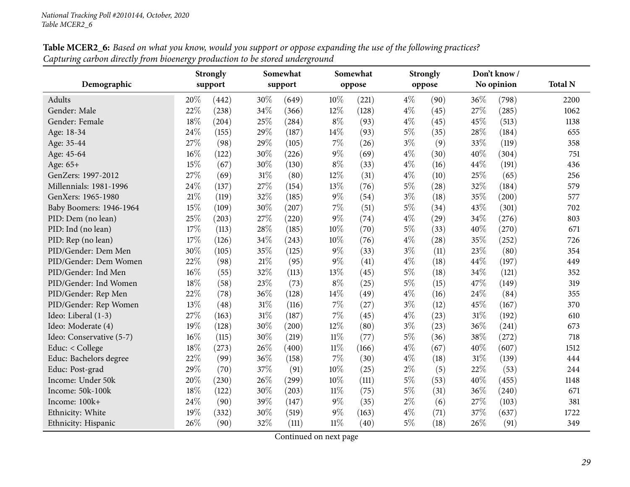<span id="page-28-0"></span>

|                          |        | <b>Strongly</b> |        | Somewhat |        | Somewhat |       | <b>Strongly</b> |     | Don't know / |                |
|--------------------------|--------|-----------------|--------|----------|--------|----------|-------|-----------------|-----|--------------|----------------|
| Demographic              |        | support         |        | support  |        | oppose   |       | oppose          |     | No opinion   | <b>Total N</b> |
| <b>Adults</b>            | 20%    | (442)           | 30%    | (649)    | 10%    | (221)    | $4\%$ | (90)            | 36% | (798)        | 2200           |
| Gender: Male             | $22\%$ | (238)           | 34%    | (366)    | 12%    | (128)    | $4\%$ | (45)            | 27% | (285)        | 1062           |
| Gender: Female           | 18%    | (204)           | 25%    | (284)    | $8\%$  | (93)     | $4\%$ | (45)            | 45% | (513)        | 1138           |
| Age: 18-34               | 24%    | (155)           | 29%    | (187)    | 14%    | (93)     | $5\%$ | (35)            | 28% | (184)        | 655            |
| Age: 35-44               | 27%    | (98)            | 29%    | (105)    | $7\%$  | (26)     | $3\%$ | (9)             | 33% | (119)        | 358            |
| Age: 45-64               | 16%    | (122)           | 30%    | (226)    | $9\%$  | (69)     | $4\%$ | (30)            | 40% | (304)        | 751            |
| Age: 65+                 | 15%    | (67)            | 30%    | (130)    | $8\%$  | (33)     | $4\%$ | (16)            | 44% | (191)        | 436            |
| GenZers: 1997-2012       | 27%    | (69)            | 31%    | (80)     | 12%    | (31)     | $4\%$ | (10)            | 25% | (65)         | 256            |
| Millennials: 1981-1996   | 24%    | (137)           | 27%    | (154)    | 13%    | (76)     | 5%    | (28)            | 32% | (184)        | 579            |
| GenXers: 1965-1980       | 21%    | (119)           | 32%    | (185)    | $9\%$  | (54)     | $3\%$ | (18)            | 35% | (200)        | 577            |
| Baby Boomers: 1946-1964  | 15%    | (109)           | 30%    | (207)    | $7\%$  | (51)     | $5\%$ | (34)            | 43% | (301)        | 702            |
| PID: Dem (no lean)       | 25%    | (203)           | 27%    | (220)    | $9\%$  | (74)     | $4\%$ | (29)            | 34% | (276)        | 803            |
| PID: Ind (no lean)       | 17%    | (113)           | 28%    | (185)    | 10%    | (70)     | $5\%$ | (33)            | 40% | (270)        | 671            |
| PID: Rep (no lean)       | 17%    | (126)           | 34%    | (243)    | 10%    | (76)     | $4\%$ | (28)            | 35% | (252)        | 726            |
| PID/Gender: Dem Men      | 30%    | (105)           | 35%    | (125)    | $9\%$  | (33)     | $3\%$ | (11)            | 23% | (80)         | 354            |
| PID/Gender: Dem Women    | 22%    | (98)            | $21\%$ | (95)     | $9\%$  | (41)     | $4\%$ | (18)            | 44% | (197)        | 449            |
| PID/Gender: Ind Men      | 16%    | (55)            | 32%    | (113)    | 13%    | (45)     | $5\%$ | (18)            | 34% | (121)        | 352            |
| PID/Gender: Ind Women    | 18%    | (58)            | 23%    | (73)     | $8\%$  | (25)     | $5\%$ | (15)            | 47% | (149)        | 319            |
| PID/Gender: Rep Men      | 22%    | (78)            | 36%    | (128)    | 14%    | (49)     | $4\%$ | (16)            | 24% | (84)         | 355            |
| PID/Gender: Rep Women    | 13%    | (48)            | $31\%$ | (116)    | $7\%$  | (27)     | $3\%$ | (12)            | 45% | (167)        | 370            |
| Ideo: Liberal (1-3)      | 27%    | (163)           | $31\%$ | (187)    | 7%     | (45)     | $4\%$ | (23)            | 31% | (192)        | 610            |
| Ideo: Moderate (4)       | 19%    | (128)           | 30%    | (200)    | 12%    | (80)     | $3\%$ | (23)            | 36% | (241)        | 673            |
| Ideo: Conservative (5-7) | 16%    | (115)           | 30%    | (219)    | $11\%$ | (77)     | $5\%$ | (36)            | 38% | (272)        | 718            |
| Educ: < College          | 18%    | (273)           | 26%    | (400)    | $11\%$ | (166)    | $4\%$ | (67)            | 40% | (607)        | 1512           |
| Educ: Bachelors degree   | 22%    | (99)            | 36%    | (158)    | $7\%$  | (30)     | $4\%$ | (18)            | 31% | (139)        | 444            |
| Educ: Post-grad          | 29%    | (70)            | 37%    | (91)     | 10%    | (25)     | $2\%$ | (5)             | 22% | (53)         | 244            |
| Income: Under 50k        | $20\%$ | (230)           | 26%    | (299)    | 10%    | (111)    | $5\%$ | (53)            | 40% | (455)        | 1148           |
| Income: 50k-100k         | 18%    | (122)           | 30%    | (203)    | $11\%$ | (75)     | $5\%$ | (31)            | 36% | (240)        | 671            |
| Income: 100k+            | 24%    | (90)            | 39%    | (147)    | $9\%$  | (35)     | $2\%$ | (6)             | 27% | (103)        | 381            |
| Ethnicity: White         | 19%    | (332)           | 30%    | (519)    | $9\%$  | (163)    | $4\%$ | (71)            | 37% | (637)        | 1722           |
| Ethnicity: Hispanic      | 26%    | (90)            | 32%    | (111)    | $11\%$ | (40)     | $5\%$ | (18)            | 26% | (91)         | 349            |

Table MCER2\_6: Based on what you know, would you support or oppose expanding the use of the following practices? *Capturing carbon directly from bioenergy production to be stored underground*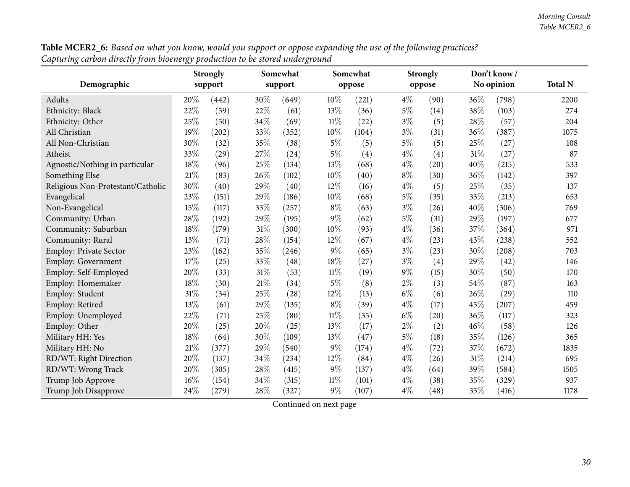|                                   | <b>Strongly</b> |         |        | Somewhat |        | Somewhat |        | <b>Strongly</b> |      | Don't know/ |                |
|-----------------------------------|-----------------|---------|--------|----------|--------|----------|--------|-----------------|------|-------------|----------------|
| Demographic                       |                 | support |        | support  |        | oppose   | oppose |                 |      | No opinion  | <b>Total N</b> |
| Adults                            | 20%             | (442)   | 30%    | (649)    | 10%    | (221)    | $4\%$  | (90)            | 36%  | (798)       | 2200           |
| Ethnicity: Black                  | 22%             | (59)    | 22\%   | (61)     | 13%    | (36)     | $5\%$  | (14)            | 38%  | (103)       | 274            |
| Ethnicity: Other                  | 25%             | (50)    | 34%    | (69)     | $11\%$ | (22)     | $3\%$  | (5)             | 28%  | (57)        | 204            |
| All Christian                     | 19%             | (202)   | 33%    | (352)    | 10%    | (104)    | $3\%$  | (31)            | 36\% | (387)       | 1075           |
| All Non-Christian                 | 30%             | (32)    | 35%    | (38)     | $5\%$  | (5)      | $5\%$  | (5)             | 25%  | (27)        | 108            |
| Atheist                           | 33%             | (29)    | 27%    | (24)     | $5\%$  | (4)      | $4\%$  | (4)             | 31%  | (27)        | 87             |
| Agnostic/Nothing in particular    | 18%             | (96)    | 25%    | (134)    | 13%    | (68)     | $4\%$  | (20)            | 40%  | (215)       | 533            |
| Something Else                    | $21\%$          | (83)    | 26%    | (102)    | 10%    | (40)     | $8\%$  | (30)            | 36\% | (142)       | 397            |
| Religious Non-Protestant/Catholic | 30%             | (40)    | 29%    | (40)     | 12%    | (16)     | $4\%$  | (5)             | 25%  | (35)        | 137            |
| Evangelical                       | 23%             | (151)   | 29%    | (186)    | 10%    | (68)     | $5\%$  | (35)            | 33%  | (213)       | 653            |
| Non-Evangelical                   | 15%             | (117)   | 33%    | (257)    | $8\%$  | (63)     | $3\%$  | (26)            | 40%  | (306)       | 769            |
| Community: Urban                  | 28%             | (192)   | 29%    | (195)    | $9\%$  | (62)     | $5\%$  | (31)            | 29%  | (197)       | 677            |
| Community: Suburban               | 18%             | (179)   | $31\%$ | (300)    | 10%    | (93)     | $4\%$  | (36)            | 37%  | (364)       | 971            |
| Community: Rural                  | 13\%            | (71)    | 28\%   | (154)    | 12%    | (67)     | $4\%$  | (23)            | 43%  | (238)       | 552            |
| Employ: Private Sector            | 23%             | (162)   | $35\%$ | (246)    | $9\%$  | (65)     | $3\%$  | (23)            | 30%  | (208)       | 703            |
| <b>Employ: Government</b>         | 17%             | (25)    | 33%    | (48)     | $18\%$ | (27)     | $3\%$  | (4)             | 29%  | (42)        | 146            |
| Employ: Self-Employed             | 20%             | (33)    | $31\%$ | (53)     | $11\%$ | (19)     | 9%     | (15)            | 30%  | (50)        | 170            |
| Employ: Homemaker                 | 18%             | (30)    | 21\%   | (34)     | $5\%$  | (8)      | $2\%$  | (3)             | 54%  | (87)        | 163            |
| Employ: Student                   | 31%             | (34)    | 25%    | (28)     | 12%    | (13)     | $6\%$  | (6)             | 26%  | (29)        | 110            |
| Employ: Retired                   | 13%             | (61)    | 29%    | (135)    | $8\%$  | (39)     | $4\%$  | (17)            | 45%  | (207)       | 459            |
| Employ: Unemployed                | 22%             | (71)    | 25\%   | (80)     | $11\%$ | (35)     | $6\%$  | (20)            | 36%  | (117)       | 323            |
| Employ: Other                     | 20%             | (25)    | 20%    | (25)     | 13%    | (17)     | $2\%$  | (2)             | 46%  | (58)        | 126            |
| Military HH: Yes                  | 18%             | (64)    | 30%    | (109)    | 13%    | (47)     | $5\%$  | (18)            | 35%  | (126)       | 365            |
| Military HH: No                   | 21%             | (377)   | 29%    | (540)    | $9\%$  | (174)    | $4\%$  | (72)            | 37%  | (672)       | 1835           |
| RD/WT: Right Direction            | 20%             | (137)   | 34%    | (234)    | 12%    | (84)     | $4\%$  | (26)            | 31%  | (214)       | 695            |
| RD/WT: Wrong Track                | 20%             | (305)   | 28\%   | (415)    | $9\%$  | (137)    | $4\%$  | (64)            | 39%  | (584)       | 1505           |
| Trump Job Approve                 | 16%             | (154)   | 34%    | (315)    | 11%    | (101)    | $4\%$  | (38)            | 35%  | (329)       | 937            |
| Trump Job Disapprove              | 24%             | (279)   | 28%    | (327)    | $9\%$  | (107)    | $4\%$  | (48)            | 35%  | (416)       | 1178           |

 ${\bf Table \, MCER2\_6:}$  Based on what you know, would you support or oppose expanding the use of the following practices? *Capturing carbon directly from bioenergy production to be stored underground*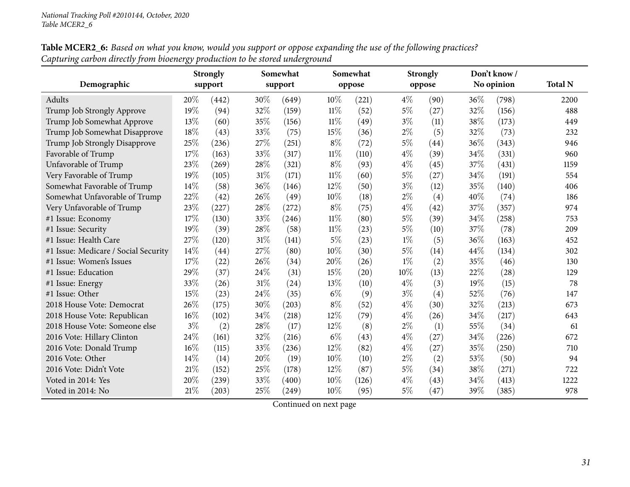|                                      |       | <b>Strongly</b> |        | Somewhat |        | Somewhat |       | <b>Strongly</b> |        | Don't know/ |                |
|--------------------------------------|-------|-----------------|--------|----------|--------|----------|-------|-----------------|--------|-------------|----------------|
| Demographic                          |       | support         |        | support  |        | oppose   |       | oppose          |        | No opinion  | <b>Total N</b> |
| Adults                               | 20%   | (442)           | 30%    | (649)    | 10%    | (221)    | $4\%$ | (90)            | $36\%$ | (798)       | 2200           |
| Trump Job Strongly Approve           | 19%   | (94)            | 32%    | (159)    | $11\%$ | (52)     | $5\%$ | (27)            | 32%    | (156)       | 488            |
| Trump Job Somewhat Approve           | 13%   | (60)            | 35%    | (156)    | $11\%$ | (49)     | $3\%$ | (11)            | 38%    | (173)       | 449            |
| Trump Job Somewhat Disapprove        | 18%   | (43)            | 33%    | (75)     | 15%    | (36)     | $2\%$ | (5)             | 32%    | (73)        | 232            |
| Trump Job Strongly Disapprove        | 25%   | (236)           | 27%    | (251)    | $8\%$  | (72)     | $5\%$ | (44)            | 36\%   | (343)       | 946            |
| Favorable of Trump                   | 17%   | (163)           | 33%    | (317)    | $11\%$ | (110)    | $4\%$ | (39)            | 34%    | (331)       | 960            |
| Unfavorable of Trump                 | 23%   | (269)           | $28\%$ | (321)    | $8\%$  | (93)     | $4\%$ | (45)            | 37%    | (431)       | 1159           |
| Very Favorable of Trump              | 19%   | (105)           | $31\%$ | (171)    | $11\%$ | (60)     | $5\%$ | (27)            | 34\%   | (191)       | 554            |
| Somewhat Favorable of Trump          | 14%   | (58)            | 36%    | (146)    | 12%    | (50)     | $3\%$ | (12)            | 35%    | (140)       | 406            |
| Somewhat Unfavorable of Trump        | 22%   | (42)            | 26%    | (49)     | 10%    | (18)     | $2\%$ | (4)             | 40%    | (74)        | 186            |
| Very Unfavorable of Trump            | 23%   | (227)           | 28%    | (272)    | $8\%$  | (75)     | $4\%$ | (42)            | 37%    | (357)       | 974            |
| #1 Issue: Economy                    | 17%   | (130)           | 33%    | (246)    | $11\%$ | (80)     | $5\%$ | (39)            | 34%    | (258)       | 753            |
| #1 Issue: Security                   | 19%   | (39)            | 28%    | (58)     | $11\%$ | (23)     | $5\%$ | (10)            | 37%    | (78)        | 209            |
| #1 Issue: Health Care                | 27%   | (120)           | $31\%$ | (141)    | $5\%$  | (23)     | $1\%$ | (5)             | 36%    | (163)       | 452            |
| #1 Issue: Medicare / Social Security | 14%   | (44)            | 27%    | (80)     | 10%    | (30)     | $5\%$ | (14)            | 44\%   | (134)       | 302            |
| #1 Issue: Women's Issues             | 17%   | (22)            | 26%    | (34)     | 20%    | (26)     | $1\%$ | (2)             | 35%    | (46)        | 130            |
| #1 Issue: Education                  | 29%   | (37)            | 24%    | (31)     | 15%    | (20)     | 10%   | (13)            | 22%    | (28)        | 129            |
| #1 Issue: Energy                     | 33%   | (26)            | $31\%$ | (24)     | 13%    | (10)     | $4\%$ | (3)             | 19%    | (15)        | 78             |
| #1 Issue: Other                      | 15%   | (23)            | 24\%   | (35)     | $6\%$  | (9)      | $3\%$ | (4)             | 52%    | (76)        | 147            |
| 2018 House Vote: Democrat            | 26%   | (175)           | $30\%$ | (203)    | $8\%$  | (52)     | $4\%$ | (30)            | 32%    | (213)       | 673            |
| 2018 House Vote: Republican          | 16%   | (102)           | 34%    | (218)    | 12%    | (79)     | $4\%$ | (26)            | 34%    | (217)       | 643            |
| 2018 House Vote: Someone else        | $3\%$ | (2)             | 28%    | (17)     | 12%    | (8)      | $2\%$ | (1)             | 55%    | (34)        | 61             |
| 2016 Vote: Hillary Clinton           | 24%   | (161)           | 32%    | (216)    | $6\%$  | (43)     | $4\%$ | (27)            | 34%    | (226)       | 672            |
| 2016 Vote: Donald Trump              | 16%   | (115)           | 33%    | (236)    | 12%    | (82)     | $4\%$ | (27)            | 35%    | (250)       | 710            |
| 2016 Vote: Other                     | 14%   | (14)            | 20%    | (19)     | 10%    | (10)     | $2\%$ | (2)             | 53%    | (50)        | 94             |
| 2016 Vote: Didn't Vote               | 21%   | (152)           | 25%    | (178)    | 12%    | (87)     | $5\%$ | (34)            | 38%    | (271)       | 722            |
| Voted in 2014: Yes                   | 20%   | (239)           | 33%    | (400)    | 10%    | (126)    | $4\%$ | (43)            | 34%    | (413)       | 1222           |
| Voted in 2014: No                    | 21%   | (203)           | 25%    | (249)    | 10%    | (95)     | $5\%$ | (47)            | 39%    | (385)       | 978            |

 ${\bf Table \, MCER2\_6:}$  Based on what you know, would you support or oppose expanding the use of the following practices? *Capturing carbon directly from bioenergy production to be stored underground*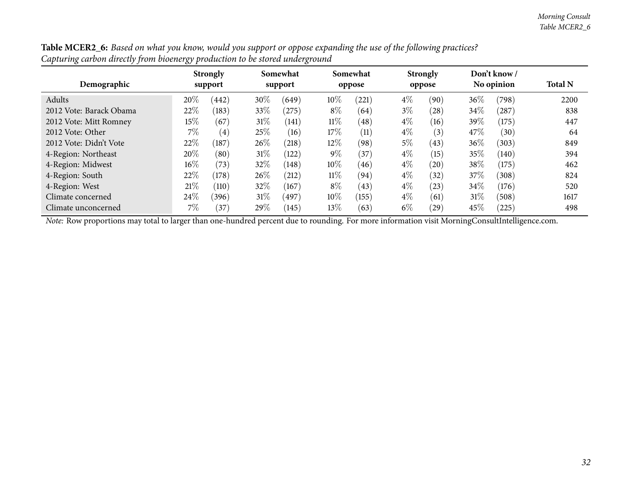| Demographic             | <b>Strongly</b><br>support |                   | Somewhat<br>support |       |        | Somewhat<br>oppose |       | <b>Strongly</b><br>oppose |      | Don't know/<br>No opinion | <b>Total N</b> |
|-------------------------|----------------------------|-------------------|---------------------|-------|--------|--------------------|-------|---------------------------|------|---------------------------|----------------|
| Adults                  | 20%                        | (442)             | 30\%                | (649) | 10\%   | (221)              | $4\%$ | (90)                      | 36\% | (798)                     | 2200           |
| 2012 Vote: Barack Obama | 22%                        | (183)             | 33\%                | (275) | $8\%$  | (64)               | $3\%$ | (28)                      | 34\% | (287)                     | 838            |
| 2012 Vote: Mitt Romney  | $15\%$                     | (67)              | $31\%$              | (141) | $11\%$ | (48)               | $4\%$ | (16)                      | 39%  | (175)                     | 447            |
| 2012 Vote: Other        | 7%                         | $\left( 4\right)$ | 25\%                | (16)  | 17\%   | (11)               | $4\%$ | (3)                       | 47\% | (30)                      | 64             |
| 2012 Vote: Didn't Vote  | 22%                        | (187)             | 26\%                | (218) | 12%    | (98)               | $5\%$ | (43)                      | 36%  | (303)                     | 849            |
| 4-Region: Northeast     | 20%                        | (80)              | $31\%$              | (122) | $9\%$  | (37)               | $4\%$ | (15)                      | 35%  | (140)                     | 394            |
| 4-Region: Midwest       | $16\%$                     | (73)              | 32%                 | (148) | 10%    | (46)               | $4\%$ | (20)                      | 38%  | (175)                     | 462            |
| 4-Region: South         | 22%                        | (178)             | 26\%                | (212) | $11\%$ | (94)               | $4\%$ | (32)                      | 37%  | (308)                     | 824            |
| 4-Region: West          | 21%                        | (110)             | 32%                 | (167) | $8\%$  | (43)               | $4\%$ | (23)                      | 34%  | (176)                     | 520            |
| Climate concerned       | 24\%                       | (396)             | $31\%$              | (497) | 10%    | (155)              | $4\%$ | (61)                      | 31%  | (508)                     | 1617           |
| Climate unconcerned     | $7\%$                      | (37)              | 29\%                | (145) | 13\%   | (63)               | $6\%$ | (29)                      | 45%  | $^{'}225)$                | 498            |

Table MCER2\_6: Based on what you know, would you support or oppose expanding the use of the following practices? *Capturing carbon directly from bioenergy production to be stored underground*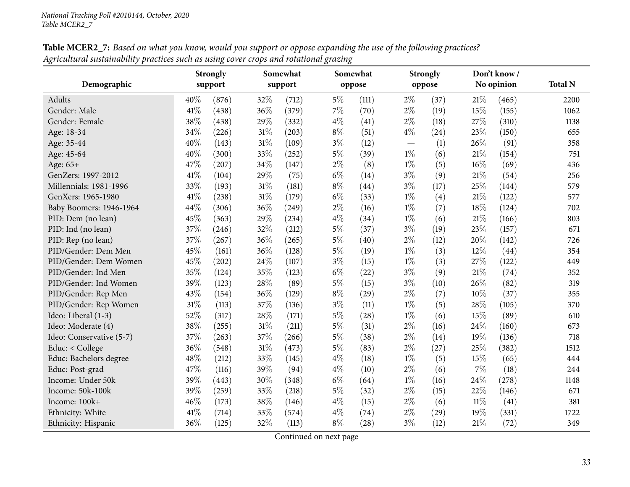<span id="page-32-0"></span>

|                          | Somewhat<br><b>Strongly</b> |       |        | Somewhat |       | <b>Strongly</b> | Don't know/ |        |        |            |                |
|--------------------------|-----------------------------|-------|--------|----------|-------|-----------------|-------------|--------|--------|------------|----------------|
| Demographic              | support                     |       |        | support  |       | oppose          |             | oppose |        | No opinion | <b>Total N</b> |
| <b>Adults</b>            | 40%                         | (876) | 32%    | (712)    | $5\%$ | (111)           | $2\%$       | (37)   | 21%    | (465)      | 2200           |
| Gender: Male             | 41%                         | (438) | 36%    | (379)    | 7%    | (70)            | $2\%$       | (19)   | 15%    | (155)      | 1062           |
| Gender: Female           | 38%                         | (438) | 29%    | (332)    | $4\%$ | (41)            | $2\%$       | (18)   | 27%    | (310)      | 1138           |
| Age: 18-34               | 34%                         | (226) | $31\%$ | (203)    | $8\%$ | (51)            | $4\%$       | (24)   | 23%    | (150)      | 655            |
| Age: 35-44               | 40%                         | (143) | 31%    | (109)    | $3\%$ | (12)            |             | (1)    | 26%    | (91)       | 358            |
| Age: 45-64               | 40%                         | (300) | 33%    | (252)    | $5\%$ | (39)            | $1\%$       | (6)    | 21%    | (154)      | 751            |
| Age: 65+                 | 47%                         | (207) | 34%    | (147)    | $2\%$ | (8)             | $1\%$       | (5)    | 16%    | (69)       | 436            |
| GenZers: 1997-2012       | 41%                         | (104) | 29%    | (75)     | $6\%$ | (14)            | $3\%$       | (9)    | 21%    | (54)       | 256            |
| Millennials: 1981-1996   | 33%                         | (193) | $31\%$ | (181)    | $8\%$ | (44)            | $3\%$       | (17)   | 25%    | (144)      | 579            |
| GenXers: 1965-1980       | 41\%                        | (238) | $31\%$ | (179)    | $6\%$ | (33)            | $1\%$       | (4)    | 21%    | (122)      | 577            |
| Baby Boomers: 1946-1964  | 44%                         | (306) | 36%    | (249)    | $2\%$ | (16)            | $1\%$       | (7)    | 18%    | (124)      | 702            |
| PID: Dem (no lean)       | 45%                         | (363) | 29%    | (234)    | $4\%$ | (34)            | $1\%$       | (6)    | $21\%$ | (166)      | 803            |
| PID: Ind (no lean)       | 37%                         | (246) | 32%    | (212)    | $5\%$ | (37)            | $3\%$       | (19)   | 23%    | (157)      | 671            |
| PID: Rep (no lean)       | 37%                         | (267) | 36%    | (265)    | $5\%$ | (40)            | $2\%$       | (12)   | 20%    | (142)      | 726            |
| PID/Gender: Dem Men      | 45%                         | (161) | 36%    | (128)    | $5\%$ | (19)            | $1\%$       | (3)    | 12%    | (44)       | 354            |
| PID/Gender: Dem Women    | 45%                         | (202) | 24%    | (107)    | $3\%$ | (15)            | $1\%$       | (3)    | 27%    | (122)      | 449            |
| PID/Gender: Ind Men      | 35%                         | (124) | 35%    | (123)    | $6\%$ | (22)            | $3\%$       | (9)    | 21%    | (74)       | 352            |
| PID/Gender: Ind Women    | 39%                         | (123) | 28%    | (89)     | $5\%$ | (15)            | $3\%$       | (10)   | 26%    | (82)       | 319            |
| PID/Gender: Rep Men      | 43%                         | (154) | 36%    | (129)    | $8\%$ | (29)            | $2\%$       | (7)    | 10%    | (37)       | 355            |
| PID/Gender: Rep Women    | 31%                         | (113) | 37%    | (136)    | $3\%$ | (11)            | $1\%$       | (5)    | 28%    | (105)      | 370            |
| Ideo: Liberal (1-3)      | 52%                         | (317) | 28%    | (171)    | $5\%$ | (28)            | $1\%$       | (6)    | 15%    | (89)       | 610            |
| Ideo: Moderate (4)       | 38%                         | (255) | 31%    | (211)    | $5\%$ | (31)            | $2\%$       | (16)   | 24%    | (160)      | 673            |
| Ideo: Conservative (5-7) | 37%                         | (263) | 37%    | (266)    | $5\%$ | (38)            | $2\%$       | (14)   | 19%    | (136)      | 718            |
| Educ: < College          | 36%                         | (548) | $31\%$ | (473)    | $5\%$ | (83)            | $2\%$       | (27)   | 25%    | (382)      | 1512           |
| Educ: Bachelors degree   | 48%                         | (212) | 33%    | (145)    | $4\%$ | (18)            | $1\%$       | (5)    | 15%    | (65)       | 444            |
| Educ: Post-grad          | 47%                         | (116) | 39%    | (94)     | $4\%$ | (10)            | $2\%$       | (6)    | $7\%$  | (18)       | 244            |
| Income: Under 50k        | 39%                         | (443) | 30%    | (348)    | $6\%$ | (64)            | $1\%$       | (16)   | 24\%   | (278)      | 1148           |
| Income: 50k-100k         | 39%                         | (259) | 33%    | (218)    | $5\%$ | (32)            | $2\%$       | (15)   | 22%    | (146)      | 671            |
| Income: 100k+            | 46%                         | (173) | 38%    | (146)    | $4\%$ | (15)            | $2\%$       | (6)    | $11\%$ | (41)       | 381            |
| Ethnicity: White         | 41\%                        | (714) | 33%    | (574)    | $4\%$ | (74)            | $2\%$       | (29)   | 19%    | (331)      | 1722           |
| Ethnicity: Hispanic      | 36%                         | (125) | 32%    | (113)    | $8\%$ | (28)            | $3\%$       | (12)   | 21%    | (72)       | 349            |

Table MCER2\_7: Based on what you know, would you support or oppose expanding the use of the following practices? Agricultural sustainability practices such as using cover crops and rotational grazing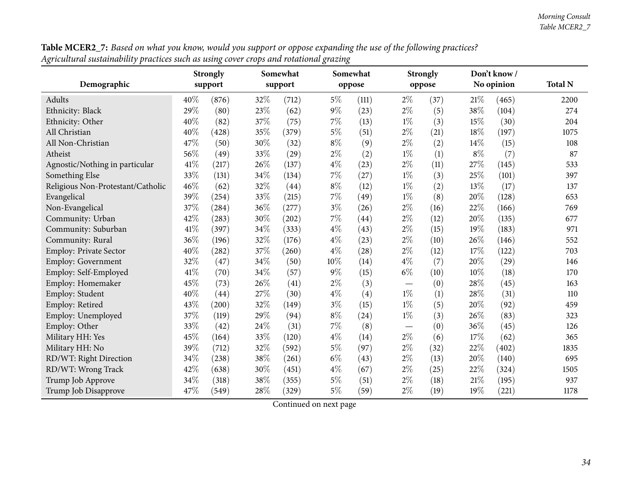|                                   | <b>Strongly</b> |       |         | Somewhat |        | Somewhat |       | <b>Strongly</b> |       | Don't know / |                |
|-----------------------------------|-----------------|-------|---------|----------|--------|----------|-------|-----------------|-------|--------------|----------------|
| Demographic                       | support         |       | support |          |        | oppose   |       | oppose          |       | No opinion   | <b>Total N</b> |
| Adults                            | 40%             | (876) | 32%     | (712)    | $5\%$  | (111)    | $2\%$ | (37)            | 21%   | (465)        | 2200           |
| Ethnicity: Black                  | 29%             | (80)  | 23%     | (62)     | $9\%$  | (23)     | $2\%$ | (5)             | 38%   | (104)        | 274            |
| Ethnicity: Other                  | 40%             | (82)  | 37%     | (75)     | $7\%$  | (13)     | $1\%$ | (3)             | 15%   | (30)         | 204            |
| All Christian                     | 40%             | (428) | 35%     | (379)    | $5\%$  | (51)     | $2\%$ | (21)            | 18%   | (197)        | 1075           |
| All Non-Christian                 | 47%             | (50)  | 30%     | (32)     | $8\%$  | (9)      | $2\%$ | (2)             | 14\%  | (15)         | 108            |
| Atheist                           | 56%             | (49)  | 33%     | (29)     | $2\%$  | (2)      | $1\%$ | (1)             | $8\%$ | (7)          | 87             |
| Agnostic/Nothing in particular    | 41%             | (217) | 26\%    | (137)    | $4\%$  | (23)     | $2\%$ | (11)            | 27%   | (145)        | 533            |
| Something Else                    | 33%             | (131) | 34%     | (134)    | 7%     | (27)     | $1\%$ | (3)             | 25%   | (101)        | 397            |
| Religious Non-Protestant/Catholic | 46%             | (62)  | 32%     | (44)     | $8\%$  | (12)     | $1\%$ | (2)             | 13%   | (17)         | 137            |
| Evangelical                       | 39%             | (254) | $33\%$  | (215)    | $7\%$  | (49)     | $1\%$ | (8)             | 20%   | (128)        | 653            |
| Non-Evangelical                   | 37%             | (284) | $36\%$  | (277)    | $3\%$  | (26)     | $2\%$ | (16)            | 22%   | (166)        | 769            |
| Community: Urban                  | 42%             | (283) | 30%     | (202)    | $7\%$  | (44)     | $2\%$ | (12)            | 20%   | (135)        | 677            |
| Community: Suburban               | 41\%            | (397) | 34%     | (333)    | $4\%$  | (43)     | $2\%$ | (15)            | 19%   | (183)        | 971            |
| Community: Rural                  | 36%             | (196) | 32%     | (176)    | $4\%$  | (23)     | $2\%$ | (10)            | 26%   | (146)        | 552            |
| Employ: Private Sector            | 40%             | (282) | 37%     | (260)    | $4\%$  | (28)     | $2\%$ | (12)            | 17%   | (122)        | 703            |
| <b>Employ: Government</b>         | 32%             | (47)  | 34%     | (50)     | $10\%$ | (14)     | $4\%$ | (7)             | 20%   | (29)         | 146            |
| Employ: Self-Employed             | 41\%            | (70)  | 34%     | (57)     | $9\%$  | (15)     | $6\%$ | (10)            | 10%   | (18)         | 170            |
| Employ: Homemaker                 | 45%             | (73)  | 26%     | (41)     | $2\%$  | (3)      |       | (0)             | 28%   | (45)         | 163            |
| Employ: Student                   | 40%             | (44)  | 27%     | (30)     | $4\%$  | (4)      | $1\%$ | (1)             | 28%   | (31)         | 110            |
| Employ: Retired                   | 43%             | (200) | 32%     | (149)    | $3\%$  | (15)     | $1\%$ | (5)             | 20%   | (92)         | 459            |
| Employ: Unemployed                | 37%             | (119) | 29%     | (94)     | $8\%$  | (24)     | $1\%$ | (3)             | 26%   | (83)         | 323            |
| Employ: Other                     | 33%             | (42)  | 24%     | (31)     | 7%     | (8)      |       | (0)             | 36%   | (45)         | 126            |
| Military HH: Yes                  | 45%             | (164) | 33%     | (120)    | $4\%$  | (14)     | $2\%$ | (6)             | 17%   | (62)         | 365            |
| Military HH: No                   | 39%             | (712) | 32%     | (592)    | $5\%$  | (97)     | $2\%$ | (32)            | 22%   | (402)        | 1835           |
| RD/WT: Right Direction            | 34%             | (238) | 38%     | (261)    | $6\%$  | (43)     | $2\%$ | (13)            | 20%   | (140)        | 695            |
| RD/WT: Wrong Track                | 42%             | (638) | 30%     | (451)    | $4\%$  | (67)     | $2\%$ | (25)            | 22%   | (324)        | 1505           |
| Trump Job Approve                 | 34%             | (318) | 38%     | (355)    | $5\%$  | (51)     | $2\%$ | (18)            | 21%   | (195)        | 937            |
| Trump Job Disapprove              | 47%             | (549) | 28%     | (329)    | $5\%$  | (59)     | $2\%$ | (19)            | 19%   | (221)        | 1178           |

Table MCER2\_7: Based on what you know, would you support or oppose expanding the use of the following practices? Agricultural sustainability practices such as using cover crops and rotational grazing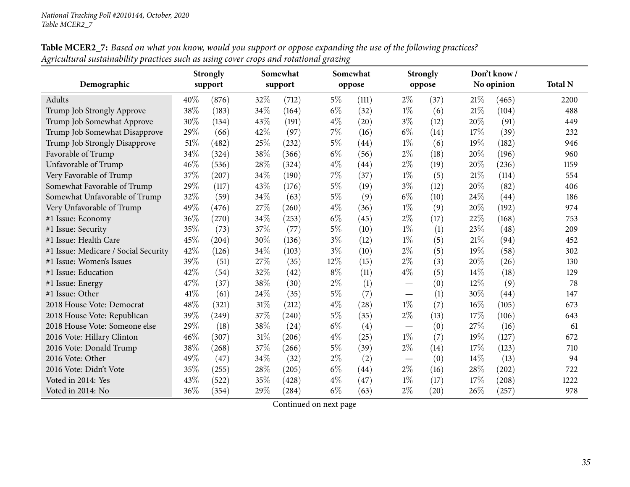|                                      | <b>Strongly</b><br>support |       |        | Somewhat |       | Somewhat |                                 | <b>Strongly</b> |        | Don't know / |                |
|--------------------------------------|----------------------------|-------|--------|----------|-------|----------|---------------------------------|-----------------|--------|--------------|----------------|
| Demographic                          |                            |       |        | support  |       | oppose   |                                 | oppose          |        | No opinion   | <b>Total N</b> |
| Adults                               | 40%                        | (876) | 32%    | (712)    | $5\%$ | (111)    | $2\%$                           | (37)            | 21%    | (465)        | 2200           |
| Trump Job Strongly Approve           | 38%                        | (183) | 34\%   | (164)    | $6\%$ | (32)     | $1\%$                           | (6)             | 21\%   | (104)        | 488            |
| Trump Job Somewhat Approve           | 30%                        | (134) | 43%    | (191)    | $4\%$ | (20)     | $3\%$                           | (12)            | 20%    | (91)         | 449            |
| Trump Job Somewhat Disapprove        | 29%                        | (66)  | 42%    | (97)     | 7%    | (16)     | $6\%$                           | (14)            | 17%    | (39)         | 232            |
| Trump Job Strongly Disapprove        | 51\%                       | (482) | 25%    | (232)    | $5\%$ | (44)     | $1\%$                           | (6)             | 19%    | (182)        | 946            |
| Favorable of Trump                   | 34%                        | (324) | 38\%   | (366)    | $6\%$ | (56)     | $2\%$                           | (18)            | 20%    | (196)        | 960            |
| Unfavorable of Trump                 | 46%                        | (536) | 28\%   | (324)    | $4\%$ | (44)     | $2\%$                           | (19)            | 20%    | (236)        | 1159           |
| Very Favorable of Trump              | 37%                        | (207) | 34%    | (190)    | 7%    | (37)     | $1\%$                           | (5)             | 21\%   | (114)        | 554            |
| Somewhat Favorable of Trump          | 29%                        | (117) | 43%    | (176)    | $5\%$ | (19)     | $3\%$                           | (12)            | 20%    | (82)         | 406            |
| Somewhat Unfavorable of Trump        | 32%                        | (59)  | 34\%   | (63)     | $5\%$ | (9)      | $6\%$                           | (10)            | 24\%   | (44)         | 186            |
| Very Unfavorable of Trump            | 49%                        | (476) | 27%    | (260)    | $4\%$ | (36)     | $1\%$                           | (9)             | 20%    | (192)        | 974            |
| #1 Issue: Economy                    | 36%                        | (270) | 34%    | (253)    | $6\%$ | (45)     | $2\%$                           | (17)            | 22%    | (168)        | 753            |
| #1 Issue: Security                   | 35%                        | (73)  | 37%    | (77)     | $5\%$ | (10)     | $1\%$                           | (1)             | 23%    | (48)         | 209            |
| #1 Issue: Health Care                | 45%                        | (204) | 30%    | (136)    | $3\%$ | (12)     | $1\%$                           | (5)             | 21\%   | (94)         | 452            |
| #1 Issue: Medicare / Social Security | 42%                        | (126) | 34%    | (103)    | $3\%$ | (10)     | $2\%$                           | (5)             | 19%    | (58)         | 302            |
| #1 Issue: Women's Issues             | 39%                        | (51)  | 27\%   | (35)     | 12%   | (15)     | $2\%$                           | (3)             | 20%    | (26)         | 130            |
| #1 Issue: Education                  | 42%                        | (54)  | 32%    | (42)     | $8\%$ | (11)     | $4\%$                           | (5)             | 14%    | (18)         | 129            |
| #1 Issue: Energy                     | 47%                        | (37)  | 38%    | (30)     | $2\%$ | (1)      | $\overline{\phantom{0}}$        | (0)             | $12\%$ | (9)          | 78             |
| #1 Issue: Other                      | 41\%                       | (61)  | 24\%   | (35)     | $5\%$ | (7)      | $\hspace{0.1mm}-\hspace{0.1mm}$ | (1)             | 30%    | (44)         | 147            |
| 2018 House Vote: Democrat            | 48%                        | (321) | $31\%$ | (212)    | $4\%$ | (28)     | $1\%$                           | (7)             | 16%    | (105)        | 673            |
| 2018 House Vote: Republican          | 39%                        | (249) | $37\%$ | (240)    | $5\%$ | (35)     | $2\%$                           | (13)            | 17%    | (106)        | 643            |
| 2018 House Vote: Someone else        | 29%                        | (18)  | 38\%   | (24)     | $6\%$ | (4)      |                                 | (0)             | 27%    | (16)         | 61             |
| 2016 Vote: Hillary Clinton           | 46%                        | (307) | $31\%$ | (206)    | $4\%$ | (25)     | $1\%$                           | (7)             | 19%    | (127)        | 672            |
| 2016 Vote: Donald Trump              | 38%                        | (268) | 37%    | (266)    | $5\%$ | (39)     | $2\%$                           | (14)            | 17%    | (123)        | 710            |
| 2016 Vote: Other                     | 49%                        | (47)  | 34%    | (32)     | $2\%$ | (2)      | $\hspace{0.1mm}-\hspace{0.1mm}$ | (0)             | 14%    | (13)         | 94             |
| 2016 Vote: Didn't Vote               | 35%                        | (255) | 28\%   | (205)    | $6\%$ | (44)     | $2\%$                           | (16)            | 28%    | (202)        | 722            |
| Voted in 2014: Yes                   | 43%                        | (522) | 35%    | (428)    | $4\%$ | (47)     | $1\%$                           | (17)            | 17%    | (208)        | 1222           |
| Voted in 2014: No                    | 36%                        | (354) | 29%    | (284)    | $6\%$ | (63)     | $2\%$                           | (20)            | 26%    | (257)        | 978            |

Table MCER2\_7: Based on what you know, would you support or oppose expanding the use of the following practices? Agricultural sustainability practices such as using cover crops and rotational grazing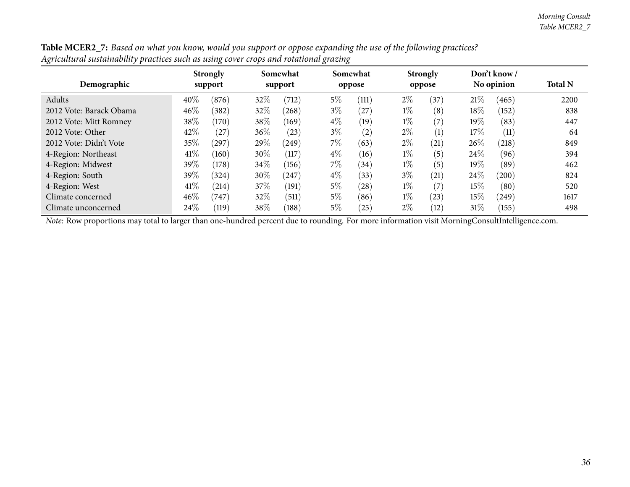| $\overline{\phantom{a}}$<br>Demographic | <b>Strongly</b><br>support |       | Somewhat<br>support |       | Somewhat<br>oppose |       | <b>Strongly</b><br>oppose |      | Don't know /<br>No opinion |       | <b>Total N</b> |
|-----------------------------------------|----------------------------|-------|---------------------|-------|--------------------|-------|---------------------------|------|----------------------------|-------|----------------|
|                                         |                            |       |                     |       |                    |       |                           |      |                            |       |                |
| Adults                                  | 40%                        | (876) | 32%                 | (712) | $5\%$              | (111) | $2\%$                     | (37) | 21\%                       | (465) | 2200           |
| 2012 Vote: Barack Obama                 | 46%                        | (382) | 32\%                | (268) | $3\%$              | (27)  | $1\%$                     | (8)  | 18%                        | (152) | 838            |
| 2012 Vote: Mitt Romney                  | 38%                        | (170) | 38\%                | (169) | $4\%$              | (19)  | $1\%$                     | (7)  | $19\%$                     | (83)  | 447            |
| 2012 Vote: Other                        | 42%                        | (27)  | 36\%                | (23)  | $3\%$              | (2)   | $2\%$                     | (1)  | 17%                        | (11)  | 64             |
| 2012 Vote: Didn't Vote                  | 35%                        | (297) | 29%                 | (249) | $7\%$              | (63)  | $2\%$                     | (21) | 26%                        | (218) | 849            |
| 4-Region: Northeast                     | 41\%                       | (160) | 30%                 | (117) | $4\%$              | (16)  | $1\%$                     | (5)  | 24\%                       | (96)  | 394            |
| 4-Region: Midwest                       | 39%                        | (178) | 34\%                | (156) | $7\%$              | (34)  | $1\%$                     | (5)  | $19\%$                     | (89)  | 462            |
| 4-Region: South                         | 39%                        | (324) | 30%                 | (247) | $4\%$              | (33)  | $3\%$                     | (21) | 24%                        | (200) | 824            |
| 4-Region: West                          | 41\%                       | (214) | 37\%                | (191) | $5\%$              | (28)  | $1\%$                     | (7)  | $15\%$                     | (80)  | 520            |
| Climate concerned                       | 46\%                       | (747) | 32%                 | (511) | $5\%$              | (86)  | $1\%$                     | (23) | 15%                        | (249) | 1617           |
| Climate unconcerned                     | 24\%                       | (119) | 38\%                | (188) | $5\%$              | (25)  | $2\%$                     | (12) | 31%                        | (155) | 498            |

Table MCER2\_7: Based on what you know, would you support or oppose expanding the use of the following practices? Agricultural sustainability practices such as using cover crops and rotational grazing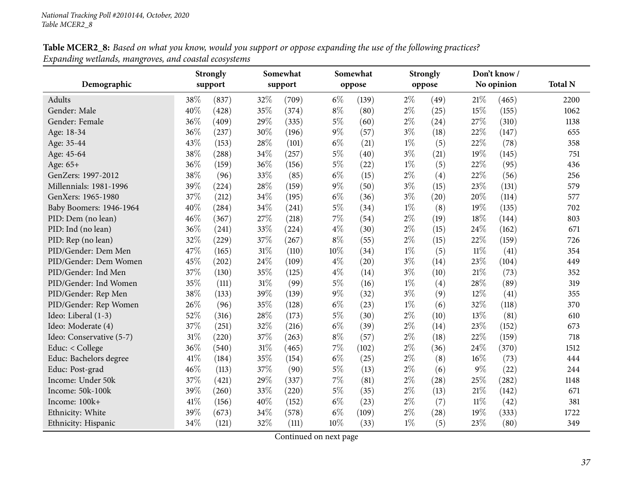| Table MCER2_8: Based on what you know, would you support or oppose expanding the use of the following practices? |  |
|------------------------------------------------------------------------------------------------------------------|--|
| Expanding wetlands, mangroves, and coastal ecosystems                                                            |  |

|                          |      | <b>Strongly</b> |        | Somewhat |       | Somewhat |       | <b>Strongly</b> |        | Don't know/ |                |
|--------------------------|------|-----------------|--------|----------|-------|----------|-------|-----------------|--------|-------------|----------------|
| Demographic              |      | support         |        | support  |       | oppose   |       | oppose          |        | No opinion  | <b>Total N</b> |
| Adults                   | 38%  | (837)           | 32%    | (709)    | $6\%$ | (139)    | $2\%$ | (49)            | 21%    | (465)       | 2200           |
| Gender: Male             | 40%  | (428)           | 35%    | (374)    | $8\%$ | (80)     | $2\%$ | (25)            | 15%    | (155)       | 1062           |
| Gender: Female           | 36%  | (409)           | 29%    | (335)    | $5\%$ | (60)     | $2\%$ | (24)            | 27%    | (310)       | 1138           |
| Age: 18-34               | 36%  | (237)           | 30%    | (196)    | $9\%$ | (57)     | $3\%$ | (18)            | 22%    | (147)       | 655            |
| Age: 35-44               | 43%  | (153)           | 28%    | (101)    | $6\%$ | (21)     | $1\%$ | (5)             | $22\%$ | (78)        | 358            |
| Age: 45-64               | 38%  | (288)           | 34%    | (257)    | $5\%$ | (40)     | $3\%$ | (21)            | 19%    | (145)       | 751            |
| Age: 65+                 | 36%  | (159)           | 36%    | (156)    | $5\%$ | (22)     | $1\%$ | (5)             | 22%    | (95)        | 436            |
| GenZers: 1997-2012       | 38%  | (96)            | 33%    | (85)     | $6\%$ | (15)     | $2\%$ | (4)             | 22%    | (56)        | 256            |
| Millennials: 1981-1996   | 39%  | (224)           | 28%    | (159)    | $9\%$ | (50)     | $3\%$ | (15)            | 23%    | (131)       | 579            |
| GenXers: 1965-1980       | 37%  | (212)           | 34%    | (195)    | $6\%$ | (36)     | $3\%$ | (20)            | 20%    | (114)       | 577            |
| Baby Boomers: 1946-1964  | 40%  | (284)           | 34%    | (241)    | $5\%$ | (34)     | $1\%$ | (8)             | 19%    | (135)       | 702            |
| PID: Dem (no lean)       | 46%  | (367)           | 27%    | (218)    | $7\%$ | (54)     | $2\%$ | (19)            | 18%    | (144)       | 803            |
| PID: Ind (no lean)       | 36%  | (241)           | 33%    | (224)    | $4\%$ | (30)     | $2\%$ | (15)            | 24%    | (162)       | 671            |
| PID: Rep (no lean)       | 32%  | (229)           | $37\%$ | (267)    | $8\%$ | (55)     | $2\%$ | (15)            | 22%    | (159)       | 726            |
| PID/Gender: Dem Men      | 47%  | (165)           | 31%    | (110)    | 10%   | (34)     | $1\%$ | (5)             | $11\%$ | (41)        | 354            |
| PID/Gender: Dem Women    | 45%  | (202)           | 24%    | (109)    | $4\%$ | (20)     | $3\%$ | (14)            | 23%    | (104)       | 449            |
| PID/Gender: Ind Men      | 37%  | (130)           | 35%    | (125)    | $4\%$ | (14)     | $3\%$ | (10)            | $21\%$ | (73)        | 352            |
| PID/Gender: Ind Women    | 35%  | (111)           | $31\%$ | (99)     | $5\%$ | (16)     | $1\%$ | (4)             | 28%    | (89)        | 319            |
| PID/Gender: Rep Men      | 38%  | (133)           | 39%    | (139)    | $9\%$ | (32)     | $3\%$ | (9)             | 12%    | (41)        | 355            |
| PID/Gender: Rep Women    | 26%  | (96)            | 35%    | (128)    | $6\%$ | (23)     | $1\%$ | (6)             | 32%    | (118)       | 370            |
| Ideo: Liberal (1-3)      | 52%  | (316)           | 28%    | (173)    | $5\%$ | (30)     | $2\%$ | (10)            | 13%    | (81)        | 610            |
| Ideo: Moderate (4)       | 37%  | (251)           | 32%    | (216)    | $6\%$ | (39)     | $2\%$ | (14)            | 23%    | (152)       | 673            |
| Ideo: Conservative (5-7) | 31%  | (220)           | 37%    | (263)    | $8\%$ | (57)     | $2\%$ | (18)            | 22%    | (159)       | 718            |
| Educ: < College          | 36%  | (540)           | $31\%$ | (465)    | $7\%$ | (102)    | $2\%$ | (36)            | 24%    | (370)       | 1512           |
| Educ: Bachelors degree   | 41%  | (184)           | 35%    | (154)    | $6\%$ | (25)     | $2\%$ | (8)             | 16%    | (73)        | 444            |
| Educ: Post-grad          | 46%  | (113)           | 37%    | (90)     | $5\%$ | (13)     | $2\%$ | (6)             | $9\%$  | (22)        | 244            |
| Income: Under 50k        | 37%  | (421)           | 29%    | (337)    | $7\%$ | (81)     | $2\%$ | (28)            | 25%    | (282)       | 1148           |
| Income: 50k-100k         | 39%  | (260)           | 33%    | (220)    | $5\%$ | (35)     | $2\%$ | (13)            | $21\%$ | (142)       | 671            |
| Income: 100k+            | 41\% | (156)           | 40%    | (152)    | $6\%$ | (23)     | $2\%$ | (7)             | $11\%$ | (42)        | 381            |
| Ethnicity: White         | 39%  | (673)           | 34%    | (578)    | $6\%$ | (109)    | $2\%$ | (28)            | 19%    | (333)       | 1722           |
| Ethnicity: Hispanic      | 34%  | (121)           | 32%    | (111)    | 10%   | (33)     | $1\%$ | (5)             | 23%    | (80)        | 349            |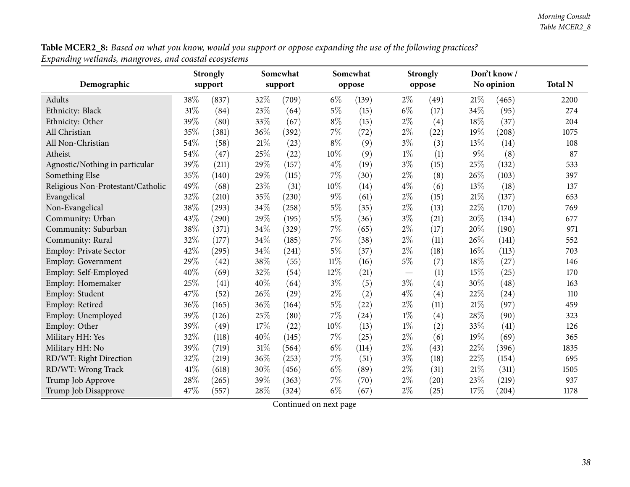Table MCER2\_8: Based on what you know, would you support or oppose expanding the use of the following practices? *Expanding wetlands, mangroves, and coastal ecosystems*

|                                   |      | <b>Strongly</b> |        | Somewhat |        | Somewhat |       | <b>Strongly</b> |        | Don't know / |                |
|-----------------------------------|------|-----------------|--------|----------|--------|----------|-------|-----------------|--------|--------------|----------------|
| Demographic                       |      | support         |        | support  |        | oppose   |       | oppose          |        | No opinion   | <b>Total N</b> |
| Adults                            | 38%  | (837)           | 32%    | (709)    | $6\%$  | (139)    | $2\%$ | (49)            | 21\%   | (465)        | 2200           |
| Ethnicity: Black                  | 31%  | (84)            | 23\%   | (64)     | $5\%$  | (15)     | $6\%$ | (17)            | 34%    | (95)         | 274            |
| Ethnicity: Other                  | 39%  | (80)            | 33%    | (67)     | $8\%$  | (15)     | $2\%$ | (4)             | 18%    | (37)         | 204            |
| All Christian                     | 35%  | (381)           | 36%    | (392)    | $7\%$  | (72)     | $2\%$ | (22)            | 19%    | (208)        | 1075           |
| All Non-Christian                 | 54%  | (58)            | $21\%$ | (23)     | $8\%$  | (9)      | $3\%$ | (3)             | 13%    | (14)         | 108            |
| Atheist                           | 54%  | (47)            | 25%    | (22)     | 10%    | (9)      | $1\%$ | (1)             | $9\%$  | (8)          | 87             |
| Agnostic/Nothing in particular    | 39%  | (211)           | 29%    | (157)    | $4\%$  | (19)     | $3\%$ | (15)            | 25%    | (132)        | 533            |
| Something Else                    | 35%  | (140)           | 29%    | (115)    | 7%     | (30)     | $2\%$ | (8)             | 26%    | (103)        | 397            |
| Religious Non-Protestant/Catholic | 49%  | (68)            | 23%    | (31)     | 10%    | (14)     | $4\%$ | (6)             | 13%    | (18)         | 137            |
| Evangelical                       | 32%  | (210)           | 35%    | (230)    | $9\%$  | (61)     | $2\%$ | (15)            | 21%    | (137)        | 653            |
| Non-Evangelical                   | 38%  | (293)           | $34\%$ | (258)    | $5\%$  | (35)     | $2\%$ | (13)            | 22%    | (170)        | 769            |
| Community: Urban                  | 43%  | (290)           | 29%    | (195)    | $5\%$  | (36)     | $3\%$ | (21)            | 20%    | (134)        | 677            |
| Community: Suburban               | 38%  | (371)           | $34\%$ | (329)    | $7\%$  | (65)     | $2\%$ | (17)            | 20%    | (190)        | 971            |
| Community: Rural                  | 32%  | (177)           | 34%    | (185)    | $7\%$  | (38)     | $2\%$ | (11)            | 26%    | (141)        | 552            |
| Employ: Private Sector            | 42%  | (295)           | 34%    | (241)    | $5\%$  | (37)     | $2\%$ | (18)            | 16%    | (113)        | 703            |
| Employ: Government                | 29%  | (42)            | 38%    | (55)     | $11\%$ | (16)     | $5\%$ | (7)             | 18%    | (27)         | 146            |
| Employ: Self-Employed             | 40%  | (69)            | 32%    | (54)     | 12%    | (21)     |       | (1)             | 15%    | (25)         | 170            |
| Employ: Homemaker                 | 25%  | (41)            | 40%    | (64)     | $3\%$  | (5)      | $3\%$ | (4)             | 30%    | (48)         | 163            |
| Employ: Student                   | 47\% | (52)            | 26%    | (29)     | $2\%$  | (2)      | $4\%$ | (4)             | 22%    | (24)         | 110            |
| Employ: Retired                   | 36%  | (165)           | 36%    | (164)    | $5\%$  | (22)     | $2\%$ | (11)            | 21%    | (97)         | 459            |
| Employ: Unemployed                | 39%  | (126)           | 25\%   | (80)     | $7\%$  | (24)     | $1\%$ | (4)             | 28%    | (90)         | 323            |
| Employ: Other                     | 39%  | (49)            | 17%    | (22)     | $10\%$ | (13)     | $1\%$ | (2)             | 33%    | (41)         | 126            |
| Military HH: Yes                  | 32%  | (118)           | 40%    | (145)    | $7\%$  | (25)     | $2\%$ | (6)             | 19%    | (69)         | 365            |
| Military HH: No                   | 39%  | (719)           | $31\%$ | (564)    | $6\%$  | (114)    | $2\%$ | (43)            | 22%    | (396)        | 1835           |
| RD/WT: Right Direction            | 32%  | (219)           | 36%    | (253)    | $7\%$  | (51)     | $3\%$ | (18)            | 22%    | (154)        | 695            |
| RD/WT: Wrong Track                | 41\% | (618)           | 30%    | (456)    | $6\%$  | (89)     | $2\%$ | (31)            | 21%    | (311)        | 1505           |
| Trump Job Approve                 | 28%  | (265)           | 39%    | (363)    | $7\%$  | (70)     | $2\%$ | (20)            | 23%    | (219)        | 937            |
| Trump Job Disapprove              | 47%  | (557)           | 28%    | (324)    | $6\%$  | (67)     | $2\%$ | (25)            | $17\%$ | (204)        | 1178           |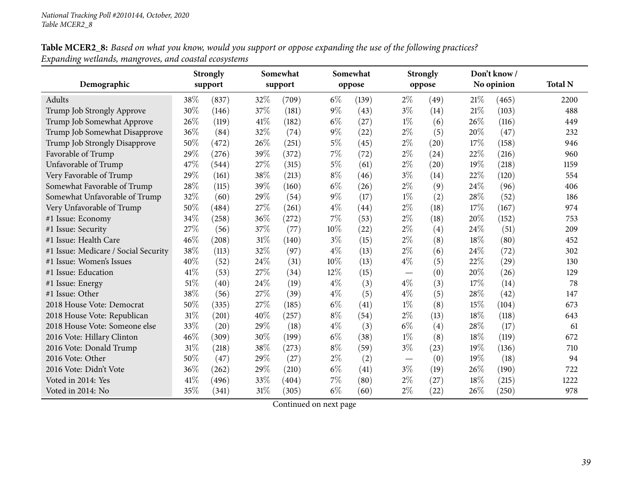## **Table MCER2\_8:** Based on what you know, would you support or oppose expanding the use of the following practices? *Expanding wetlands, mangroves, and coastal ecosystems*

|                                      |      | <b>Strongly</b> |        | Somewhat |       | Somewhat |       | <b>Strongly</b> |      | Don't know/ |                |
|--------------------------------------|------|-----------------|--------|----------|-------|----------|-------|-----------------|------|-------------|----------------|
| Demographic                          |      | support         |        | support  |       | oppose   |       | oppose          |      | No opinion  | <b>Total N</b> |
| Adults                               | 38%  | (837)           | 32%    | (709)    | $6\%$ | (139)    | $2\%$ | (49)            | 21%  | (465)       | 2200           |
| Trump Job Strongly Approve           | 30%  | (146)           | 37%    | (181)    | $9\%$ | (43)     | $3\%$ | (14)            | 21%  | (103)       | 488            |
| Trump Job Somewhat Approve           | 26\% | (119)           | 41\%   | (182)    | $6\%$ | (27)     | $1\%$ | (6)             | 26%  | (116)       | 449            |
| Trump Job Somewhat Disapprove        | 36%  | (84)            | 32%    | (74)     | $9\%$ | (22)     | $2\%$ | (5)             | 20%  | (47)        | 232            |
| Trump Job Strongly Disapprove        | 50%  | (472)           | 26%    | (251)    | $5\%$ | (45)     | $2\%$ | (20)            | 17%  | (158)       | 946            |
| Favorable of Trump                   | 29%  | (276)           | 39%    | (372)    | $7\%$ | (72)     | $2\%$ | (24)            | 22%  | (216)       | 960            |
| Unfavorable of Trump                 | 47%  | (544)           | 27%    | (315)    | $5\%$ | (61)     | $2\%$ | (20)            | 19%  | (218)       | 1159           |
| Very Favorable of Trump              | 29%  | (161)           | 38%    | (213)    | $8\%$ | (46)     | $3\%$ | (14)            | 22%  | (120)       | 554            |
| Somewhat Favorable of Trump          | 28%  | (115)           | 39%    | (160)    | $6\%$ | (26)     | $2\%$ | (9)             | 24\% | (96)        | 406            |
| Somewhat Unfavorable of Trump        | 32%  | (60)            | 29%    | (54)     | $9\%$ | (17)     | $1\%$ | (2)             | 28\% | (52)        | 186            |
| Very Unfavorable of Trump            | 50%  | (484)           | 27%    | (261)    | $4\%$ | (44)     | $2\%$ | (18)            | 17%  | (167)       | 974            |
| #1 Issue: Economy                    | 34%  | (258)           | $36\%$ | (272)    | $7\%$ | (53)     | $2\%$ | (18)            | 20%  | (152)       | 753            |
| #1 Issue: Security                   | 27%  | (56)            | 37%    | (77)     | 10%   | (22)     | $2\%$ | (4)             | 24%  | (51)        | 209            |
| #1 Issue: Health Care                | 46%  | (208)           | 31%    | (140)    | $3\%$ | (15)     | $2\%$ | (8)             | 18%  | (80)        | 452            |
| #1 Issue: Medicare / Social Security | 38%  | (113)           | 32%    | (97)     | $4\%$ | (13)     | $2\%$ | (6)             | 24\% | (72)        | 302            |
| #1 Issue: Women's Issues             | 40%  | (52)            | 24%    | (31)     | 10%   | (13)     | $4\%$ | (5)             | 22%  | (29)        | 130            |
| #1 Issue: Education                  | 41\% | (53)            | 27%    | (34)     | 12%   | (15)     |       | (0)             | 20%  | (26)        | 129            |
| #1 Issue: Energy                     | 51%  | (40)            | 24%    | (19)     | $4\%$ | (3)      | $4\%$ | (3)             | 17%  | (14)        | 78             |
| #1 Issue: Other                      | 38%  | (56)            | 27%    | (39)     | $4\%$ | (5)      | $4\%$ | (5)             | 28%  | (42)        | 147            |
| 2018 House Vote: Democrat            | 50%  | (335)           | 27%    | (185)    | $6\%$ | (41)     | $1\%$ | (8)             | 15%  | (104)       | 673            |
| 2018 House Vote: Republican          | 31%  | (201)           | 40%    | (257)    | $8\%$ | (54)     | $2\%$ | (13)            | 18%  | (118)       | 643            |
| 2018 House Vote: Someone else        | 33%  | (20)            | 29%    | (18)     | $4\%$ | (3)      | $6\%$ | (4)             | 28%  | (17)        | 61             |
| 2016 Vote: Hillary Clinton           | 46%  | (309)           | 30%    | (199)    | $6\%$ | (38)     | $1\%$ | (8)             | 18%  | (119)       | 672            |
| 2016 Vote: Donald Trump              | 31%  | (218)           | 38%    | (273)    | $8\%$ | (59)     | $3\%$ | (23)            | 19%  | (136)       | 710            |
| 2016 Vote: Other                     | 50%  | (47)            | 29%    | (27)     | $2\%$ | (2)      |       | (0)             | 19%  | (18)        | 94             |
| 2016 Vote: Didn't Vote               | 36%  | (262)           | 29%    | (210)    | $6\%$ | (41)     | $3\%$ | (19)            | 26%  | (190)       | 722            |
| Voted in 2014: Yes                   | 41\% | (496)           | 33%    | (404)    | 7%    | (80)     | $2\%$ | (27)            | 18%  | (215)       | 1222           |
| Voted in 2014: No                    | 35%  | (341)           | 31%    | (305)    | $6\%$ | (60)     | $2\%$ | (22)            | 26%  | (250)       | 978            |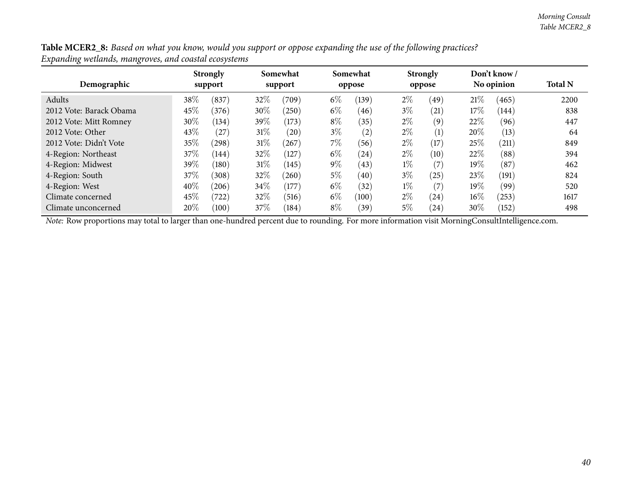| Table MCER2_8: Based on what you know, would you support or oppose expanding the use of the following practices? |  |
|------------------------------------------------------------------------------------------------------------------|--|
| Expanding wetlands, mangroves, and coastal ecosystems                                                            |  |

| Demographic             |        | <b>Strongly</b><br>support |        | Somewhat<br>support |       | Somewhat<br>oppose |       | <b>Strongly</b><br>oppose |        | Don't know/<br>No opinion | <b>Total N</b> |
|-------------------------|--------|----------------------------|--------|---------------------|-------|--------------------|-------|---------------------------|--------|---------------------------|----------------|
| Adults                  | 38%    | (837)                      | 32\%   | (709)               | $6\%$ | (139)              | $2\%$ | (49)                      | 21%    | (465)                     | 2200           |
| 2012 Vote: Barack Obama | 45%    | (376)                      | 30%    | (250)               | $6\%$ | (46)               | $3\%$ | (21)                      | 17%    | (144)                     | 838            |
| 2012 Vote: Mitt Romney  | 30%    | (134)                      | 39\%   | (173)               | $8\%$ | (35)               | $2\%$ | (9)                       | 22\%   | (96)                      | 447            |
| 2012 Vote: Other        | 43%    | (27)                       | $31\%$ | (20)                | $3\%$ | (2)                | $2\%$ | (1)                       | 20%    | (13)                      | 64             |
| 2012 Vote: Didn't Vote  | 35%    | (298)                      | $31\%$ | (267)               | $7\%$ | (56)               | $2\%$ | (17)                      | 25%    | (211)                     | 849            |
| 4-Region: Northeast     | 37\%   | (144)                      | 32\%   | (127)               | $6\%$ | (24)               | $2\%$ | (10)                      | 22%    | (88)                      | 394            |
| 4-Region: Midwest       | 39%    | (180)                      | $31\%$ | (145)               | $9\%$ | (43)               | $1\%$ | (7)                       | $19\%$ | (87)                      | 462            |
| 4-Region: South         | 37\%   | (308)                      | 32%    | (260)               | $5\%$ | (40)               | $3\%$ | (25)                      | 23%    | (191)                     | 824            |
| 4-Region: West          | $40\%$ | (206)                      | $34\%$ | (177)               | $6\%$ | (32)               | $1\%$ | (7)                       | 19%    | (99)                      | 520            |
| Climate concerned       | 45\%   | 722                        | 32\%   | (516)               | $6\%$ | (100)              | $2\%$ | (24)                      | 16%    | (253)                     | 1617           |
| Climate unconcerned     | 20%    | (100)                      | 37%    | (184)               | $8\%$ | (39)               | 5%    | (24)                      | 30%    | (152)                     | 498            |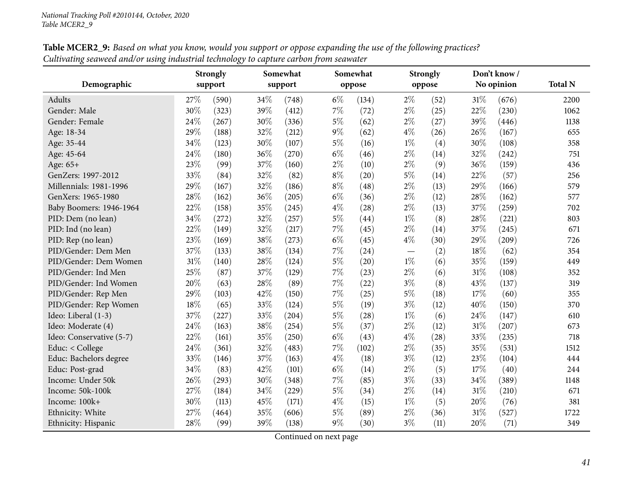|                          |        | <b>Strongly</b> |     | Somewhat |       | Somewhat |       | <b>Strongly</b> |     | Don't know / |                |
|--------------------------|--------|-----------------|-----|----------|-------|----------|-------|-----------------|-----|--------------|----------------|
| Demographic              |        | support         |     | support  |       | oppose   |       | oppose          |     | No opinion   | <b>Total N</b> |
| <b>Adults</b>            | 27\%   | (590)           | 34% | (748)    | $6\%$ | (134)    | $2\%$ | (52)            | 31% | (676)        | 2200           |
| Gender: Male             | 30%    | (323)           | 39% | (412)    | $7\%$ | (72)     | $2\%$ | (25)            | 22% | (230)        | 1062           |
| Gender: Female           | 24\%   | (267)           | 30% | (336)    | $5\%$ | (62)     | $2\%$ | (27)            | 39% | (446)        | 1138           |
| Age: 18-34               | 29%    | (188)           | 32% | (212)    | $9\%$ | (62)     | $4\%$ | (26)            | 26% | (167)        | 655            |
| Age: 35-44               | 34%    | (123)           | 30% | (107)    | $5\%$ | (16)     | $1\%$ | (4)             | 30% | (108)        | 358            |
| Age: 45-64               | 24%    | (180)           | 36% | (270)    | $6\%$ | (46)     | $2\%$ | (14)            | 32% | (242)        | 751            |
| Age: 65+                 | 23%    | (99)            | 37% | (160)    | $2\%$ | (10)     | $2\%$ | (9)             | 36% | (159)        | 436            |
| GenZers: 1997-2012       | 33%    | (84)            | 32% | (82)     | $8\%$ | (20)     | $5\%$ | (14)            | 22% | (57)         | 256            |
| Millennials: 1981-1996   | 29%    | (167)           | 32% | (186)    | $8\%$ | (48)     | $2\%$ | (13)            | 29% | (166)        | 579            |
| GenXers: 1965-1980       | 28%    | (162)           | 36% | (205)    | $6\%$ | (36)     | $2\%$ | (12)            | 28% | (162)        | 577            |
| Baby Boomers: 1946-1964  | 22%    | (158)           | 35% | (245)    | $4\%$ | (28)     | $2\%$ | (13)            | 37% | (259)        | 702            |
| PID: Dem (no lean)       | 34%    | (272)           | 32% | (257)    | 5%    | (44)     | $1\%$ | (8)             | 28% | (221)        | 803            |
| PID: Ind (no lean)       | 22%    | (149)           | 32% | (217)    | $7\%$ | (45)     | $2\%$ | (14)            | 37% | (245)        | 671            |
| PID: Rep (no lean)       | 23%    | (169)           | 38% | (273)    | $6\%$ | (45)     | $4\%$ | (30)            | 29% | (209)        | 726            |
| PID/Gender: Dem Men      | 37%    | (133)           | 38% | (134)    | 7%    | (24)     |       | (2)             | 18% | (62)         | 354            |
| PID/Gender: Dem Women    | $31\%$ | (140)           | 28% | (124)    | $5\%$ | (20)     | $1\%$ | (6)             | 35% | (159)        | 449            |
| PID/Gender: Ind Men      | 25%    | (87)            | 37% | (129)    | $7\%$ | (23)     | $2\%$ | (6)             | 31% | (108)        | 352            |
| PID/Gender: Ind Women    | 20%    | (63)            | 28% | (89)     | 7%    | (22)     | $3\%$ | (8)             | 43% | (137)        | 319            |
| PID/Gender: Rep Men      | 29%    | (103)           | 42% | (150)    | 7%    | (25)     | $5\%$ | (18)            | 17% | (60)         | 355            |
| PID/Gender: Rep Women    | 18%    | (65)            | 33% | (124)    | $5\%$ | (19)     | $3\%$ | (12)            | 40% | (150)        | 370            |
| Ideo: Liberal (1-3)      | 37%    | (227)           | 33% | (204)    | $5\%$ | (28)     | $1\%$ | (6)             | 24% | (147)        | 610            |
| Ideo: Moderate (4)       | 24%    | (163)           | 38% | (254)    | $5\%$ | (37)     | $2\%$ | (12)            | 31% | (207)        | 673            |
| Ideo: Conservative (5-7) | 22%    | (161)           | 35% | (250)    | $6\%$ | (43)     | $4\%$ | (28)            | 33% | (235)        | 718            |
| Educ: < College          | 24%    | (361)           | 32% | (483)    | 7%    | (102)    | $2\%$ | (35)            | 35% | (531)        | 1512           |
| Educ: Bachelors degree   | 33%    | (146)           | 37% | (163)    | $4\%$ | (18)     | $3\%$ | (12)            | 23% | (104)        | 444            |
| Educ: Post-grad          | 34%    | (83)            | 42% | (101)    | $6\%$ | (14)     | $2\%$ | (5)             | 17% | (40)         | 244            |
| Income: Under 50k        | 26%    | (293)           | 30% | (348)    | $7\%$ | (85)     | $3\%$ | (33)            | 34% | (389)        | 1148           |
| Income: 50k-100k         | 27%    | (184)           | 34% | (229)    | $5\%$ | (34)     | $2\%$ | (14)            | 31% | (210)        | 671            |
| Income: 100k+            | 30%    | (113)           | 45% | (171)    | $4\%$ | (15)     | $1\%$ | (5)             | 20% | (76)         | 381            |
| Ethnicity: White         | 27%    | (464)           | 35% | (606)    | $5\%$ | (89)     | $2\%$ | (36)            | 31% | (527)        | 1722           |
| Ethnicity: Hispanic      | 28%    | (99)            | 39% | (138)    | $9\%$ | (30)     | $3\%$ | (11)            | 20% | (71)         | 349            |

**Table MCER2\_9:** Based on what you know, would you support or oppose expanding the use of the following practices? Cultivating seaweed and/or using industrial technology to capture carbon from seawater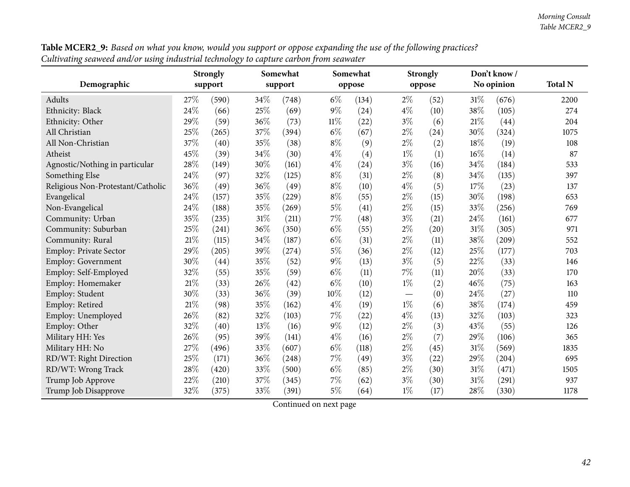|                                   |     | <b>Strongly</b>    |        | Somewhat |        | Somewhat |       | <b>Strongly</b>    |        | Don't know / | <b>Total N</b> |
|-----------------------------------|-----|--------------------|--------|----------|--------|----------|-------|--------------------|--------|--------------|----------------|
| Demographic                       |     | support            |        | support  |        | oppose   |       | oppose             |        | No opinion   |                |
| Adults                            | 27% | (590)              | 34%    | (748)    | $6\%$  | (134)    | $2\%$ | (52)               | $31\%$ | (676)        | 2200           |
| Ethnicity: Black                  | 24% | (66)               | 25%    | (69)     | $9\%$  | (24)     | $4\%$ | (10)               | 38%    | (105)        | 274            |
| Ethnicity: Other                  | 29% | (59)               | $36\%$ | (73)     | $11\%$ | (22)     | $3\%$ | (6)                | 21%    | (44)         | 204            |
| All Christian                     | 25% | (265)              | 37%    | (394)    | $6\%$  | (67)     | $2\%$ | (24)               | 30%    | (324)        | 1075           |
| All Non-Christian                 | 37% | (40)               | 35%    | (38)     | $8\%$  | (9)      | $2\%$ | (2)                | 18%    | (19)         | 108            |
| Atheist                           | 45% | (39)               | 34%    | (30)     | $4\%$  | (4)      | $1\%$ | (1)                | 16%    | (14)         | 87             |
| Agnostic/Nothing in particular    | 28% | (149)              | 30%    | (161)    | $4\%$  | (24)     | $3\%$ | (16)               | 34%    | (184)        | 533            |
| Something Else                    | 24% | (97)               | 32%    | (125)    | $8\%$  | (31)     | $2\%$ | (8)                | 34%    | (135)        | 397            |
| Religious Non-Protestant/Catholic | 36% | (49)               | 36%    | (49)     | $8\%$  | (10)     | $4\%$ | (5)                | 17%    | (23)         | 137            |
| Evangelical                       | 24% | (157)              | 35%    | (229)    | $8\%$  | (55)     | $2\%$ | (15)               | 30%    | (198)        | 653            |
| Non-Evangelical                   | 24% | (188)              | 35%    | (269)    | $5\%$  | (41)     | $2\%$ | (15)               | 33%    | (256)        | 769            |
| Community: Urban                  | 35% | (235)              | 31%    | (211)    | 7%     | (48)     | $3\%$ | (21)               | 24%    | (161)        | 677            |
| Community: Suburban               | 25% | (241)              | 36%    | (350)    | $6\%$  | (55)     | $2\%$ | $\left( 20\right)$ | 31%    | (305)        | 971            |
| Community: Rural                  | 21% | (115)              | 34\%   | (187)    | $6\%$  | (31)     | $2\%$ | (11)               | 38%    | (209)        | 552            |
| <b>Employ: Private Sector</b>     | 29% | (205)              | 39%    | (274)    | $5\%$  | (36)     | $2\%$ | (12)               | 25%    | (177)        | 703            |
| Employ: Government                | 30% | $\left( 44\right)$ | 35%    | (52)     | $9\%$  | (13)     | $3\%$ | (5)                | 22%    | (33)         | 146            |
| Employ: Self-Employed             | 32% | (55)               | 35%    | (59)     | $6\%$  | (11)     | 7%    | (11)               | 20%    | (33)         | 170            |
| Employ: Homemaker                 | 21% | (33)               | 26%    | (42)     | $6\%$  | (10)     | $1\%$ | (2)                | 46%    | (75)         | 163            |
| Employ: Student                   | 30% | (33)               | 36%    | (39)     | 10%    | (12)     |       | (0)                | 24%    | (27)         | 110            |
| Employ: Retired                   | 21% | (98)               | 35%    | (162)    | $4\%$  | (19)     | $1\%$ | (6)                | 38%    | (174)        | 459            |
| Employ: Unemployed                | 26% | (82)               | 32%    | (103)    | $7\%$  | (22)     | $4\%$ | (13)               | 32%    | (103)        | 323            |
| Employ: Other                     | 32% | (40)               | 13%    | (16)     | $9\%$  | (12)     | $2\%$ | (3)                | 43%    | (55)         | 126            |
| Military HH: Yes                  | 26% | (95)               | 39%    | (141)    | $4\%$  | (16)     | $2\%$ | (7)                | 29%    | (106)        | 365            |
| Military HH: No                   | 27% | (496)              | 33%    | (607)    | $6\%$  | (118)    | $2\%$ | (45)               | 31%    | (569)        | 1835           |
| RD/WT: Right Direction            | 25% | (171)              | 36%    | (248)    | $7\%$  | (49)     | $3\%$ | (22)               | 29%    | (204)        | 695            |
| RD/WT: Wrong Track                | 28% | (420)              | 33%    | (500)    | $6\%$  | (85)     | $2\%$ | (30)               | 31%    | (471)        | 1505           |
| Trump Job Approve                 | 22% | (210)              | 37%    | (345)    | $7\%$  | (62)     | $3\%$ | (30)               | 31%    | (291)        | 937            |
| Trump Job Disapprove              | 32% | (375)              | 33%    | (391)    | $5\%$  | (64)     | $1\%$ | (17)               | 28%    | (330)        | 1178           |

Table MCER2\_9: Based on what you know, would you support or oppose expanding the use of the following practices? Cultivating seaweed and/or using industrial technology to capture carbon from seawater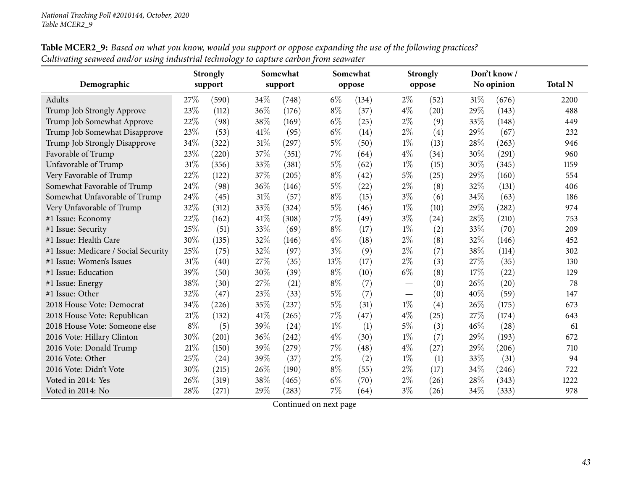|                                      |       | <b>Strongly</b> |        | Somewhat |       | Somewhat |       | <b>Strongly</b> |      | Don't know/ |                |
|--------------------------------------|-------|-----------------|--------|----------|-------|----------|-------|-----------------|------|-------------|----------------|
| Demographic                          |       | support         |        | support  |       | oppose   |       | oppose          |      | No opinion  | <b>Total N</b> |
| Adults                               | 27%   | (590)           | 34\%   | (748)    | $6\%$ | (134)    | $2\%$ | (52)            | 31%  | (676)       | 2200           |
| Trump Job Strongly Approve           | 23%   | (112)           | 36%    | (176)    | $8\%$ | (37)     | $4\%$ | (20)            | 29%  | (143)       | 488            |
| Trump Job Somewhat Approve           | 22%   | (98)            | 38%    | (169)    | $6\%$ | (25)     | $2\%$ | (9)             | 33%  | (148)       | 449            |
| Trump Job Somewhat Disapprove        | 23%   | (53)            | 41\%   | (95)     | $6\%$ | (14)     | $2\%$ | (4)             | 29%  | (67)        | 232            |
| Trump Job Strongly Disapprove        | 34%   | (322)           | $31\%$ | (297)    | $5\%$ | (50)     | $1\%$ | (13)            | 28%  | (263)       | 946            |
| Favorable of Trump                   | 23%   | (220)           | 37%    | (351)    | 7%    | (64)     | $4\%$ | (34)            | 30%  | (291)       | 960            |
| Unfavorable of Trump                 | 31%   | (356)           | 33%    | (381)    | $5\%$ | (62)     | $1\%$ | (15)            | 30%  | (345)       | 1159           |
| Very Favorable of Trump              | 22%   | (122)           | $37\%$ | (205)    | $8\%$ | (42)     | $5\%$ | (25)            | 29%  | (160)       | 554            |
| Somewhat Favorable of Trump          | 24%   | (98)            | 36%    | (146)    | $5\%$ | (22)     | $2\%$ | (8)             | 32%  | (131)       | 406            |
| Somewhat Unfavorable of Trump        | 24%   | (45)            | $31\%$ | (57)     | $8\%$ | (15)     | $3\%$ | (6)             | 34%  | (63)        | 186            |
| Very Unfavorable of Trump            | 32%   | (312)           | 33%    | (324)    | $5\%$ | (46)     | $1\%$ | (10)            | 29%  | (282)       | 974            |
| #1 Issue: Economy                    | 22%   | (162)           | $41\%$ | (308)    | 7%    | (49)     | $3\%$ | (24)            | 28%  | (210)       | 753            |
| #1 Issue: Security                   | 25%   | (51)            | 33%    | (69)     | $8\%$ | (17)     | $1\%$ | (2)             | 33%  | (70)        | 209            |
| #1 Issue: Health Care                | 30%   | (135)           | 32%    | (146)    | $4\%$ | (18)     | $2\%$ | (8)             | 32%  | (146)       | 452            |
| #1 Issue: Medicare / Social Security | 25%   | (75)            | 32%    | (97)     | $3\%$ | (9)      | $2\%$ | (7)             | 38%  | (114)       | 302            |
| #1 Issue: Women's Issues             | 31%   | (40)            | 27\%   | (35)     | 13%   | (17)     | $2\%$ | (3)             | 27%  | (35)        | 130            |
| #1 Issue: Education                  | 39%   | (50)            | 30%    | (39)     | $8\%$ | (10)     | $6\%$ | (8)             | 17%  | (22)        | 129            |
| #1 Issue: Energy                     | 38%   | (30)            | 27%    | (21)     | $8\%$ | (7)      |       | (0)             | 26\% | (20)        | 78             |
| #1 Issue: Other                      | 32%   | (47)            | 23%    | (33)     | $5\%$ | (7)      |       | (0)             | 40%  | (59)        | 147            |
| 2018 House Vote: Democrat            | 34%   | (226)           | 35%    | (237)    | $5\%$ | (31)     | $1\%$ | (4)             | 26%  | (175)       | 673            |
| 2018 House Vote: Republican          | 21%   | (132)           | $41\%$ | (265)    | $7\%$ | (47)     | $4\%$ | (25)            | 27%  | (174)       | 643            |
| 2018 House Vote: Someone else        | $8\%$ | (5)             | 39%    | (24)     | $1\%$ | (1)      | $5\%$ | (3)             | 46%  | (28)        | 61             |
| 2016 Vote: Hillary Clinton           | 30%   | (201)           | 36%    | (242)    | $4\%$ | (30)     | $1\%$ | (7)             | 29%  | (193)       | 672            |
| 2016 Vote: Donald Trump              | 21%   | (150)           | 39%    | (279)    | 7%    | (48)     | $4\%$ | (27)            | 29%  | (206)       | 710            |
| 2016 Vote: Other                     | 25%   | (24)            | 39%    | (37)     | $2\%$ | (2)      | $1\%$ | (1)             | 33%  | (31)        | 94             |
| 2016 Vote: Didn't Vote               | 30%   | (215)           | 26%    | (190)    | $8\%$ | (55)     | $2\%$ | (17)            | 34%  | (246)       | 722            |
| Voted in 2014: Yes                   | 26%   | (319)           | 38%    | (465)    | $6\%$ | (70)     | $2\%$ | (26)            | 28%  | (343)       | 1222           |
| Voted in 2014: No                    | 28%   | (271)           | 29%    | (283)    | 7%    | (64)     | $3\%$ | (26)            | 34%  | (333)       | 978            |

Table MCER2\_9: Based on what you know, would you support or oppose expanding the use of the following practices? Cultivating seaweed and/or using industrial technology to capture carbon from seawater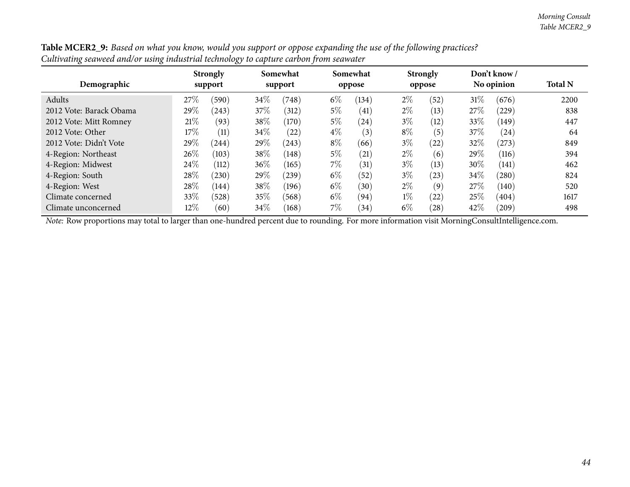|                         |      | ره-                        |        |                     |       |                    |       |                           |      |                            |                |
|-------------------------|------|----------------------------|--------|---------------------|-------|--------------------|-------|---------------------------|------|----------------------------|----------------|
| Demographic             |      | <b>Strongly</b><br>support |        | Somewhat<br>support |       | Somewhat<br>oppose |       | <b>Strongly</b><br>oppose |      | Don't know /<br>No opinion | <b>Total N</b> |
| Adults                  | 27\% | (590)                      | $34\%$ | (748)               | $6\%$ | (134)              | $2\%$ | (52)                      | 31%  | (676)                      | 2200           |
| 2012 Vote: Barack Obama | 29\% | (243)                      | 37\%   | (312)               | $5\%$ | (41)               | $2\%$ | (13)                      | 27\% | (229)                      | 838            |
| 2012 Vote: Mitt Romney  | 21%  | (93)                       | 38\%   | (170)               | $5\%$ | $^{(24)}$          | $3\%$ | (12)                      | 33%  | (149)                      | 447            |
| 2012 Vote: Other        | 17%  | (11)                       | $34\%$ | (22)                | $4\%$ | (3)                | $8\%$ | (5)                       | 37%  | (24)                       | 64             |
| 2012 Vote: Didn't Vote  | 29\% | (244)                      | 29%    | (243)               | $8\%$ | (66)               | $3\%$ | (22)                      | 32%  | (273)                      | 849            |
| 4-Region: Northeast     | 26\% | (103)                      | 38\%   | (148)               | $5\%$ | (21)               | $2\%$ | (6)                       | 29%  | (116)                      | 394            |
| 4-Region: Midwest       | 24\% | (112)                      | 36\%   | (165)               | $7\%$ | (31)               | $3\%$ | (13)                      | 30%  | (141)                      | 462            |
| 4-Region: South         | 28\% | (230)                      | 29%    | (239)               | $6\%$ | (52)               | $3\%$ | (23)                      | 34\% | (280)                      | 824            |
| 4-Region: West          | 28\% | (144)                      | 38%    | (196)               | $6\%$ | (30)               | $2\%$ | (9)                       | 27\% | (140)                      | 520            |
| Climate concerned       | 33%  | (528)                      | 35\%   | (568)               | $6\%$ | (94)               | $1\%$ | (22)                      | 25%  | (404)                      | 1617           |
| Climate unconcerned     | 12%  | (60)                       | 34\%   | (168)               | $7\%$ | (34)               | $6\%$ | (28)                      | 42%  | (209)                      | 498            |

Table MCER2\_9: Based on what you know, would you support or oppose expanding the use of the following practices? Cultivating seaweed and/or using industrial technology to capture carbon from seawater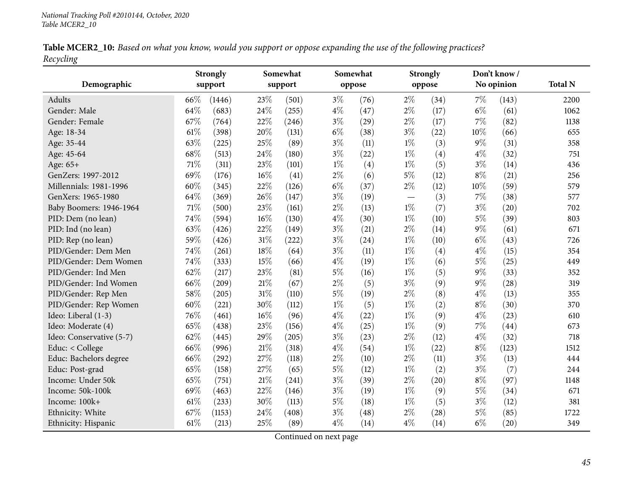|           |  | Table MCER2_10: Based on what you know, would you support or oppose expanding the use of the following practices? |
|-----------|--|-------------------------------------------------------------------------------------------------------------------|
| Recycling |  |                                                                                                                   |

|                          |      | <b>Strongly</b>     |        | Somewhat |       | Somewhat |                                  | <b>Strongly</b> |       | Don't know/ |                |
|--------------------------|------|---------------------|--------|----------|-------|----------|----------------------------------|-----------------|-------|-------------|----------------|
| Demographic              |      | support             |        | support  |       | oppose   |                                  | oppose          |       | No opinion  | <b>Total N</b> |
| Adults                   | 66%  | (1446)              | 23\%   | (501)    | $3\%$ | (76)     | $2\%$                            | (34)            | $7\%$ | (143)       | 2200           |
| Gender: Male             | 64%  | (683)               | 24\%   | (255)    | $4\%$ | (47)     | $2\%$                            | (17)            | $6\%$ | (61)        | 1062           |
| Gender: Female           | 67%  | (764)               | 22%    | (246)    | $3\%$ | (29)     | $2\%$                            | (17)            | 7%    | (82)        | 1138           |
| Age: 18-34               | 61%  | (398)               | 20%    | (131)    | $6\%$ | (38)     | $3\%$                            | (22)            | 10%   | (66)        | 655            |
| Age: 35-44               | 63%  | (225)               | 25%    | (89)     | $3\%$ | (11)     | $1\%$                            | (3)             | $9\%$ | (31)        | 358            |
| Age: 45-64               | 68%  | (513)               | 24%    | (180)    | $3\%$ | (22)     | $1\%$                            | (4)             | $4\%$ | (32)        | 751            |
| Age: 65+                 | 71%  | (311)               | 23%    | (101)    | $1\%$ | (4)      | $1\%$                            | (5)             | $3\%$ | (14)        | 436            |
| GenZers: 1997-2012       | 69%  | (176)               | 16%    | (41)     | $2\%$ | (6)      | $5\%$                            | (12)            | $8\%$ | (21)        | 256            |
| Millennials: 1981-1996   | 60%  | (345)               | 22%    | (126)    | $6\%$ | (37)     | $2\%$                            | (12)            | 10%   | (59)        | 579            |
| GenXers: 1965-1980       | 64%  | (369)               | 26%    | (147)    | $3\%$ | (19)     | $\overbrace{\phantom{12322111}}$ | (3)             | 7%    | (38)        | 577            |
| Baby Boomers: 1946-1964  | 71%  | (500)               | 23%    | (161)    | $2\%$ | (13)     | $1\%$                            | (7)             | $3\%$ | (20)        | 702            |
| PID: Dem (no lean)       | 74%  | (594)               | 16%    | (130)    | $4\%$ | (30)     | $1\%$                            | (10)            | $5\%$ | (39)        | 803            |
| PID: Ind (no lean)       | 63%  | (426)               | 22%    | (149)    | $3\%$ | (21)     | $2\%$                            | (14)            | $9\%$ | (61)        | 671            |
| PID: Rep (no lean)       | 59%  | (426)               | $31\%$ | (222)    | $3\%$ | (24)     | $1\%$                            | (10)            | $6\%$ | (43)        | 726            |
| PID/Gender: Dem Men      | 74%  | (261)               | $18\%$ | (64)     | $3\%$ | (11)     | $1\%$                            | (4)             | $4\%$ | (15)        | 354            |
| PID/Gender: Dem Women    | 74%  | (333)               | 15%    | (66)     | $4\%$ | (19)     | $1\%$                            | (6)             | $5\%$ | (25)        | 449            |
| PID/Gender: Ind Men      | 62%  | (217)               | 23%    | (81)     | $5\%$ | (16)     | $1\%$                            | (5)             | $9\%$ | (33)        | 352            |
| PID/Gender: Ind Women    | 66%  | $\left( 209\right)$ | $21\%$ | (67)     | $2\%$ | (5)      | $3\%$                            | (9)             | $9\%$ | (28)        | 319            |
| PID/Gender: Rep Men      | 58%  | (205)               | $31\%$ | (110)    | $5\%$ | (19)     | $2\%$                            | (8)             | $4\%$ | (13)        | 355            |
| PID/Gender: Rep Women    | 60%  | (221)               | 30%    | (112)    | $1\%$ | (5)      | $1\%$                            | (2)             | $8\%$ | (30)        | 370            |
| Ideo: Liberal (1-3)      | 76%  | (461)               | 16%    | (96)     | $4\%$ | (22)     | $1\%$                            | (9)             | $4\%$ | (23)        | 610            |
| Ideo: Moderate (4)       | 65%  | (438)               | 23%    | (156)    | $4\%$ | (25)     | $1\%$                            | (9)             | $7\%$ | (44)        | 673            |
| Ideo: Conservative (5-7) | 62%  | (445)               | 29%    | (205)    | $3\%$ | (23)     | $2\%$                            | (12)            | $4\%$ | (32)        | 718            |
| Educ: < College          | 66%  | (996)               | $21\%$ | (318)    | $4\%$ | (54)     | $1\%$                            | (22)            | $8\%$ | (123)       | 1512           |
| Educ: Bachelors degree   | 66%  | (292)               | 27%    | (118)    | $2\%$ | (10)     | $2\%$                            | (11)            | $3\%$ | (13)        | 444            |
| Educ: Post-grad          | 65%  | (158)               | 27%    | (65)     | $5\%$ | (12)     | $1\%$                            | (2)             | $3\%$ | (7)         | 244            |
| Income: Under 50k        | 65%  | (751)               | $21\%$ | (241)    | $3\%$ | (39)     | $2\%$                            | (20)            | $8\%$ | (97)        | 1148           |
| Income: 50k-100k         | 69%  | (463)               | 22%    | (146)    | $3\%$ | (19)     | $1\%$                            | (9)             | $5\%$ | (34)        | 671            |
| Income: 100k+            | 61%  | (233)               | 30%    | (113)    | $5\%$ | (18)     | $1\%$                            | (5)             | $3\%$ | (12)        | 381            |
| Ethnicity: White         | 67%  | (1153)              | 24%    | (408)    | $3\%$ | (48)     | $2\%$                            | (28)            | $5\%$ | (85)        | 1722           |
| Ethnicity: Hispanic      | 61\% | (213)               | 25%    | (89)     | $4\%$ | (14)     | $4\%$                            | (14)            | $6\%$ | (20)        | 349            |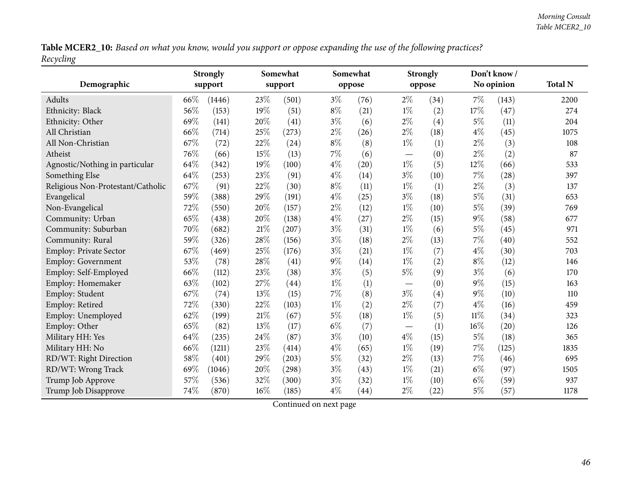Table MCER2\_10: Based on what you know, would you support or oppose expanding the use of the following practices? *Recycling*

|                                   |      | <b>Strongly</b> |        | Somewhat |       | Somewhat |                                 | <b>Strongly</b> |        | Don't know/ |                |
|-----------------------------------|------|-----------------|--------|----------|-------|----------|---------------------------------|-----------------|--------|-------------|----------------|
| Demographic                       |      | support         |        | support  |       | oppose   |                                 | oppose          |        | No opinion  | <b>Total N</b> |
| Adults                            | 66\% | (1446)          | 23\%   | (501)    | $3\%$ | (76)     | $2\%$                           | (34)            | 7%     | (143)       | 2200           |
| Ethnicity: Black                  | 56%  | (153)           | 19%    | (51)     | $8\%$ | (21)     | $1\%$                           | (2)             | 17%    | (47)        | 274            |
| Ethnicity: Other                  | 69%  | (141)           | 20%    | (41)     | $3\%$ | (6)      | $2\%$                           | (4)             | $5\%$  | (11)        | 204            |
| All Christian                     | 66%  | (714)           | 25%    | (273)    | $2\%$ | (26)     | $2\%$                           | (18)            | $4\%$  | (45)        | 1075           |
| All Non-Christian                 | 67%  | (72)            | 22%    | (24)     | $8\%$ | (8)      | $1\%$                           | (1)             | $2\%$  | (3)         | 108            |
| Atheist                           | 76%  | (66)            | 15%    | (13)     | $7\%$ | (6)      | $\hspace{0.1mm}-\hspace{0.1mm}$ | (0)             | $2\%$  | (2)         | 87             |
| Agnostic/Nothing in particular    | 64%  | (342)           | 19%    | (100)    | $4\%$ | (20)     | $1\%$                           | (5)             | 12%    | (66)        | 533            |
| Something Else                    | 64\% | (253)           | 23%    | (91)     | $4\%$ | (14)     | $3\%$                           | (10)            | 7%     | (28)        | 397            |
| Religious Non-Protestant/Catholic | 67%  | (91)            | 22%    | (30)     | $8\%$ | (11)     | $1\%$                           | (1)             | $2\%$  | (3)         | 137            |
| Evangelical                       | 59%  | (388)           | 29%    | (191)    | $4\%$ | (25)     | $3\%$                           | (18)            | $5\%$  | (31)        | 653            |
| Non-Evangelical                   | 72%  | (550)           | 20%    | (157)    | $2\%$ | (12)     | $1\%$                           | (10)            | $5\%$  | (39)        | 769            |
| Community: Urban                  | 65%  | (438)           | 20%    | (138)    | $4\%$ | (27)     | $2\%$                           | (15)            | $9\%$  | (58)        | 677            |
| Community: Suburban               | 70%  | (682)           | $21\%$ | (207)    | $3\%$ | (31)     | $1\%$                           | (6)             | $5\%$  | (45)        | 971            |
| Community: Rural                  | 59%  | (326)           | 28\%   | (156)    | $3\%$ | (18)     | $2\%$                           | (13)            | 7%     | (40)        | 552            |
| Employ: Private Sector            | 67%  | (469)           | 25%    | (176)    | $3\%$ | (21)     | $1\%$                           | (7)             | $4\%$  | (30)        | 703            |
| Employ: Government                | 53%  | (78)            | 28\%   | (41)     | $9\%$ | (14)     | $1\%$                           | (2)             | $8\%$  | (12)        | 146            |
| Employ: Self-Employed             | 66%  | (112)           | 23%    | (38)     | $3\%$ | (5)      | $5\%$                           | (9)             | $3\%$  | (6)         | 170            |
| Employ: Homemaker                 | 63%  | (102)           | 27%    | (44)     | $1\%$ | (1)      |                                 | (0)             | 9%     | (15)        | 163            |
| Employ: Student                   | 67%  | (74)            | $13\%$ | (15)     | $7\%$ | (8)      | $3\%$                           | (4)             | $9\%$  | (10)        | 110            |
| Employ: Retired                   | 72%  | (330)           | 22%    | (103)    | $1\%$ | (2)      | $2\%$                           | (7)             | $4\%$  | (16)        | 459            |
| Employ: Unemployed                | 62%  | (199)           | $21\%$ | (67)     | $5\%$ | (18)     | $1\%$                           | (5)             | $11\%$ | (34)        | 323            |
| Employ: Other                     | 65%  | (82)            | 13%    | (17)     | $6\%$ | (7)      |                                 | (1)             | 16%    | (20)        | 126            |
| Military HH: Yes                  | 64%  | (235)           | $24\%$ | (87)     | $3\%$ | (10)     | $4\%$                           | (15)            | $5\%$  | (18)        | 365            |
| Military HH: No                   | 66%  | (1211)          | 23%    | (414)    | $4\%$ | (65)     | $1\%$                           | (19)            | 7%     | (125)       | 1835           |
| RD/WT: Right Direction            | 58%  | (401)           | 29%    | (203)    | $5\%$ | (32)     | $2\%$                           | (13)            | 7%     | (46)        | 695            |
| RD/WT: Wrong Track                | 69%  | (1046)          | 20%    | (298)    | $3\%$ | (43)     | $1\%$                           | (21)            | $6\%$  | (97)        | 1505           |
| Trump Job Approve                 | 57%  | (536)           | 32%    | (300)    | $3\%$ | (32)     | $1\%$                           | (10)            | $6\%$  | (59)        | 937            |
| Trump Job Disapprove              | 74%  | (870)           | $16\%$ | (185)    | $4\%$ | (44)     | $2\%$                           | (22)            | $5\%$  | (57)        | 1178           |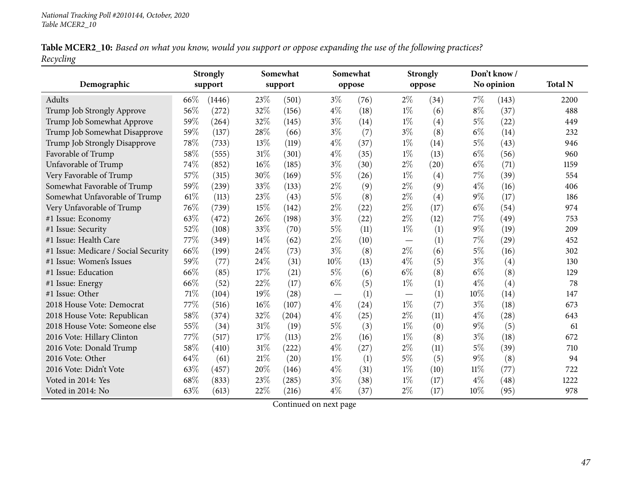Table MCER2\_10: Based on what you know, would you support or oppose expanding the use of the following practices? *Recycling*

| Demographic                          |      | <b>Strongly</b><br>support |        | Somewhat<br>support |                                 | Somewhat<br>oppose |       | <b>Strongly</b><br>oppose |        | Don't know/<br>No opinion | <b>Total N</b> |
|--------------------------------------|------|----------------------------|--------|---------------------|---------------------------------|--------------------|-------|---------------------------|--------|---------------------------|----------------|
| Adults                               | 66\% | (1446)                     | 23\%   | (501)               | $3\%$                           | (76)               | $2\%$ | (34)                      | $7\%$  | (143)                     | 2200           |
| Trump Job Strongly Approve           | 56%  | (272)                      | 32%    | (156)               | $4\%$                           | (18)               | $1\%$ | (6)                       | $8\%$  | (37)                      | 488            |
| Trump Job Somewhat Approve           | 59%  | (264)                      | 32%    | (145)               | $3\%$                           | (14)               | $1\%$ | (4)                       | $5\%$  | (22)                      | 449            |
| Trump Job Somewhat Disapprove        | 59%  | (137)                      | 28%    | (66)                | $3\%$                           | (7)                | $3\%$ | (8)                       | $6\%$  | (14)                      | 232            |
| Trump Job Strongly Disapprove        | 78%  | (733)                      | 13%    | (119)               | $4\%$                           | (37)               | $1\%$ | (14)                      | $5\%$  | (43)                      | 946            |
| Favorable of Trump                   | 58%  | (555)                      | $31\%$ | (301)               | $4\%$                           | (35)               | $1\%$ | (13)                      | $6\%$  | (56)                      | 960            |
| Unfavorable of Trump                 | 74%  | (852)                      | $16\%$ | (185)               | $3\%$                           | (30)               | $2\%$ | (20)                      | $6\%$  | (71)                      | 1159           |
| Very Favorable of Trump              | 57%  | (315)                      | 30%    | (169)               | $5\%$                           | (26)               | $1\%$ | (4)                       | 7%     | (39)                      | 554            |
| Somewhat Favorable of Trump          | 59%  | (239)                      | 33%    | (133)               | $2\%$                           | (9)                | $2\%$ | (9)                       | $4\%$  | (16)                      | 406            |
| Somewhat Unfavorable of Trump        | 61%  | (113)                      | 23%    | (43)                | $5\%$                           | (8)                | $2\%$ | (4)                       | $9\%$  | (17)                      | 186            |
| Very Unfavorable of Trump            | 76%  | (739)                      | 15%    | (142)               | $2\%$                           | (22)               | $2\%$ | (17)                      | $6\%$  | (54)                      | 974            |
| #1 Issue: Economy                    | 63%  | (472)                      | $26\%$ | (198)               | $3\%$                           | (22)               | $2\%$ | (12)                      | $7\%$  | (49)                      | 753            |
| #1 Issue: Security                   | 52%  | (108)                      | 33%    | (70)                | $5\%$                           | (11)               | $1\%$ | (1)                       | $9\%$  | (19)                      | 209            |
| #1 Issue: Health Care                | 77%  | (349)                      | 14%    | (62)                | $2\%$                           | (10)               |       | (1)                       | 7%     | (29)                      | 452            |
| #1 Issue: Medicare / Social Security | 66%  | (199)                      | 24%    | (73)                | $3\%$                           | (8)                | $2\%$ | (6)                       | 5%     | (16)                      | 302            |
| #1 Issue: Women's Issues             | 59%  | (77)                       | 24%    | (31)                | 10%                             | (13)               | $4\%$ | (5)                       | $3\%$  | (4)                       | 130            |
| #1 Issue: Education                  | 66%  | (85)                       | 17%    | (21)                | $5\%$                           | (6)                | $6\%$ | (8)                       | $6\%$  | (8)                       | 129            |
| #1 Issue: Energy                     | 66%  | (52)                       | 22%    | (17)                | $6\%$                           | (5)                | $1\%$ | (1)                       | $4\%$  | (4)                       | 78             |
| #1 Issue: Other                      | 71%  | (104)                      | 19%    | (28)                | $\hspace{0.1mm}-\hspace{0.1mm}$ | (1)                |       | (1)                       | 10%    | (14)                      | 147            |
| 2018 House Vote: Democrat            | 77%  | (516)                      | 16%    | (107)               | $4\%$                           | (24)               | $1\%$ | (7)                       | $3\%$  | (18)                      | 673            |
| 2018 House Vote: Republican          | 58%  | (374)                      | 32%    | (204)               | $4\%$                           | (25)               | $2\%$ | (11)                      | $4\%$  | (28)                      | 643            |
| 2018 House Vote: Someone else        | 55%  | (34)                       | 31%    | (19)                | $5\%$                           | (3)                | $1\%$ | (0)                       | $9\%$  | (5)                       | 61             |
| 2016 Vote: Hillary Clinton           | 77%  | (517)                      | 17%    | (113)               | $2\%$                           | (16)               | $1\%$ | (8)                       | $3\%$  | (18)                      | 672            |
| 2016 Vote: Donald Trump              | 58%  | (410)                      | $31\%$ | (222)               | $4\%$                           | (27)               | $2\%$ | (11)                      | $5\%$  | (39)                      | 710            |
| 2016 Vote: Other                     | 64%  | (61)                       | $21\%$ | (20)                | $1\%$                           | (1)                | 5%    | (5)                       | $9\%$  | (8)                       | 94             |
| 2016 Vote: Didn't Vote               | 63%  | (457)                      | 20%    | (146)               | $4\%$                           | (31)               | $1\%$ | (10)                      | $11\%$ | (77)                      | 722            |
| Voted in 2014: Yes                   | 68%  | (833)                      | 23%    | (285)               | $3\%$                           | (38)               | $1\%$ | (17)                      | $4\%$  | (48)                      | 1222           |
| Voted in 2014: No                    | 63%  | (613)                      | 22%    | (216)               | $4\%$                           | (37)               | $2\%$ | (17)                      | 10%    | (95)                      | 978            |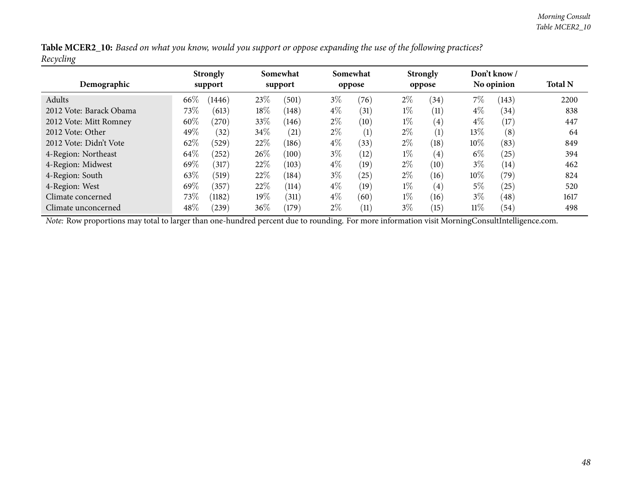|           |  |  | Table MCER2_10: Based on what you know, would you support or oppose expanding the use of the following practices? |
|-----------|--|--|-------------------------------------------------------------------------------------------------------------------|
| Recycling |  |  |                                                                                                                   |

| Demographic             |      | <b>Strongly</b><br>support |        | Somewhat<br>support |       | Somewhat<br>oppose |       | <b>Strongly</b><br>oppose |        | Don't know /<br>No opinion | <b>Total N</b> |
|-------------------------|------|----------------------------|--------|---------------------|-------|--------------------|-------|---------------------------|--------|----------------------------|----------------|
| Adults                  | 66\% | (1446)                     | 23%    | (501)               | $3\%$ | (76)               | $2\%$ | (34)                      | 7%     | (143)                      | 2200           |
| 2012 Vote: Barack Obama | 73\% | (613)                      | $18\%$ | (148)               | $4\%$ | (31)               | $1\%$ | (11)                      | $4\%$  | (34)                       | 838            |
| 2012 Vote: Mitt Romney  | 60%  | (270)                      | 33%    | (146)               | $2\%$ | (10)               | $1\%$ | $\left( 4\right)$         | $4\%$  | (17)                       | 447            |
| 2012 Vote: Other        | 49%  | (32)                       | 34\%   | (21)                | $2\%$ | (1)                | $2\%$ | (1)                       | 13%    | (8)                        | 64             |
| 2012 Vote: Didn't Vote  | 62%  | (529)                      | 22%    | (186)               | $4\%$ | (33)               | $2\%$ | (18)                      | 10%    | (83)                       | 849            |
| 4-Region: Northeast     | 64\% | $^{'}252)$                 | $26\%$ | (100)               | $3\%$ | (12)               | $1\%$ | $\left( 4\right)$         | $6\%$  | (25)                       | 394            |
| 4-Region: Midwest       | 69%  | (317)                      | 22%    | (103)               | $4\%$ | (19)               | $2\%$ | (10)                      | $3\%$  | (14)                       | 462            |
| 4-Region: South         | 63%  | (519)                      | 22\%   | (184)               | $3\%$ | (25)               | $2\%$ | (16)                      | $10\%$ | (79)                       | 824            |
| 4-Region: West          | 69%  | (357)                      | 22\%   | (114)               | $4\%$ | (19)               | $1\%$ | (4)                       | 5%     | (25)                       | 520            |
| Climate concerned       | 73\% | (1182)                     | $19\%$ | (311)               | $4\%$ | (60)               | $1\%$ | (16)                      | $3\%$  | (48)                       | 1617           |
| Climate unconcerned     | 48%  | 239)                       | 36\%   | (179)               | $2\%$ | (11)               | $3\%$ | (15)                      | $11\%$ | (54)                       | 498            |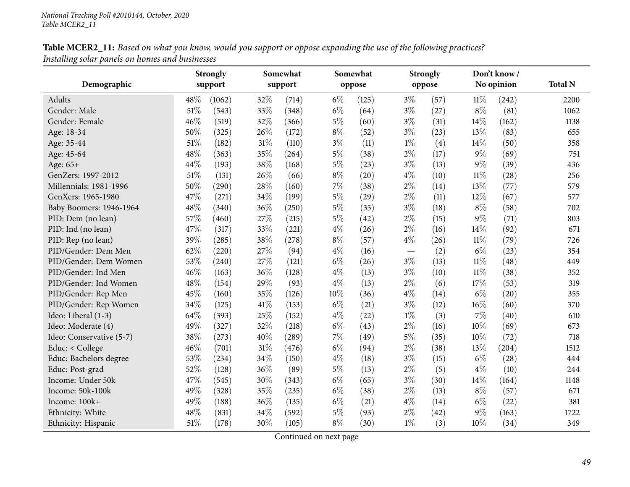| Table MCER2_11: Based on what you know, would you support or oppose expanding the use of the following practices? |  |
|-------------------------------------------------------------------------------------------------------------------|--|
| Installing solar panels on homes and businesses                                                                   |  |

| Demographic              |      | <b>Strongly</b><br>support |        | Somewhat<br>support |       | Somewhat<br>oppose |       | <b>Strongly</b><br>oppose |        | Don't know/<br>No opinion | <b>Total N</b> |
|--------------------------|------|----------------------------|--------|---------------------|-------|--------------------|-------|---------------------------|--------|---------------------------|----------------|
|                          |      |                            |        |                     |       |                    |       |                           |        |                           |                |
| Adults                   | 48%  | (1062)                     | 32%    | (714)               | $6\%$ | (125)              | $3\%$ | (57)                      | $11\%$ | (242)                     | 2200           |
| Gender: Male             | 51%  | (543)                      | 33%    | (348)               | $6\%$ | (64)               | $3\%$ | (27)                      | $8\%$  | (81)                      | 1062           |
| Gender: Female           | 46%  | (519)                      | 32%    | (366)               | $5\%$ | (60)               | $3\%$ | (31)                      | 14%    | (162)                     | 1138           |
| Age: 18-34               | 50%  | (325)                      | 26%    | (172)               | $8\%$ | (52)               | $3\%$ | (23)                      | 13%    | (83)                      | 655            |
| Age: 35-44               | 51%  | (182)                      | 31%    | (110)               | $3\%$ | (11)               | $1\%$ | (4)                       | 14%    | (50)                      | 358            |
| Age: 45-64               | 48%  | (363)                      | 35%    | (264)               | $5\%$ | (38)               | $2\%$ | (17)                      | $9\%$  | (69)                      | 751            |
| Age: 65+                 | 44%  | (193)                      | 38%    | (168)               | $5\%$ | (23)               | $3\%$ | (13)                      | $9\%$  | (39)                      | 436            |
| GenZers: 1997-2012       | 51%  | (131)                      | 26%    | (66)                | $8\%$ | (20)               | $4\%$ | (10)                      | $11\%$ | (28)                      | 256            |
| Millennials: 1981-1996   | 50%  | (290)                      | 28%    | (160)               | 7%    | (38)               | $2\%$ | (14)                      | 13%    | (77)                      | 579            |
| GenXers: 1965-1980       | 47%  | (271)                      | 34%    | (199)               | $5\%$ | (29)               | $2\%$ | (11)                      | 12%    | (67)                      | 577            |
| Baby Boomers: 1946-1964  | 48%  | (340)                      | 36%    | (250)               | $5\%$ | (35)               | $3\%$ | (18)                      | $8\%$  | (58)                      | 702            |
| PID: Dem (no lean)       | 57%  | (460)                      | 27%    | (215)               | $5\%$ | (42)               | $2\%$ | (15)                      | $9\%$  | (71)                      | 803            |
| PID: Ind (no lean)       | 47%  | (317)                      | 33%    | (221)               | $4\%$ | (26)               | $2\%$ | (16)                      | 14%    | (92)                      | 671            |
| PID: Rep (no lean)       | 39%  | (285)                      | 38%    | (278)               | $8\%$ | (57)               | $4\%$ | (26)                      | $11\%$ | (79)                      | 726            |
| PID/Gender: Dem Men      | 62%  | (220)                      | 27%    | (94)                | $4\%$ | (16)               |       | (2)                       | $6\%$  | (23)                      | 354            |
| PID/Gender: Dem Women    | 53%  | (240)                      | 27%    | (121)               | $6\%$ | (26)               | $3\%$ | (13)                      | $11\%$ | (48)                      | 449            |
| PID/Gender: Ind Men      | 46%  | (163)                      | 36%    | (128)               | $4\%$ | (13)               | $3\%$ | (10)                      | $11\%$ | (38)                      | 352            |
| PID/Gender: Ind Women    | 48%  | (154)                      | 29%    | (93)                | $4\%$ | (13)               | $2\%$ | (6)                       | 17%    | (53)                      | 319            |
| PID/Gender: Rep Men      | 45%  | (160)                      | 35%    | (126)               | 10%   | (36)               | $4\%$ | (14)                      | $6\%$  | (20)                      | 355            |
| PID/Gender: Rep Women    | 34%  | (125)                      | 41\%   | (153)               | $6\%$ | (21)               | $3\%$ | (12)                      | 16%    | (60)                      | 370            |
| Ideo: Liberal (1-3)      | 64\% | (393)                      | 25%    | (152)               | $4\%$ | (22)               | $1\%$ | (3)                       | $7\%$  | (40)                      | 610            |
| Ideo: Moderate (4)       | 49%  | (327)                      | 32%    | (218)               | $6\%$ | (43)               | $2\%$ | (16)                      | 10%    | (69)                      | 673            |
| Ideo: Conservative (5-7) | 38%  | (273)                      | 40%    | (289)               | 7%    | (49)               | $5\%$ | (35)                      | 10%    | (72)                      | 718            |
| Educ: < College          | 46%  | (701)                      | $31\%$ | (476)               | $6\%$ | (94)               | $2\%$ | (38)                      | 13%    | (204)                     | 1512           |
| Educ: Bachelors degree   | 53%  | (234)                      | 34%    | (150)               | $4\%$ | (18)               | $3\%$ | (15)                      | $6\%$  | (28)                      | 444            |
| Educ: Post-grad          | 52%  | (128)                      | 36%    | (89)                | $5\%$ | (13)               | $2\%$ | (5)                       | $4\%$  | (10)                      | 244            |
| Income: Under 50k        | 47%  | (545)                      | 30%    | (343)               | $6\%$ | (65)               | $3\%$ | (30)                      | $14\%$ | (164)                     | 1148           |
| Income: 50k-100k         | 49%  | (328)                      | $35\%$ | (235)               | $6\%$ | (38)               | $2\%$ | (13)                      | $8\%$  | (57)                      | 671            |
| Income: 100k+            | 49%  | (188)                      | 36%    | (135)               | $6\%$ | (21)               | $4\%$ | (14)                      | $6\%$  | (22)                      | 381            |
| Ethnicity: White         | 48%  | (831)                      | 34%    | (592)               | $5\%$ | (93)               | $2\%$ | (42)                      | 9%     | (163)                     | 1722           |
| Ethnicity: Hispanic      | 51%  | (178)                      | 30%    | (105)               | $8\%$ | (30)               | $1\%$ | (3)                       | 10%    | (34)                      | 349            |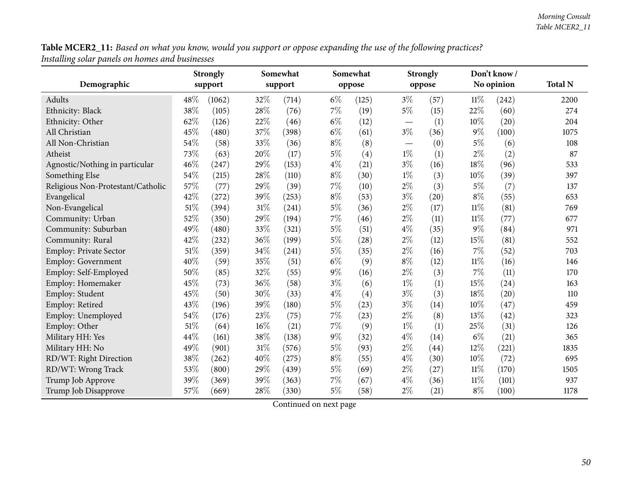Table MCER2\_11: Based on what you know, would you support or oppose expanding the use of the following practices? *Installing solar panels on homes and businesses*

|                                   |        | <b>Strongly</b> |        | Somewhat |       | Somewhat |                               | <b>Strongly</b> |        | Don't know/<br>No opinion | <b>Total N</b> |
|-----------------------------------|--------|-----------------|--------|----------|-------|----------|-------------------------------|-----------------|--------|---------------------------|----------------|
| Demographic                       |        | support         |        | support  |       | oppose   |                               | oppose          |        |                           |                |
| Adults                            | 48%    | (1062)          | 32%    | (714)    | $6\%$ | (125)    | $3\%$                         | (57)            | $11\%$ | (242)                     | 2200           |
| Ethnicity: Black                  | 38%    | (105)           | $28\%$ | (76)     | $7\%$ | (19)     | $5\%$                         | (15)            | 22%    | (60)                      | 274            |
| Ethnicity: Other                  | 62%    | (126)           | 22%    | (46)     | $6\%$ | (12)     |                               | (1)             | 10%    | (20)                      | 204            |
| All Christian                     | 45%    | (480)           | 37%    | (398)    | $6\%$ | (61)     | $3\%$                         | (36)            | $9\%$  | (100)                     | 1075           |
| All Non-Christian                 | 54%    | (58)            | 33%    | (36)     | $8\%$ | (8)      | $\overbrace{\phantom{aaaaa}}$ | (0)             | 5%     | (6)                       | 108            |
| Atheist                           | 73%    | (63)            | 20%    | (17)     | $5\%$ | (4)      | $1\%$                         | (1)             | $2\%$  | (2)                       | 87             |
| Agnostic/Nothing in particular    | 46%    | (247)           | 29%    | (153)    | $4\%$ | (21)     | $3\%$                         | (16)            | 18%    | (96)                      | 533            |
| Something Else                    | 54%    | (215)           | 28%    | (110)    | $8\%$ | (30)     | $1\%$                         | (3)             | 10%    | (39)                      | 397            |
| Religious Non-Protestant/Catholic | 57%    | (77)            | 29%    | (39)     | 7%    | (10)     | $2\%$                         | (3)             | $5\%$  | (7)                       | 137            |
| Evangelical                       | 42%    | (272)           | 39%    | (253)    | $8\%$ | (53)     | $3\%$                         | (20)            | $8\%$  | (55)                      | 653            |
| Non-Evangelical                   | 51%    | (394)           | $31\%$ | (241)    | $5\%$ | (36)     | $2\%$                         | (17)            | $11\%$ | (81)                      | 769            |
| Community: Urban                  | 52%    | (350)           | 29%    | (194)    | 7%    | (46)     | $2\%$                         | (11)            | 11%    | (77)                      | 677            |
| Community: Suburban               | 49%    | (480)           | 33%    | (321)    | $5\%$ | (51)     | $4\%$                         | (35)            | $9\%$  | (84)                      | 971            |
| Community: Rural                  | 42%    | (232)           | $36\%$ | (199)    | $5\%$ | (28)     | $2\%$                         | (12)            | 15%    | (81)                      | 552            |
| Employ: Private Sector            | $51\%$ | (359)           | 34%    | (241)    | $5\%$ | (35)     | $2\%$                         | (16)            | 7%     | (52)                      | 703            |
| <b>Employ: Government</b>         | 40%    | (59)            | $35\%$ | (51)     | $6\%$ | (9)      | $8\%$                         | (12)            | $11\%$ | (16)                      | 146            |
| Employ: Self-Employed             | 50%    | (85)            | 32%    | (55)     | $9\%$ | (16)     | $2\%$                         | (3)             | 7%     | (11)                      | 170            |
| Employ: Homemaker                 | 45%    | (73)            | 36%    | (58)     | $3\%$ | (6)      | $1\%$                         | (1)             | 15%    | (24)                      | 163            |
| Employ: Student                   | 45%    | (50)            | 30%    | (33)     | $4\%$ | (4)      | $3\%$                         | (3)             | 18%    | (20)                      | 110            |
| Employ: Retired                   | 43%    | (196)           | 39%    | (180)    | $5\%$ | (23)     | $3\%$                         | (14)            | 10%    | (47)                      | 459            |
| Employ: Unemployed                | 54%    | (176)           | 23\%   | (75)     | 7%    | (23)     | $2\%$                         | (8)             | 13%    | (42)                      | 323            |
| Employ: Other                     | 51%    | (64)            | $16\%$ | (21)     | 7%    | (9)      | $1\%$                         | (1)             | 25%    | (31)                      | 126            |
| Military HH: Yes                  | 44%    | (161)           | 38%    | (138)    | $9\%$ | (32)     | $4\%$                         | (14)            | $6\%$  | (21)                      | 365            |
| Military HH: No                   | 49%    | (901)           | $31\%$ | (576)    | $5\%$ | (93)     | $2\%$                         | (44)            | 12%    | (221)                     | 1835           |
| RD/WT: Right Direction            | 38%    | (262)           | 40%    | (275)    | $8\%$ | (55)     | $4\%$                         | (30)            | 10%    | (72)                      | 695            |
| RD/WT: Wrong Track                | 53%    | (800)           | 29%    | (439)    | $5\%$ | (69)     | $2\%$                         | (27)            | $11\%$ | (170)                     | 1505           |
| Trump Job Approve                 | 39%    | (369)           | 39%    | (363)    | 7%    | (67)     | $4\%$                         | (36)            | 11%    | (101)                     | 937            |
| Trump Job Disapprove              | 57%    | (669)           | 28%    | (330)    | $5\%$ | (58)     | $2\%$                         | (21)            | $8\%$  | (100)                     | 1178           |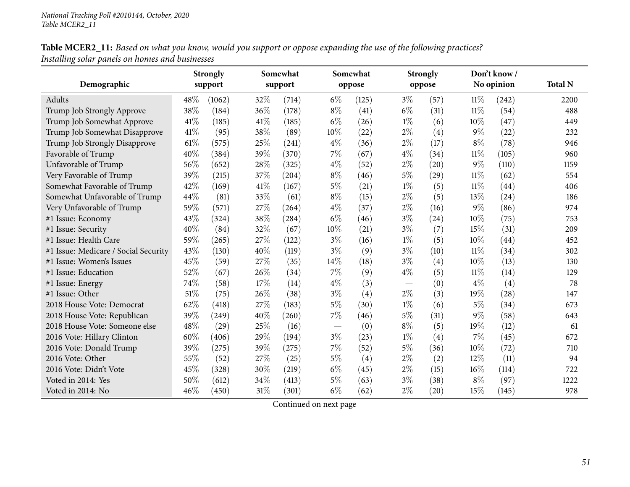Table MCER2\_11: Based on what you know, would you support or oppose expanding the use of the following practices? *Installing solar panels on homes and businesses*

|                                      | <b>Strongly</b><br>support |        |        | Somewhat<br>support |                          | Somewhat<br>oppose |       | <b>Strongly</b> | Don't know/ |            |                |
|--------------------------------------|----------------------------|--------|--------|---------------------|--------------------------|--------------------|-------|-----------------|-------------|------------|----------------|
| Demographic                          |                            |        |        |                     |                          |                    |       | oppose          |             | No opinion | <b>Total N</b> |
| Adults                               | 48%                        | (1062) | 32%    | (714)               | $6\%$                    | (125)              | $3\%$ | (57)            | $11\%$      | (242)      | 2200           |
| Trump Job Strongly Approve           | 38%                        | (184)  | 36%    | (178)               | $8\%$                    | (41)               | $6\%$ | (31)            | $11\%$      | (54)       | 488            |
| Trump Job Somewhat Approve           | 41\%                       | (185)  | 41\%   | (185)               | $6\%$                    | (26)               | $1\%$ | (6)             | 10%         | (47)       | 449            |
| Trump Job Somewhat Disapprove        | 41\%                       | (95)   | 38%    | (89)                | 10%                      | (22)               | $2\%$ | (4)             | $9\%$       | (22)       | 232            |
| Trump Job Strongly Disapprove        | 61%                        | (575)  | 25%    | (241)               | $4\%$                    | (36)               | $2\%$ | (17)            | $8\%$       | (78)       | 946            |
| Favorable of Trump                   | 40%                        | (384)  | 39%    | (370)               | 7%                       | (67)               | $4\%$ | (34)            | $11\%$      | (105)      | 960            |
| Unfavorable of Trump                 | 56%                        | (652)  | $28\%$ | (325)               | $4\%$                    | (52)               | $2\%$ | (20)            | $9\%$       | (110)      | 1159           |
| Very Favorable of Trump              | 39%                        | (215)  | 37%    | (204)               | $8\%$                    | (46)               | $5\%$ | (29)            | $11\%$      | (62)       | 554            |
| Somewhat Favorable of Trump          | 42%                        | (169)  | 41\%   | (167)               | $5\%$                    | (21)               | $1\%$ | (5)             | $11\%$      | (44)       | 406            |
| Somewhat Unfavorable of Trump        | 44%                        | (81)   | 33%    | (61)                | $8\%$                    | (15)               | $2\%$ | (5)             | 13%         | (24)       | 186            |
| Very Unfavorable of Trump            | 59%                        | (571)  | 27%    | (264)               | $4\%$                    | (37)               | $2\%$ | (16)            | $9\%$       | (86)       | 974            |
| #1 Issue: Economy                    | 43%                        | (324)  | 38%    | (284)               | $6\%$                    | (46)               | $3\%$ | (24)            | 10%         | (75)       | 753            |
| #1 Issue: Security                   | 40%                        | (84)   | 32%    | (67)                | 10%                      | (21)               | $3\%$ | (7)             | 15%         | (31)       | 209            |
| #1 Issue: Health Care                | 59%                        | (265)  | 27%    | (122)               | $3\%$                    | (16)               | $1\%$ | (5)             | 10%         | (44)       | 452            |
| #1 Issue: Medicare / Social Security | 43%                        | (130)  | 40%    | (119)               | $3\%$                    | (9)                | $3\%$ | (10)            | $11\%$      | (34)       | 302            |
| #1 Issue: Women's Issues             | 45%                        | (59)   | 27%    | (35)                | 14%                      | (18)               | $3\%$ | (4)             | 10%         | (13)       | 130            |
| #1 Issue: Education                  | 52%                        | (67)   | 26%    | (34)                | 7%                       | (9)                | $4\%$ | (5)             | $11\%$      | (14)       | 129            |
| #1 Issue: Energy                     | 74%                        | (58)   | 17%    | (14)                | $4\%$                    | (3)                |       | (0)             | $4\%$       | (4)        | 78             |
| #1 Issue: Other                      | 51%                        | (75)   | 26%    | (38)                | $3\%$                    | (4)                | $2\%$ | (3)             | 19%         | (28)       | 147            |
| 2018 House Vote: Democrat            | 62%                        | (418)  | 27%    | (183)               | $5\%$                    | (30)               | $1\%$ | (6)             | $5\%$       | (34)       | 673            |
| 2018 House Vote: Republican          | 39%                        | (249)  | 40%    | (260)               | $7\%$                    | (46)               | $5\%$ | (31)            | $9\%$       | (58)       | 643            |
| 2018 House Vote: Someone else        | 48%                        | (29)   | 25%    | (16)                | $\overline{\phantom{0}}$ | (0)                | $8\%$ | (5)             | 19%         | (12)       | 61             |
| 2016 Vote: Hillary Clinton           | 60%                        | (406)  | 29%    | (194)               | $3\%$                    | (23)               | $1\%$ | (4)             | 7%          | (45)       | 672            |
| 2016 Vote: Donald Trump              | 39%                        | (275)  | 39%    | (275)               | 7%                       | (52)               | $5\%$ | (36)            | 10%         | (72)       | 710            |
| 2016 Vote: Other                     | 55%                        | (52)   | 27%    | (25)                | $5\%$                    | (4)                | $2\%$ | (2)             | 12%         | (11)       | 94             |
| 2016 Vote: Didn't Vote               | 45%                        | (328)  | 30%    | (219)               | $6\%$                    | (45)               | $2\%$ | (15)            | 16%         | (114)      | 722            |
| Voted in 2014: Yes                   | 50%                        | (612)  | 34%    | (413)               | $5\%$                    | (63)               | $3\%$ | (38)            | $8\%$       | (97)       | 1222           |
| Voted in 2014: No                    | 46%                        | (450)  | $31\%$ | (301)               | $6\%$                    | (62)               | $2\%$ | (20)            | 15%         | (145)      | 978            |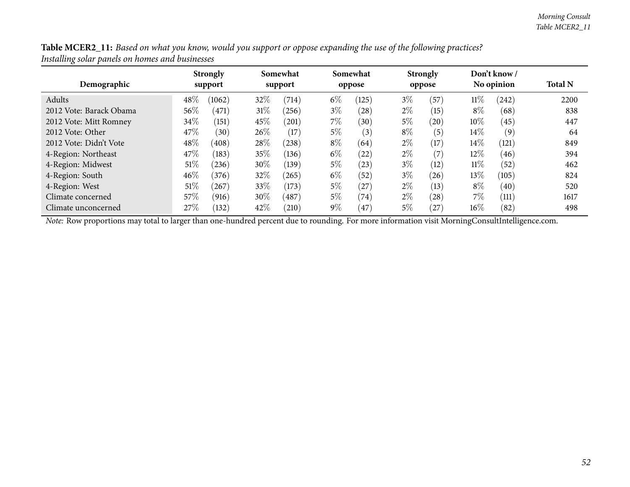| Table MCER2_11: Based on what you know, would you support or oppose expanding the use of the following practices? |
|-------------------------------------------------------------------------------------------------------------------|
| Installing solar panels on homes and businesses                                                                   |

| Demographic             | <b>Strongly</b><br>support |        | Somewhat<br>support |       |       | Somewhat<br>oppose | <b>Strongly</b><br>oppose |           |        | Don't know /<br>No opinion | <b>Total N</b> |
|-------------------------|----------------------------|--------|---------------------|-------|-------|--------------------|---------------------------|-----------|--------|----------------------------|----------------|
|                         |                            |        |                     |       |       |                    |                           |           |        |                            |                |
| Adults                  | 48%                        | (1062) | 32\%                | (714) | $6\%$ | (125)              | $3\%$                     | (57)      | $11\%$ | (242)                      | 2200           |
| 2012 Vote: Barack Obama | 56\%                       | (471)  | $31\%$              | (256) | $3\%$ | (28)               | $2\%$                     | (15)      | $8\%$  | (68)                       | 838            |
| 2012 Vote: Mitt Romney  | $34\%$                     | (151)  | 45\%                | (201) | $7\%$ | (30)               | $5\%$                     | $^{'}20)$ | $10\%$ | (45)                       | 447            |
| 2012 Vote: Other        | 47%                        | (30)   | $26\%$              | (17)  | $5\%$ | (3)                | $8\%$                     | (5)       | $14\%$ | (9)                        | 64             |
| 2012 Vote: Didn't Vote  | 48%                        | (408)  | 28\%                | (238) | $8\%$ | (64)               | $2\%$                     | (17)      | $14\%$ | (121)                      | 849            |
| 4-Region: Northeast     | 47%                        | (183)  | 35%                 | (136) | $6\%$ | (22)               | $2\%$                     | (7)       | $12\%$ | (46)                       | 394            |
| 4-Region: Midwest       | $51\%$                     | (236)  | 30%                 | (139) | $5\%$ | (23)               | $3\%$                     | (12)      | $11\%$ | (52)                       | 462            |
| 4-Region: South         | 46%                        | (376)  | 32\%                | (265) | $6\%$ | (52)               | $3\%$                     | $^{'}26)$ | 13%    | (105)                      | 824            |
| 4-Region: West          | 51\%                       | 267    | 33\%                | (173) | $5\%$ | (27)               | $2\%$                     | (13)      | $8\%$  | (40)                       | 520            |
| Climate concerned       | 57\%                       | (916)  | $30\%$              | (487) | $5\%$ | (74)               | $2\%$                     | (28)      | $7\%$  | (111)                      | 1617           |
| Climate unconcerned     | 27\%                       | (132)  | 42\%                | (210) | $9\%$ | 47                 | 5%                        | $^{'}27)$ | $16\%$ | (82)                       | 498            |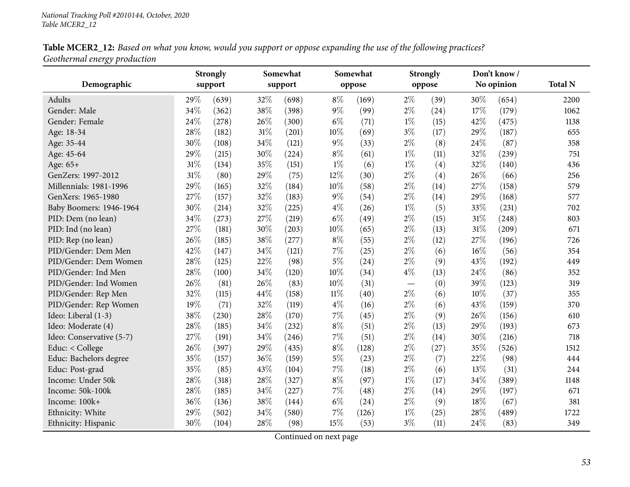Table MCER2\_12: Based on what you know, would you support or oppose expanding the use of the following practices? *Geothermal energy production*

|                          |      | <b>Strongly</b> |        | Somewhat |        | Somewhat |       | <b>Strongly</b> |      | Don't know/ |                |
|--------------------------|------|-----------------|--------|----------|--------|----------|-------|-----------------|------|-------------|----------------|
| Demographic              |      | support         |        | support  |        | oppose   |       | oppose          |      | No opinion  | <b>Total N</b> |
| Adults                   | 29%  | (639)           | 32%    | (698)    | $8\%$  | (169)    | $2\%$ | (39)            | 30%  | (654)       | 2200           |
| Gender: Male             | 34%  | (362)           | 38%    | (398)    | $9\%$  | (99)     | $2\%$ | (24)            | 17%  | (179)       | 1062           |
| Gender: Female           | 24%  | (278)           | 26%    | (300)    | $6\%$  | (71)     | $1\%$ | (15)            | 42%  | (475)       | 1138           |
| Age: 18-34               | 28%  | (182)           | $31\%$ | (201)    | $10\%$ | (69)     | $3\%$ | (17)            | 29%  | (187)       | 655            |
| Age: 35-44               | 30%  | (108)           | 34%    | (121)    | $9\%$  | (33)     | $2\%$ | (8)             | 24%  | (87)        | 358            |
| Age: 45-64               | 29%  | (215)           | 30%    | (224)    | $8\%$  | (61)     | $1\%$ | (11)            | 32%  | (239)       | 751            |
| Age: 65+                 | 31%  | (134)           | 35%    | (151)    | $1\%$  | (6)      | $1\%$ | (4)             | 32%  | (140)       | 436            |
| GenZers: 1997-2012       | 31%  | (80)            | 29%    | (75)     | 12%    | (30)     | $2\%$ | (4)             | 26%  | (66)        | 256            |
| Millennials: 1981-1996   | 29%  | (165)           | 32%    | (184)    | 10%    | (58)     | $2\%$ | (14)            | 27%  | (158)       | 579            |
| GenXers: 1965-1980       | 27%  | (157)           | 32%    | (183)    | $9\%$  | (54)     | $2\%$ | (14)            | 29%  | (168)       | 577            |
| Baby Boomers: 1946-1964  | 30%  | (214)           | 32%    | (225)    | $4\%$  | (26)     | $1\%$ | (5)             | 33%  | (231)       | 702            |
| PID: Dem (no lean)       | 34%  | (273)           | 27%    | (219)    | $6\%$  | (49)     | $2\%$ | (15)            | 31%  | (248)       | 803            |
| PID: Ind (no lean)       | 27\% | (181)           | 30%    | (203)    | 10%    | (65)     | $2\%$ | (13)            | 31%  | (209)       | 671            |
| PID: Rep (no lean)       | 26%  | (185)           | 38\%   | (277)    | $8\%$  | (55)     | $2\%$ | (12)            | 27%  | (196)       | 726            |
| PID/Gender: Dem Men      | 42%  | (147)           | 34%    | (121)    | 7%     | (25)     | $2\%$ | (6)             | 16%  | (56)        | 354            |
| PID/Gender: Dem Women    | 28%  | (125)           | 22%    | (98)     | $5\%$  | (24)     | $2\%$ | (9)             | 43%  | (192)       | 449            |
| PID/Gender: Ind Men      | 28%  | (100)           | 34%    | (120)    | $10\%$ | (34)     | $4\%$ | (13)            | 24%  | (86)        | 352            |
| PID/Gender: Ind Women    | 26%  | (81)            | 26%    | (83)     | 10%    | (31)     |       | (0)             | 39%  | (123)       | 319            |
| PID/Gender: Rep Men      | 32%  | (115)           | 44%    | (158)    | $11\%$ | (40)     | $2\%$ | (6)             | 10%  | (37)        | 355            |
| PID/Gender: Rep Women    | 19%  | (71)            | 32%    | (119)    | $4\%$  | (16)     | $2\%$ | (6)             | 43%  | (159)       | 370            |
| Ideo: Liberal (1-3)      | 38%  | (230)           | 28%    | (170)    | 7%     | (45)     | $2\%$ | (9)             | 26%  | (156)       | 610            |
| Ideo: Moderate (4)       | 28%  | (185)           | 34%    | (232)    | $8\%$  | (51)     | $2\%$ | (13)            | 29%  | (193)       | 673            |
| Ideo: Conservative (5-7) | 27%  | (191)           | 34%    | (246)    | $7\%$  | (51)     | $2\%$ | (14)            | 30%  | (216)       | 718            |
| Educ: < College          | 26%  | (397)           | 29%    | (435)    | $8\%$  | (128)    | $2\%$ | (27)            | 35%  | (526)       | 1512           |
| Educ: Bachelors degree   | 35%  | (157)           | 36%    | (159)    | $5\%$  | (23)     | $2\%$ | (7)             | 22%  | (98)        | 444            |
| Educ: Post-grad          | 35%  | (85)            | 43%    | (104)    | $7\%$  | (18)     | $2\%$ | (6)             | 13%  | (31)        | 244            |
| Income: Under 50k        | 28%  | (318)           | $28\%$ | (327)    | $8\%$  | (97)     | $1\%$ | (17)            | 34%  | (389)       | 1148           |
| Income: 50k-100k         | 28%  | (185)           | 34%    | (227)    | $7\%$  | (48)     | $2\%$ | (14)            | 29%  | (197)       | 671            |
| Income: 100k+            | 36%  | (136)           | 38%    | (144)    | $6\%$  | (24)     | $2\%$ | (9)             | 18%  | (67)        | 381            |
| Ethnicity: White         | 29%  | (502)           | 34%    | (580)    | $7\%$  | (126)    | $1\%$ | (25)            | 28%  | (489)       | 1722           |
| Ethnicity: Hispanic      | 30%  | (104)           | 28%    | (98)     | 15%    | (53)     | $3\%$ | (11)            | 24\% | (83)        | 349            |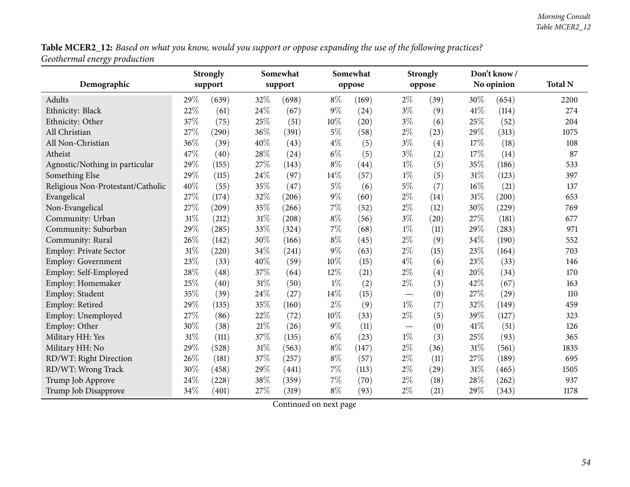Table MCER2\_12: Based on what you know, would you support or oppose expanding the use of the following practices? *Geothermal energy production*

|                                   |        | <b>Strongly</b> |        | Somewhat<br>Somewhat |        |        | <b>Strongly</b>                 |        | Don't know/ |            |                |
|-----------------------------------|--------|-----------------|--------|----------------------|--------|--------|---------------------------------|--------|-------------|------------|----------------|
| Demographic                       |        | support         |        | support              |        | oppose |                                 | oppose |             | No opinion | <b>Total N</b> |
| Adults                            | 29%    | (639)           | 32%    | (698)                | $8\%$  | (169)  | $2\%$                           | (39)   | 30%         | (654)      | 2200           |
| Ethnicity: Black                  | 22%    | (61)            | $24\%$ | (67)                 | $9\%$  | (24)   | $3\%$                           | (9)    | 41%         | (114)      | 274            |
| Ethnicity: Other                  | 37%    | (75)            | 25%    | (51)                 | 10%    | (20)   | $3\%$                           | (6)    | 25%         | (52)       | 204            |
| All Christian                     | 27%    | (290)           | 36%    | (391)                | $5\%$  | (58)   | $2\%$                           | (23)   | 29%         | (313)      | 1075           |
| All Non-Christian                 | 36%    | (39)            | 40%    | (43)                 | $4\%$  | (5)    | $3\%$                           | (4)    | 17%         | (18)       | 108            |
| Atheist                           | 47%    | (40)            | $28\%$ | (24)                 | $6\%$  | (5)    | $3\%$                           | (2)    | 17%         | (14)       | 87             |
| Agnostic/Nothing in particular    | 29%    | (155)           | $27\%$ | (143)                | $8\%$  | (44)   | $1\%$                           | (5)    | 35%         | (186)      | 533            |
| Something Else                    | 29%    | (115)           | $24\%$ | (97)                 | $14\%$ | (57)   | $1\%$                           | (5)    | 31%         | (123)      | 397            |
| Religious Non-Protestant/Catholic | 40%    | (55)            | 35%    | (47)                 | $5\%$  | (6)    | $5\%$                           | (7)    | 16%         | (21)       | 137            |
| Evangelical                       | 27%    | (174)           | 32%    | (206)                | $9\%$  | (60)   | $2\%$                           | (14)   | 31%         | (200)      | 653            |
| Non-Evangelical                   | 27%    | (209)           | 35%    | (266)                | 7%     | (52)   | $2\%$                           | (12)   | 30%         | (229)      | 769            |
| Community: Urban                  | 31%    | (212)           | 31%    | (208)                | $8\%$  | (56)   | $3\%$                           | (20)   | 27%         | (181)      | 677            |
| Community: Suburban               | 29%    | (285)           | 33%    | (324)                | 7%     | (68)   | $1\%$                           | (11)   | 29%         | (283)      | 971            |
| Community: Rural                  | 26%    | (142)           | $30\%$ | (166)                | $8\%$  | (45)   | $2\%$                           | (9)    | 34%         | (190)      | 552            |
| Employ: Private Sector            | $31\%$ | (220)           | 34%    | (241)                | $9\%$  | (63)   | $2\%$                           | (15)   | 23%         | (164)      | 703            |
| Employ: Government                | 23%    | (33)            | 40%    | (59)                 | $10\%$ | (15)   | $4\%$                           | (6)    | 23%         | (33)       | 146            |
| Employ: Self-Employed             | 28%    | (48)            | 37%    | (64)                 | 12%    | (21)   | $2\%$                           | (4)    | 20%         | (34)       | 170            |
| Employ: Homemaker                 | 25%    | (40)            | 31%    | (50)                 | $1\%$  | (2)    | $2\%$                           | (3)    | 42%         | (67)       | 163            |
| Employ: Student                   | 35%    | (39)            | 24%    | (27)                 | 14%    | (15)   | $\hspace{0.1mm}-\hspace{0.1mm}$ | (0)    | 27%         | (29)       | 110            |
| Employ: Retired                   | 29%    | (135)           | $35\%$ | (160)                | $2\%$  | (9)    | $1\%$                           | (7)    | 32%         | (149)      | 459            |
| Employ: Unemployed                | 27%    | (86)            | 22\%   | (72)                 | 10%    | (33)   | $2\%$                           | (5)    | 39%         | (127)      | 323            |
| Employ: Other                     | 30%    | (38)            | 21%    | (26)                 | $9\%$  | (11)   | $\overbrace{\phantom{aaaaa}}$   | (0)    | 41\%        | (51)       | 126            |
| Military HH: Yes                  | 31%    | (111)           | 37%    | (135)                | $6\%$  | (23)   | $1\%$                           | (3)    | 25%         | (93)       | 365            |
| Military HH: No                   | 29%    | (528)           | 31%    | (563)                | $8\%$  | (147)  | $2\%$                           | (36)   | 31%         | (561)      | 1835           |
| RD/WT: Right Direction            | 26%    | (181)           | 37\%   | (257)                | $8\%$  | (57)   | $2\%$                           | (11)   | 27%         | (189)      | 695            |
| RD/WT: Wrong Track                | 30%    | (458)           | 29%    | (441)                | $7\%$  | (113)  | $2\%$                           | (29)   | 31%         | (465)      | 1505           |
| Trump Job Approve                 | 24%    | (228)           | 38%    | (359)                | 7%     | (70)   | $2\%$                           | (18)   | 28%         | (262)      | 937            |
| Trump Job Disapprove              | 34%    | (401)           | 27%    | (319)                | $8\%$  | (93)   | $2\%$                           | (21)   | 29%         | (343)      | 1178           |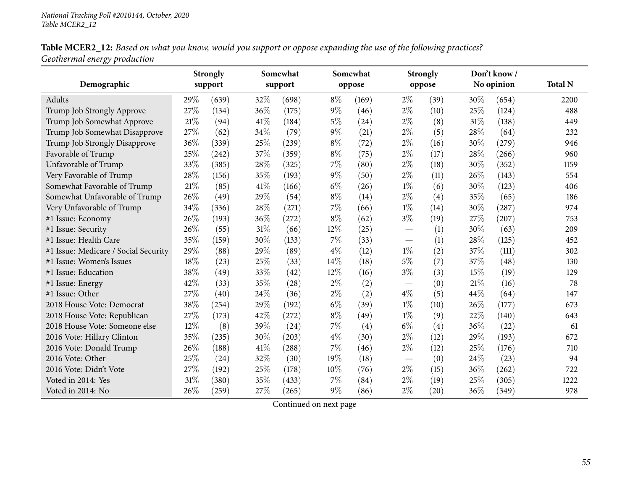Table MCER2\_12: Based on what you know, would you support or oppose expanding the use of the following practices? *Geothermal energy production*

|                                      |     | <b>Strongly</b> | Somewhat |         |       | Somewhat |       | <b>Strongly</b> |        | Don't know/ |                |
|--------------------------------------|-----|-----------------|----------|---------|-------|----------|-------|-----------------|--------|-------------|----------------|
| Demographic                          |     | support         |          | support |       | oppose   |       | oppose          |        | No opinion  | <b>Total N</b> |
| Adults                               | 29% | (639)           | 32%      | (698)   | $8\%$ | (169)    | $2\%$ | (39)            | $30\%$ | (654)       | 2200           |
| Trump Job Strongly Approve           | 27% | (134)           | 36%      | (175)   | $9\%$ | (46)     | $2\%$ | (10)            | 25%    | (124)       | 488            |
| Trump Job Somewhat Approve           | 21% | (94)            | 41\%     | (184)   | $5\%$ | (24)     | $2\%$ | (8)             | 31%    | (138)       | 449            |
| Trump Job Somewhat Disapprove        | 27% | (62)            | 34%      | (79)    | $9\%$ | (21)     | $2\%$ | (5)             | 28%    | (64)        | 232            |
| Trump Job Strongly Disapprove        | 36% | (339)           | 25%      | (239)   | $8\%$ | (72)     | $2\%$ | (16)            | 30%    | (279)       | 946            |
| Favorable of Trump                   | 25% | (242)           | 37%      | (359)   | $8\%$ | (75)     | $2\%$ | (17)            | 28%    | (266)       | 960            |
| Unfavorable of Trump                 | 33% | (385)           | 28%      | (325)   | 7%    | (80)     | $2\%$ | (18)            | 30%    | (352)       | 1159           |
| Very Favorable of Trump              | 28% | (156)           | 35%      | (193)   | $9\%$ | (50)     | $2\%$ | (11)            | 26%    | (143)       | 554            |
| Somewhat Favorable of Trump          | 21% | (85)            | 41\%     | (166)   | $6\%$ | (26)     | $1\%$ | (6)             | 30%    | (123)       | 406            |
| Somewhat Unfavorable of Trump        | 26% | (49)            | 29%      | (54)    | $8\%$ | (14)     | $2\%$ | (4)             | 35%    | (65)        | 186            |
| Very Unfavorable of Trump            | 34% | (336)           | 28%      | (271)   | 7%    | (66)     | $1\%$ | (14)            | 30%    | (287)       | 974            |
| #1 Issue: Economy                    | 26% | (193)           | 36\%     | (272)   | $8\%$ | (62)     | $3\%$ | (19)            | 27%    | (207)       | 753            |
| #1 Issue: Security                   | 26% | (55)            | $31\%$   | (66)    | 12%   | (25)     |       | (1)             | 30%    | (63)        | 209            |
| #1 Issue: Health Care                | 35% | (159)           | 30%      | (133)   | 7%    | (33)     |       | (1)             | 28%    | (125)       | 452            |
| #1 Issue: Medicare / Social Security | 29% | (88)            | 29%      | (89)    | $4\%$ | (12)     | $1\%$ | (2)             | 37%    | (111)       | 302            |
| #1 Issue: Women's Issues             | 18% | (23)            | 25%      | (33)    | 14%   | (18)     | $5\%$ | (7)             | 37%    | (48)        | 130            |
| #1 Issue: Education                  | 38% | (49)            | 33%      | (42)    | 12%   | (16)     | $3\%$ | (3)             | 15%    | (19)        | 129            |
| #1 Issue: Energy                     | 42% | (33)            | 35%      | (28)    | $2\%$ | (2)      |       | (0)             | 21%    | (16)        | 78             |
| #1 Issue: Other                      | 27% | (40)            | 24%      | (36)    | $2\%$ | (2)      | $4\%$ | (5)             | 44%    | (64)        | 147            |
| 2018 House Vote: Democrat            | 38% | (254)           | 29%      | (192)   | $6\%$ | (39)     | $1\%$ | (10)            | 26%    | (177)       | 673            |
| 2018 House Vote: Republican          | 27% | (173)           | 42%      | (272)   | $8\%$ | (49)     | $1\%$ | (9)             | 22%    | (140)       | 643            |
| 2018 House Vote: Someone else        | 12% | (8)             | 39%      | (24)    | 7%    | (4)      | $6\%$ | (4)             | 36%    | (22)        | 61             |
| 2016 Vote: Hillary Clinton           | 35% | (235)           | 30%      | (203)   | $4\%$ | (30)     | $2\%$ | (12)            | 29%    | (193)       | 672            |
| 2016 Vote: Donald Trump              | 26% | (188)           | 41\%     | (288)   | 7%    | (46)     | $2\%$ | (12)            | 25%    | (176)       | 710            |
| 2016 Vote: Other                     | 25% | (24)            | 32%      | (30)    | 19%   | (18)     |       | (0)             | 24\%   | (23)        | 94             |
| 2016 Vote: Didn't Vote               | 27% | (192)           | 25%      | (178)   | 10%   | (76)     | $2\%$ | (15)            | 36%    | (262)       | 722            |
| Voted in 2014: Yes                   | 31% | (380)           | 35%      | (433)   | 7%    | (84)     | $2\%$ | (19)            | 25%    | (305)       | 1222           |
| Voted in 2014: No                    | 26% | (259)           | 27%      | (265)   | $9\%$ | (86)     | $2\%$ | (20)            | 36%    | (349)       | 978            |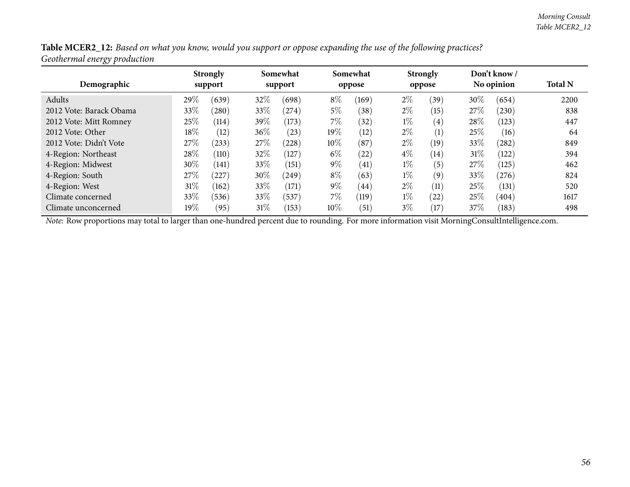| Table MCER2_12: Based on what you know, would you support or oppose expanding the use of the following practices? |  |  |
|-------------------------------------------------------------------------------------------------------------------|--|--|
| Geothermal energy production                                                                                      |  |  |

| Demographic             |        | <b>Strongly</b><br>support | Somewhat<br>support |       |        | Somewhat<br>oppose | <b>Strongly</b><br>oppose |                   | Don't know /<br>No opinion |       | <b>Total N</b> |
|-------------------------|--------|----------------------------|---------------------|-------|--------|--------------------|---------------------------|-------------------|----------------------------|-------|----------------|
| Adults                  | 29%    | (639)                      | 32%                 | (698) | $8\%$  | (169)              | $2\%$                     | (39)              | 30%                        | (654) | 2200           |
|                         |        |                            |                     |       |        |                    |                           |                   |                            |       |                |
| 2012 Vote: Barack Obama | 33%    | (280)                      | 33\%                | (274) | $5\%$  | (38)               | $2\%$                     | (15)              | 27\%                       | (230) | 838            |
| 2012 Vote: Mitt Romney  | 25%    | (114)                      | 39\%                | (173) | 7%     | (32)               | $1\%$                     | $\left( 4\right)$ | 28\%                       | (123) | 447            |
| 2012 Vote: Other        | $18\%$ | (12)                       | $36\%$              | (23)  | 19%    | (12)               | $2\%$                     | (1)               | 25%                        | (16)  | 64             |
| 2012 Vote: Didn't Vote  | 27\%   | (233)                      | 27\%                | (228) | 10%    | (87)               | $2\%$                     | (19)              | 33%                        | (282) | 849            |
| 4-Region: Northeast     | 28%    | (110)                      | 32%                 | (127) | $6\%$  | (22)               | $4\%$                     | (14)              | 31%                        | (122) | 394            |
| 4-Region: Midwest       | 30%    | (141)                      | 33\%                | (151) | $9\%$  | (41)               | $1\%$                     | (5)               | 27\%                       | (125) | 462            |
| 4-Region: South         | 27\%   | $^{'}227$                  | 30%                 | (249) | $8\%$  | (63)               | $1\%$                     | (9)               | 33%                        | (276) | 824            |
| 4-Region: West          | 31\%   | (162)                      | 33\%                | (171) | $9\%$  | (44)               | $2\%$                     | (11)              | 25\%                       | (131) | 520            |
| Climate concerned       | 33%    | (536)                      | 33\%                | (537) | 7%     | (119)              | $1\%$                     | (22)              | 25%                        | (404) | 1617           |
| Climate unconcerned     | $19\%$ | (95)                       | $31\%$              | (153) | $10\%$ | (51)               | $3\%$                     | (17)              | 37%                        | (183) | 498            |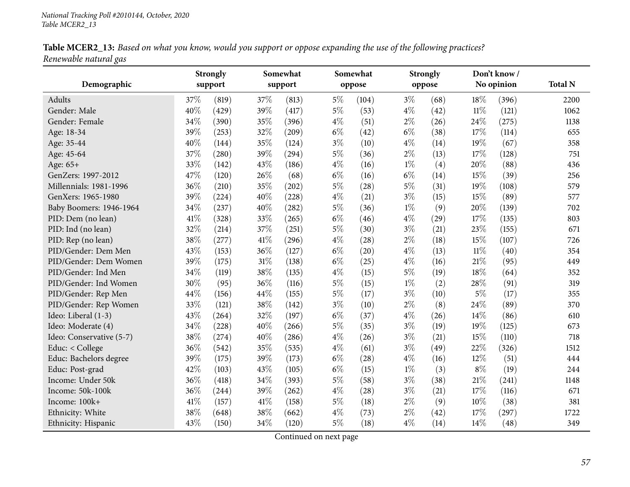|                       | Table MCER2_13: Based on what you know, would you support or oppose expanding the use of the following practices? |
|-----------------------|-------------------------------------------------------------------------------------------------------------------|
| Renewable natural gas |                                                                                                                   |

| Demographic              |      | <b>Strongly</b> | Somewhat<br>support |       |       | Somewhat<br><b>Strongly</b><br>oppose<br>oppose |       |      | Don't know/<br>No opinion |       | <b>Total N</b> |
|--------------------------|------|-----------------|---------------------|-------|-------|-------------------------------------------------|-------|------|---------------------------|-------|----------------|
|                          |      | support         |                     |       |       |                                                 |       |      |                           |       |                |
| Adults                   | 37%  | (819)           | 37%                 | (813) | $5\%$ | (104)                                           | $3\%$ | (68) | 18%                       | (396) | 2200           |
| Gender: Male             | 40%  | (429)           | 39%                 | (417) | $5\%$ | (53)                                            | $4\%$ | (42) | $11\%$                    | (121) | 1062           |
| Gender: Female           | 34%  | (390)           | 35%                 | (396) | $4\%$ | (51)                                            | $2\%$ | (26) | 24%                       | (275) | 1138           |
| Age: 18-34               | 39%  | (253)           | 32%                 | (209) | $6\%$ | (42)                                            | $6\%$ | (38) | 17%                       | (114) | 655            |
| Age: 35-44               | 40%  | (144)           | 35%                 | (124) | $3\%$ | (10)                                            | $4\%$ | (14) | 19%                       | (67)  | 358            |
| Age: 45-64               | 37%  | (280)           | 39%                 | (294) | $5\%$ | (36)                                            | $2\%$ | (13) | $17\%$                    | (128) | 751            |
| Age: 65+                 | 33%  | (142)           | 43%                 | (186) | $4\%$ | (16)                                            | $1\%$ | (4)  | 20%                       | (88)  | 436            |
| GenZers: 1997-2012       | 47%  | (120)           | 26%                 | (68)  | $6\%$ | (16)                                            | $6\%$ | (14) | 15%                       | (39)  | 256            |
| Millennials: 1981-1996   | 36%  | (210)           | 35%                 | (202) | $5\%$ | (28)                                            | $5\%$ | (31) | 19%                       | (108) | 579            |
| GenXers: 1965-1980       | 39%  | (224)           | 40%                 | (228) | $4\%$ | (21)                                            | $3\%$ | (15) | 15%                       | (89)  | 577            |
| Baby Boomers: 1946-1964  | 34%  | (237)           | 40%                 | (282) | $5\%$ | (36)                                            | $1\%$ | (9)  | 20%                       | (139) | 702            |
| PID: Dem (no lean)       | 41\% | (328)           | 33%                 | (265) | $6\%$ | (46)                                            | $4\%$ | (29) | 17%                       | (135) | 803            |
| PID: Ind (no lean)       | 32%  | (214)           | 37%                 | (251) | $5\%$ | (30)                                            | $3\%$ | (21) | 23%                       | (155) | 671            |
| PID: Rep (no lean)       | 38%  | (277)           | 41\%                | (296) | $4\%$ | (28)                                            | $2\%$ | (18) | 15%                       | (107) | 726            |
| PID/Gender: Dem Men      | 43%  | (153)           | 36%                 | (127) | $6\%$ | (20)                                            | $4\%$ | (13) | $11\%$                    | (40)  | 354            |
| PID/Gender: Dem Women    | 39%  | (175)           | $31\%$              | (138) | $6\%$ | (25)                                            | $4\%$ | (16) | $21\%$                    | (95)  | 449            |
| PID/Gender: Ind Men      | 34%  | (119)           | 38%                 | (135) | $4\%$ | (15)                                            | $5\%$ | (19) | 18%                       | (64)  | 352            |
| PID/Gender: Ind Women    | 30%  | (95)            | 36%                 | (116) | $5\%$ | (15)                                            | $1\%$ | (2)  | 28%                       | (91)  | 319            |
| PID/Gender: Rep Men      | 44%  | (156)           | 44%                 | (155) | $5\%$ | (17)                                            | $3\%$ | (10) | $5\%$                     | (17)  | 355            |
| PID/Gender: Rep Women    | 33%  | (121)           | 38%                 | (142) | $3\%$ | (10)                                            | $2\%$ | (8)  | 24%                       | (89)  | 370            |
| Ideo: Liberal (1-3)      | 43%  | (264)           | 32%                 | (197) | $6\%$ | (37)                                            | $4\%$ | (26) | 14%                       | (86)  | 610            |
| Ideo: Moderate (4)       | 34%  | (228)           | 40%                 | (266) | $5\%$ | (35)                                            | $3\%$ | (19) | 19%                       | (125) | 673            |
| Ideo: Conservative (5-7) | 38%  | (274)           | 40%                 | (286) | $4\%$ | (26)                                            | $3\%$ | (21) | 15%                       | (110) | 718            |
| Educ: < College          | 36%  | (542)           | 35%                 | (535) | $4\%$ | (61)                                            | $3\%$ | (49) | 22%                       | (326) | 1512           |
| Educ: Bachelors degree   | 39%  | (175)           | 39%                 | (173) | $6\%$ | (28)                                            | $4\%$ | (16) | 12%                       | (51)  | 444            |
| Educ: Post-grad          | 42%  | (103)           | 43%                 | (105) | $6\%$ | (15)                                            | $1\%$ | (3)  | $8\%$                     | (19)  | 244            |
| Income: Under 50k        | 36%  | (418)           | 34%                 | (393) | $5\%$ | (58)                                            | $3\%$ | (38) | $21\%$                    | (241) | 1148           |
| Income: 50k-100k         | 36%  | (244)           | 39%                 | (262) | $4\%$ | (28)                                            | $3\%$ | (21) | 17%                       | (116) | 671            |
| Income: 100k+            | 41\% | (157)           | $41\%$              | (158) | $5\%$ | (18)                                            | $2\%$ | (9)  | 10%                       | (38)  | 381            |
| Ethnicity: White         | 38%  | (648)           | 38%                 | (662) | $4\%$ | (73)                                            | $2\%$ | (42) | 17%                       | (297) | 1722           |
| Ethnicity: Hispanic      | 43%  | (150)           | 34%                 | (120) | $5\%$ | (18)                                            | $4\%$ | (14) | 14%                       | (48)  | 349            |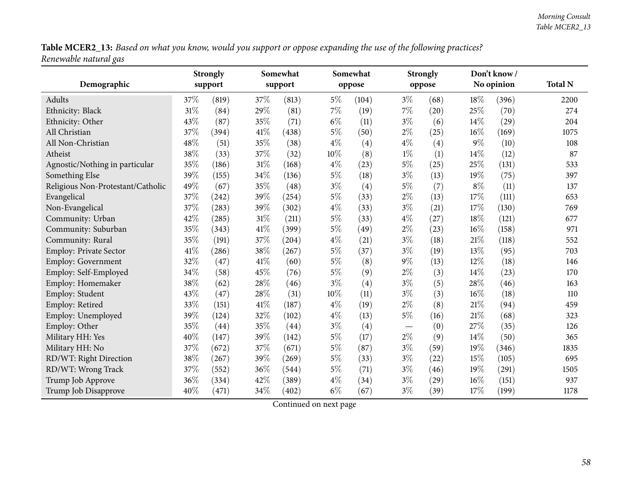Table MCER2\_13: Based on what you know, would you support or oppose expanding the use of the following practices? *Renewable natural gas*

|                                   |      | <b>Strongly</b> | Somewhat |         |       | Somewhat |       | <b>Strongly</b> |        | Don't know/ |                |
|-----------------------------------|------|-----------------|----------|---------|-------|----------|-------|-----------------|--------|-------------|----------------|
| Demographic                       |      | support         |          | support |       | oppose   |       | oppose          |        | No opinion  | <b>Total N</b> |
| Adults                            | 37\% | (819)           | 37%      | (813)   | $5\%$ | (104)    | $3\%$ | (68)            | 18%    | (396)       | 2200           |
| Ethnicity: Black                  | 31%  | (84)            | 29%      | (81)    | $7\%$ | (19)     | 7%    | (20)            | 25%    | (70)        | 274            |
| Ethnicity: Other                  | 43%  | (87)            | 35%      | (71)    | $6\%$ | (11)     | $3\%$ | (6)             | 14%    | (29)        | 204            |
| All Christian                     | 37%  | (394)           | $41\%$   | (438)   | $5\%$ | (50)     | $2\%$ | (25)            | $16\%$ | (169)       | 1075           |
| All Non-Christian                 | 48%  | (51)            | 35%      | (38)    | $4\%$ | (4)      | $4\%$ | (4)             | $9\%$  | (10)        | 108            |
| Atheist                           | 38%  | (33)            | 37%      | (32)    | 10%   | (8)      | $1\%$ | (1)             | 14%    | (12)        | 87             |
| Agnostic/Nothing in particular    | 35%  | (186)           | $31\%$   | (168)   | $4\%$ | (23)     | $5\%$ | (25)            | 25%    | (131)       | 533            |
| Something Else                    | 39%  | (155)           | 34%      | (136)   | $5\%$ | (18)     | $3\%$ | (13)            | 19%    | (75)        | 397            |
| Religious Non-Protestant/Catholic | 49%  | (67)            | 35%      | (48)    | $3\%$ | (4)      | $5\%$ | (7)             | $8\%$  | (11)        | 137            |
| Evangelical                       | 37%  | (242)           | 39%      | (254)   | $5\%$ | (33)     | $2\%$ | (13)            | 17%    | (111)       | 653            |
| Non-Evangelical                   | 37%  | (283)           | 39%      | (302)   | $4\%$ | (33)     | $3\%$ | (21)            | 17%    | (130)       | 769            |
| Community: Urban                  | 42%  | (285)           | $31\%$   | (211)   | $5\%$ | (33)     | $4\%$ | (27)            | 18%    | (121)       | 677            |
| Community: Suburban               | 35%  | (343)           | 41\%     | (399)   | $5\%$ | (49)     | $2\%$ | (23)            | 16%    | (158)       | 971            |
| Community: Rural                  | 35%  | (191)           | 37%      | (204)   | $4\%$ | (21)     | $3\%$ | (18)            | $21\%$ | (118)       | 552            |
| Employ: Private Sector            | 41\% | (286)           | 38\%     | (267)   | $5\%$ | (37)     | $3\%$ | (19)            | 13%    | (95)        | 703            |
| Employ: Government                | 32%  | (47)            | 41\%     | (60)    | $5\%$ | (8)      | 9%    | (13)            | 12%    | (18)        | 146            |
| Employ: Self-Employed             | 34%  | (58)            | 45%      | (76)    | $5\%$ | (9)      | $2\%$ | (3)             | 14%    | (23)        | 170            |
| Employ: Homemaker                 | 38%  | (62)            | 28%      | (46)    | $3\%$ | (4)      | $3\%$ | (5)             | 28%    | (46)        | 163            |
| Employ: Student                   | 43%  | (47)            | 28%      | (31)    | 10%   | (11)     | $3\%$ | (3)             | 16%    | (18)        | 110            |
| Employ: Retired                   | 33%  | (151)           | $41\%$   | (187)   | $4\%$ | (19)     | $2\%$ | (8)             | 21%    | (94)        | 459            |
| Employ: Unemployed                | 39%  | (124)           | 32%      | (102)   | $4\%$ | (13)     | $5\%$ | (16)            | $21\%$ | (68)        | 323            |
| Employ: Other                     | 35%  | (44)            | 35%      | (44)    | $3\%$ | (4)      |       | (0)             | 27%    | (35)        | 126            |
| Military HH: Yes                  | 40%  | (147)           | 39%      | (142)   | $5\%$ | (17)     | $2\%$ | (9)             | 14\%   | (50)        | 365            |
| Military HH: No                   | 37%  | (672)           | 37%      | (671)   | $5\%$ | (87)     | $3\%$ | (59)            | 19%    | (346)       | 1835           |
| RD/WT: Right Direction            | 38%  | (267)           | 39%      | (269)   | $5\%$ | (33)     | $3\%$ | (22)            | 15%    | (105)       | 695            |
| RD/WT: Wrong Track                | 37%  | (552)           | 36%      | (544)   | $5\%$ | (71)     | $3\%$ | (46)            | 19%    | (291)       | 1505           |
| Trump Job Approve                 | 36%  | (334)           | 42%      | (389)   | $4\%$ | (34)     | $3\%$ | (29)            | 16%    | (151)       | 937            |
| Trump Job Disapprove              | 40%  | (471)           | 34%      | (402)   | $6\%$ | (67)     | $3\%$ | (39)            | $17\%$ | (199)       | 1178           |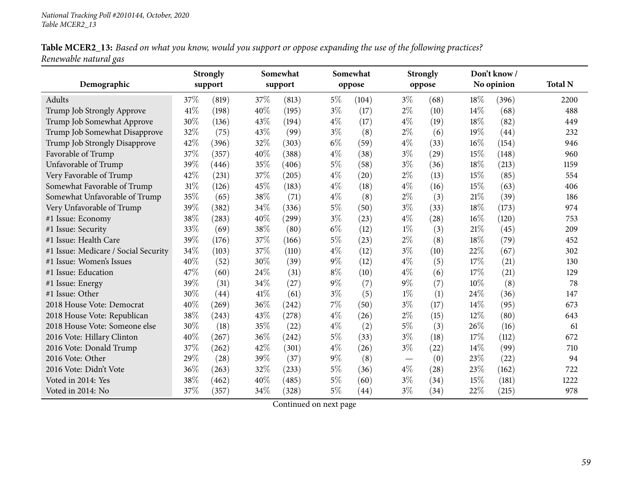Table MCER2\_13: Based on what you know, would you support or oppose expanding the use of the following practices? *Renewable natural gas*

|                                      |      | <b>Strongly</b> | Somewhat |         |       | Somewhat |       | <b>Strongly</b> |        | Don't know/ |                |
|--------------------------------------|------|-----------------|----------|---------|-------|----------|-------|-----------------|--------|-------------|----------------|
| Demographic                          |      | support         |          | support |       | oppose   |       | oppose          |        | No opinion  | <b>Total N</b> |
| Adults                               | 37\% | (819)           | 37%      | (813)   | 5%    | (104)    | $3\%$ | (68)            | 18\%   | (396)       | 2200           |
| Trump Job Strongly Approve           | 41\% | (198)           | 40%      | (195)   | $3\%$ | (17)     | $2\%$ | (10)            | 14\%   | (68)        | 488            |
| Trump Job Somewhat Approve           | 30%  | (136)           | 43%      | (194)   | $4\%$ | (17)     | $4\%$ | (19)            | 18%    | (82)        | 449            |
| Trump Job Somewhat Disapprove        | 32%  | (75)            | 43%      | (99)    | $3\%$ | (8)      | $2\%$ | (6)             | 19%    | (44)        | 232            |
| Trump Job Strongly Disapprove        | 42%  | (396)           | 32%      | (303)   | $6\%$ | (59)     | $4\%$ | (33)            | 16%    | (154)       | 946            |
| Favorable of Trump                   | 37%  | (357)           | 40%      | (388)   | $4\%$ | (38)     | $3\%$ | (29)            | 15%    | (148)       | 960            |
| Unfavorable of Trump                 | 39%  | (446)           | 35%      | (406)   | $5\%$ | (58)     | $3\%$ | (36)            | 18%    | (213)       | 1159           |
| Very Favorable of Trump              | 42%  | (231)           | 37%      | (205)   | $4\%$ | (20)     | $2\%$ | (13)            | 15%    | (85)        | 554            |
| Somewhat Favorable of Trump          | 31%  | (126)           | 45%      | (183)   | $4\%$ | (18)     | $4\%$ | (16)            | 15%    | (63)        | 406            |
| Somewhat Unfavorable of Trump        | 35%  | (65)            | 38%      | (71)    | $4\%$ | (8)      | $2\%$ | (3)             | 21\%   | (39)        | 186            |
| Very Unfavorable of Trump            | 39%  | (382)           | 34%      | (336)   | $5\%$ | (50)     | $3\%$ | (33)            | 18%    | (173)       | 974            |
| #1 Issue: Economy                    | 38%  | (283)           | 40%      | (299)   | $3\%$ | (23)     | $4\%$ | (28)            | $16\%$ | (120)       | 753            |
| #1 Issue: Security                   | 33%  | (69)            | 38%      | (80)    | $6\%$ | (12)     | $1\%$ | (3)             | 21%    | (45)        | 209            |
| #1 Issue: Health Care                | 39%  | (176)           | 37%      | (166)   | $5\%$ | (23)     | $2\%$ | (8)             | 18%    | (79)        | 452            |
| #1 Issue: Medicare / Social Security | 34%  | (103)           | 37%      | (110)   | $4\%$ | (12)     | $3\%$ | (10)            | 22%    | (67)        | 302            |
| #1 Issue: Women's Issues             | 40%  | (52)            | 30%      | (39)    | $9\%$ | (12)     | $4\%$ | (5)             | 17%    | (21)        | 130            |
| #1 Issue: Education                  | 47%  | (60)            | 24%      | (31)    | $8\%$ | (10)     | $4\%$ | (6)             | 17%    | (21)        | 129            |
| #1 Issue: Energy                     | 39%  | (31)            | 34%      | (27)    | $9\%$ | (7)      | 9%    | (7)             | 10%    | (8)         | 78             |
| #1 Issue: Other                      | 30%  | (44)            | 41\%     | (61)    | $3\%$ | (5)      | $1\%$ | (1)             | 24%    | (36)        | 147            |
| 2018 House Vote: Democrat            | 40%  | (269)           | 36%      | (242)   | 7%    | (50)     | $3\%$ | (17)            | 14%    | (95)        | 673            |
| 2018 House Vote: Republican          | 38%  | (243)           | 43%      | (278)   | $4\%$ | (26)     | $2\%$ | (15)            | 12%    | (80)        | 643            |
| 2018 House Vote: Someone else        | 30%  | (18)            | 35%      | (22)    | $4\%$ | (2)      | $5\%$ | (3)             | 26%    | (16)        | 61             |
| 2016 Vote: Hillary Clinton           | 40%  | (267)           | 36%      | (242)   | $5\%$ | (33)     | $3\%$ | (18)            | 17%    | (112)       | 672            |
| 2016 Vote: Donald Trump              | 37%  | (262)           | 42%      | (301)   | $4\%$ | (26)     | $3\%$ | (22)            | 14\%   | (99)        | 710            |
| 2016 Vote: Other                     | 29%  | (28)            | 39%      | (37)    | $9\%$ | (8)      |       | (0)             | 23%    | (22)        | 94             |
| 2016 Vote: Didn't Vote               | 36%  | (263)           | 32%      | (233)   | $5\%$ | (36)     | $4\%$ | (28)            | 23%    | (162)       | 722            |
| Voted in 2014: Yes                   | 38%  | (462)           | 40%      | (485)   | $5\%$ | (60)     | $3\%$ | (34)            | 15%    | (181)       | 1222           |
| Voted in 2014: No                    | 37%  | (357)           | 34%      | (328)   | $5\%$ | (44)     | $3\%$ | (34)            | 22%    | (215)       | 978            |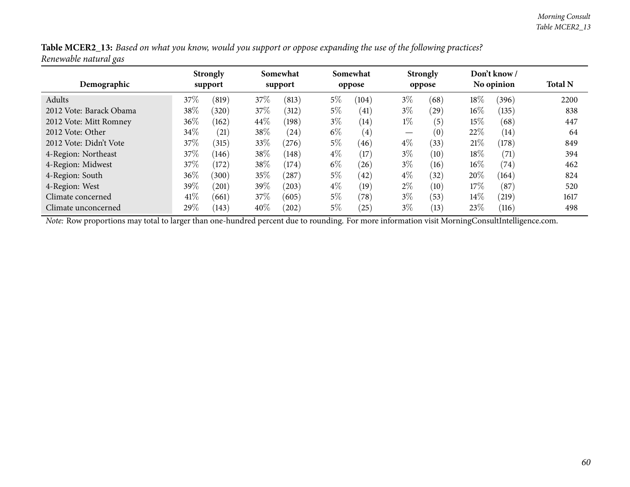| Table MCER2_13: Based on what you know, would you support or oppose expanding the use of the following practices? |  |
|-------------------------------------------------------------------------------------------------------------------|--|
| Renewable natural gas                                                                                             |  |

| Demographic             |      | <b>Strongly</b><br>support | Somewhat<br>support |       |       | Somewhat<br>oppose | oppose | <b>Strongly</b> | Don't know /<br>No opinion |                    | <b>Total N</b> |
|-------------------------|------|----------------------------|---------------------|-------|-------|--------------------|--------|-----------------|----------------------------|--------------------|----------------|
|                         |      |                            |                     |       |       |                    |        |                 |                            |                    |                |
| Adults                  | 37\% | (819)                      | 37\%                | (813) | $5\%$ | (104)              | $3\%$  | (68)            | $18\%$                     | (396)              | 2200           |
| 2012 Vote: Barack Obama | 38%  | (320)                      | 37\%                | (312) | $5\%$ | (41)               | $3\%$  | (29)            | $16\%$                     | (135)              | 838            |
| 2012 Vote: Mitt Romney  | 36\% | (162)                      | 44\%                | (198) | $3\%$ | (14)               | $1\%$  | (5)             | 15%                        | (68)               | 447            |
| 2012 Vote: Other        | 34%  | (21)                       | 38\%                | (24)  | $6\%$ | (4)                |        | (0)             | 22%                        | (14)               | 64             |
| 2012 Vote: Didn't Vote  | 37\% | (315)                      | 33\%                | (276) | $5\%$ | (46)               | $4\%$  | (33)            | 21%                        | (178)              | 849            |
| 4-Region: Northeast     | 37\% | (146)                      | 38\%                | (148) | $4\%$ | (17)               | $3\%$  | (10)            | $18\%$                     | $\left( 71\right)$ | 394            |
| 4-Region: Midwest       | 37\% | (172)                      | 38%                 | (174) | $6\%$ | (26)               | $3\%$  | (16)            | $16\%$                     | (74)               | 462            |
| 4-Region: South         | 36\% | (300)                      | 35%                 | (287) | $5\%$ | (42)               | $4\%$  | (32)            | 20%                        | (164)              | 824            |
| 4-Region: West          | 39\% | $^{\prime}201)$            | 39\%                | (203) | $4\%$ | (19)               | $2\%$  | (10)            | 17%                        | (87)               | 520            |
| Climate concerned       | 41\% | (661)                      | 37\%                | (605) | $5\%$ | (78)               | $3\%$  | (53)            | 14\%                       | (219)              | 1617           |
| Climate unconcerned     | 29%  | (143)                      | 40%                 | (202) | $5\%$ | (25)               | $3\%$  | (13)            | 23%                        | (116)              | 498            |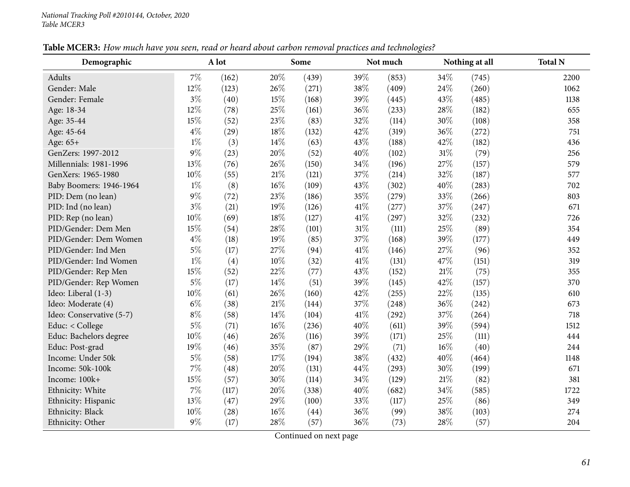| Demographic              |       | A lot |        | Some  |      | Not much | Nothing at all |       | <b>Total N</b> |
|--------------------------|-------|-------|--------|-------|------|----------|----------------|-------|----------------|
| <b>Adults</b>            | $7\%$ | (162) | 20%    | (439) | 39%  | (853)    | 34%            | (745) | 2200           |
| Gender: Male             | 12%   | (123) | 26%    | (271) | 38%  | (409)    | 24\%           | (260) | 1062           |
| Gender: Female           | $3\%$ | (40)  | 15%    | (168) | 39%  | (445)    | 43%            | (485) | 1138           |
| Age: 18-34               | 12%   | (78)  | 25%    | (161) | 36%  | (233)    | 28\%           | (182) | 655            |
| Age: 35-44               | 15%   | (52)  | 23%    | (83)  | 32%  | (114)    | 30%            | (108) | 358            |
| Age: 45-64               | $4\%$ | (29)  | 18%    | (132) | 42%  | (319)    | 36%            | (272) | 751            |
| Age: 65+                 | $1\%$ | (3)   | 14%    | (63)  | 43%  | (188)    | 42%            | (182) | 436            |
| GenZers: 1997-2012       | $9\%$ | (23)  | 20%    | (52)  | 40%  | (102)    | $31\%$         | (79)  | 256            |
| Millennials: 1981-1996   | 13%   | (76)  | 26%    | (150) | 34%  | (196)    | 27%            | (157) | 579            |
| GenXers: 1965-1980       | 10%   | (55)  | $21\%$ | (121) | 37%  | (214)    | 32%            | (187) | 577            |
| Baby Boomers: 1946-1964  | $1\%$ | (8)   | $16\%$ | (109) | 43%  | (302)    | $40\%$         | (283) | 702            |
| PID: Dem (no lean)       | $9\%$ | (72)  | 23%    | (186) | 35%  | (279)    | 33%            | (266) | 803            |
| PID: Ind (no lean)       | $3\%$ | (21)  | 19%    | (126) | 41\% | (277)    | 37%            | (247) | 671            |
| PID: Rep (no lean)       | 10%   | (69)  | 18%    | (127) | 41\% | (297)    | 32%            | (232) | 726            |
| PID/Gender: Dem Men      | 15%   | (54)  | 28\%   | (101) | 31%  | (111)    | 25%            | (89)  | 354            |
| PID/Gender: Dem Women    | $4\%$ | (18)  | 19%    | (85)  | 37%  | (168)    | 39%            | (177) | 449            |
| PID/Gender: Ind Men      | $5\%$ | (17)  | 27%    | (94)  | 41%  | (146)    | 27%            | (96)  | 352            |
| PID/Gender: Ind Women    | $1\%$ | (4)   | $10\%$ | (32)  | 41%  | (131)    | 47%            | (151) | 319            |
| PID/Gender: Rep Men      | 15%   | (52)  | 22%    | (77)  | 43%  | (152)    | $21\%$         | (75)  | 355            |
| PID/Gender: Rep Women    | $5\%$ | (17)  | 14%    | (51)  | 39%  | (145)    | 42%            | (157) | 370            |
| Ideo: Liberal (1-3)      | 10%   | (61)  | 26%    | (160) | 42%  | (255)    | 22%            | (135) | 610            |
| Ideo: Moderate (4)       | $6\%$ | (38)  | $21\%$ | (144) | 37%  | (248)    | 36%            | (242) | 673            |
| Ideo: Conservative (5-7) | $8\%$ | (58)  | 14%    | (104) | 41\% | (292)    | 37%            | (264) | 718            |
| Educ: < College          | $5\%$ | (71)  | 16%    | (236) | 40%  | (611)    | 39%            | (594) | 1512           |
| Educ: Bachelors degree   | 10%   | (46)  | 26%    | (116) | 39%  | (171)    | 25%            | (111) | 444            |
| Educ: Post-grad          | 19%   | (46)  | $35\%$ | (87)  | 29%  | (71)     | 16%            | (40)  | 244            |
| Income: Under 50k        | $5\%$ | (58)  | 17%    | (194) | 38%  | (432)    | 40%            | (464) | 1148           |
| Income: 50k-100k         | 7%    | (48)  | 20%    | (131) | 44%  | (293)    | 30%            | (199) | 671            |
| Income: 100k+            | 15%   | (57)  | 30%    | (114) | 34%  | (129)    | $21\%$         | (82)  | 381            |
| Ethnicity: White         | 7%    | (117) | 20%    | (338) | 40%  | (682)    | 34%            | (585) | 1722           |
| Ethnicity: Hispanic      | 13%   | (47)  | 29%    | (100) | 33%  | (117)    | 25%            | (86)  | 349            |
| Ethnicity: Black         | 10%   | (28)  | 16%    | (44)  | 36%  | (99)     | 38%            | (103) | 274            |
| Ethnicity: Other         | $9\%$ | (17)  | 28%    | (57)  | 36%  | (73)     | 28%            | (57)  | 204            |

Table MCER3: How much have you seen, read or heard about carbon removal practices and technologies?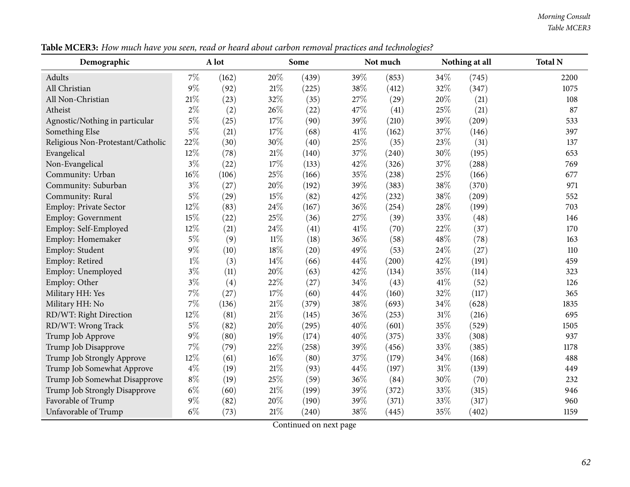| Demographic                       |        | A lot |        | Some  |      | Not much |      | Nothing at all | <b>Total N</b> |
|-----------------------------------|--------|-------|--------|-------|------|----------|------|----------------|----------------|
| Adults                            | $7\%$  | (162) | 20%    | (439) | 39%  | (853)    | 34%  | (745)          | 2200           |
| All Christian                     | $9\%$  | (92)  | 21%    | (225) | 38%  | (412)    | 32%  | (347)          | 1075           |
| All Non-Christian                 | 21%    | (23)  | 32%    | (35)  | 27%  | (29)     | 20%  | (21)           | 108            |
| Atheist                           | $2\%$  | (2)   | 26%    | (22)  | 47%  | (41)     | 25%  | (21)           | 87             |
| Agnostic/Nothing in particular    | $5\%$  | (25)  | 17%    | (90)  | 39%  | (210)    | 39%  | (209)          | 533            |
| Something Else                    | $5\%$  | (21)  | 17%    | (68)  | 41\% | (162)    | 37%  | (146)          | 397            |
| Religious Non-Protestant/Catholic | 22%    | (30)  | 30%    | (40)  | 25%  | (35)     | 23%  | (31)           | 137            |
| Evangelical                       | 12%    | (78)  | 21%    | (140) | 37%  | (240)    | 30%  | (195)          | 653            |
| Non-Evangelical                   | $3\%$  | (22)  | 17%    | (133) | 42%  | (326)    | 37%  | (288)          | 769            |
| Community: Urban                  | 16%    | (106) | 25%    | (166) | 35%  | (238)    | 25%  | (166)          | 677            |
| Community: Suburban               | $3\%$  | (27)  | 20%    | (192) | 39%  | (383)    | 38%  | (370)          | 971            |
| Community: Rural                  | $5\%$  | (29)  | 15%    | (82)  | 42%  | (232)    | 38%  | (209)          | 552            |
| <b>Employ: Private Sector</b>     | 12%    | (83)  | 24%    | (167) | 36%  | (254)    | 28%  | (199)          | 703            |
| Employ: Government                | 15%    | (22)  | 25%    | (36)  | 27%  | (39)     | 33%  | (48)           | 146            |
| Employ: Self-Employed             | $12\%$ | (21)  | 24%    | (41)  | 41\% | (70)     | 22%  | (37)           | 170            |
| Employ: Homemaker                 | $5\%$  | (9)   | $11\%$ | (18)  | 36%  | (58)     | 48%  | (78)           | 163            |
| Employ: Student                   | $9\%$  | (10)  | 18%    | (20)  | 49%  | (53)     | 24%  | (27)           | 110            |
| Employ: Retired                   | $1\%$  | (3)   | 14%    | (66)  | 44%  | (200)    | 42%  | (191)          | 459            |
| Employ: Unemployed                | $3\%$  | (11)  | 20%    | (63)  | 42%  | (134)    | 35%  | (114)          | 323            |
| Employ: Other                     | $3\%$  | (4)   | 22%    | (27)  | 34%  | (43)     | 41\% | (52)           | 126            |
| Military HH: Yes                  | $7\%$  | (27)  | 17%    | (60)  | 44%  | (160)    | 32%  | (117)          | 365            |
| Military HH: No                   | $7\%$  | (136) | 21%    | (379) | 38%  | (693)    | 34%  | (628)          | 1835           |
| RD/WT: Right Direction            | 12%    | (81)  | 21%    | (145) | 36%  | (253)    | 31%  | (216)          | 695            |
| RD/WT: Wrong Track                | $5\%$  | (82)  | 20%    | (295) | 40%  | (601)    | 35%  | (529)          | 1505           |
| Trump Job Approve                 | $9\%$  | (80)  | 19%    | (174) | 40%  | (375)    | 33%  | (308)          | 937            |
| Trump Job Disapprove              | $7\%$  | (79)  | 22%    | (258) | 39%  | (456)    | 33%  | (385)          | 1178           |
| Trump Job Strongly Approve        | 12%    | (61)  | 16%    | (80)  | 37%  | (179)    | 34%  | (168)          | 488            |
| Trump Job Somewhat Approve        | $4\%$  | (19)  | 21%    | (93)  | 44%  | (197)    | 31%  | (139)          | 449            |
| Trump Job Somewhat Disapprove     | $8\%$  | (19)  | 25%    | (59)  | 36%  | (84)     | 30%  | (70)           | 232            |
| Trump Job Strongly Disapprove     | $6\%$  | (60)  | 21%    | (199) | 39%  | (372)    | 33%  | (315)          | 946            |
| Favorable of Trump                | $9\%$  | (82)  | 20%    | (190) | 39%  | (371)    | 33%  | (317)          | 960            |
| Unfavorable of Trump              | $6\%$  | (73)  | 21%    | (240) | 38%  | (445)    | 35%  | (402)          | 1159           |

Table MCER3: How much have you seen, read or heard about carbon removal practices and technologies?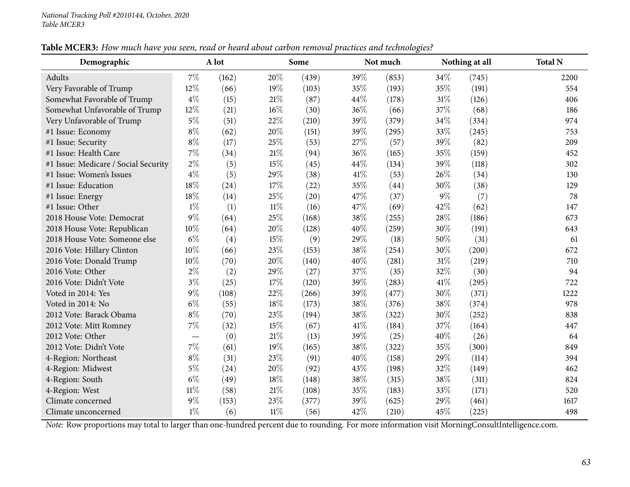| Demographic                          |        | A lot |        | Some  |      | Not much |        | Nothing at all | <b>Total N</b> |
|--------------------------------------|--------|-------|--------|-------|------|----------|--------|----------------|----------------|
| Adults                               | 7%     | (162) | 20%    | (439) | 39%  | (853)    | 34%    | (745)          | 2200           |
| Very Favorable of Trump              | 12%    | (66)  | 19%    | (103) | 35%  | (193)    | 35%    | (191)          | 554            |
| Somewhat Favorable of Trump          | $4\%$  | (15)  | $21\%$ | (87)  | 44%  | (178)    | $31\%$ | (126)          | 406            |
| Somewhat Unfavorable of Trump        | 12%    | (21)  | $16\%$ | (30)  | 36%  | (66)     | 37%    | (68)           | 186            |
| Very Unfavorable of Trump            | $5\%$  | (51)  | 22\%   | (210) | 39%  | (379)    | 34%    | (334)          | 974            |
| #1 Issue: Economy                    | $8\%$  | (62)  | 20%    | (151) | 39%  | (295)    | 33%    | (245)          | 753            |
| #1 Issue: Security                   | $8\%$  | (17)  | 25%    | (53)  | 27%  | (57)     | 39%    | (82)           | 209            |
| #1 Issue: Health Care                | $7\%$  | (34)  | 21%    | (94)  | 36%  | (165)    | 35%    | (159)          | 452            |
| #1 Issue: Medicare / Social Security | $2\%$  | (5)   | 15%    | (45)  | 44%  | (134)    | 39%    | (118)          | 302            |
| #1 Issue: Women's Issues             | $4\%$  | (5)   | 29%    | (38)  | 41%  | (53)     | 26%    | (34)           | 130            |
| #1 Issue: Education                  | 18%    | (24)  | 17\%   | (22)  | 35%  | (44)     | 30%    | (38)           | 129            |
| #1 Issue: Energy                     | 18%    | (14)  | 25%    | (20)  | 47%  | (37)     | $9\%$  | (7)            | 78             |
| #1 Issue: Other                      | $1\%$  | (1)   | $11\%$ | (16)  | 47%  | (69)     | 42%    | (62)           | 147            |
| 2018 House Vote: Democrat            | 9%     | (64)  | 25%    | (168) | 38%  | (255)    | 28%    | (186)          | 673            |
| 2018 House Vote: Republican          | 10%    | (64)  | 20%    | (128) | 40%  | (259)    | 30%    | (191)          | 643            |
| 2018 House Vote: Someone else        | $6\%$  | (4)   | 15%    | (9)   | 29%  | (18)     | 50%    | (31)           | 61             |
| 2016 Vote: Hillary Clinton           | $10\%$ | (66)  | 23%    | (153) | 38%  | (254)    | 30%    | (200)          | 672            |
| 2016 Vote: Donald Trump              | 10%    | (70)  | 20%    | (140) | 40%  | (281)    | 31%    | (219)          | 710            |
| 2016 Vote: Other                     | $2\%$  | (2)   | 29%    | (27)  | 37%  | (35)     | 32%    | (30)           | 94             |
| 2016 Vote: Didn't Vote               | $3\%$  | (25)  | 17%    | (120) | 39%  | (283)    | 41\%   | (295)          | 722            |
| Voted in 2014: Yes                   | $9\%$  | (108) | 22%    | (266) | 39%  | (477)    | 30%    | (371)          | 1222           |
| Voted in 2014: No                    | $6\%$  | (55)  | 18%    | (173) | 38%  | (376)    | 38%    | (374)          | 978            |
| 2012 Vote: Barack Obama              | $8\%$  | (70)  | 23\%   | (194) | 38%  | (322)    | 30%    | (252)          | 838            |
| 2012 Vote: Mitt Romney               | $7\%$  | (32)  | 15%    | (67)  | 41\% | (184)    | 37%    | (164)          | 447            |
| 2012 Vote: Other                     |        | (0)   | $21\%$ | (13)  | 39%  | (25)     | 40%    | (26)           | 64             |
| 2012 Vote: Didn't Vote               | $7\%$  | (61)  | 19%    | (165) | 38%  | (322)    | 35%    | (300)          | 849            |
| 4-Region: Northeast                  | $8\%$  | (31)  | 23%    | (91)  | 40%  | (158)    | 29%    | (114)          | 394            |
| 4-Region: Midwest                    | $5\%$  | (24)  | 20%    | (92)  | 43%  | (198)    | 32%    | (149)          | 462            |
| 4-Region: South                      | $6\%$  | (49)  | 18%    | (148) | 38%  | (315)    | 38%    | (311)          | 824            |
| 4-Region: West                       | $11\%$ | (58)  | $21\%$ | (108) | 35%  | (183)    | 33%    | (171)          | 520            |
| Climate concerned                    | 9%     | (153) | 23%    | (377) | 39%  | (625)    | 29%    | (461)          | 1617           |
| Climate unconcerned                  | $1\%$  | (6)   | $11\%$ | (56)  | 42%  | (210)    | 45%    | (225)          | 498            |

Table MCER3: How much have you seen, read or heard about carbon removal practices and technologies?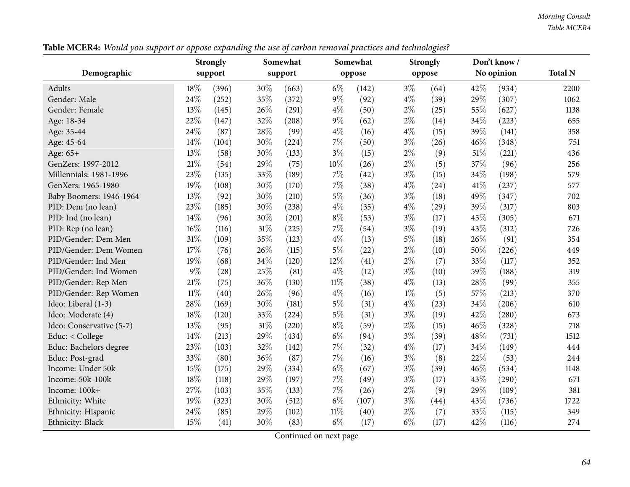| Table MCER4: Would you support or oppose expanding the use of carbon removal practices and technologies? |  |
|----------------------------------------------------------------------------------------------------------|--|
|----------------------------------------------------------------------------------------------------------|--|

|                          |        | <b>Strongly</b> | о      | Somewhat |        | Somewhat |       | $\circ$<br><b>Strongly</b> |        | Don't know / |                |
|--------------------------|--------|-----------------|--------|----------|--------|----------|-------|----------------------------|--------|--------------|----------------|
| Demographic              |        | support         |        | support  |        | oppose   |       | oppose                     |        | No opinion   | <b>Total N</b> |
| Adults                   | 18%    | (396)           | 30%    | (663)    | $6\%$  | (142)    | $3\%$ | (64)                       | 42%    | (934)        | 2200           |
| Gender: Male             | 24%    | (252)           | 35%    | (372)    | $9\%$  | (92)     | $4\%$ | (39)                       | 29%    | (307)        | 1062           |
| Gender: Female           | 13%    | (145)           | 26%    | (291)    | $4\%$  | (50)     | $2\%$ | (25)                       | 55%    | (627)        | 1138           |
| Age: 18-34               | 22%    | (147)           | 32%    | (208)    | $9\%$  | (62)     | $2\%$ | (14)                       | 34%    | (223)        | 655            |
| Age: 35-44               | 24%    | (87)            | 28%    | (99)     | $4\%$  | (16)     | $4\%$ | (15)                       | 39%    | (141)        | 358            |
| Age: 45-64               | 14%    | (104)           | 30%    | (224)    | $7\%$  | (50)     | $3\%$ | (26)                       | 46%    | (348)        | 751            |
| Age: 65+                 | 13%    | (58)            | 30%    | (133)    | $3\%$  | (15)     | $2\%$ | (9)                        | $51\%$ | (221)        | 436            |
| GenZers: 1997-2012       | $21\%$ | (54)            | 29%    | (75)     | $10\%$ | (26)     | $2\%$ | (5)                        | 37%    | (96)         | 256            |
| Millennials: 1981-1996   | 23%    | (135)           | 33%    | (189)    | $7\%$  | (42)     | $3\%$ | (15)                       | 34%    | (198)        | 579            |
| GenXers: 1965-1980       | 19%    | (108)           | 30%    | (170)    | 7%     | (38)     | $4\%$ | (24)                       | 41\%   | (237)        | 577            |
| Baby Boomers: 1946-1964  | 13%    | (92)            | 30%    | (210)    | $5\%$  | (36)     | $3\%$ | (18)                       | 49%    | (347)        | 702            |
| PID: Dem (no lean)       | 23%    | (185)           | 30%    | (238)    | $4\%$  | (35)     | $4\%$ | (29)                       | 39%    | (317)        | 803            |
| PID: Ind (no lean)       | 14%    | (96)            | 30%    | (201)    | $8\%$  | (53)     | $3\%$ | (17)                       | 45%    | (305)        | 671            |
| PID: Rep (no lean)       | $16\%$ | (116)           | $31\%$ | (225)    | $7\%$  | (54)     | $3\%$ | (19)                       | 43%    | (312)        | 726            |
| PID/Gender: Dem Men      | $31\%$ | (109)           | 35%    | (123)    | $4\%$  | (13)     | $5\%$ | (18)                       | 26%    | (91)         | 354            |
| PID/Gender: Dem Women    | 17%    | (76)            | 26%    | (115)    | $5\%$  | (22)     | 2%    | (10)                       | 50%    | (226)        | 449            |
| PID/Gender: Ind Men      | 19%    | (68)            | 34%    | (120)    | 12%    | (41)     | $2\%$ | (7)                        | 33%    | (117)        | 352            |
| PID/Gender: Ind Women    | $9\%$  | (28)            | 25%    | (81)     | $4\%$  | (12)     | $3\%$ | (10)                       | 59%    | (188)        | 319            |
| PID/Gender: Rep Men      | 21\%   | (75)            | 36%    | (130)    | $11\%$ | (38)     | $4\%$ | (13)                       | 28%    | (99)         | 355            |
| PID/Gender: Rep Women    | $11\%$ | (40)            | 26%    | (96)     | $4\%$  | (16)     | $1\%$ | (5)                        | 57%    | (213)        | 370            |
| Ideo: Liberal (1-3)      | 28%    | (169)           | 30%    | (181)    | $5\%$  | (31)     | $4\%$ | (23)                       | 34%    | (206)        | 610            |
| Ideo: Moderate (4)       | 18%    | (120)           | 33%    | (224)    | $5\%$  | (31)     | $3\%$ | (19)                       | 42%    | (280)        | 673            |
| Ideo: Conservative (5-7) | 13%    | (95)            | 31%    | (220)    | $8\%$  | (59)     | 2%    | (15)                       | 46%    | (328)        | 718            |
| Educ: $<$ College        | 14%    | (213)           | 29%    | (434)    | $6\%$  | (94)     | $3\%$ | (39)                       | 48%    | (731)        | 1512           |
| Educ: Bachelors degree   | 23%    | (103)           | 32%    | (142)    | 7%     | (32)     | $4\%$ | (17)                       | 34%    | (149)        | 444            |
| Educ: Post-grad          | 33%    | (80)            | 36%    | (87)     | $7\%$  | (16)     | $3\%$ | (8)                        | 22%    | (53)         | 244            |
| Income: Under 50k        | 15%    | (175)           | 29%    | (334)    | $6\%$  | (67)     | $3\%$ | (39)                       | 46%    | (534)        | 1148           |
| Income: 50k-100k         | 18%    | (118)           | 29%    | (197)    | $7\%$  | (49)     | $3\%$ | (17)                       | 43%    | (290)        | 671            |
| Income: 100k+            | 27%    | (103)           | 35%    | (133)    | 7%     | (26)     | $2\%$ | (9)                        | 29%    | (109)        | 381            |
| Ethnicity: White         | 19%    | (323)           | 30%    | (512)    | $6\%$  | (107)    | $3\%$ | (44)                       | 43%    | (736)        | 1722           |
| Ethnicity: Hispanic      | 24%    | (85)            | 29%    | (102)    | $11\%$ | (40)     | 2%    | (7)                        | 33%    | (115)        | 349            |
| Ethnicity: Black         | 15%    | (41)            | 30%    | (83)     | $6\%$  | (17)     | $6\%$ | (17)                       | 42%    | (116)        | 274            |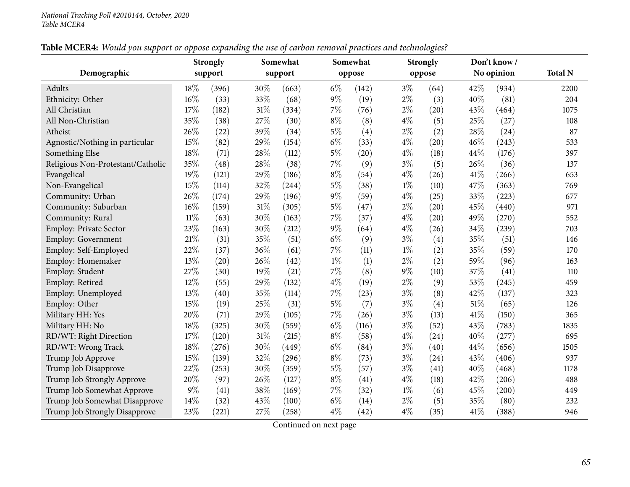## Table MCER4: Would you support or oppose expanding the use of carbon removal practices and technologies?

| Demographic                       |        | <b>Strongly</b><br>support |        | Somewhat<br>support |       | Somewhat<br>oppose |       | <b>Strongly</b><br>oppose |      | Don't know/<br>No opinion | <b>Total N</b> |
|-----------------------------------|--------|----------------------------|--------|---------------------|-------|--------------------|-------|---------------------------|------|---------------------------|----------------|
|                                   |        |                            |        |                     |       |                    |       |                           |      |                           |                |
| Adults                            | 18%    | (396)                      | 30%    | (663)               | $6\%$ | (142)              | $3\%$ | (64)                      | 42%  | (934)                     | 2200           |
| Ethnicity: Other                  | 16%    | (33)                       | 33%    | (68)                | $9\%$ | (19)               | $2\%$ | (3)                       | 40%  | (81)                      | 204            |
| All Christian                     | 17%    | (182)                      | $31\%$ | (334)               | $7\%$ | (76)               | $2\%$ | (20)                      | 43%  | (464)                     | 1075           |
| All Non-Christian                 | 35%    | (38)                       | 27\%   | (30)                | $8\%$ | (8)                | $4\%$ | (5)                       | 25%  | (27)                      | 108            |
| Atheist                           | 26%    | (22)                       | 39%    | (34)                | $5\%$ | (4)                | $2\%$ | (2)                       | 28%  | (24)                      | 87             |
| Agnostic/Nothing in particular    | 15%    | (82)                       | 29%    | (154)               | $6\%$ | (33)               | 4%    | (20)                      | 46%  | (243)                     | 533            |
| Something Else                    | 18%    | (71)                       | 28\%   | (112)               | $5\%$ | (20)               | $4\%$ | (18)                      | 44%  | (176)                     | 397            |
| Religious Non-Protestant/Catholic | 35%    | (48)                       | 28\%   | (38)                | $7\%$ | (9)                | $3\%$ | (5)                       | 26%  | (36)                      | 137            |
| Evangelical                       | 19%    | (121)                      | 29%    | (186)               | $8\%$ | (54)               | $4\%$ | (26)                      | 41\% | (266)                     | 653            |
| Non-Evangelical                   | 15%    | (114)                      | 32%    | (244)               | $5\%$ | (38)               | $1\%$ | (10)                      | 47%  | (363)                     | 769            |
| Community: Urban                  | 26%    | (174)                      | 29%    | (196)               | $9\%$ | (59)               | $4\%$ | (25)                      | 33%  | (223)                     | 677            |
| Community: Suburban               | 16%    | (159)                      | $31\%$ | (305)               | $5\%$ | (47)               | $2\%$ | (20)                      | 45%  | (440)                     | 971            |
| Community: Rural                  | $11\%$ | (63)                       | 30%    | (163)               | $7\%$ | (37)               | $4\%$ | (20)                      | 49%  | (270)                     | 552            |
| Employ: Private Sector            | 23%    | (163)                      | $30\%$ | (212)               | $9\%$ | (64)               | $4\%$ | (26)                      | 34%  | (239)                     | 703            |
| Employ: Government                | 21%    | (31)                       | 35%    | (51)                | $6\%$ | (9)                | $3\%$ | (4)                       | 35%  | (51)                      | 146            |
| Employ: Self-Employed             | 22%    | (37)                       | 36%    | (61)                | $7\%$ | (11)               | $1\%$ | (2)                       | 35%  | (59)                      | 170            |
| Employ: Homemaker                 | 13%    | (20)                       | 26%    | (42)                | $1\%$ | (1)                | $2\%$ | (2)                       | 59%  | (96)                      | 163            |
| Employ: Student                   | 27%    | (30)                       | 19%    | (21)                | $7\%$ | (8)                | $9\%$ | (10)                      | 37%  | (41)                      | 110            |
| Employ: Retired                   | 12%    | (55)                       | 29%    | (132)               | $4\%$ | (19)               | $2\%$ | (9)                       | 53%  | (245)                     | 459            |
| Employ: Unemployed                | 13%    | (40)                       | 35%    | (114)               | $7\%$ | (23)               | $3\%$ | (8)                       | 42%  | (137)                     | 323            |
| Employ: Other                     | 15%    | (19)                       | 25%    | (31)                | $5\%$ | (7)                | $3\%$ | (4)                       | 51%  | (65)                      | 126            |
| Military HH: Yes                  | 20%    | (71)                       | 29%    | (105)               | $7\%$ | (26)               | $3\%$ | (13)                      | 41%  | (150)                     | 365            |
| Military HH: No                   | 18%    | (325)                      | 30%    | (559)               | $6\%$ | (116)              | $3\%$ | (52)                      | 43%  | (783)                     | 1835           |
| RD/WT: Right Direction            | 17%    | (120)                      | $31\%$ | (215)               | $8\%$ | (58)               | $4\%$ | (24)                      | 40%  | (277)                     | 695            |
| RD/WT: Wrong Track                | 18%    | (276)                      | 30%    | (449)               | $6\%$ | (84)               | $3\%$ | (40)                      | 44%  | (656)                     | 1505           |
| Trump Job Approve                 | 15%    | (139)                      | 32%    | (296)               | $8\%$ | (73)               | $3\%$ | (24)                      | 43%  | (406)                     | 937            |
| Trump Job Disapprove              | 22%    | (253)                      | 30%    | (359)               | $5\%$ | (57)               | $3\%$ | (41)                      | 40%  | (468)                     | 1178           |
| Trump Job Strongly Approve        | 20%    | (97)                       | 26%    | (127)               | $8\%$ | (41)               | $4\%$ | (18)                      | 42%  | (206)                     | 488            |
| Trump Job Somewhat Approve        | $9\%$  | (41)                       | 38\%   | (169)               | 7%    | (32)               | $1\%$ | (6)                       | 45%  | (200)                     | 449            |
| Trump Job Somewhat Disapprove     | 14%    | (32)                       | 43%    | (100)               | $6\%$ | (14)               | $2\%$ | (5)                       | 35%  | (80)                      | 232            |
| Trump Job Strongly Disapprove     | 23%    | (221)                      | 27%    | (258)               | $4\%$ | (42)               | $4\%$ | (35)                      | 41%  | (388)                     | 946            |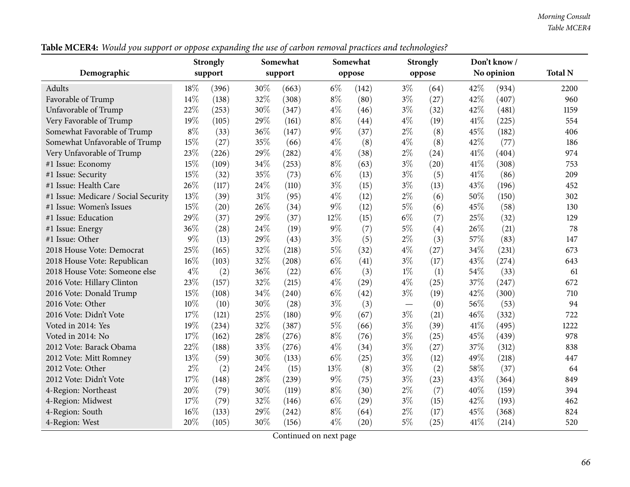| Table MCER4: Would you support or oppose expanding the use of carbon removal practices and technologies? |  |  |  |  |  |  |  |  |  |  |
|----------------------------------------------------------------------------------------------------------|--|--|--|--|--|--|--|--|--|--|
|----------------------------------------------------------------------------------------------------------|--|--|--|--|--|--|--|--|--|--|

|                                      |        | <b>Strongly</b> | $\sim$ | Somewhat |       | Somewhat |       | $\circ$<br><b>Strongly</b> |        | Don't know / |                |
|--------------------------------------|--------|-----------------|--------|----------|-------|----------|-------|----------------------------|--------|--------------|----------------|
| Demographic                          |        | support         |        | support  |       | oppose   |       | oppose                     |        | No opinion   | <b>Total N</b> |
| Adults                               | 18%    | (396)           | 30%    | (663)    | $6\%$ | (142)    | $3\%$ | (64)                       | 42\%   | (934)        | 2200           |
| Favorable of Trump                   | 14%    | (138)           | 32%    | (308)    | $8\%$ | (80)     | $3\%$ | (27)                       | 42%    | (407)        | 960            |
| Unfavorable of Trump                 | 22%    | (253)           | 30%    | (347)    | $4\%$ | (46)     | $3\%$ | (32)                       | 42%    | (481)        | 1159           |
| Very Favorable of Trump              | 19%    | (105)           | 29%    | (161)    | $8\%$ | (44)     | $4\%$ | (19)                       | 41%    | (225)        | 554            |
| Somewhat Favorable of Trump          | $8\%$  | (33)            | $36\%$ | (147)    | $9\%$ | (37)     | $2\%$ | (8)                        | 45%    | (182)        | 406            |
| Somewhat Unfavorable of Trump        | 15%    | (27)            | 35%    | (66)     | $4\%$ | (8)      | $4\%$ | (8)                        | 42%    | (77)         | 186            |
| Very Unfavorable of Trump            | 23%    | (226)           | 29%    | (282)    | $4\%$ | (38)     | $2\%$ | (24)                       | 41\%   | (404)        | 974            |
| #1 Issue: Economy                    | 15%    | (109)           | 34%    | (253)    | $8\%$ | (63)     | $3\%$ | (20)                       | $41\%$ | (308)        | 753            |
| #1 Issue: Security                   | 15%    | (32)            | 35%    | (73)     | $6\%$ | (13)     | $3\%$ | (5)                        | 41\%   | (86)         | 209            |
| #1 Issue: Health Care                | 26%    | (117)           | 24\%   | (110)    | $3\%$ | (15)     | $3\%$ | (13)                       | 43%    | (196)        | 452            |
| #1 Issue: Medicare / Social Security | 13%    | (39)            | 31%    | (95)     | $4\%$ | (12)     | $2\%$ | (6)                        | 50%    | (150)        | 302            |
| #1 Issue: Women's Issues             | 15%    | (20)            | 26%    | (34)     | $9\%$ | (12)     | $5\%$ | (6)                        | 45%    | (58)         | 130            |
| #1 Issue: Education                  | 29%    | (37)            | 29%    | (37)     | 12%   | (15)     | $6\%$ | (7)                        | 25%    | (32)         | 129            |
| #1 Issue: Energy                     | 36%    | (28)            | 24%    | (19)     | $9\%$ | (7)      | $5\%$ | (4)                        | 26%    | (21)         | 78             |
| #1 Issue: Other                      | $9\%$  | (13)            | 29%    | (43)     | $3\%$ | (5)      | $2\%$ | (3)                        | 57%    | (83)         | 147            |
| 2018 House Vote: Democrat            | 25%    | (165)           | 32%    | (218)    | $5\%$ | (32)     | $4\%$ | (27)                       | 34%    | (231)        | 673            |
| 2018 House Vote: Republican          | 16%    | (103)           | 32%    | (208)    | $6\%$ | (41)     | $3\%$ | (17)                       | 43%    | (274)        | 643            |
| 2018 House Vote: Someone else        | $4\%$  | (2)             | 36%    | (22)     | $6\%$ | (3)      | $1\%$ | (1)                        | 54%    | (33)         | 61             |
| 2016 Vote: Hillary Clinton           | 23%    | (157)           | 32%    | (215)    | $4\%$ | (29)     | $4\%$ | (25)                       | 37%    | (247)        | 672            |
| 2016 Vote: Donald Trump              | 15%    | (108)           | 34%    | (240)    | $6\%$ | (42)     | $3\%$ | (19)                       | 42%    | (300)        | 710            |
| 2016 Vote: Other                     | $10\%$ | (10)            | 30%    | (28)     | $3\%$ | (3)      |       | (0)                        | 56%    | (53)         | 94             |
| 2016 Vote: Didn't Vote               | 17%    | (121)           | 25%    | (180)    | $9\%$ | (67)     | $3\%$ | (21)                       | 46\%   | (332)        | 722            |
| Voted in 2014: Yes                   | 19%    | (234)           | 32%    | (387)    | $5\%$ | (66)     | $3\%$ | (39)                       | 41\%   | (495)        | 1222           |
| Voted in 2014: No                    | 17%    | (162)           | 28%    | (276)    | $8\%$ | (76)     | $3\%$ | (25)                       | 45%    | (439)        | 978            |
| 2012 Vote: Barack Obama              | 22%    | (188)           | 33%    | (276)    | $4\%$ | (34)     | $3\%$ | (27)                       | 37%    | (312)        | 838            |
| 2012 Vote: Mitt Romney               | 13%    | (59)            | 30%    | (133)    | $6\%$ | (25)     | $3\%$ | (12)                       | 49%    | (218)        | 447            |
| 2012 Vote: Other                     | $2\%$  | (2)             | 24%    | (15)     | 13%   | (8)      | $3\%$ | (2)                        | 58%    | (37)         | 64             |
| 2012 Vote: Didn't Vote               | 17%    | (148)           | 28%    | (239)    | $9\%$ | (75)     | $3\%$ | (23)                       | 43%    | (364)        | 849            |
| 4-Region: Northeast                  | 20%    | (79)            | 30%    | (119)    | $8\%$ | (30)     | $2\%$ | (7)                        | 40%    | (159)        | 394            |
| 4-Region: Midwest                    | 17%    | (79)            | 32%    | (146)    | $6\%$ | (29)     | $3\%$ | (15)                       | 42%    | (193)        | 462            |
| 4-Region: South                      | 16%    | (133)           | 29%    | (242)    | $8\%$ | (64)     | $2\%$ | (17)                       | 45%    | (368)        | 824            |
| 4-Region: West                       | 20%    | (105)           | 30%    | (156)    | $4\%$ | (20)     | $5\%$ | (25)                       | $41\%$ | (214)        | 520            |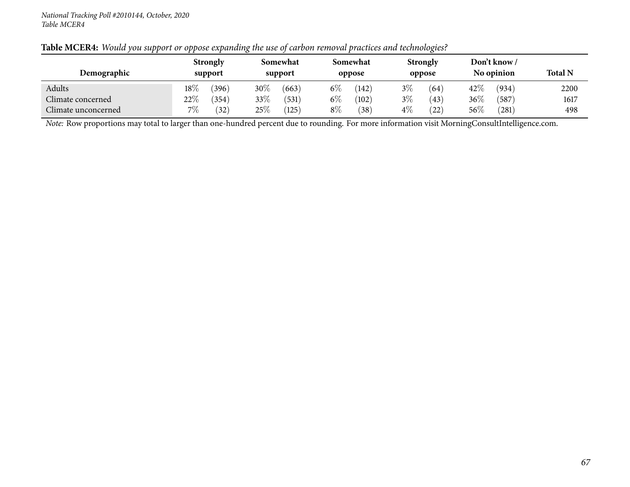| Demographic         |        | <b>Strongly</b><br>support |      | Somewhat<br>support |       | Somewhat<br>oppose | <b>Strongly</b><br>oppose |      | Don't know/<br>No opinion |       | <b>Total N</b> |
|---------------------|--------|----------------------------|------|---------------------|-------|--------------------|---------------------------|------|---------------------------|-------|----------------|
| Adults              | $18\%$ | 396                        | 30\% | (663)               | $6\%$ | (142)              | $3\%$                     | (64) | $42\%$                    | (934) | 2200           |
| Climate concerned   | 22%    | (354)                      | 33\% | 531                 | $6\%$ | (102)              | $3\%$                     | (43) | 36\%                      | 587   | 1617           |
| Climate unconcerned | 7%     | (32)                       | 25\% | (125)               | $8\%$ | 38                 | $4\%$                     | (22) | $56\%$                    | (281) | 498            |

## Table MCER4: Would you support or oppose expanding the use of carbon removal practices and technologies?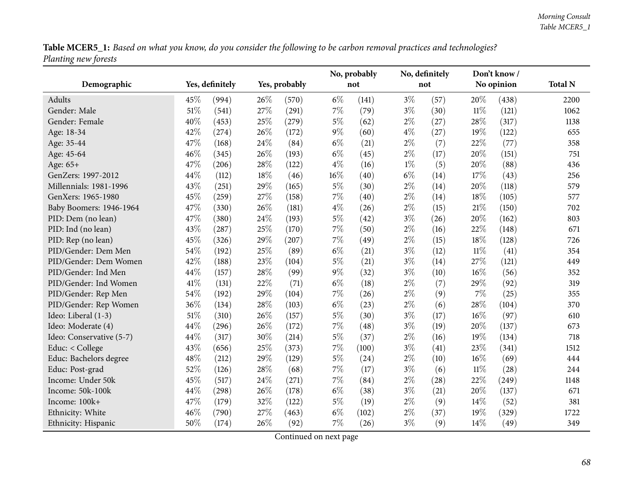Table MCER5\_1: Based on what you know, do you consider the following to be carbon removal practices and technologies? *Planting new forests*

|                          |                 |       |     |               |        | No, probably |       | No, definitely |        | Don't know/ |                |
|--------------------------|-----------------|-------|-----|---------------|--------|--------------|-------|----------------|--------|-------------|----------------|
| Demographic              | Yes, definitely |       |     | Yes, probably |        | not          |       | not            |        | No opinion  | <b>Total N</b> |
| Adults                   | 45%             | (994) | 26% | (570)         | $6\%$  | (141)        | $3\%$ | (57)           | 20%    | (438)       | 2200           |
| Gender: Male             | 51%             | (541) | 27% | (291)         | 7%     | (79)         | $3\%$ | (30)           | 11%    | (121)       | 1062           |
| Gender: Female           | 40%             | (453) | 25% | (279)         | $5\%$  | (62)         | $2\%$ | (27)           | 28%    | (317)       | 1138           |
| Age: 18-34               | 42%             | (274) | 26% | (172)         | $9\%$  | (60)         | $4\%$ | (27)           | 19%    | (122)       | 655            |
| Age: 35-44               | 47%             | (168) | 24% | (84)          | $6\%$  | (21)         | $2\%$ | (7)            | 22%    | (77)        | 358            |
| Age: 45-64               | 46%             | (345) | 26% | (193)         | $6\%$  | (45)         | $2\%$ | (17)           | 20%    | (151)       | 751            |
| Age: 65+                 | 47%             | (206) | 28% | (122)         | $4\%$  | (16)         | $1\%$ | (5)            | 20%    | (88)        | 436            |
| GenZers: 1997-2012       | 44%             | (112) | 18% | (46)          | $16\%$ | (40)         | $6\%$ | (14)           | 17%    | (43)        | 256            |
| Millennials: 1981-1996   | 43%             | (251) | 29% | (165)         | $5\%$  | (30)         | $2\%$ | (14)           | 20%    | (118)       | 579            |
| GenXers: 1965-1980       | 45%             | (259) | 27% | (158)         | $7\%$  | (40)         | $2\%$ | (14)           | 18%    | (105)       | 577            |
| Baby Boomers: 1946-1964  | 47%             | (330) | 26% | (181)         | $4\%$  | (26)         | $2\%$ | (15)           | 21\%   | (150)       | 702            |
| PID: Dem (no lean)       | 47%             | (380) | 24% | (193)         | $5\%$  | (42)         | $3\%$ | (26)           | 20%    | (162)       | 803            |
| PID: Ind (no lean)       | 43%             | (287) | 25% | (170)         | $7\%$  | (50)         | $2\%$ | (16)           | 22%    | (148)       | 671            |
| PID: Rep (no lean)       | 45%             | (326) | 29% | (207)         | 7%     | (49)         | $2\%$ | (15)           | 18%    | (128)       | 726            |
| PID/Gender: Dem Men      | 54%             | (192) | 25% | (89)          | $6\%$  | (21)         | $3\%$ | (12)           | $11\%$ | (41)        | 354            |
| PID/Gender: Dem Women    | 42%             | (188) | 23% | (104)         | $5\%$  | (21)         | $3\%$ | (14)           | 27%    | (121)       | 449            |
| PID/Gender: Ind Men      | 44%             | (157) | 28% | (99)          | $9\%$  | (32)         | $3\%$ | (10)           | 16%    | (56)        | 352            |
| PID/Gender: Ind Women    | 41%             | (131) | 22% | (71)          | $6\%$  | (18)         | $2\%$ | (7)            | 29%    | (92)        | 319            |
| PID/Gender: Rep Men      | 54%             | (192) | 29% | (104)         | 7%     | (26)         | $2\%$ | (9)            | 7%     | (25)        | 355            |
| PID/Gender: Rep Women    | 36%             | (134) | 28% | (103)         | $6\%$  | (23)         | $2\%$ | (6)            | 28%    | (104)       | 370            |
| Ideo: Liberal (1-3)      | 51%             | (310) | 26% | (157)         | $5\%$  | (30)         | $3\%$ | (17)           | 16%    | (97)        | 610            |
| Ideo: Moderate (4)       | 44%             | (296) | 26% | (172)         | 7%     | (48)         | $3\%$ | (19)           | 20%    | (137)       | 673            |
| Ideo: Conservative (5-7) | 44%             | (317) | 30% | (214)         | $5\%$  | (37)         | $2\%$ | (16)           | 19%    | (134)       | 718            |
| Educ: < College          | 43%             | (656) | 25% | (373)         | $7\%$  | (100)        | $3\%$ | (41)           | 23%    | (341)       | 1512           |
| Educ: Bachelors degree   | 48%             | (212) | 29% | (129)         | $5\%$  | (24)         | $2\%$ | (10)           | 16%    | (69)        | 444            |
| Educ: Post-grad          | 52%             | (126) | 28% | (68)          | $7\%$  | (17)         | $3\%$ | (6)            | $11\%$ | (28)        | 244            |
| Income: Under 50k        | 45%             | (517) | 24% | (271)         | $7\%$  | (84)         | $2\%$ | (28)           | 22%    | (249)       | 1148           |
| Income: 50k-100k         | 44%             | (298) | 26% | (178)         | $6\%$  | (38)         | $3\%$ | (21)           | 20%    | (137)       | 671            |
| Income: 100k+            | 47%             | (179) | 32% | (122)         | $5\%$  | (19)         | $2\%$ | (9)            | 14%    | (52)        | 381            |
| Ethnicity: White         | 46%             | (790) | 27% | (463)         | $6\%$  | (102)        | $2\%$ | (37)           | 19%    | (329)       | 1722           |
| Ethnicity: Hispanic      | 50%             | (174) | 26% | (92)          | $7\%$  | (26)         | $3\%$ | (9)            | 14%    | (49)        | 349            |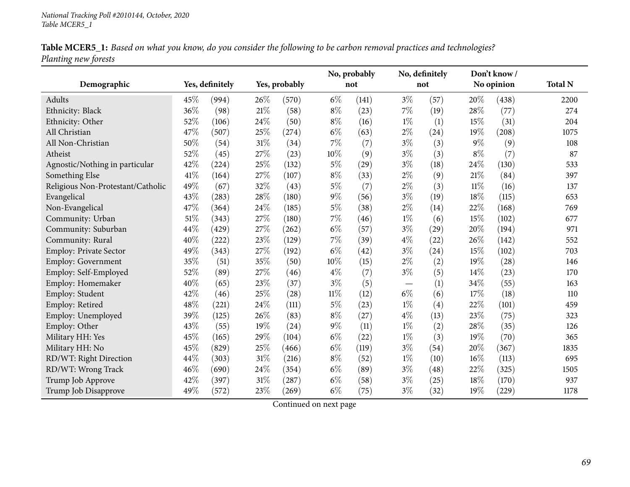|                      |  | Table MCER5_1: Based on what you know, do you consider the following to be carbon removal practices and technologies? |  |
|----------------------|--|-----------------------------------------------------------------------------------------------------------------------|--|
| Planting new forests |  |                                                                                                                       |  |

|                                   |      |                 |        |               |        | No, probably |       | No, definitely    |        | Don't know/ |                |
|-----------------------------------|------|-----------------|--------|---------------|--------|--------------|-------|-------------------|--------|-------------|----------------|
| Demographic                       |      | Yes, definitely |        | Yes, probably |        | not          |       | not               |        | No opinion  | <b>Total N</b> |
| Adults                            | 45\% | (994)           | 26%    | (570)         | $6\%$  | (141)        | $3\%$ | (57)              | 20%    | (438)       | 2200           |
| Ethnicity: Black                  | 36%  | (98)            | 21%    | (58)          | $8\%$  | (23)         | $7\%$ | (19)              | 28%    | (77)        | 274            |
| Ethnicity: Other                  | 52%  | (106)           | $24\%$ | (50)          | $8\%$  | (16)         | $1\%$ | (1)               | 15%    | (31)        | 204            |
| All Christian                     | 47%  | (507)           | 25%    | (274)         | $6\%$  | (63)         | $2\%$ | (24)              | 19%    | (208)       | 1075           |
| All Non-Christian                 | 50%  | (54)            | 31%    | (34)          | 7%     | (7)          | $3\%$ | (3)               | $9\%$  | (9)         | 108            |
| Atheist                           | 52%  | (45)            | 27%    | (23)          | 10%    | (9)          | $3\%$ | (3)               | $8\%$  | (7)         | 87             |
| Agnostic/Nothing in particular    | 42%  | (224)           | 25%    | (132)         | $5\%$  | (29)         | $3\%$ | (18)              | 24%    | (130)       | 533            |
| Something Else                    | 41\% | (164)           | 27\%   | (107)         | $8\%$  | (33)         | $2\%$ | (9)               | 21%    | (84)        | 397            |
| Religious Non-Protestant/Catholic | 49%  | (67)            | 32%    | (43)          | $5\%$  | (7)          | $2\%$ | (3)               | $11\%$ | (16)        | 137            |
| Evangelical                       | 43%  | (283)           | 28%    | (180)         | $9\%$  | (56)         | $3\%$ | (19)              | 18%    | (115)       | 653            |
| Non-Evangelical                   | 47%  | (364)           | $24\%$ | (185)         | $5\%$  | (38)         | $2\%$ | (14)              | 22%    | (168)       | 769            |
| Community: Urban                  | 51%  | (343)           | 27%    | (180)         | $7\%$  | (46)         | $1\%$ | (6)               | 15%    | (102)       | 677            |
| Community: Suburban               | 44%  | (429)           | 27%    | (262)         | $6\%$  | (57)         | $3\%$ | (29)              | 20%    | (194)       | 971            |
| Community: Rural                  | 40%  | (222)           | 23%    | (129)         | 7%     | (39)         | $4\%$ | (22)              | 26\%   | (142)       | 552            |
| Employ: Private Sector            | 49%  | (343)           | 27%    | (192)         | $6\%$  | (42)         | $3\%$ | (24)              | 15%    | (102)       | 703            |
| <b>Employ: Government</b>         | 35%  | (51)            | 35%    | (50)          | 10%    | (15)         | $2\%$ | (2)               | 19%    | (28)        | 146            |
| Employ: Self-Employed             | 52%  | (89)            | 27%    | (46)          | $4\%$  | (7)          | $3\%$ | (5)               | 14%    | (23)        | 170            |
| Employ: Homemaker                 | 40%  | (65)            | 23%    | (37)          | $3\%$  | (5)          |       | (1)               | 34%    | (55)        | 163            |
| Employ: Student                   | 42%  | (46)            | 25%    | (28)          | $11\%$ | (12)         | $6\%$ | (6)               | 17\%   | (18)        | 110            |
| Employ: Retired                   | 48%  | (221)           | 24%    | (111)         | $5\%$  | (23)         | $1\%$ | $\left( 4\right)$ | 22%    | (101)       | 459            |
| Employ: Unemployed                | 39%  | (125)           | 26\%   | (83)          | $8\%$  | (27)         | $4\%$ | (13)              | 23%    | (75)        | 323            |
| Employ: Other                     | 43%  | (55)            | 19%    | (24)          | $9\%$  | (11)         | $1\%$ | (2)               | 28\%   | (35)        | 126            |
| Military HH: Yes                  | 45%  | (165)           | 29%    | (104)         | $6\%$  | (22)         | $1\%$ | (3)               | 19%    | (70)        | 365            |
| Military HH: No                   | 45%  | (829)           | 25%    | (466)         | $6\%$  | (119)        | $3\%$ | (54)              | 20%    | (367)       | 1835           |
| RD/WT: Right Direction            | 44%  | (303)           | 31%    | (216)         | $8\%$  | (52)         | $1\%$ | (10)              | $16\%$ | (113)       | 695            |
| RD/WT: Wrong Track                | 46%  | (690)           | $24\%$ | (354)         | $6\%$  | (89)         | $3\%$ | (48)              | 22%    | (325)       | 1505           |
| Trump Job Approve                 | 42%  | (397)           | 31%    | (287)         | $6\%$  | (58)         | $3\%$ | (25)              | 18%    | (170)       | 937            |
| Trump Job Disapprove              | 49%  | (572)           | 23%    | (269)         | $6\%$  | (75)         | $3\%$ | (32)              | 19%    | (229)       | 1178           |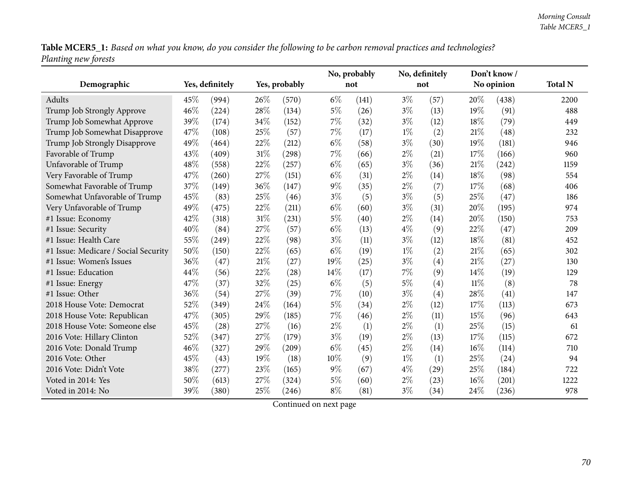Table MCER5\_1: Based on what you know, do you consider the following to be carbon removal practices and technologies? *Planting new forests*

|                                      |      |                 |        |               |       | No, probably |       | No, definitely    |        | Don't know/ |                |
|--------------------------------------|------|-----------------|--------|---------------|-------|--------------|-------|-------------------|--------|-------------|----------------|
| Demographic                          |      | Yes, definitely |        | Yes, probably |       | not          |       | not               |        | No opinion  | <b>Total N</b> |
| Adults                               | 45\% | (994)           | 26%    | (570)         | $6\%$ | (141)        | $3\%$ | (57)              | 20%    | (438)       | 2200           |
| Trump Job Strongly Approve           | 46%  | (224)           | $28\%$ | (134)         | $5\%$ | (26)         | $3\%$ | (13)              | 19%    | (91)        | 488            |
| Trump Job Somewhat Approve           | 39%  | (174)           | 34%    | (152)         | $7\%$ | (32)         | $3\%$ | (12)              | 18%    | (79)        | 449            |
| Trump Job Somewhat Disapprove        | 47%  | (108)           | 25%    | (57)          | 7%    | (17)         | $1\%$ | (2)               | 21%    | (48)        | 232            |
| Trump Job Strongly Disapprove        | 49%  | (464)           | 22%    | (212)         | $6\%$ | (58)         | $3\%$ | (30)              | 19%    | (181)       | 946            |
| Favorable of Trump                   | 43%  | (409)           | 31%    | (298)         | 7%    | (66)         | $2\%$ | (21)              | 17%    | (166)       | 960            |
| Unfavorable of Trump                 | 48%  | (558)           | 22%    | (257)         | $6\%$ | (65)         | $3\%$ | (36)              | 21%    | (242)       | 1159           |
| Very Favorable of Trump              | 47%  | (260)           | 27%    | (151)         | $6\%$ | (31)         | $2\%$ | (14)              | 18%    | (98)        | 554            |
| Somewhat Favorable of Trump          | 37%  | (149)           | 36%    | (147)         | $9\%$ | (35)         | $2\%$ | (7)               | 17%    | (68)        | 406            |
| Somewhat Unfavorable of Trump        | 45%  | (83)            | 25%    | (46)          | $3\%$ | (5)          | $3\%$ | (5)               | 25%    | (47)        | 186            |
| Very Unfavorable of Trump            | 49%  | (475)           | 22%    | (211)         | $6\%$ | (60)         | $3\%$ | (31)              | 20%    | (195)       | 974            |
| #1 Issue: Economy                    | 42%  | (318)           | $31\%$ | (231)         | $5\%$ | (40)         | $2\%$ | (14)              | 20%    | (150)       | 753            |
| #1 Issue: Security                   | 40%  | (84)            | 27%    | (57)          | $6\%$ | (13)         | $4\%$ | (9)               | 22%    | (47)        | 209            |
| #1 Issue: Health Care                | 55%  | (249)           | 22%    | (98)          | $3\%$ | (11)         | $3\%$ | (12)              | 18%    | (81)        | 452            |
| #1 Issue: Medicare / Social Security | 50%  | (150)           | 22%    | (65)          | $6\%$ | (19)         | $1\%$ | (2)               | 21\%   | (65)        | 302            |
| #1 Issue: Women's Issues             | 36%  | (47)            | 21%    | (27)          | 19%   | (25)         | $3\%$ | (4)               | 21%    | (27)        | 130            |
| #1 Issue: Education                  | 44%  | (56)            | 22%    | (28)          | 14%   | (17)         | 7%    | (9)               | 14%    | (19)        | 129            |
| #1 Issue: Energy                     | 47%  | (37)            | 32%    | (25)          | $6\%$ | (5)          | $5\%$ | $\left( 4\right)$ | $11\%$ | (8)         | 78             |
| #1 Issue: Other                      | 36%  | (54)            | 27%    | (39)          | $7\%$ | (10)         | $3\%$ | (4)               | 28%    | (41)        | 147            |
| 2018 House Vote: Democrat            | 52%  | (349)           | 24%    | (164)         | $5\%$ | (34)         | $2\%$ | (12)              | 17%    | (113)       | 673            |
| 2018 House Vote: Republican          | 47%  | (305)           | 29%    | (185)         | $7\%$ | (46)         | $2\%$ | (11)              | 15%    | (96)        | 643            |
| 2018 House Vote: Someone else        | 45%  | (28)            | 27%    | (16)          | $2\%$ | (1)          | $2\%$ | (1)               | 25%    | (15)        | 61             |
| 2016 Vote: Hillary Clinton           | 52%  | (347)           | 27%    | (179)         | $3\%$ | (19)         | $2\%$ | (13)              | 17%    | (115)       | 672            |
| 2016 Vote: Donald Trump              | 46%  | (327)           | 29%    | (209)         | $6\%$ | (45)         | $2\%$ | (14)              | 16%    | (114)       | 710            |
| 2016 Vote: Other                     | 45%  | (43)            | 19%    | (18)          | 10%   | (9)          | $1\%$ | (1)               | 25%    | (24)        | 94             |
| 2016 Vote: Didn't Vote               | 38%  | (277)           | 23%    | (165)         | $9\%$ | (67)         | $4\%$ | (29)              | 25%    | (184)       | 722            |
| Voted in 2014: Yes                   | 50%  | (613)           | 27%    | (324)         | $5\%$ | (60)         | $2\%$ | (23)              | 16%    | (201)       | 1222           |
| Voted in 2014: No                    | 39%  | (380)           | 25%    | (246)         | $8\%$ | (81)         | $3\%$ | (34)              | 24%    | (236)       | 978            |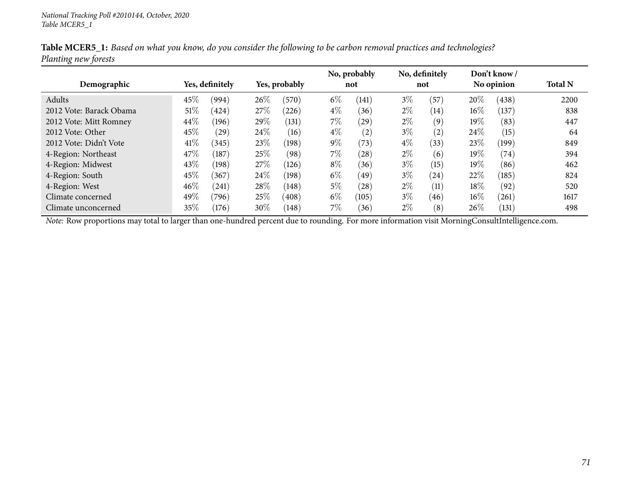|                         |        |                 |      |               |       | No, probably |       | No, definitely |        | Don't know/        |                |
|-------------------------|--------|-----------------|------|---------------|-------|--------------|-------|----------------|--------|--------------------|----------------|
| Demographic             |        | Yes, definitely |      | Yes, probably |       | not          |       | not            |        | No opinion         | <b>Total N</b> |
| Adults                  | 45%    | (994)           | 26\% | (570)         | $6\%$ | (141)        | $3\%$ | (57)           | 20%    | (438)              | 2200           |
| 2012 Vote: Barack Obama | $51\%$ | (424)           | 27\% | (226)         | $4\%$ | (36)         | $2\%$ | (14)           | $16\%$ | (137)              | 838            |
| 2012 Vote: Mitt Romney  | 44\%   | (196)           | 29%  | (131)         | $7\%$ | (29)         | $2\%$ | (9)            | 19%    | (83)               | 447            |
| 2012 Vote: Other        | 45%    | (29)            | 24\% | (16)          | $4\%$ | (2)          | $3\%$ | (2)            | 24\%   | (15)               | 64             |
| 2012 Vote: Didn't Vote  | 41\%   | (345)           | 23\% | (198)         | $9\%$ | (73)         | $4\%$ | (33)           | 23\%   | (199)              | 849            |
| 4-Region: Northeast     | 47\%   | (187)           | 25%  | (98)          | $7\%$ | (28)         | $2\%$ | (6)            | $19\%$ | $\left( 74\right)$ | 394            |
| 4-Region: Midwest       | 43\%   | (198)           | 27\% | (126)         | $8\%$ | (36)         | $3\%$ | (15)           | 19%    | (86)               | 462            |
| 4-Region: South         | 45%    | (367)           | 24\% | (198)         | $6\%$ | (49)         | $3\%$ | (24)           | 22\%   | (185)              | 824            |
| 4-Region: West          | 46\%   | (241)           | 28\% | (148)         | 5%    | (28)         | $2\%$ | (11)           | 18%    | (92)               | 520            |
| Climate concerned       | 49\%   | (796)           | 25%  | (408)         | $6\%$ | (105)        | $3\%$ | (46)           | $16\%$ | (261)              | 1617           |
| Climate unconcerned     | 35%    | (176)           | 30%  | (148)         | $7\%$ | (36)         | $2\%$ | (8)            | 26%    | (131)              | 498            |

Table MCER5\_1: Based on what you know, do you consider the following to be carbon removal practices and technologies? *Planting new forests*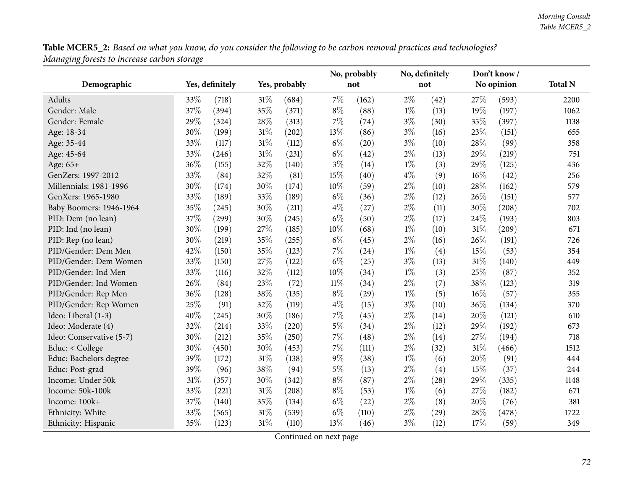Table MCER5\_2: Based on what you know, do you consider the following to be carbon removal practices and technologies? *Managing forests to increase carbon storage*

|                          |      |                 |        |               |        | No, probably |       | No, definitely |        | Don't know/ |                |
|--------------------------|------|-----------------|--------|---------------|--------|--------------|-------|----------------|--------|-------------|----------------|
| Demographic              |      | Yes, definitely |        | Yes, probably |        | not          |       | not            |        | No opinion  | <b>Total N</b> |
| Adults                   | 33%  | (718)           | 31%    | (684)         | 7%     | (162)        | $2\%$ | (42)           | 27%    | (593)       | 2200           |
| Gender: Male             | 37%  | (394)           | 35%    | (371)         | $8\%$  | (88)         | $1\%$ | (13)           | 19%    | (197)       | 1062           |
| Gender: Female           | 29%  | (324)           | 28%    | (313)         | 7%     | (74)         | $3\%$ | (30)           | 35%    | (397)       | 1138           |
| Age: 18-34               | 30%  | (199)           | 31%    | (202)         | 13%    | (86)         | $3\%$ | (16)           | 23\%   | (151)       | 655            |
| Age: 35-44               | 33%  | (117)           | 31%    | (112)         | $6\%$  | (20)         | $3\%$ | (10)           | 28%    | (99)        | 358            |
| Age: 45-64               | 33%  | (246)           | 31%    | (231)         | $6\%$  | (42)         | $2\%$ | (13)           | 29%    | (219)       | 751            |
| Age: 65+                 | 36%  | (155)           | 32%    | (140)         | $3\%$  | (14)         | $1\%$ | (3)            | 29%    | (125)       | 436            |
| GenZers: 1997-2012       | 33%  | (84)            | 32%    | (81)          | 15%    | (40)         | $4\%$ | (9)            | 16%    | (42)        | 256            |
| Millennials: 1981-1996   | 30%  | (174)           | 30%    | (174)         | 10%    | (59)         | $2\%$ | (10)           | 28%    | (162)       | 579            |
| GenXers: 1965-1980       | 33%  | (189)           | 33%    | (189)         | $6\%$  | (36)         | $2\%$ | (12)           | 26%    | (151)       | 577            |
| Baby Boomers: 1946-1964  | 35%  | (245)           | 30%    | (211)         | $4\%$  | (27)         | $2\%$ | (11)           | 30%    | (208)       | 702            |
| PID: Dem (no lean)       | 37%  | (299)           | 30%    | (245)         | $6\%$  | (50)         | $2\%$ | (17)           | 24%    | (193)       | 803            |
| PID: Ind (no lean)       | 30%  | (199)           | 27%    | (185)         | 10%    | (68)         | $1\%$ | (10)           | 31%    | (209)       | 671            |
| PID: Rep (no lean)       | 30%  | (219)           | 35%    | (255)         | $6\%$  | (45)         | $2\%$ | (16)           | 26%    | (191)       | 726            |
| PID/Gender: Dem Men      | 42%  | (150)           | 35%    | (123)         | $7\%$  | (24)         | $1\%$ | (4)            | 15%    | (53)        | 354            |
| PID/Gender: Dem Women    | 33%  | (150)           | 27%    | (122)         | $6\%$  | (25)         | $3\%$ | (13)           | 31%    | (140)       | 449            |
| PID/Gender: Ind Men      | 33%  | (116)           | 32%    | (112)         | 10%    | (34)         | $1\%$ | (3)            | 25%    | (87)        | 352            |
| PID/Gender: Ind Women    | 26\% | (84)            | 23%    | (72)          | $11\%$ | (34)         | $2\%$ | (7)            | 38%    | (123)       | 319            |
| PID/Gender: Rep Men      | 36%  | (128)           | 38%    | (135)         | $8\%$  | (29)         | $1\%$ | (5)            | $16\%$ | (57)        | 355            |
| PID/Gender: Rep Women    | 25%  | (91)            | 32%    | (119)         | $4\%$  | (15)         | $3\%$ | (10)           | 36%    | (134)       | 370            |
| Ideo: Liberal (1-3)      | 40%  | (245)           | 30%    | (186)         | 7%     | (45)         | $2\%$ | (14)           | 20%    | (121)       | 610            |
| Ideo: Moderate (4)       | 32%  | (214)           | 33%    | (220)         | $5\%$  | (34)         | $2\%$ | (12)           | 29%    | (192)       | 673            |
| Ideo: Conservative (5-7) | 30%  | (212)           | 35%    | (250)         | $7\%$  | (48)         | $2\%$ | (14)           | 27%    | (194)       | 718            |
| Educ: < College          | 30%  | (450)           | 30%    | (453)         | 7%     | (111)        | $2\%$ | (32)           | 31%    | (466)       | 1512           |
| Educ: Bachelors degree   | 39%  | (172)           | 31%    | (138)         | $9\%$  | (38)         | $1\%$ | (6)            | 20%    | (91)        | 444            |
| Educ: Post-grad          | 39%  | (96)            | 38%    | (94)          | $5\%$  | (13)         | $2\%$ | (4)            | 15%    | (37)        | 244            |
| Income: Under 50k        | 31%  | (357)           | 30%    | (342)         | $8\%$  | (87)         | $2\%$ | (28)           | 29%    | (335)       | 1148           |
| Income: 50k-100k         | 33%  | (221)           | 31%    | (208)         | $8\%$  | (53)         | $1\%$ | (6)            | 27%    | (182)       | 671            |
| Income: 100k+            | 37%  | (140)           | 35%    | (134)         | $6\%$  | (22)         | $2\%$ | (8)            | $20\%$ | (76)        | 381            |
| Ethnicity: White         | 33%  | (565)           | 31%    | (539)         | $6\%$  | (110)        | $2\%$ | (29)           | 28%    | (478)       | 1722           |
| Ethnicity: Hispanic      | 35%  | (123)           | $31\%$ | (110)         | 13%    | (46)         | $3\%$ | (12)           | 17%    | (59)        | 349            |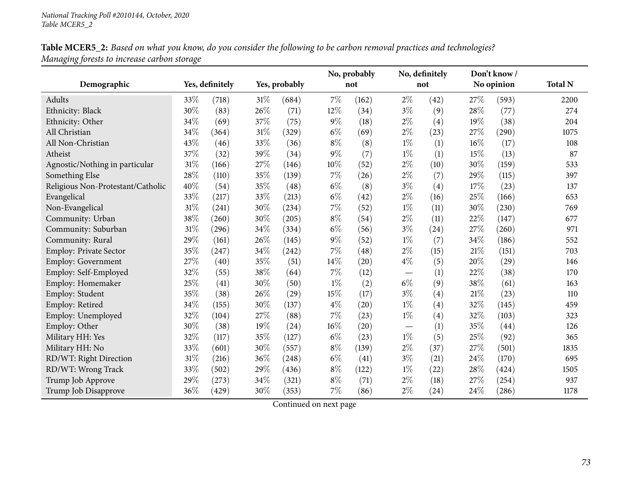|                                   |     |                 |        |                    |        | No, probably |       | No, definitely |      | Don't know/ |                |
|-----------------------------------|-----|-----------------|--------|--------------------|--------|--------------|-------|----------------|------|-------------|----------------|
| Demographic                       |     | Yes, definitely |        | Yes, probably      |        | not          |       | not            |      | No opinion  | <b>Total N</b> |
| Adults                            | 33% | (718)           | $31\%$ | (684)              | 7%     | (162)        | $2\%$ | (42)           | 27%  | (593)       | 2200           |
| Ethnicity: Black                  | 30% | (83)            | 26%    | (71)               | 12%    | (34)         | $3\%$ | (9)            | 28%  | (77)        | 274            |
| Ethnicity: Other                  | 34% | (69)            | 37%    | (75)               | $9\%$  | (18)         | $2\%$ | (4)            | 19%  | (38)        | 204            |
| All Christian                     | 34% | (364)           | $31\%$ | (329)              | $6\%$  | (69)         | $2\%$ | (23)           | 27%  | (290)       | 1075           |
| All Non-Christian                 | 43% | (46)            | 33%    | (36)               | $8\%$  | (8)          | $1\%$ | (1)            | 16%  | (17)        | 108            |
| Atheist                           | 37% | (32)            | 39%    | (34)               | $9\%$  | (7)          | $1\%$ | (1)            | 15%  | (13)        | 87             |
| Agnostic/Nothing in particular    | 31% | (166)           | 27%    | (146)              | $10\%$ | (52)         | $2\%$ | (10)           | 30%  | (159)       | 533            |
| Something Else                    | 28% | (110)           | 35%    | (139)              | $7\%$  | (26)         | $2\%$ | (7)            | 29%  | (115)       | 397            |
| Religious Non-Protestant/Catholic | 40% | (54)            | 35%    | (48)               | $6\%$  | (8)          | $3\%$ | (4)            | 17%  | (23)        | 137            |
| Evangelical                       | 33% | (217)           | 33%    | (213)              | $6\%$  | (42)         | $2\%$ | (16)           | 25%  | (166)       | 653            |
| Non-Evangelical                   | 31% | (241)           | 30%    | (234)              | $7\%$  | (52)         | $1\%$ | (11)           | 30%  | (230)       | 769            |
| Community: Urban                  | 38% | (260)           | 30%    | (205)              | $8\%$  | (54)         | $2\%$ | (11)           | 22%  | (147)       | 677            |
| Community: Suburban               | 31% | (296)           | 34%    | (334)              | $6\%$  | (56)         | $3\%$ | (24)           | 27%  | (260)       | 971            |
| Community: Rural                  | 29% | (161)           | 26%    | (145)              | $9\%$  | (52)         | $1\%$ | (7)            | 34%  | (186)       | 552            |
| Employ: Private Sector            | 35% | (247)           | 34%    | (242)              | $7\%$  | (48)         | $2\%$ | (15)           | 21%  | (151)       | 703            |
| <b>Employ: Government</b>         | 27% | (40)            | 35%    | (51)               | 14%    | (20)         | $4\%$ | (5)            | 20%  | (29)        | 146            |
| Employ: Self-Employed             | 32% | (55)            | 38%    | (64)               | $7\%$  | (12)         |       | (1)            | 22%  | (38)        | 170            |
| Employ: Homemaker                 | 25% | (41)            | 30%    | (50)               | $1\%$  | (2)          | $6\%$ | (9)            | 38%  | (61)        | 163            |
| Employ: Student                   | 35% | (38)            | 26\%   | $\left( 29\right)$ | 15%    | (17)         | $3\%$ | (4)            | 21%  | (23)        | 110            |
| Employ: Retired                   | 34% | (155)           | 30%    | (137)              | $4\%$  | (20)         | $1\%$ | (4)            | 32%  | (145)       | 459            |
| Employ: Unemployed                | 32% | (104)           | 27%    | (88)               | $7\%$  | (23)         | $1\%$ | (4)            | 32%  | (103)       | 323            |
| Employ: Other                     | 30% | (38)            | 19%    | (24)               | 16%    | (20)         |       | (1)            | 35%  | (44)        | 126            |
| Military HH: Yes                  | 32% | (117)           | 35%    | (127)              | $6\%$  | (23)         | $1\%$ | (5)            | 25%  | (92)        | 365            |
| Military HH: No                   | 33% | (601)           | 30%    | (557)              | $8\%$  | (139)        | $2\%$ | (37)           | 27%  | (501)       | 1835           |
| RD/WT: Right Direction            | 31% | (216)           | 36%    | (248)              | $6\%$  | (41)         | $3\%$ | (21)           | 24%  | (170)       | 695            |
| RD/WT: Wrong Track                | 33% | (502)           | 29%    | (436)              | $8\%$  | (122)        | $1\%$ | (22)           | 28%  | (424)       | 1505           |
| Trump Job Approve                 | 29% | (273)           | 34%    | (321)              | $8\%$  | (71)         | $2\%$ | (18)           | 27%  | (254)       | 937            |
| Trump Job Disapprove              | 36% | (429)           | 30%    | (353)              | $7\%$  | (86)         | $2\%$ | (24)           | 24\% | (286)       | 1178           |

Table MCER5\_2: Based on what you know, do you consider the following to be carbon removal practices and technologies? *Managing forests to increase carbon storage*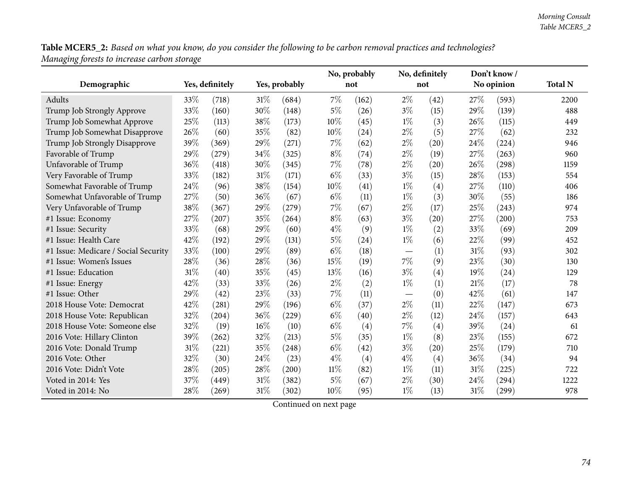Table MCER5\_2: Based on what you know, do you consider the following to be carbon removal practices and technologies? *Managing forests to increase carbon storage*

|                                      |      |                 |        |               |        | No, probably |                                 | No, definitely |      | Don't know/ |                |
|--------------------------------------|------|-----------------|--------|---------------|--------|--------------|---------------------------------|----------------|------|-------------|----------------|
| Demographic                          |      | Yes, definitely |        | Yes, probably |        | not          |                                 | not            |      | No opinion  | <b>Total N</b> |
| Adults                               | 33\% | (718)           | 31\%   | (684)         | 7%     | (162)        | $2\%$                           | (42)           | 27\% | (593)       | 2200           |
| Trump Job Strongly Approve           | 33%  | (160)           | 30%    | (148)         | $5\%$  | (26)         | $3\%$                           | (15)           | 29%  | (139)       | 488            |
| Trump Job Somewhat Approve           | 25%  | (113)           | 38%    | (173)         | 10%    | (45)         | $1\%$                           | (3)            | 26%  | (115)       | 449            |
| Trump Job Somewhat Disapprove        | 26%  | (60)            | 35%    | (82)          | 10%    | (24)         | $2\%$                           | (5)            | 27%  | (62)        | 232            |
| Trump Job Strongly Disapprove        | 39%  | (369)           | 29%    | (271)         | $7\%$  | (62)         | $2\%$                           | (20)           | 24%  | (224)       | 946            |
| Favorable of Trump                   | 29%  | (279)           | 34%    | (325)         | $8\%$  | (74)         | $2\%$                           | (19)           | 27%  | (263)       | 960            |
| Unfavorable of Trump                 | 36%  | (418)           | 30%    | (345)         | $7\%$  | (78)         | $2\%$                           | (20)           | 26%  | (298)       | 1159           |
| Very Favorable of Trump              | 33%  | (182)           | $31\%$ | (171)         | $6\%$  | (33)         | $3\%$                           | (15)           | 28%  | (153)       | 554            |
| Somewhat Favorable of Trump          | 24%  | (96)            | 38%    | (154)         | 10%    | (41)         | $1\%$                           | (4)            | 27%  | (110)       | 406            |
| Somewhat Unfavorable of Trump        | 27\% | (50)            | 36%    | (67)          | $6\%$  | (11)         | $1\%$                           | (3)            | 30%  | (55)        | 186            |
| Very Unfavorable of Trump            | 38%  | (367)           | 29%    | (279)         | 7%     | (67)         | $2\%$                           | (17)           | 25%  | (243)       | 974            |
| #1 Issue: Economy                    | 27%  | (207)           | 35%    | (264)         | $8\%$  | (63)         | $3\%$                           | (20)           | 27%  | (200)       | 753            |
| #1 Issue: Security                   | 33%  | (68)            | 29%    | (60)          | $4\%$  | (9)          | $1\%$                           | (2)            | 33%  | (69)        | 209            |
| #1 Issue: Health Care                | 42%  | (192)           | 29%    | (131)         | $5\%$  | (24)         | $1\%$                           | (6)            | 22%  | (99)        | 452            |
| #1 Issue: Medicare / Social Security | 33%  | (100)           | 29%    | (89)          | $6\%$  | (18)         |                                 | (1)            | 31%  | (93)        | 302            |
| #1 Issue: Women's Issues             | 28%  | (36)            | 28%    | (36)          | 15%    | (19)         | 7%                              | (9)            | 23%  | (30)        | 130            |
| #1 Issue: Education                  | 31%  | (40)            | 35%    | (45)          | 13%    | (16)         | $3\%$                           | (4)            | 19%  | (24)        | 129            |
| #1 Issue: Energy                     | 42%  | (33)            | 33%    | (26)          | $2\%$  | (2)          | $1\%$                           | (1)            | 21%  | (17)        | 78             |
| #1 Issue: Other                      | 29%  | (42)            | 23%    | (33)          | $7\%$  | (11)         | $\hspace{0.1mm}-\hspace{0.1mm}$ | (0)            | 42%  | (61)        | 147            |
| 2018 House Vote: Democrat            | 42%  | (281)           | 29%    | (196)         | $6\%$  | (37)         | $2\%$                           | (11)           | 22%  | (147)       | 673            |
| 2018 House Vote: Republican          | 32%  | (204)           | 36%    | (229)         | $6\%$  | (40)         | $2\%$                           | (12)           | 24%  | (157)       | 643            |
| 2018 House Vote: Someone else        | 32%  | (19)            | 16%    | (10)          | $6\%$  | (4)          | 7%                              | (4)            | 39%  | (24)        | 61             |
| 2016 Vote: Hillary Clinton           | 39%  | (262)           | 32%    | (213)         | $5\%$  | (35)         | $1\%$                           | (8)            | 23%  | (155)       | 672            |
| 2016 Vote: Donald Trump              | 31%  | (221)           | 35%    | (248)         | $6\%$  | (42)         | $3\%$                           | (20)           | 25%  | (179)       | 710            |
| 2016 Vote: Other                     | 32%  | (30)            | 24\%   | (23)          | $4\%$  | (4)          | $4\%$                           | (4)            | 36%  | (34)        | 94             |
| 2016 Vote: Didn't Vote               | 28%  | (205)           | $28\%$ | (200)         | $11\%$ | (82)         | $1\%$                           | (11)           | 31%  | (225)       | 722            |
| Voted in 2014: Yes                   | 37%  | (449)           | 31%    | (382)         | $5\%$  | (67)         | $2\%$                           | (30)           | 24%  | (294)       | 1222           |
| Voted in 2014: No                    | 28%  | (269)           | $31\%$ | (302)         | 10%    | (95)         | $1\%$                           | (13)           | 31%  | (299)       | 978            |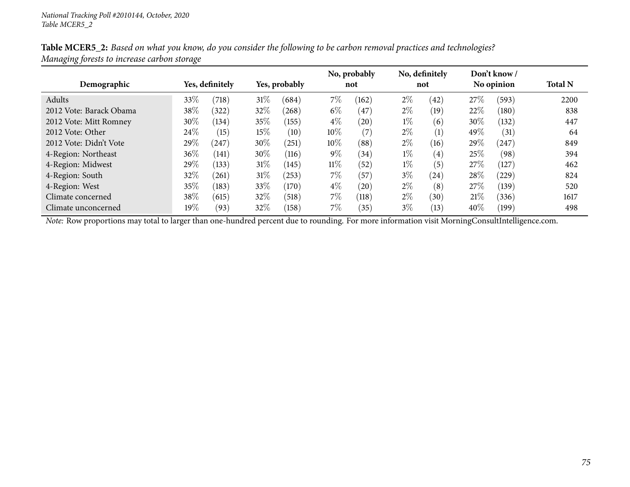|                         |        |                 |               |            | No, probably |       | No, definitely |                    |            | Don't know/ |                |  |
|-------------------------|--------|-----------------|---------------|------------|--------------|-------|----------------|--------------------|------------|-------------|----------------|--|
| Demographic             |        | Yes, definitely | Yes, probably |            |              | not   |                | not                | No opinion |             | <b>Total N</b> |  |
| Adults                  | 33%    | (718)           | $31\%$        | (684)      | $7\%$        | (162) | $2\%$          | (42)               | 27%        | (593)       | 2200           |  |
| 2012 Vote: Barack Obama | $38\%$ | 322             | 32%           | (268)      | $6\%$        | (47)  | $2\%$          | (19)               | 22%        | (180)       | 838            |  |
| 2012 Vote: Mitt Romney  | 30%    | (134)           | 35\%          | (155)      | $4\%$        | (20)  | $1\%$          | (6)                | 30\%       | (132)       | 447            |  |
| 2012 Vote: Other        | 24\%   | (15)            | $15\%$        | (10)       | $10\%$       | (7)   | $2\%$          | (1)                | 49\%       | (31)        | 64             |  |
| 2012 Vote: Didn't Vote  | 29%    | (247)           | 30\%          | $^{'}251)$ | $10\%$       | (88)  | $2\%$          | (16)               | 29%        | (247)       | 849            |  |
| 4-Region: Northeast     | 36%    | (141)           | 30%           | (116)      | $9\%$        | (34)  | $1\%$          | (4)                | 25%        | (98)        | 394            |  |
| 4-Region: Midwest       | 29%    | (133)           | $31\%$        | (145)      | $11\%$       | (52)  | $1\%$          | (5)                | 27\%       | (127)       | 462            |  |
| 4-Region: South         | 32%    | (261)           | $31\%$        | (253)      | $7\%$        | (57)  | $3\%$          | $\left( 24\right)$ | 28\%       | (229)       | 824            |  |
| 4-Region: West          | 35%    | (183)           | 33\%          | (170)      | $4\%$        | (20)  | $2\%$          | (8)                | 27\%       | (139)       | 520            |  |
| Climate concerned       | 38\%   | (615)           | 32%           | (518)      | $7\%$        | (118) | $2\%$          | (30)               | 21%        | (336)       | 1617           |  |
| Climate unconcerned     | 19%    | (93)            | 32%           | (158)      | $7\%$        | (35)  | $3\%$          | (13)               | 40%        | (199)       | 498            |  |

Table MCER5\_2: Based on what you know, do you consider the following to be carbon removal practices and technologies? *Managing forests to increase carbon storage*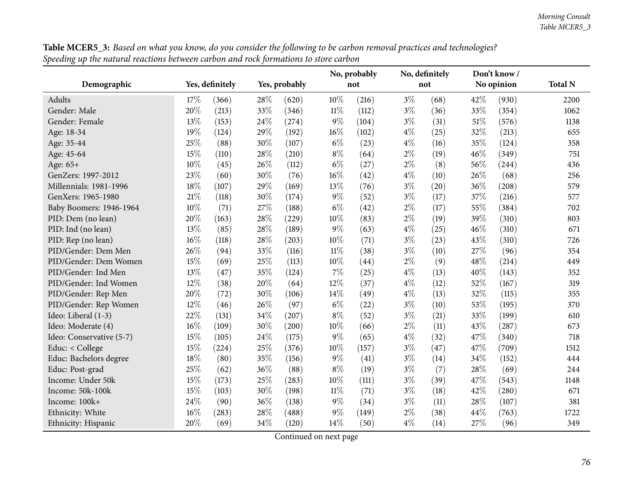|                          |     |                 |      |               |        | No, probably |       | No, definitely |        | Don't know / |                |
|--------------------------|-----|-----------------|------|---------------|--------|--------------|-------|----------------|--------|--------------|----------------|
| Demographic              |     | Yes, definitely |      | Yes, probably |        | not          |       | not            |        | No opinion   | <b>Total N</b> |
| <b>Adults</b>            | 17% | (366)           | 28%  | (620)         | 10%    | (216)        | $3\%$ | (68)           | 42%    | (930)        | 2200           |
| Gender: Male             | 20% | (213)           | 33%  | (346)         | $11\%$ | (112)        | $3\%$ | (36)           | 33%    | (354)        | 1062           |
| Gender: Female           | 13% | (153)           | 24\% | (274)         | $9\%$  | (104)        | $3\%$ | (31)           | $51\%$ | (576)        | 1138           |
| Age: 18-34               | 19% | (124)           | 29%  | (192)         | 16%    | (102)        | $4\%$ | (25)           | 32%    | (213)        | 655            |
| Age: 35-44               | 25% | (88)            | 30%  | (107)         | $6\%$  | (23)         | $4\%$ | (16)           | 35%    | (124)        | 358            |
| Age: 45-64               | 15% | (110)           | 28%  | (210)         | $8\%$  | (64)         | $2\%$ | (19)           | 46%    | (349)        | 751            |
| Age: 65+                 | 10% | (45)            | 26%  | (112)         | $6\%$  | (27)         | 2%    | (8)            | 56%    | (244)        | 436            |
| GenZers: 1997-2012       | 23% | (60)            | 30%  | (76)          | 16%    | (42)         | $4\%$ | (10)           | 26%    | (68)         | 256            |
| Millennials: 1981-1996   | 18% | (107)           | 29%  | (169)         | 13%    | (76)         | $3\%$ | (20)           | 36%    | (208)        | 579            |
| GenXers: 1965-1980       | 21% | (118)           | 30%  | (174)         | $9\%$  | (52)         | $3\%$ | (17)           | 37%    | (216)        | 577            |
| Baby Boomers: 1946-1964  | 10% | (71)            | 27%  | (188)         | $6\%$  | (42)         | 2%    | (17)           | 55%    | (384)        | 702            |
| PID: Dem (no lean)       | 20% | (163)           | 28%  | (229)         | 10%    | (83)         | 2%    | (19)           | 39%    | (310)        | 803            |
| PID: Ind (no lean)       | 13% | (85)            | 28%  | (189)         | $9\%$  | (63)         | $4\%$ | (25)           | 46%    | (310)        | 671            |
| PID: Rep (no lean)       | 16% | (118)           | 28%  | (203)         | 10%    | (71)         | $3\%$ | (23)           | 43%    | (310)        | 726            |
| PID/Gender: Dem Men      | 26% | (94)            | 33%  | (116)         | $11\%$ | (38)         | $3\%$ | (10)           | 27%    | (96)         | 354            |
| PID/Gender: Dem Women    | 15% | (69)            | 25%  | (113)         | 10%    | (44)         | $2\%$ | (9)            | 48%    | (214)        | 449            |
| PID/Gender: Ind Men      | 13% | (47)            | 35%  | (124)         | 7%     | (25)         | 4%    | (13)           | 40%    | (143)        | 352            |
| PID/Gender: Ind Women    | 12% | (38)            | 20%  | (64)          | 12%    | (37)         | $4\%$ | (12)           | 52%    | (167)        | 319            |
| PID/Gender: Rep Men      | 20% | (72)            | 30%  | (106)         | 14%    | (49)         | $4\%$ | (13)           | 32%    | (115)        | 355            |
| PID/Gender: Rep Women    | 12% | (46)            | 26%  | (97)          | $6\%$  | (22)         | $3\%$ | (10)           | 53%    | (195)        | 370            |
| Ideo: Liberal (1-3)      | 22% | (131)           | 34%  | (207)         | $8\%$  | (52)         | $3\%$ | (21)           | 33%    | (199)        | 610            |
| Ideo: Moderate (4)       | 16% | (109)           | 30%  | (200)         | 10%    | (66)         | $2\%$ | (11)           | 43%    | (287)        | 673            |
| Ideo: Conservative (5-7) | 15% | (105)           | 24%  | (175)         | $9\%$  | (65)         | $4\%$ | (32)           | 47%    | (340)        | 718            |
| Educ: < College          | 15% | (224)           | 25%  | (376)         | 10%    | (157)        | $3\%$ | (47)           | 47%    | (709)        | 1512           |
| Educ: Bachelors degree   | 18% | (80)            | 35%  | (156)         | $9\%$  | (41)         | $3\%$ | (14)           | 34%    | (152)        | 444            |
| Educ: Post-grad          | 25% | (62)            | 36%  | (88)          | $8\%$  | (19)         | $3\%$ | (7)            | 28%    | (69)         | 244            |
| Income: Under 50k        | 15% | (173)           | 25%  | (283)         | 10%    | (111)        | $3\%$ | (39)           | 47%    | (543)        | 1148           |
| Income: 50k-100k         | 15% | (103)           | 30%  | (198)         | $11\%$ | (71)         | $3\%$ | (18)           | 42%    | (280)        | 671            |
| Income: 100k+            | 24% | (90)            | 36%  | (138)         | 9%     | (34)         | $3\%$ | (11)           | 28%    | (107)        | 381            |
| Ethnicity: White         | 16% | (283)           | 28%  | (488)         | 9%     | (149)        | $2\%$ | (38)           | 44%    | (763)        | 1722           |
| Ethnicity: Hispanic      | 20% | (69)            | 34%  | (120)         | 14%    | (50)         | $4\%$ | (14)           | 27%    | (96)         | 349            |

**Table MCER5\_3:** Based on what you know, do you consider the following to be carbon removal practices and technologies? Speeding up the natural reactions between carbon and rock formations to store carbon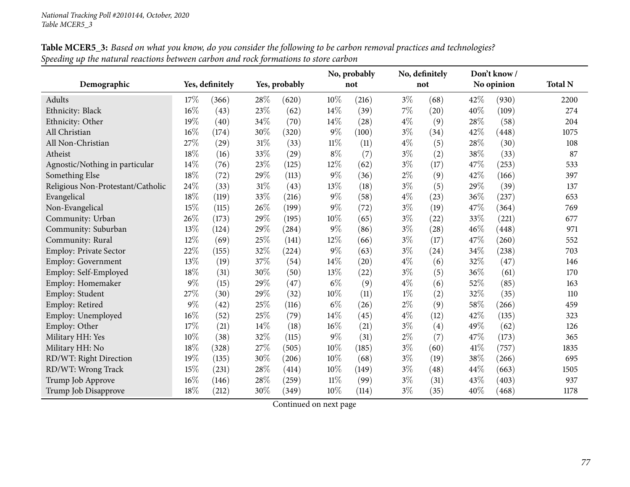|                                   |        |                 |        |               | No, probably |       | No, definitely |      |     | Don't know/ |                |
|-----------------------------------|--------|-----------------|--------|---------------|--------------|-------|----------------|------|-----|-------------|----------------|
| Demographic                       |        | Yes, definitely |        | Yes, probably |              | not   |                | not  |     | No opinion  | <b>Total N</b> |
| Adults                            | 17%    | (366)           | 28%    | (620)         | 10%          | (216) | $3\%$          | (68) | 42% | (930)       | 2200           |
| Ethnicity: Black                  | 16%    | (43)            | 23%    | (62)          | 14%          | (39)  | $7\%$          | (20) | 40% | (109)       | 274            |
| Ethnicity: Other                  | 19%    | (40)            | 34\%   | (70)          | 14%          | (28)  | $4\%$          | (9)  | 28% | (58)        | 204            |
| All Christian                     | $16\%$ | (174)           | 30%    | (320)         | $9\%$        | (100) | $3\%$          | (34) | 42% | (448)       | 1075           |
| All Non-Christian                 | 27%    | (29)            | $31\%$ | (33)          | $11\%$       | (11)  | $4\%$          | (5)  | 28% | (30)        | 108            |
| Atheist                           | 18%    | (16)            | 33%    | (29)          | $8\%$        | (7)   | $3\%$          | (2)  | 38% | (33)        | 87             |
| Agnostic/Nothing in particular    | 14%    | (76)            | 23%    | (125)         | 12%          | (62)  | $3\%$          | (17) | 47% | (253)       | 533            |
| Something Else                    | $18\%$ | (72)            | 29%    | (113)         | $9\%$        | (36)  | $2\%$          | (9)  | 42% | (166)       | 397            |
| Religious Non-Protestant/Catholic | 24%    | (33)            | $31\%$ | (43)          | 13%          | (18)  | $3\%$          | (5)  | 29% | (39)        | 137            |
| Evangelical                       | 18%    | (119)           | 33%    | (216)         | $9\%$        | (58)  | $4\%$          | (23) | 36% | (237)       | 653            |
| Non-Evangelical                   | 15%    | (115)           | 26%    | (199)         | $9\%$        | (72)  | $3\%$          | (19) | 47% | (364)       | 769            |
| Community: Urban                  | 26%    | (173)           | 29%    | (195)         | 10%          | (65)  | $3\%$          | (22) | 33% | (221)       | 677            |
| Community: Suburban               | 13%    | (124)           | 29%    | (284)         | $9\%$        | (86)  | $3\%$          | (28) | 46% | (448)       | 971            |
| Community: Rural                  | 12%    | (69)            | 25%    | (141)         | 12%          | (66)  | $3\%$          | (17) | 47% | (260)       | 552            |
| <b>Employ: Private Sector</b>     | 22%    | (155)           | 32%    | (224)         | $9\%$        | (63)  | $3\%$          | (24) | 34% | (238)       | 703            |
| <b>Employ: Government</b>         | 13%    | (19)            | 37%    | (54)          | 14%          | (20)  | $4\%$          | (6)  | 32% | (47)        | 146            |
| Employ: Self-Employed             | 18%    | (31)            | 30%    | (50)          | $13\%$       | (22)  | $3\%$          | (5)  | 36% | (61)        | 170            |
| Employ: Homemaker                 | 9%     | (15)            | 29%    | (47)          | $6\%$        | (9)   | $4\%$          | (6)  | 52% | (85)        | 163            |
| Employ: Student                   | 27%    | (30)            | 29%    | (32)          | 10%          | (11)  | $1\%$          | (2)  | 32% | (35)        | 110            |
| Employ: Retired                   | 9%     | (42)            | $25\%$ | (116)         | $6\%$        | (26)  | $2\%$          | (9)  | 58% | (266)       | 459            |
| Employ: Unemployed                | 16%    | (52)            | $25\%$ | (79)          | $14\%$       | (45)  | $4\%$          | (12) | 42% | (135)       | 323            |
| Employ: Other                     | 17%    | (21)            | 14%    | (18)          | 16%          | (21)  | $3\%$          | (4)  | 49% | (62)        | 126            |
| Military HH: Yes                  | 10%    | (38)            | 32%    | (115)         | $9\%$        | (31)  | $2\%$          | (7)  | 47% | (173)       | 365            |
| Military HH: No                   | 18%    | (328)           | 27%    | (505)         | 10%          | (185) | $3\%$          | (60) | 41% | (757)       | 1835           |
| RD/WT: Right Direction            | 19%    | (135)           | 30%    | (206)         | 10%          | (68)  | $3\%$          | (19) | 38% | (266)       | 695            |
| RD/WT: Wrong Track                | 15%    | (231)           | $28\%$ | (414)         | 10%          | (149) | $3\%$          | (48) | 44% | (663)       | 1505           |
| Trump Job Approve                 | 16%    | (146)           | 28%    | (259)         | $11\%$       | (99)  | $3\%$          | (31) | 43% | (403)       | 937            |
| Trump Job Disapprove              | 18%    | (212)           | 30%    | (349)         | 10%          | (114) | $3\%$          | (35) | 40% | (468)       | 1178           |

Table MCER5\_3: Based on what you know, do you consider the following to be carbon removal practices and technologies? Speeding up the natural reactions between carbon and rock formations to store carbon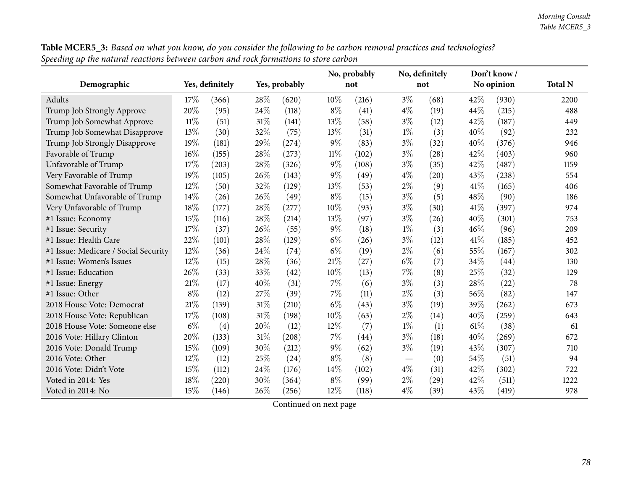| Table MCER5_3: Based on what you know, do you consider the following to be carbon removal practices and technologies? |
|-----------------------------------------------------------------------------------------------------------------------|
| Speeding up the natural reactions between carbon and rock formations to store carbon                                  |

| o.                                   |       |                 |        |               |        | No, probably |       | No, definitely |      | Don't know/ |                |
|--------------------------------------|-------|-----------------|--------|---------------|--------|--------------|-------|----------------|------|-------------|----------------|
| Demographic                          |       | Yes, definitely |        | Yes, probably |        | not          |       | not            |      | No opinion  | <b>Total N</b> |
| Adults                               | 17%   | (366)           | 28%    | (620)         | 10%    | (216)        | $3\%$ | (68)           | 42\% | (930)       | 2200           |
| Trump Job Strongly Approve           | 20%   | (95)            | 24%    | (118)         | $8\%$  | (41)         | $4\%$ | (19)           | 44\% | (215)       | 488            |
| Trump Job Somewhat Approve           | 11%   | (51)            | 31%    | (141)         | 13%    | (58)         | $3\%$ | (12)           | 42%  | (187)       | 449            |
| Trump Job Somewhat Disapprove        | 13%   | (30)            | 32%    | (75)          | 13%    | (31)         | $1\%$ | (3)            | 40%  | (92)        | 232            |
| Trump Job Strongly Disapprove        | 19%   | (181)           | 29%    | (274)         | $9\%$  | (83)         | $3\%$ | (32)           | 40%  | (376)       | 946            |
| Favorable of Trump                   | 16%   | (155)           | 28%    | (273)         | $11\%$ | (102)        | $3\%$ | (28)           | 42%  | (403)       | 960            |
| Unfavorable of Trump                 | 17%   | (203)           | 28%    | (326)         | $9\%$  | (108)        | $3\%$ | (35)           | 42%  | (487)       | 1159           |
| Very Favorable of Trump              | 19%   | (105)           | 26%    | (143)         | $9\%$  | (49)         | $4\%$ | (20)           | 43%  | (238)       | 554            |
| Somewhat Favorable of Trump          | 12%   | (50)            | 32%    | (129)         | 13%    | (53)         | $2\%$ | (9)            | 41\% | (165)       | 406            |
| Somewhat Unfavorable of Trump        | 14%   | (26)            | 26%    | (49)          | $8\%$  | (15)         | $3\%$ | (5)            | 48%  | (90)        | 186            |
| Very Unfavorable of Trump            | 18%   | (177)           | 28%    | (277)         | 10%    | (93)         | $3\%$ | (30)           | 41\% | (397)       | 974            |
| #1 Issue: Economy                    | 15%   | (116)           | 28%    | (214)         | 13%    | (97)         | $3\%$ | (26)           | 40%  | (301)       | 753            |
| #1 Issue: Security                   | 17%   | (37)            | 26%    | (55)          | $9\%$  | (18)         | $1\%$ | (3)            | 46%  | (96)        | 209            |
| #1 Issue: Health Care                | 22%   | (101)           | 28%    | (129)         | $6\%$  | (26)         | $3\%$ | (12)           | 41\% | (185)       | 452            |
| #1 Issue: Medicare / Social Security | 12%   | (36)            | 24%    | (74)          | $6\%$  | (19)         | $2\%$ | (6)            | 55%  | (167)       | 302            |
| #1 Issue: Women's Issues             | 12%   | (15)            | 28%    | (36)          | 21%    | (27)         | $6\%$ | (7)            | 34%  | (44)        | 130            |
| #1 Issue: Education                  | 26%   | (33)            | 33%    | (42)          | 10%    | (13)         | 7%    | (8)            | 25%  | (32)        | 129            |
| #1 Issue: Energy                     | 21%   | (17)            | 40%    | (31)          | 7%     | (6)          | $3\%$ | (3)            | 28%  | (22)        | 78             |
| #1 Issue: Other                      | $8\%$ | (12)            | 27%    | (39)          | $7\%$  | (11)         | $2\%$ | (3)            | 56%  | (82)        | 147            |
| 2018 House Vote: Democrat            | 21%   | (139)           | 31%    | (210)         | $6\%$  | (43)         | $3\%$ | (19)           | 39%  | (262)       | 673            |
| 2018 House Vote: Republican          | 17%   | (108)           | $31\%$ | (198)         | $10\%$ | (63)         | $2\%$ | (14)           | 40%  | (259)       | 643            |
| 2018 House Vote: Someone else        | $6\%$ | (4)             | 20%    | (12)          | 12%    | (7)          | $1\%$ | (1)            | 61\% | (38)        | 61             |
| 2016 Vote: Hillary Clinton           | 20%   | (133)           | 31%    | (208)         | 7%     | (44)         | $3\%$ | (18)           | 40%  | (269)       | 672            |
| 2016 Vote: Donald Trump              | 15%   | (109)           | 30%    | (212)         | $9\%$  | (62)         | $3\%$ | (19)           | 43%  | (307)       | 710            |
| 2016 Vote: Other                     | 12%   | (12)            | 25%    | (24)          | $8\%$  | (8)          |       | (0)            | 54%  | (51)        | 94             |
| 2016 Vote: Didn't Vote               | 15%   | (112)           | 24%    | (176)         | 14%    | (102)        | $4\%$ | (31)           | 42%  | (302)       | 722            |
| Voted in 2014: Yes                   | 18%   | (220)           | 30%    | (364)         | $8\%$  | (99)         | $2\%$ | (29)           | 42%  | (511)       | 1222           |
| Voted in 2014: No                    | 15%   | (146)           | 26%    | (256)         | 12%    | (118)        | $4\%$ | (39)           | 43%  | (419)       | 978            |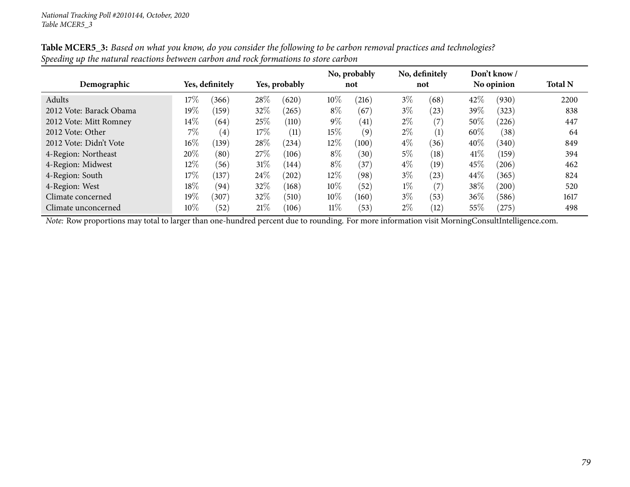|                         |        |                 |        |               |        | No, probably |       | No, definitely |            | Don't know/ |                |
|-------------------------|--------|-----------------|--------|---------------|--------|--------------|-------|----------------|------------|-------------|----------------|
| Demographic             |        | Yes, definitely |        | Yes, probably |        | not          |       | not            | No opinion |             | <b>Total N</b> |
| Adults                  | $17\%$ | (366)           | 28\%   | (620)         | 10%    | $^{(216)}$   | $3\%$ | (68)           | 42\%       | (930)       | 2200           |
| 2012 Vote: Barack Obama | $19\%$ | (159)           | 32%    | (265)         | $8\%$  | (67)         | $3\%$ | (23)           | 39\%       | (323)       | 838            |
| 2012 Vote: Mitt Romney  | $14\%$ | (64)            | 25\%   | (110)         | $9\%$  | (41)         | $2\%$ | (7)            | $50\%$     | (226)       | 447            |
| 2012 Vote: Other        | $7\%$  | (4)             | $17\%$ | (11)          | $15\%$ | (9)          | $2\%$ | (1)            | 60%        | (38)        | 64             |
| 2012 Vote: Didn't Vote  | $16\%$ | (139)           | 28\%   | (234)         | 12%    | (100)        | $4\%$ | (36)           | $40\%$     | (340)       | 849            |
| 4-Region: Northeast     | 20%    | (80)            | 27\%   | (106)         | $8\%$  | (30)         | $5\%$ | (18)           | 41\%       | (159)       | 394            |
| 4-Region: Midwest       | $12\%$ | (56)            | $31\%$ | (144)         | $8\%$  | (37)         | $4\%$ | (19)           | 45%        | (206)       | 462            |
| 4-Region: South         | $17\%$ | (137)           | 24\%   | $^{'}202)$    | $12\%$ | (98)         | $3\%$ | (23)           | $44\%$     | (365)       | 824            |
| 4-Region: West          | 18%    | (94)            | 32%    | (168)         | 10%    | (52)         | $1\%$ | (7)            | $38\%$     | (200)       | 520            |
| Climate concerned       | $19\%$ | (307)           | 32\%   | (510)         | 10%    | (160)        | $3\%$ | (53)           | 36\%       | (586)       | 1617           |
| Climate unconcerned     | $10\%$ | (52)            | 21%    | (106)         | $11\%$ | (53)         | $2\%$ | (12)           | 55%        | (275)       | 498            |

Table MCER5\_3: Based on what you know, do you consider the following to be carbon removal practices and technologies? Speeding up the natural reactions between carbon and rock formations to store carbon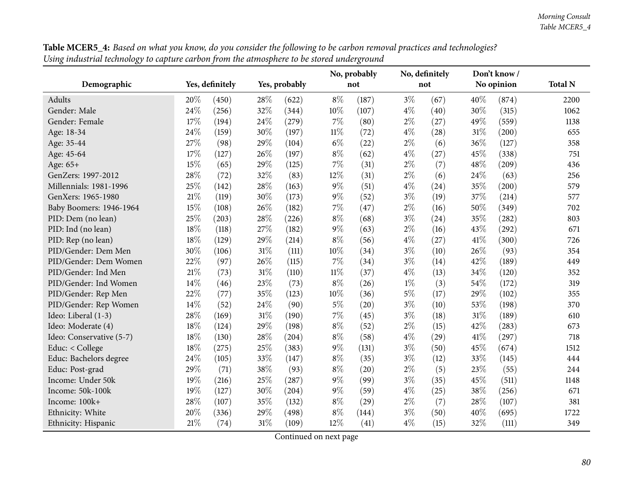|                          |        |                 |        |               |        | No, probably |       | No, definitely |        | Don't know/ |                |
|--------------------------|--------|-----------------|--------|---------------|--------|--------------|-------|----------------|--------|-------------|----------------|
| Demographic              |        | Yes, definitely |        | Yes, probably |        | not          |       | not            |        | No opinion  | <b>Total N</b> |
| <b>Adults</b>            | 20%    | (450)           | 28%    | (622)         | $8\%$  | (187)        | $3\%$ | (67)           | 40%    | (874)       | 2200           |
| Gender: Male             | 24%    | (256)           | 32%    | (344)         | 10%    | (107)        | $4\%$ | (40)           | 30%    | (315)       | 1062           |
| Gender: Female           | 17%    | (194)           | 24\%   | (279)         | 7%     | (80)         | $2\%$ | (27)           | 49%    | (559)       | 1138           |
| Age: 18-34               | 24%    | (159)           | 30%    | (197)         | $11\%$ | (72)         | $4\%$ | (28)           | $31\%$ | (200)       | 655            |
| Age: 35-44               | 27%    | (98)            | 29%    | (104)         | $6\%$  | (22)         | $2\%$ | (6)            | 36%    | (127)       | 358            |
| Age: 45-64               | 17%    | (127)           | 26%    | (197)         | $8\%$  | (62)         | $4\%$ | (27)           | 45%    | (338)       | 751            |
| Age: 65+                 | 15%    | (65)            | 29%    | (125)         | 7%     | (31)         | $2\%$ | (7)            | 48%    | (209)       | 436            |
| GenZers: 1997-2012       | 28%    | (72)            | 32%    | (83)          | 12%    | (31)         | $2\%$ | (6)            | 24\%   | (63)        | 256            |
| Millennials: 1981-1996   | 25%    | (142)           | $28\%$ | (163)         | 9%     | (51)         | $4\%$ | (24)           | 35%    | (200)       | 579            |
| GenXers: 1965-1980       | $21\%$ | (119)           | 30%    | (173)         | 9%     | (52)         | $3\%$ | (19)           | 37%    | (214)       | 577            |
| Baby Boomers: 1946-1964  | 15%    | (108)           | 26%    | (182)         | 7%     | (47)         | $2\%$ | (16)           | 50%    | (349)       | 702            |
| PID: Dem (no lean)       | 25%    | (203)           | 28%    | (226)         | $8\%$  | (68)         | $3\%$ | (24)           | 35%    | (282)       | 803            |
| PID: Ind (no lean)       | 18%    | (118)           | 27%    | (182)         | $9\%$  | (63)         | $2\%$ | (16)           | 43%    | (292)       | 671            |
| PID: Rep (no lean)       | 18%    | (129)           | 29%    | (214)         | $8\%$  | (56)         | $4\%$ | (27)           | 41\%   | (300)       | 726            |
| PID/Gender: Dem Men      | 30%    | (106)           | 31%    | (111)         | 10%    | (34)         | $3\%$ | (10)           | 26%    | (93)        | 354            |
| PID/Gender: Dem Women    | 22%    | (97)            | 26%    | (115)         | 7%     | (34)         | $3\%$ | (14)           | 42%    | (189)       | 449            |
| PID/Gender: Ind Men      | 21%    | (73)            | $31\%$ | (110)         | $11\%$ | (37)         | $4\%$ | (13)           | 34%    | (120)       | 352            |
| PID/Gender: Ind Women    | 14%    | (46)            | 23%    | (73)          | $8\%$  | (26)         | $1\%$ | (3)            | 54%    | (172)       | 319            |
| PID/Gender: Rep Men      | 22%    | (77)            | 35%    | (123)         | 10%    | (36)         | $5\%$ | (17)           | 29%    | (102)       | 355            |
| PID/Gender: Rep Women    | 14%    | (52)            | 24%    | (90)          | 5%     | (20)         | $3\%$ | (10)           | 53%    | (198)       | 370            |
| Ideo: Liberal (1-3)      | 28%    | (169)           | $31\%$ | (190)         | 7%     | (45)         | $3\%$ | (18)           | 31%    | (189)       | 610            |
| Ideo: Moderate (4)       | 18%    | (124)           | 29%    | (198)         | $8\%$  | (52)         | $2\%$ | (15)           | 42%    | (283)       | 673            |
| Ideo: Conservative (5-7) | 18%    | (130)           | 28\%   | (204)         | $8\%$  | (58)         | $4\%$ | (29)           | 41%    | (297)       | 718            |
| Educ: < College          | 18%    | (275)           | 25%    | (383)         | 9%     | (131)        | $3\%$ | (50)           | 45%    | (674)       | 1512           |
| Educ: Bachelors degree   | 24%    | (105)           | 33%    | (147)         | $8\%$  | (35)         | $3\%$ | (12)           | 33%    | (145)       | 444            |
| Educ: Post-grad          | 29%    | (71)            | 38%    | (93)          | $8\%$  | (20)         | $2\%$ | (5)            | 23%    | (55)        | 244            |
| Income: Under 50k        | 19%    | (216)           | 25%    | (287)         | $9\%$  | (99)         | $3\%$ | (35)           | 45%    | (511)       | 1148           |
| Income: 50k-100k         | 19%    | (127)           | 30%    | (204)         | $9\%$  | (59)         | $4\%$ | (25)           | 38%    | (256)       | 671            |
| Income: 100k+            | 28%    | (107)           | 35%    | (132)         | $8\%$  | (29)         | $2\%$ | (7)            | 28%    | (107)       | 381            |
| Ethnicity: White         | 20%    | (336)           | 29%    | (498)         | $8\%$  | (144)        | $3\%$ | (50)           | 40%    | (695)       | 1722           |
| Ethnicity: Hispanic      | 21%    | (74)            | $31\%$ | (109)         | 12%    | (41)         | $4\%$ | (15)           | 32%    | (111)       | 349            |

**Table MCER5\_4:** Based on what you know, do you consider the following to be carbon removal practices and technologies? Using industrial technology to capture carbon from the atmosphere to be stored underground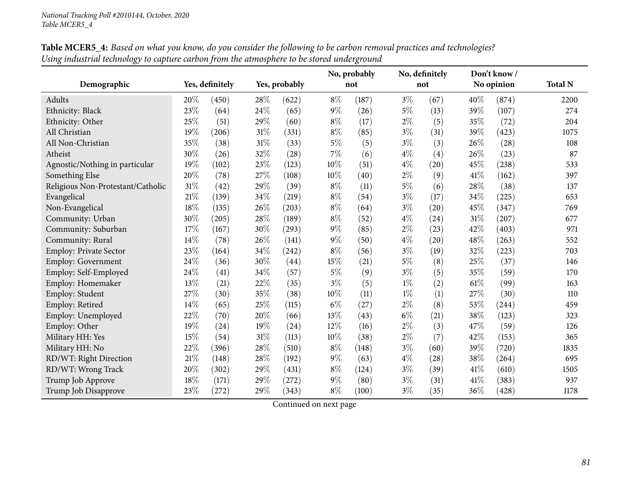|                                   |        |                 |        |               | No, probably |       |       | No, definitely |        | Don't know/ |                |
|-----------------------------------|--------|-----------------|--------|---------------|--------------|-------|-------|----------------|--------|-------------|----------------|
| Demographic                       |        | Yes, definitely |        | Yes, probably |              | not   |       | not            |        | No opinion  | <b>Total N</b> |
| Adults                            | 20%    | (450)           | 28%    | (622)         | $8\%$        | (187) | $3\%$ | (67)           | 40%    | (874)       | 2200           |
| Ethnicity: Black                  | 23%    | (64)            | 24\%   | (65)          | $9\%$        | (26)  | $5\%$ | (13)           | 39%    | (107)       | 274            |
| Ethnicity: Other                  | 25%    | (51)            | 29%    | (60)          | $8\%$        | (17)  | $2\%$ | (5)            | 35%    | (72)        | 204            |
| All Christian                     | 19%    | (206)           | $31\%$ | (331)         | $8\%$        | (85)  | $3\%$ | (31)           | 39%    | (423)       | 1075           |
| All Non-Christian                 | 35%    | (38)            | 31%    | (33)          | $5\%$        | (5)   | $3\%$ | (3)            | 26%    | (28)        | 108            |
| Atheist                           | 30%    | (26)            | 32%    | (28)          | 7%           | (6)   | $4\%$ | (4)            | 26%    | (23)        | 87             |
| Agnostic/Nothing in particular    | 19%    | (102)           | 23%    | (123)         | 10%          | (51)  | $4\%$ | (20)           | 45%    | (238)       | 533            |
| Something Else                    | $20\%$ | (78)            | 27\%   | (108)         | 10%          | (40)  | $2\%$ | (9)            | 41%    | (162)       | 397            |
| Religious Non-Protestant/Catholic | 31%    | (42)            | 29%    | (39)          | $8\%$        | (11)  | $5\%$ | (6)            | 28%    | (38)        | 137            |
| Evangelical                       | 21%    | (139)           | 34\%   | (219)         | $8\%$        | (54)  | $3\%$ | (17)           | 34\%   | (225)       | 653            |
| Non-Evangelical                   | 18%    | (135)           | 26%    | (203)         | $8\%$        | (64)  | $3\%$ | (20)           | 45%    | (347)       | 769            |
| Community: Urban                  | 30%    | (205)           | 28\%   | (189)         | $8\%$        | (52)  | $4\%$ | (24)           | 31%    | (207)       | 677            |
| Community: Suburban               | 17%    | (167)           | 30%    | (293)         | $9\%$        | (85)  | $2\%$ | (23)           | 42%    | (403)       | 971            |
| Community: Rural                  | 14%    | (78)            | 26%    | (141)         | $9\%$        | (50)  | $4\%$ | (20)           | 48%    | (263)       | 552            |
| <b>Employ: Private Sector</b>     | 23%    | (164)           | 34\%   | (242)         | $8\%$        | (56)  | $3\%$ | (19)           | 32%    | (223)       | 703            |
| <b>Employ: Government</b>         | 24%    | (36)            | 30%    | (44)          | 15%          | (21)  | $5\%$ | (8)            | 25%    | (37)        | 146            |
| Employ: Self-Employed             | 24%    | (41)            | $34\%$ | (57)          | $5\%$        | (9)   | $3\%$ | (5)            | 35%    | (59)        | 170            |
| Employ: Homemaker                 | 13%    | (21)            | $22\%$ | (35)          | $3\%$        | (5)   | $1\%$ | (2)            | 61\%   | (99)        | 163            |
| Employ: Student                   | 27%    | (30)            | 35%    | (38)          | $10\%$       | (11)  | $1\%$ | (1)            | 27%    | (30)        | 110            |
| Employ: Retired                   | 14%    | (65)            | 25%    | (115)         | $6\%$        | (27)  | $2\%$ | (8)            | 53%    | (244)       | 459            |
| Employ: Unemployed                | $22\%$ | (70)            | 20%    | (66)          | 13%          | (43)  | $6\%$ | (21)           | 38%    | (123)       | 323            |
| Employ: Other                     | 19%    | (24)            | 19%    | (24)          | 12%          | (16)  | $2\%$ | (3)            | 47%    | (59)        | 126            |
| Military HH: Yes                  | 15%    | (54)            | $31\%$ | (113)         | 10%          | (38)  | $2\%$ | (7)            | 42%    | (153)       | 365            |
| Military HH: No                   | 22%    | (396)           | 28%    | (510)         | $8\%$        | (148) | $3\%$ | (60)           | 39%    | (720)       | 1835           |
| RD/WT: Right Direction            | 21%    | (148)           | 28%    | (192)         | $9\%$        | (63)  | $4\%$ | (28)           | 38%    | (264)       | 695            |
| RD/WT: Wrong Track                | 20%    | (302)           | 29%    | (431)         | $8\%$        | (124) | $3\%$ | (39)           | 41\%   | (610)       | 1505           |
| Trump Job Approve                 | 18%    | (171)           | 29%    | (272)         | $9\%$        | (80)  | $3\%$ | (31)           | 41%    | (383)       | 937            |
| Trump Job Disapprove              | 23%    | (272)           | 29%    | (343)         | $8\%$        | (100) | $3\%$ | (35)           | $36\%$ | (428)       | 1178           |

Table MCER5\_4: Based on what you know, do you consider the following to be carbon removal practices and technologies? Using industrial technology to capture carbon from the atmosphere to be stored underground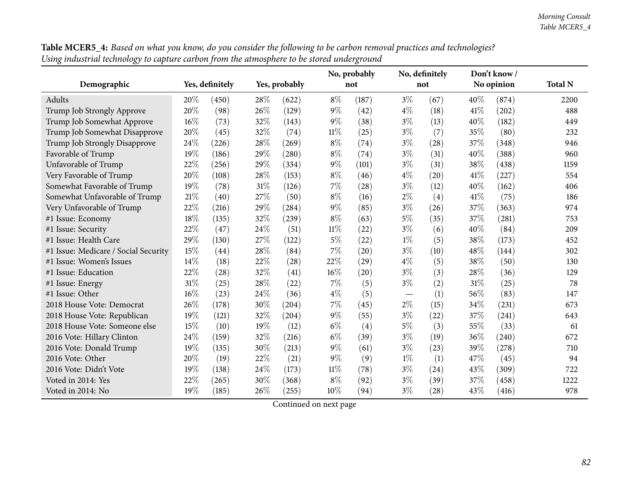| Table MCER5_4: Based on what you know, do you consider the following to be carbon removal practices and technologies? |
|-----------------------------------------------------------------------------------------------------------------------|
| Using industrial technology to capture carbon from the atmosphere to be stored underground                            |

|                                      |        |                 |        |               |        | No, probably       |                               | No, definitely |     | Don't know/ |                |
|--------------------------------------|--------|-----------------|--------|---------------|--------|--------------------|-------------------------------|----------------|-----|-------------|----------------|
| Demographic                          |        | Yes, definitely |        | Yes, probably |        | not                |                               | not            |     | No opinion  | <b>Total N</b> |
| Adults                               | 20%    | (450)           | 28%    | (622)         | $8\%$  | (187)              | $3\%$                         | (67)           | 40% | (874)       | 2200           |
| Trump Job Strongly Approve           | 20%    | (98)            | 26%    | (129)         | 9%     | (42)               | $4\%$                         | (18)           | 41% | (202)       | 488            |
| Trump Job Somewhat Approve           | $16\%$ | (73)            | 32%    | (143)         | $9\%$  | (38)               | $3\%$                         | (13)           | 40% | (182)       | 449            |
| Trump Job Somewhat Disapprove        | 20%    | (45)            | 32%    | (74)          | $11\%$ | (25)               | $3\%$                         | (7)            | 35% | (80)        | 232            |
| Trump Job Strongly Disapprove        | 24%    | (226)           | 28%    | (269)         | $8\%$  | (74)               | $3\%$                         | (28)           | 37% | (348)       | 946            |
| Favorable of Trump                   | 19%    | (186)           | 29%    | (280)         | $8\%$  | (74)               | $3\%$                         | (31)           | 40% | (388)       | 960            |
| Unfavorable of Trump                 | 22%    | (256)           | 29%    | (334)         | $9\%$  | (101)              | $3\%$                         | (31)           | 38% | (438)       | 1159           |
| Very Favorable of Trump              | 20%    | (108)           | 28%    | (153)         | $8\%$  | (46)               | $4\%$                         | (20)           | 41% | (227)       | 554            |
| Somewhat Favorable of Trump          | 19%    | (78)            | 31%    | (126)         | 7%     | $\left( 28\right)$ | $3\%$                         | (12)           | 40% | (162)       | 406            |
| Somewhat Unfavorable of Trump        | 21%    | (40)            | 27%    | (50)          | $8\%$  | (16)               | $2\%$                         | (4)            | 41% | (75)        | 186            |
| Very Unfavorable of Trump            | $22\%$ | (216)           | 29%    | (284)         | 9%     | (85)               | $3\%$                         | (26)           | 37% | (363)       | 974            |
| #1 Issue: Economy                    | 18%    | (135)           | $32\%$ | (239)         | $8\%$  | (63)               | $5\%$                         | (35)           | 37% | (281)       | 753            |
| #1 Issue: Security                   | 22%    | (47)            | 24%    | (51)          | $11\%$ | (22)               | $3\%$                         | (6)            | 40% | (84)        | 209            |
| #1 Issue: Health Care                | 29%    | (130)           | 27%    | (122)         | $5\%$  | (22)               | $1\%$                         | (5)            | 38% | (173)       | 452            |
| #1 Issue: Medicare / Social Security | 15%    | (44)            | 28\%   | (84)          | 7%     | (20)               | $3\%$                         | (10)           | 48% | (144)       | 302            |
| #1 Issue: Women's Issues             | 14%    | (18)            | 22%    | (28)          | 22%    | (29)               | $4\%$                         | (5)            | 38% | (50)        | 130            |
| #1 Issue: Education                  | 22%    | (28)            | 32%    | (41)          | 16%    | (20)               | $3\%$                         | (3)            | 28% | (36)        | 129            |
| #1 Issue: Energy                     | 31%    | (25)            | 28%    | (22)          | 7%     | (5)                | $3\%$                         | (2)            | 31% | (25)        | 78             |
| #1 Issue: Other                      | 16%    | (23)            | 24%    | (36)          | $4\%$  | (5)                | $\overbrace{\phantom{13333}}$ | (1)            | 56% | (83)        | 147            |
| 2018 House Vote: Democrat            | 26%    | (178)           | 30%    | (204)         | 7%     | (45)               | $2\%$                         | (15)           | 34% | (231)       | 673            |
| 2018 House Vote: Republican          | 19%    | (121)           | 32%    | (204)         | $9\%$  | (55)               | $3\%$                         | (22)           | 37% | (241)       | 643            |
| 2018 House Vote: Someone else        | 15%    | (10)            | 19%    | (12)          | $6\%$  | (4)                | 5%                            | (3)            | 55% | (33)        | 61             |
| 2016 Vote: Hillary Clinton           | 24%    | (159)           | 32%    | (216)         | $6\%$  | (39)               | $3\%$                         | (19)           | 36% | (240)       | 672            |
| 2016 Vote: Donald Trump              | 19%    | (135)           | 30%    | (213)         | 9%     | (61)               | $3\%$                         | (23)           | 39% | (278)       | 710            |
| 2016 Vote: Other                     | 20%    | (19)            | 22%    | (21)          | 9%     | (9)                | $1\%$                         | (1)            | 47% | (45)        | 94             |
| 2016 Vote: Didn't Vote               | 19%    | (138)           | 24%    | (173)         | $11\%$ | (78)               | $3\%$                         | (24)           | 43% | (309)       | 722            |
| Voted in 2014: Yes                   | 22%    | (265)           | 30%    | (368)         | $8\%$  | (92)               | $3\%$                         | (39)           | 37% | (458)       | 1222           |
| Voted in 2014: No                    | 19%    | (185)           | 26%    | (255)         | 10%    | (94)               | $3\%$                         | (28)           | 43% | (416)       | 978            |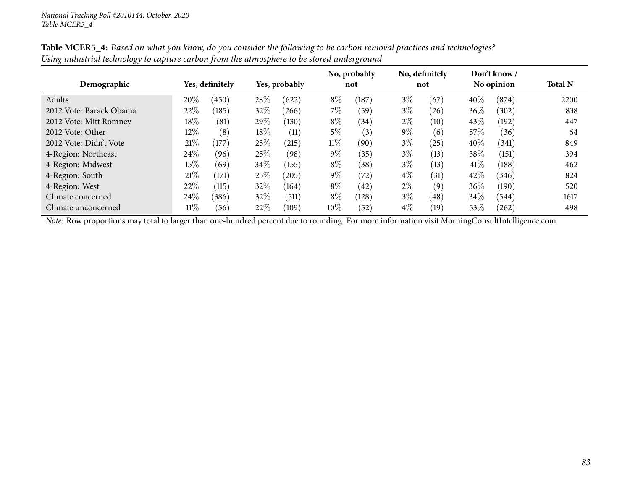|                         |        |                 |               |       |        | No, probably |       | No, definitely |        | Don't know/ |                |
|-------------------------|--------|-----------------|---------------|-------|--------|--------------|-------|----------------|--------|-------------|----------------|
| Demographic             |        | Yes, definitely | Yes, probably |       |        | not          |       | not            |        | No opinion  | <b>Total N</b> |
| Adults                  | 20%    | (450)           | 28%           | (622) | $8\%$  | (187)        | $3\%$ | (67)           | 40%    | (874)       | 2200           |
| 2012 Vote: Barack Obama | 22%    | (185)           | 32%           | (266) | 7\%    | (59)         | $3\%$ | (26)           | $36\%$ | (302)       | 838            |
| 2012 Vote: Mitt Romney  | $18\%$ | (81)            | 29%           | (130) | $8\%$  | (34)         | $2\%$ | (10)           | 43\%   | (192)       | 447            |
| 2012 Vote: Other        | $12\%$ | (8)             | $18\%$        | (11)  | $5\%$  | (3)          | $9\%$ | (6)            | 57\%   | (36)        | 64             |
| 2012 Vote: Didn't Vote  | 21%    | (177)           | 25\%          | (215) | $11\%$ | (90)         | $3\%$ | (25)           | $40\%$ | (341)       | 849            |
| 4-Region: Northeast     | 24\%   | (96)            | 25%           | (98)  | $9\%$  | (35)         | $3\%$ | (13)           | 38\%   | (151)       | 394            |
| 4-Region: Midwest       | $15\%$ | (69)            | 34%           | (155) | $8\%$  | (38)         | $3\%$ | (13)           | $41\%$ | (188)       | 462            |
| 4-Region: South         | 21%    | (171)           | 25\%          | (205) | $9\%$  | (72)         | $4\%$ | (31)           | 42%    | (346)       | 824            |
| 4-Region: West          | 22%    | (115)           | 32%           | (164) | $8\%$  | (42)         | $2\%$ | (9)            | $36\%$ | (190)       | 520            |
| Climate concerned       | 24%    | (386)           | 32%           | (511) | $8\%$  | (128)        | $3\%$ | (48)           | 34\%   | (544)       | 1617           |
| Climate unconcerned     | $11\%$ | (56)            | 22%           | (109) | 10%    | (52)         | $4\%$ | (19)           | $53\%$ | $^{(262)}$  | 498            |

Table MCER5\_4: Based on what you know, do you consider the following to be carbon removal practices and technologies? Using industrial technology to capture carbon from the atmosphere to be stored underground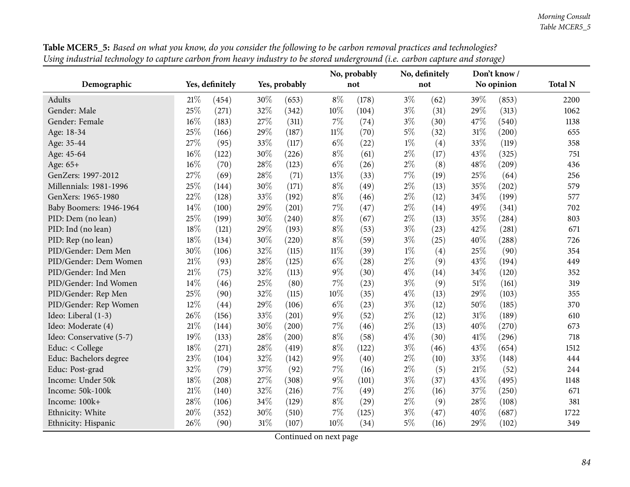|                          |                                  |       |        |       |        | No, probably | No, definitely |      | Don't know/    |       |      |
|--------------------------|----------------------------------|-------|--------|-------|--------|--------------|----------------|------|----------------|-------|------|
| Demographic              | Yes, definitely<br>Yes, probably |       |        | not   | not    |              | No opinion     |      | <b>Total N</b> |       |      |
| Adults                   | 21%                              | (454) | 30%    | (653) | $8\%$  | (178)        | $3\%$          | (62) | 39%            | (853) | 2200 |
| Gender: Male             | 25%                              | (271) | 32%    | (342) | 10%    | (104)        | $3\%$          | (31) | 29%            | (313) | 1062 |
| Gender: Female           | 16%                              | (183) | 27%    | (311) | 7%     | (74)         | $3\%$          | (30) | 47%            | (540) | 1138 |
| Age: 18-34               | 25%                              | (166) | 29%    | (187) | $11\%$ | (70)         | $5\%$          | (32) | 31%            | (200) | 655  |
| Age: 35-44               | 27%                              | (95)  | 33%    | (117) | $6\%$  | (22)         | $1\%$          | (4)  | 33%            | (119) | 358  |
| Age: 45-64               | 16%                              | (122) | 30%    | (226) | $8\%$  | (61)         | $2\%$          | (17) | 43%            | (325) | 751  |
| Age: 65+                 | 16%                              | (70)  | 28%    | (123) | $6\%$  | (26)         | $2\%$          | (8)  | 48%            | (209) | 436  |
| GenZers: 1997-2012       | 27%                              | (69)  | $28\%$ | (71)  | 13%    | (33)         | $7\%$          | (19) | 25%            | (64)  | 256  |
| Millennials: 1981-1996   | 25%                              | (144) | 30%    | (171) | $8\%$  | (49)         | $2\%$          | (13) | 35%            | (202) | 579  |
| GenXers: 1965-1980       | 22%                              | (128) | 33%    | (192) | $8\%$  | (46)         | $2\%$          | (12) | 34%            | (199) | 577  |
| Baby Boomers: 1946-1964  | 14%                              | (100) | 29%    | (201) | 7%     | (47)         | $2\%$          | (14) | 49%            | (341) | 702  |
| PID: Dem (no lean)       | 25%                              | (199) | 30%    | (240) | $8\%$  | (67)         | $2\%$          | (13) | 35%            | (284) | 803  |
| PID: Ind (no lean)       | 18%                              | (121) | 29%    | (193) | $8\%$  | (53)         | $3\%$          | (23) | 42%            | (281) | 671  |
| PID: Rep (no lean)       | 18%                              | (134) | $30\%$ | (220) | $8\%$  | (59)         | $3\%$          | (25) | 40%            | (288) | 726  |
| PID/Gender: Dem Men      | 30%                              | (106) | 32%    | (115) | $11\%$ | (39)         | $1\%$          | (4)  | 25%            | (90)  | 354  |
| PID/Gender: Dem Women    | 21%                              | (93)  | 28%    | (125) | $6\%$  | (28)         | $2\%$          | (9)  | 43%            | (194) | 449  |
| PID/Gender: Ind Men      | 21%                              | (75)  | 32%    | (113) | 9%     | (30)         | $4\%$          | (14) | 34%            | (120) | 352  |
| PID/Gender: Ind Women    | 14%                              | (46)  | 25%    | (80)  | 7%     | (23)         | $3\%$          | (9)  | 51%            | (161) | 319  |
| PID/Gender: Rep Men      | 25%                              | (90)  | 32%    | (115) | 10%    | (35)         | $4\%$          | (13) | 29%            | (103) | 355  |
| PID/Gender: Rep Women    | 12%                              | (44)  | 29%    | (106) | $6\%$  | (23)         | $3\%$          | (12) | 50%            | (185) | 370  |
| Ideo: Liberal (1-3)      | 26%                              | (156) | 33%    | (201) | 9%     | (52)         | $2\%$          | (12) | 31%            | (189) | 610  |
| Ideo: Moderate (4)       | 21%                              | (144) | 30%    | (200) | $7\%$  | (46)         | $2\%$          | (13) | 40%            | (270) | 673  |
| Ideo: Conservative (5-7) | 19%                              | (133) | $28\%$ | (200) | $8\%$  | (58)         | $4\%$          | (30) | 41\%           | (296) | 718  |
| Educ: < College          | 18%                              | (271) | 28%    | (419) | $8\%$  | (122)        | $3\%$          | (46) | 43%            | (654) | 1512 |
| Educ: Bachelors degree   | 23%                              | (104) | 32%    | (142) | $9\%$  | (40)         | $2\%$          | (10) | 33%            | (148) | 444  |
| Educ: Post-grad          | 32%                              | (79)  | 37%    | (92)  | 7%     | (16)         | $2\%$          | (5)  | $21\%$         | (52)  | 244  |
| Income: Under 50k        | 18%                              | (208) | 27%    | (308) | 9%     | (101)        | $3\%$          | (37) | 43%            | (495) | 1148 |
| Income: 50k-100k         | 21%                              | (140) | 32%    | (216) | 7%     | (49)         | $2\%$          | (16) | 37%            | (250) | 671  |
| Income: 100k+            | 28%                              | (106) | 34%    | (129) | $8\%$  | (29)         | $2\%$          | (9)  | 28%            | (108) | 381  |
| Ethnicity: White         | 20%                              | (352) | $30\%$ | (510) | 7%     | (125)        | $3\%$          | (47) | 40%            | (687) | 1722 |
| Ethnicity: Hispanic      | 26%                              | (90)  | $31\%$ | (107) | 10%    | (34)         | $5\%$          | (16) | 29%            | (102) | 349  |

Table MCER5\_5: Based on what you know, do you consider the following to be carbon removal practices and technologies? Using industrial technology to capture carbon from heavy industry to be stored underground (i.e. carbon capture and storage)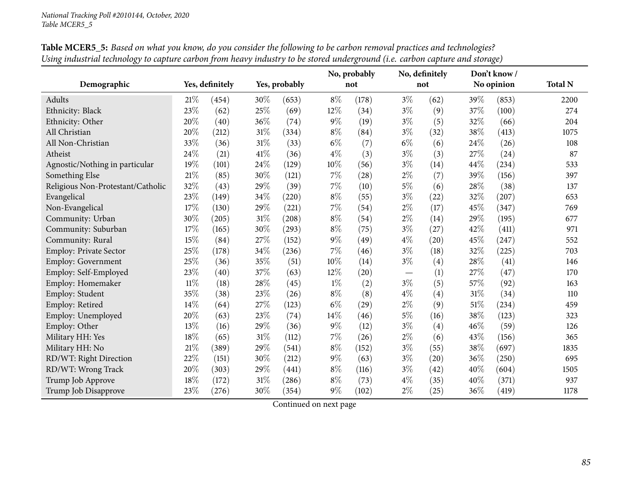|                                   |        |                 |        | No, probably  |        | No, definitely |       | Don't know/ | <b>Total N</b> |            |      |
|-----------------------------------|--------|-----------------|--------|---------------|--------|----------------|-------|-------------|----------------|------------|------|
| Demographic                       |        | Yes, definitely |        | Yes, probably |        | not            |       | not         |                | No opinion |      |
| Adults                            | 21%    | (454)           | 30%    | (653)         | $8\%$  | (178)          | $3\%$ | (62)        | 39%            | (853)      | 2200 |
| Ethnicity: Black                  | 23%    | (62)            | $25\%$ | (69)          | 12%    | (34)           | $3\%$ | (9)         | 37%            | (100)      | 274  |
| Ethnicity: Other                  | 20%    | (40)            | 36%    | (74)          | $9\%$  | (19)           | $3\%$ | (5)         | 32%            | (66)       | 204  |
| All Christian                     | 20%    | (212)           | $31\%$ | (334)         | $8\%$  | (84)           | $3\%$ | (32)        | 38%            | (413)      | 1075 |
| All Non-Christian                 | 33%    | (36)            | $31\%$ | (33)          | $6\%$  | (7)            | $6\%$ | (6)         | 24\%           | (26)       | 108  |
| Atheist                           | 24%    | (21)            | $41\%$ | (36)          | $4\%$  | (3)            | $3\%$ | (3)         | 27%            | (24)       | 87   |
| Agnostic/Nothing in particular    | 19%    | (101)           | $24\%$ | (129)         | $10\%$ | (56)           | $3\%$ | (14)        | 44%            | (234)      | 533  |
| Something Else                    | 21\%   | (85)            | 30%    | (121)         | $7\%$  | (28)           | $2\%$ | (7)         | 39%            | (156)      | 397  |
| Religious Non-Protestant/Catholic | 32%    | (43)            | 29%    | (39)          | $7\%$  | (10)           | $5\%$ | (6)         | 28%            | (38)       | 137  |
| Evangelical                       | 23%    | (149)           | 34%    | (220)         | $8\%$  | (55)           | $3\%$ | (22)        | 32%            | (207)      | 653  |
| Non-Evangelical                   | 17%    | (130)           | 29%    | (221)         | $7\%$  | (54)           | $2\%$ | (17)        | 45%            | (347)      | 769  |
| Community: Urban                  | 30%    | (205)           | $31\%$ | (208)         | $8\%$  | (54)           | $2\%$ | (14)        | 29%            | (195)      | 677  |
| Community: Suburban               | 17%    | (165)           | 30%    | (293)         | $8\%$  | (75)           | $3\%$ | (27)        | 42%            | (411)      | 971  |
| Community: Rural                  | 15%    | (84)            | 27%    | (152)         | $9\%$  | (49)           | $4\%$ | (20)        | 45%            | (247)      | 552  |
| <b>Employ: Private Sector</b>     | 25%    | (178)           | 34%    | (236)         | $7\%$  | (46)           | $3\%$ | (18)        | 32%            | (225)      | 703  |
| <b>Employ: Government</b>         | 25%    | (36)            | 35%    | (51)          | 10%    | (14)           | $3\%$ | (4)         | 28%            | (41)       | 146  |
| Employ: Self-Employed             | 23%    | (40)            | 37%    | (63)          | 12%    | (20)           |       | (1)         | 27%            | (47)       | 170  |
| Employ: Homemaker                 | $11\%$ | (18)            | $28\%$ | (45)          | $1\%$  | (2)            | $3\%$ | (5)         | 57%            | (92)       | 163  |
| Employ: Student                   | 35%    | (38)            | 23%    | (26)          | $8\%$  | (8)            | $4\%$ | (4)         | 31%            | (34)       | 110  |
| Employ: Retired                   | 14%    | (64)            | $27\%$ | (123)         | $6\%$  | (29)           | $2\%$ | (9)         | $51\%$         | (234)      | 459  |
| Employ: Unemployed                | 20%    | (63)            | 23%    | (74)          | $14\%$ | (46)           | $5\%$ | (16)        | 38%            | (123)      | 323  |
| Employ: Other                     | 13%    | (16)            | 29%    | (36)          | $9\%$  | (12)           | $3\%$ | (4)         | 46%            | (59)       | 126  |
| Military HH: Yes                  | 18%    | (65)            | $31\%$ | (112)         | 7%     | (26)           | $2\%$ | (6)         | 43%            | (156)      | 365  |
| Military HH: No                   | 21%    | (389)           | 29%    | (541)         | $8\%$  | (152)          | $3\%$ | (55)        | 38%            | (697)      | 1835 |
| RD/WT: Right Direction            | 22%    | (151)           | 30%    | (212)         | $9\%$  | (63)           | $3\%$ | (20)        | 36%            | (250)      | 695  |
| RD/WT: Wrong Track                | 20%    | (303)           | 29%    | (441)         | $8\%$  | (116)          | $3\%$ | (42)        | 40%            | (604)      | 1505 |
| Trump Job Approve                 | 18%    | (172)           | 31%    | (286)         | $8\%$  | (73)           | $4\%$ | (35)        | 40%            | (371)      | 937  |
| Trump Job Disapprove              | 23%    | (276)           | 30%    | (354)         | $9\%$  | (102)          | $2\%$ | (25)        | 36%            | (419)      | 1178 |

Table MCER5\_5: Based on what you know, do you consider the following to be carbon removal practices and technologies? Using industrial technology to capture carbon from heavy industry to be stored underground (i.e. carbon capture and storage)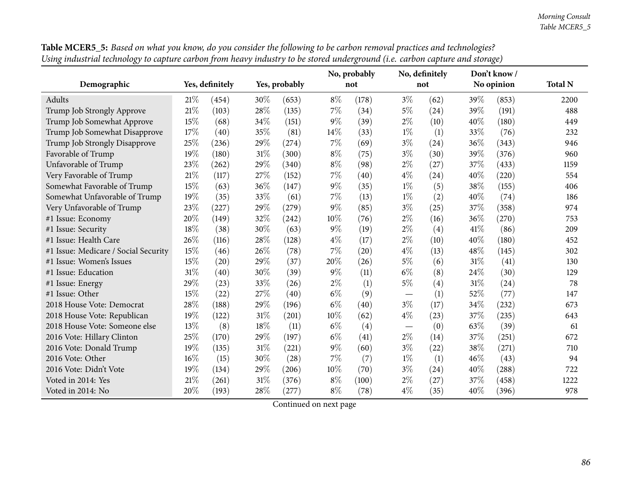| Table MCER5_5: Based on what you know, do you consider the following to be carbon removal practices and technologies?        |                           |                       |
|------------------------------------------------------------------------------------------------------------------------------|---------------------------|-----------------------|
| Using industrial technology to capture carbon from heavy industry to be stored underground (i.e. carbon capture and storage) |                           |                       |
|                                                                                                                              | No ngokakly No definitely | $\sum_{n=1}^{\infty}$ |

|                                      |        |                 |     |               | No, probably |       | No, definitely                  |      |        | Don't know/ |                |
|--------------------------------------|--------|-----------------|-----|---------------|--------------|-------|---------------------------------|------|--------|-------------|----------------|
| Demographic                          |        | Yes, definitely |     | Yes, probably |              | not   |                                 | not  |        | No opinion  | <b>Total N</b> |
| Adults                               | 21%    | (454)           | 30% | (653)         | $8\%$        | (178) | $3\%$                           | (62) | 39%    | (853)       | 2200           |
| Trump Job Strongly Approve           | 21\%   | (103)           | 28% | (135)         | $7\%$        | (34)  | 5%                              | (24) | 39%    | (191)       | 488            |
| Trump Job Somewhat Approve           | 15%    | (68)            | 34% | (151)         | $9\%$        | (39)  | $2\%$                           | (10) | 40%    | (180)       | 449            |
| Trump Job Somewhat Disapprove        | 17%    | (40)            | 35% | (81)          | 14%          | (33)  | $1\%$                           | (1)  | 33\%   | (76)        | 232            |
| Trump Job Strongly Disapprove        | 25%    | (236)           | 29% | (274)         | $7\%$        | (69)  | $3\%$                           | (24) | 36\%   | (343)       | 946            |
| Favorable of Trump                   | 19%    | (180)           | 31% | (300)         | $8\%$        | (75)  | $3\%$                           | (30) | 39%    | (376)       | 960            |
| Unfavorable of Trump                 | 23%    | (262)           | 29% | (340)         | $8\%$        | (98)  | $2\%$                           | (27) | 37\%   | (433)       | 1159           |
| Very Favorable of Trump              | 21%    | (117)           | 27% | (152)         | $7\%$        | (40)  | $4\%$                           | (24) | 40%    | (220)       | 554            |
| Somewhat Favorable of Trump          | $15\%$ | (63)            | 36% | (147)         | $9\%$        | (35)  | $1\%$                           | (5)  | 38\%   | (155)       | 406            |
| Somewhat Unfavorable of Trump        | 19%    | (35)            | 33% | (61)          | $7\%$        | (13)  | $1\%$                           | (2)  | 40%    | (74)        | 186            |
| Very Unfavorable of Trump            | 23%    | (227)           | 29% | (279)         | $9\%$        | (85)  | $3\%$                           | (25) | 37%    | (358)       | 974            |
| #1 Issue: Economy                    | 20%    | (149)           | 32% | (242)         | 10%          | (76)  | $2\%$                           | (16) | 36%    | (270)       | 753            |
| #1 Issue: Security                   | 18%    | (38)            | 30% | (63)          | $9\%$        | (19)  | $2\%$                           | (4)  | 41\%   | (86)        | 209            |
| #1 Issue: Health Care                | 26%    | (116)           | 28% | (128)         | $4\%$        | (17)  | $2\%$                           | (10) | 40%    | (180)       | 452            |
| #1 Issue: Medicare / Social Security | 15%    | (46)            | 26% | (78)          | $7\%$        | (20)  | $4\%$                           | (13) | 48%    | (145)       | 302            |
| #1 Issue: Women's Issues             | 15%    | (20)            | 29% | (37)          | 20%          | (26)  | 5%                              | (6)  | 31%    | (41)        | 130            |
| #1 Issue: Education                  | 31%    | (40)            | 30% | (39)          | $9\%$        | (11)  | $6\%$                           | (8)  | 24\%   | (30)        | 129            |
| #1 Issue: Energy                     | 29%    | (23)            | 33% | (26)          | $2\%$        | (1)   | $5\%$                           | (4)  | $31\%$ | (24)        | 78             |
| #1 Issue: Other                      | 15%    | (22)            | 27% | (40)          | $6\%$        | (9)   |                                 | (1)  | 52%    | (77)        | 147            |
| 2018 House Vote: Democrat            | 28%    | (188)           | 29% | (196)         | $6\%$        | (40)  | $3\%$                           | (17) | 34%    | (232)       | 673            |
| 2018 House Vote: Republican          | 19%    | (122)           | 31% | (201)         | 10%          | (62)  | $4\%$                           | (23) | 37%    | (235)       | 643            |
| 2018 House Vote: Someone else        | 13%    | (8)             | 18% | (11)          | $6\%$        | (4)   | $\hspace{0.1mm}-\hspace{0.1mm}$ | (0)  | 63%    | (39)        | 61             |
| 2016 Vote: Hillary Clinton           | 25%    | (170)           | 29% | (197)         | $6\%$        | (41)  | $2\%$                           | (14) | 37%    | (251)       | 672            |
| 2016 Vote: Donald Trump              | 19%    | (135)           | 31% | (221)         | $9\%$        | (60)  | $3\%$                           | (22) | 38\%   | (271)       | 710            |
| 2016 Vote: Other                     | 16%    | (15)            | 30% | (28)          | 7%           | (7)   | $1\%$                           | (1)  | 46%    | (43)        | 94             |
| 2016 Vote: Didn't Vote               | 19%    | (134)           | 29% | (206)         | 10%          | (70)  | $3\%$                           | (24) | 40%    | (288)       | 722            |
| Voted in 2014: Yes                   | 21%    | (261)           | 31% | (376)         | $8\%$        | (100) | $2\%$                           | (27) | 37\%   | (458)       | 1222           |
| Voted in 2014: No                    | 20%    | (193)           | 28% | (277)         | $8\%$        | (78)  | $4\%$                           | (35) | 40%    | (396)       | 978            |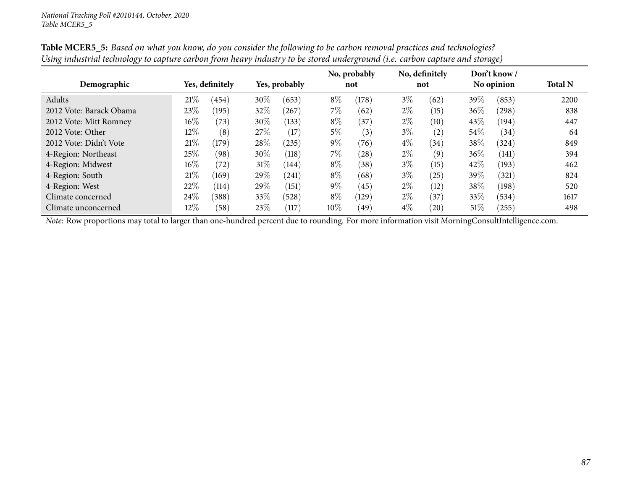|                         |        |                 |        |               |        | No, probably |       | No, definitely     |        | Don't know/ |                |
|-------------------------|--------|-----------------|--------|---------------|--------|--------------|-------|--------------------|--------|-------------|----------------|
| Demographic             |        | Yes, definitely |        | Yes, probably |        | not          |       | not                |        | No opinion  | <b>Total N</b> |
| Adults                  | 21%    | (454)           | 30%    | (653)         | $8\%$  | (178)        | $3\%$ | (62)               | 39\%   | (853)       | 2200           |
| 2012 Vote: Barack Obama | 23\%   | (195)           | 32\%   | (267)         | $7\%$  | (62)         | $2\%$ | (15)               | 36\%   | (298)       | 838            |
| 2012 Vote: Mitt Romney  | $16\%$ | (73)            | $30\%$ | (133)         | $8\%$  | (37)         | $2\%$ | (10)               | 43\%   | (194)       | 447            |
| 2012 Vote: Other        | $12\%$ | (8)             | 27\%   | (17)          | 5%     | (3)          | $3\%$ | (2)                | $54\%$ | (34)        | 64             |
| 2012 Vote: Didn't Vote  | 21%    | (179)           | 28\%   | (235)         | $9\%$  | (76)         | $4\%$ | (34)               | $38\%$ | (324)       | 849            |
| 4-Region: Northeast     | 25\%   | (98)            | 30\%   | (118)         | $7\%$  | (28)         | $2\%$ | (9)                | 36\%   | (141)       | 394            |
| 4-Region: Midwest       | $16\%$ | (72)            | $31\%$ | (144)         | $8\%$  | (38)         | $3\%$ | (15)               | 42\%   | (193)       | 462            |
| 4-Region: South         | 21%    | (169)           | 29%    | (241)         | $8\%$  | (68)         | $3\%$ | (25)               | 39\%   | (321)       | 824            |
| 4-Region: West          | 22%    | (114)           | 29%    | (151)         | $9\%$  | (45)         | $2\%$ | (12)               | 38\%   | (198)       | 520            |
| Climate concerned       | 24%    | (388)           | 33\%   | (528)         | $8\%$  | (129)        | $2\%$ | (37)               | 33\%   | (534)       | 1617           |
| Climate unconcerned     | $12\%$ | (58)            | 23\%   | (117)         | $10\%$ | (49)         | $4\%$ | $\left( 20\right)$ | $51\%$ | (255)       | 498            |

Table MCER5\_5: Based on what you know, do you consider the following to be carbon removal practices and technologies? Using industrial technology to capture carbon from heavy industry to be stored underground (i.e. carbon capture and storage)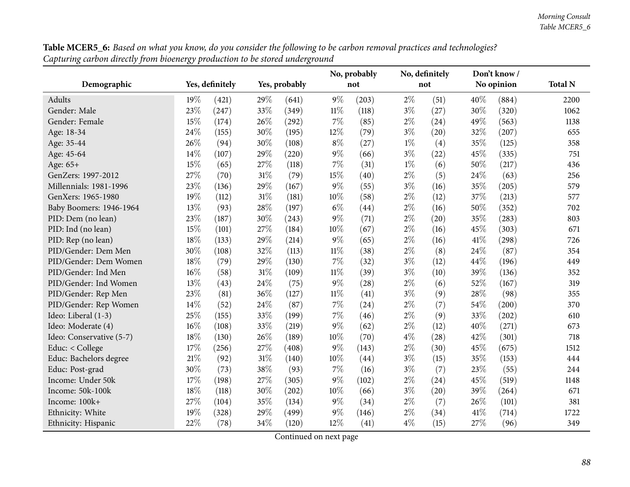|                          |                 |       |        |               |        | No, probably | No, definitely |      | Don't know / |            |                |
|--------------------------|-----------------|-------|--------|---------------|--------|--------------|----------------|------|--------------|------------|----------------|
| Demographic              | Yes, definitely |       |        | Yes, probably |        | not          |                | not  |              | No opinion | <b>Total N</b> |
| Adults                   | 19%             | (421) | 29%    | (641)         | $9\%$  | (203)        | $2\%$          | (51) | 40%          | (884)      | 2200           |
| Gender: Male             | 23%             | (247) | 33%    | (349)         | $11\%$ | (118)        | $3\%$          | (27) | 30%          | (320)      | 1062           |
| Gender: Female           | 15%             | (174) | 26%    | (292)         | 7%     | (85)         | $2\%$          | (24) | 49%          | (563)      | 1138           |
| Age: 18-34               | 24%             | (155) | 30%    | (195)         | 12%    | (79)         | $3\%$          | (20) | 32%          | (207)      | 655            |
| Age: 35-44               | 26%             | (94)  | 30%    | (108)         | $8\%$  | (27)         | $1\%$          | (4)  | 35%          | (125)      | 358            |
| Age: 45-64               | 14%             | (107) | 29%    | (220)         | $9\%$  | (66)         | $3\%$          | (22) | 45%          | (335)      | 751            |
| Age: 65+                 | 15%             | (65)  | 27%    | (118)         | 7%     | (31)         | $1\%$          | (6)  | 50%          | (217)      | 436            |
| GenZers: 1997-2012       | 27%             | (70)  | 31%    | (79)          | 15%    | (40)         | $2\%$          | (5)  | 24%          | (63)       | 256            |
| Millennials: 1981-1996   | 23%             | (136) | 29%    | (167)         | $9\%$  | (55)         | $3\%$          | (16) | 35%          | (205)      | 579            |
| GenXers: 1965-1980       | 19%             | (112) | 31%    | (181)         | 10%    | (58)         | $2\%$          | (12) | 37%          | (213)      | 577            |
| Baby Boomers: 1946-1964  | 13%             | (93)  | 28%    | (197)         | $6\%$  | (44)         | $2\%$          | (16) | 50%          | (352)      | 702            |
| PID: Dem (no lean)       | 23%             | (187) | 30%    | (243)         | $9\%$  | (71)         | $2\%$          | (20) | 35%          | (283)      | 803            |
| PID: Ind (no lean)       | 15%             | (101) | 27%    | (184)         | 10%    | (67)         | $2\%$          | (16) | 45%          | (303)      | 671            |
| PID: Rep (no lean)       | 18%             | (133) | 29%    | (214)         | $9\%$  | (65)         | $2\%$          | (16) | 41\%         | (298)      | 726            |
| PID/Gender: Dem Men      | 30%             | (108) | 32%    | (113)         | $11\%$ | (38)         | $2\%$          | (8)  | 24\%         | (87)       | 354            |
| PID/Gender: Dem Women    | 18%             | (79)  | 29%    | (130)         | 7%     | (32)         | $3\%$          | (12) | 44%          | (196)      | 449            |
| PID/Gender: Ind Men      | 16%             | (58)  | 31%    | (109)         | $11\%$ | (39)         | $3\%$          | (10) | 39%          | (136)      | 352            |
| PID/Gender: Ind Women    | 13%             | (43)  | 24\%   | (75)          | $9\%$  | (28)         | $2\%$          | (6)  | 52%          | (167)      | 319            |
| PID/Gender: Rep Men      | 23%             | (81)  | 36%    | (127)         | $11\%$ | (41)         | $3\%$          | (9)  | 28%          | (98)       | 355            |
| PID/Gender: Rep Women    | 14%             | (52)  | 24%    | (87)          | $7\%$  | (24)         | $2\%$          | (7)  | 54%          | (200)      | 370            |
| Ideo: Liberal (1-3)      | 25%             | (155) | 33%    | (199)         | 7%     | (46)         | $2\%$          | (9)  | 33%          | (202)      | 610            |
| Ideo: Moderate (4)       | $16\%$          | (108) | 33%    | (219)         | $9\%$  | (62)         | $2\%$          | (12) | 40%          | (271)      | 673            |
| Ideo: Conservative (5-7) | 18%             | (130) | 26%    | (189)         | 10%    | (70)         | $4\%$          | (28) | 42%          | (301)      | 718            |
| Educ: < College          | 17%             | (256) | 27%    | (408)         | $9\%$  | (143)        | $2\%$          | (30) | 45%          | (675)      | 1512           |
| Educ: Bachelors degree   | 21\%            | (92)  | $31\%$ | (140)         | 10%    | (44)         | $3\%$          | (15) | 35%          | (153)      | 444            |
| Educ: Post-grad          | 30%             | (73)  | 38\%   | (93)          | $7\%$  | (16)         | $3\%$          | (7)  | 23%          | (55)       | 244            |
| Income: Under 50k        | 17%             | (198) | 27%    | (305)         | $9\%$  | (102)        | $2\%$          | (24) | 45%          | (519)      | 1148           |
| Income: 50k-100k         | 18%             | (118) | 30%    | (202)         | 10%    | (66)         | $3\%$          | (20) | 39%          | (264)      | 671            |
| Income: 100k+            | 27%             | (104) | 35%    | (134)         | $9\%$  | (34)         | $2\%$          | (7)  | 26%          | (101)      | 381            |
| Ethnicity: White         | 19%             | (328) | 29%    | (499)         | $9\%$  | (146)        | $2\%$          | (34) | 41\%         | (714)      | 1722           |
| Ethnicity: Hispanic      | 22%             | (78)  | 34\%   | (120)         | 12%    | (41)         | $4\%$          | (15) | 27%          | (96)       | 349            |

Table MCER5\_6: Based on what you know, do you consider the following to be carbon removal practices and technologies? *Capturing carbon directly from bioenergy production to be stored underground*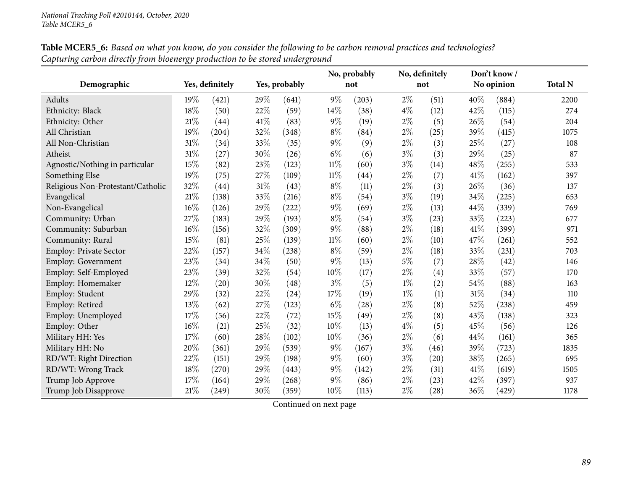|                                   |     |                 |               |       | No, probably |                    | No, definitely |      | Don't know/ |            |                |
|-----------------------------------|-----|-----------------|---------------|-------|--------------|--------------------|----------------|------|-------------|------------|----------------|
| Demographic                       |     | Yes, definitely | Yes, probably |       |              | not                |                | not  |             | No opinion | <b>Total N</b> |
| Adults                            | 19% | (421)           | 29%           | (641) | $9\%$        | (203)              | $2\%$          | (51) | 40%         | (884)      | 2200           |
| Ethnicity: Black                  | 18% | (50)            | 22%           | (59)  | 14%          | (38)               | $4\%$          | (12) | 42%         | (115)      | 274            |
| Ethnicity: Other                  | 21% | (44)            | 41\%          | (83)  | $9\%$        | (19)               | $2\%$          | (5)  | 26%         | (54)       | 204            |
| All Christian                     | 19% | (204)           | 32%           | (348) | $8\%$        | (84)               | $2\%$          | (25) | 39%         | (415)      | 1075           |
| All Non-Christian                 | 31% | (34)            | 33%           | (35)  | $9\%$        | (9)                | $2\%$          | (3)  | 25%         | (27)       | 108            |
| Atheist                           | 31% | (27)            | 30%           | (26)  | $6\%$        | (6)                | $3\%$          | (3)  | 29%         | (25)       | 87             |
| Agnostic/Nothing in particular    | 15% | (82)            | 23%           | (123) | $11\%$       | (60)               | $3\%$          | (14) | 48%         | (255)      | 533            |
| Something Else                    | 19% | (75)            | 27%           | (109) | $11\%$       | $\left( 44\right)$ | $2\%$          | (7)  | 41%         | (162)      | 397            |
| Religious Non-Protestant/Catholic | 32% | (44)            | $31\%$        | (43)  | $8\%$        | (11)               | $2\%$          | (3)  | 26%         | (36)       | 137            |
| Evangelical                       | 21% | (138)           | 33%           | (216) | $8\%$        | (54)               | $3\%$          | (19) | 34%         | (225)      | 653            |
| Non-Evangelical                   | 16% | (126)           | 29%           | (222) | $9\%$        | (69)               | $2\%$          | (13) | 44%         | (339)      | 769            |
| Community: Urban                  | 27% | (183)           | 29%           | (193) | $8\%$        | (54)               | $3\%$          | (23) | 33%         | (223)      | 677            |
| Community: Suburban               | 16% | (156)           | 32%           | (309) | $9\%$        | (88)               | $2\%$          | (18) | 41%         | (399)      | 971            |
| Community: Rural                  | 15% | (81)            | 25%           | (139) | $11\%$       | (60)               | $2\%$          | (10) | 47%         | (261)      | 552            |
| Employ: Private Sector            | 22% | (157)           | 34%           | (238) | $8\%$        | (59)               | $2\%$          | (18) | 33%         | (231)      | 703            |
| <b>Employ: Government</b>         | 23% | (34)            | 34%           | (50)  | $9\%$        | (13)               | 5%             | (7)  | 28%         | (42)       | 146            |
| Employ: Self-Employed             | 23% | (39)            | 32%           | (54)  | 10%          | (17)               | $2\%$          | (4)  | 33%         | (57)       | 170            |
| Employ: Homemaker                 | 12% | (20)            | 30%           | (48)  | $3\%$        | (5)                | $1\%$          | (2)  | 54%         | (88)       | 163            |
| Employ: Student                   | 29% | (32)            | 22%           | (24)  | 17%          | (19)               | $1\%$          | (1)  | 31%         | (34)       | 110            |
| Employ: Retired                   | 13% | (62)            | $27\%$        | (123) | $6\%$        | (28)               | $2\%$          | (8)  | 52%         | (238)      | 459            |
| Employ: Unemployed                | 17% | (56)            | $22\%$        | (72)  | $15\%$       | (49)               | $2\%$          | (8)  | 43%         | (138)      | 323            |
| Employ: Other                     | 16% | (21)            | 25%           | (32)  | 10%          | (13)               | $4\%$          | (5)  | 45%         | (56)       | 126            |
| Military HH: Yes                  | 17% | (60)            | $28\%$        | (102) | 10%          | (36)               | $2\%$          | (6)  | 44%         | (161)      | 365            |
| Military HH: No                   | 20% | (361)           | 29%           | (539) | $9\%$        | (167)              | $3\%$          | (46) | 39%         | (723)      | 1835           |
| RD/WT: Right Direction            | 22% | (151)           | 29%           | (198) | $9\%$        | (60)               | $3\%$          | (20) | 38%         | (265)      | 695            |
| RD/WT: Wrong Track                | 18% | (270)           | 29%           | (443) | $9\%$        | (142)              | $2\%$          | (31) | 41%         | (619)      | 1505           |
| Trump Job Approve                 | 17% | (164)           | 29%           | (268) | $9\%$        | (86)               | $2\%$          | (23) | 42%         | (397)      | 937            |
| Trump Job Disapprove              | 21% | (249)           | 30%           | (359) | 10%          | (113)              | $2\%$          | (28) | 36%         | (429)      | 1178           |

Table MCER5\_6: Based on what you know, do you consider the following to be carbon removal practices and technologies? *Capturing carbon directly from bioenergy production to be stored underground*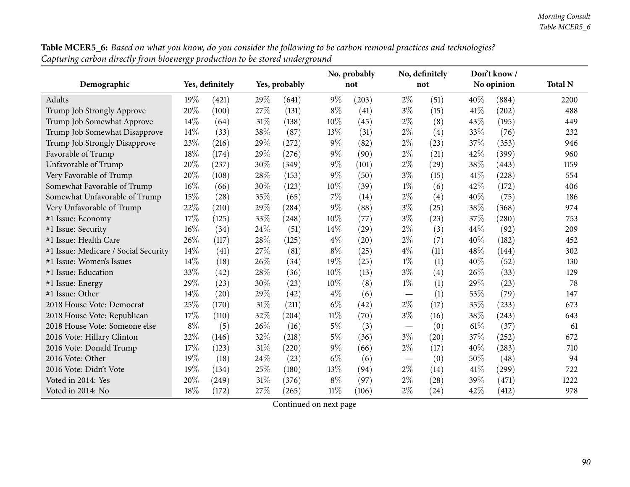| Table MCER5_6: Based on what you know, do you consider the following to be carbon removal practices and technologies? |
|-----------------------------------------------------------------------------------------------------------------------|
| Capturing carbon directly from bioenergy production to be stored underground                                          |

|                                      |       |                 |        |               |        | No, probably       |                               | No, definitely |            | Don't know/ |                |
|--------------------------------------|-------|-----------------|--------|---------------|--------|--------------------|-------------------------------|----------------|------------|-------------|----------------|
| Demographic                          |       | Yes, definitely |        | Yes, probably |        | not                |                               | not            | No opinion |             | <b>Total N</b> |
| Adults                               | 19%   | (421)           | 29%    | (641)         | $9\%$  | (203)              | $2\%$                         | (51)           | 40\%       | (884)       | 2200           |
| Trump Job Strongly Approve           | 20%   | (100)           | 27%    | (131)         | $8\%$  | (41)               | $3\%$                         | (15)           | 41%        | (202)       | 488            |
| Trump Job Somewhat Approve           | 14%   | (64)            | $31\%$ | (138)         | 10%    | (45)               | $2\%$                         | (8)            | 43%        | (195)       | 449            |
| Trump Job Somewhat Disapprove        | 14\%  | (33)            | 38%    | (87)          | 13%    | (31)               | $2\%$                         | (4)            | 33%        | (76)        | 232            |
| Trump Job Strongly Disapprove        | 23%   | (216)           | 29%    | (272)         | $9\%$  | (82)               | $2\%$                         | (23)           | 37%        | (353)       | 946            |
| Favorable of Trump                   | 18%   | (174)           | 29%    | (276)         | $9\%$  | (90)               | $2\%$                         | (21)           | 42%        | (399)       | 960            |
| Unfavorable of Trump                 | 20%   | (237)           | 30%    | (349)         | $9\%$  | (101)              | $2\%$                         | (29)           | 38%        | (443)       | 1159           |
| Very Favorable of Trump              | 20%   | (108)           | 28%    | (153)         | 9%     | (50)               | $3\%$                         | (15)           | 41%        | (228)       | 554            |
| Somewhat Favorable of Trump          | 16%   | (66)            | 30%    | (123)         | 10%    | (39)               | $1\%$                         | (6)            | 42%        | (172)       | 406            |
| Somewhat Unfavorable of Trump        | 15%   | (28)            | 35%    | (65)          | 7%     | (14)               | $2\%$                         | (4)            | 40%        | (75)        | 186            |
| Very Unfavorable of Trump            | 22%   | (210)           | 29%    | (284)         | $9\%$  | (88)               | $3\%$                         | (25)           | 38%        | (368)       | 974            |
| #1 Issue: Economy                    | 17%   | (125)           | 33%    | (248)         | 10%    | (77)               | $3\%$                         | (23)           | 37%        | (280)       | 753            |
| #1 Issue: Security                   | 16%   | (34)            | 24%    | (51)          | 14\%   | (29)               | $2\%$                         | (3)            | 44%        | (92)        | 209            |
| #1 Issue: Health Care                | 26%   | (117)           | 28%    | (125)         | $4\%$  | $\left( 20\right)$ | $2\%$                         | (7)            | 40%        | (182)       | 452            |
| #1 Issue: Medicare / Social Security | 14%   | (41)            | 27%    | (81)          | $8\%$  | (25)               | $4\%$                         | (11)           | 48%        | (144)       | 302            |
| #1 Issue: Women's Issues             | 14%   | (18)            | 26%    | (34)          | 19%    | (25)               | $1\%$                         | (1)            | 40%        | (52)        | 130            |
| #1 Issue: Education                  | 33%   | (42)            | 28%    | (36)          | 10%    | (13)               | $3\%$                         | (4)            | 26%        | (33)        | 129            |
| #1 Issue: Energy                     | 29%   | (23)            | 30%    | (23)          | 10%    | (8)                | $1\%$                         | (1)            | 29%        | (23)        | 78             |
| #1 Issue: Other                      | 14%   | (20)            | 29%    | (42)          | $4\%$  | (6)                |                               | (1)            | 53%        | (79)        | 147            |
| 2018 House Vote: Democrat            | 25%   | (170)           | 31%    | (211)         | $6\%$  | (42)               | $2\%$                         | (17)           | 35%        | (233)       | 673            |
| 2018 House Vote: Republican          | 17%   | (110)           | 32%    | (204)         | $11\%$ | (70)               | $3\%$                         | (16)           | 38%        | (243)       | 643            |
| 2018 House Vote: Someone else        | $8\%$ | (5)             | 26%    | (16)          | $5\%$  | (3)                |                               | (0)            | 61%        | (37)        | 61             |
| 2016 Vote: Hillary Clinton           | 22%   | (146)           | 32%    | (218)         | $5\%$  | (36)               | $3\%$                         | (20)           | 37%        | (252)       | 672            |
| 2016 Vote: Donald Trump              | 17\%  | (123)           | 31%    | (220)         | $9\%$  | (66)               | $2\%$                         | (17)           | 40%        | (283)       | 710            |
| 2016 Vote: Other                     | 19%   | (18)            | 24%    | (23)          | $6\%$  | (6)                | $\overbrace{\phantom{13333}}$ | (0)            | 50%        | (48)        | 94             |
| 2016 Vote: Didn't Vote               | 19%   | (134)           | 25%    | (180)         | 13%    | (94)               | $2\%$                         | (14)           | 41\%       | (299)       | 722            |
| Voted in 2014: Yes                   | 20%   | (249)           | 31%    | (376)         | $8\%$  | (97)               | $2\%$                         | (28)           | 39%        | (471)       | 1222           |
| Voted in 2014: No                    | 18%   | (172)           | 27%    | (265)         | $11\%$ | (106)              | $2\%$                         | (24)           | 42%        | (412)       | 978            |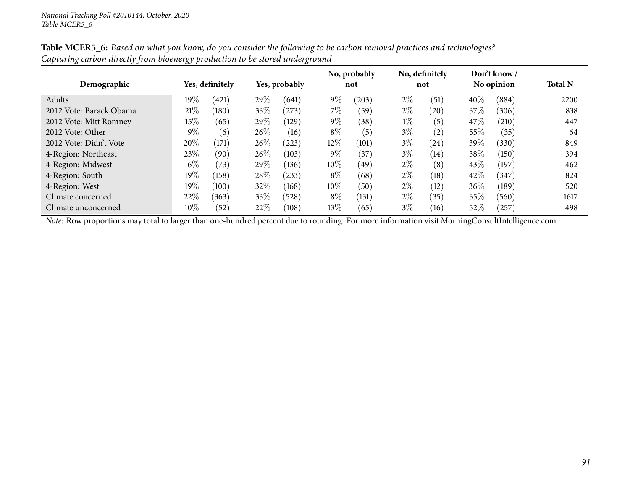|                         |                                  |                 |        |       |        | No, probably |            | No, definitely |                | Don't know/ |      |
|-------------------------|----------------------------------|-----------------|--------|-------|--------|--------------|------------|----------------|----------------|-------------|------|
| Demographic             | Yes, definitely<br>Yes, probably |                 |        | not   | not    |              | No opinion |                | <b>Total N</b> |             |      |
| Adults                  | $19\%$                           | (421)           | 29%    | (641) | $9\%$  | (203)        | $2\%$      | (51)           | 40%            | (884)       | 2200 |
| 2012 Vote: Barack Obama | 21%                              | $^{\prime}180)$ | 33\%   | (273) | $7\%$  | (59`         | $2\%$      | (20)           | 37\%           | (306)       | 838  |
| 2012 Vote: Mitt Romney  | $15\%$                           | (65)            | 29%    | (129) | $9\%$  | (38)         | $1\%$      | (5)            | 47\%           | (210)       | 447  |
| 2012 Vote: Other        | $9\%$                            | (6)             | $26\%$ | (16)  | $8\%$  | (5)          | $3\%$      | (2)            | $55\%$         | (35)        | 64   |
| 2012 Vote: Didn't Vote  | 20%                              | (171)           | 26%    | (223) | 12%    | (101)        | $3\%$      | (24)           | 39%            | (330)       | 849  |
| 4-Region: Northeast     | 23%                              | (90)            | 26\%   | (103) | $9\%$  | 37           | $3\%$      | (14)           | 38%            | (150)       | 394  |
| 4-Region: Midwest       | $16\%$                           | (73)            | 29%    | (136) | $10\%$ | (49)         | $2\%$      | (8)            | 43\%           | (197)       | 462  |
| 4-Region: South         | 19%                              | (158)           | 28\%   | (233) | $8\%$  | (68)         | $2\%$      | (18)           | 42\%           | (347)       | 824  |
| 4-Region: West          | 19%                              | (100)           | 32%    | (168) | 10%    | (50)         | $2\%$      | (12)           | 36%            | (189)       | 520  |
| Climate concerned       | 22\%                             | (363)           | 33\%   | (528) | $8\%$  | (131)        | $2\%$      | (35)           | 35%            | (560)       | 1617 |
| Climate unconcerned     | $10\%$                           | (52)            | 22\%   | (108) | 13\%   | (65)         | $3\%$      | (16)           | 52\%           | $^{'}257)$  | 498  |

Table MCER5\_6: Based on what you know, do you consider the following to be carbon removal practices and technologies? *Capturing carbon directly from bioenergy production to be stored underground*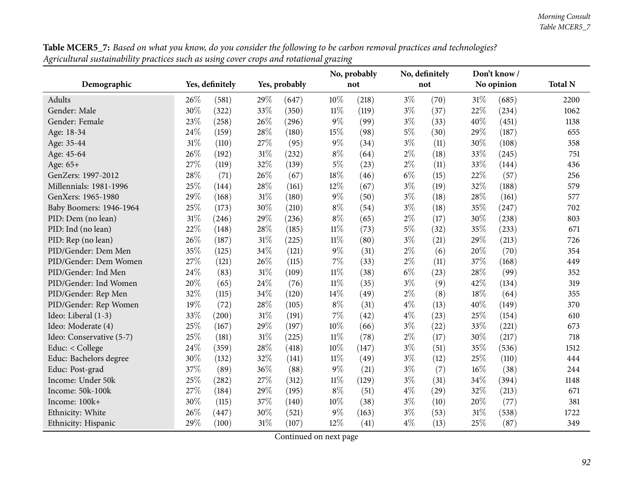|                          |        |                 |        | No, probably  |        | No, definitely |       | Don't know/ |     |            |                |
|--------------------------|--------|-----------------|--------|---------------|--------|----------------|-------|-------------|-----|------------|----------------|
| Demographic              |        | Yes, definitely |        | Yes, probably |        | not            |       | not         |     | No opinion | <b>Total N</b> |
| <b>Adults</b>            | 26\%   | (581)           | 29%    | (647)         | 10%    | (218)          | $3\%$ | (70)        | 31% | (685)      | 2200           |
| Gender: Male             | 30%    | (322)           | 33%    | (350)         | $11\%$ | (119)          | $3\%$ | (37)        | 22% | (234)      | 1062           |
| Gender: Female           | 23%    | (258)           | 26%    | (296)         | $9\%$  | (99)           | $3\%$ | (33)        | 40% | (451)      | 1138           |
| Age: 18-34               | 24%    | (159)           | 28\%   | (180)         | 15%    | (98)           | $5\%$ | (30)        | 29% | (187)      | 655            |
| Age: 35-44               | 31%    | (110)           | 27\%   | (95)          | $9\%$  | (34)           | $3\%$ | (11)        | 30% | (108)      | 358            |
| Age: 45-64               | 26%    | (192)           | $31\%$ | (232)         | $8\%$  | (64)           | $2\%$ | (18)        | 33% | (245)      | 751            |
| Age: 65+                 | 27%    | (119)           | 32%    | (139)         | $5\%$  | (23)           | $2\%$ | (11)        | 33% | (144)      | 436            |
| GenZers: 1997-2012       | 28%    | (71)            | 26\%   | (67)          | 18%    | (46)           | $6\%$ | (15)        | 22% | (57)       | 256            |
| Millennials: 1981-1996   | 25%    | (144)           | 28\%   | (161)         | 12%    | (67)           | $3\%$ | (19)        | 32% | (188)      | 579            |
| GenXers: 1965-1980       | 29%    | (168)           | $31\%$ | (180)         | $9\%$  | (50)           | $3\%$ | (18)        | 28% | (161)      | 577            |
| Baby Boomers: 1946-1964  | 25%    | (173)           | 30%    | (210)         | $8\%$  | (54)           | $3\%$ | (18)        | 35% | (247)      | 702            |
| PID: Dem (no lean)       | $31\%$ | (246)           | 29%    | (236)         | $8\%$  | (65)           | $2\%$ | (17)        | 30% | (238)      | 803            |
| PID: Ind (no lean)       | 22%    | (148)           | 28\%   | (185)         | $11\%$ | (73)           | $5\%$ | (32)        | 35% | (233)      | 671            |
| PID: Rep (no lean)       | 26%    | (187)           | $31\%$ | (225)         | $11\%$ | (80)           | $3\%$ | (21)        | 29% | (213)      | 726            |
| PID/Gender: Dem Men      | 35%    | (125)           | 34%    | (121)         | $9\%$  | (31)           | $2\%$ | (6)         | 20% | (70)       | 354            |
| PID/Gender: Dem Women    | 27%    | (121)           | 26\%   | (115)         | 7%     | (33)           | $2\%$ | (11)        | 37% | (168)      | 449            |
| PID/Gender: Ind Men      | 24%    | (83)            | $31\%$ | (109)         | $11\%$ | (38)           | $6\%$ | (23)        | 28% | (99)       | 352            |
| PID/Gender: Ind Women    | 20%    | (65)            | 24\%   | (76)          | $11\%$ | (35)           | $3\%$ | (9)         | 42% | (134)      | 319            |
| PID/Gender: Rep Men      | 32%    | (115)           | 34\%   | (120)         | 14%    | (49)           | $2\%$ | (8)         | 18% | (64)       | 355            |
| PID/Gender: Rep Women    | 19%    | (72)            | 28%    | (105)         | $8\%$  | (31)           | $4\%$ | (13)        | 40% | (149)      | 370            |
| Ideo: Liberal (1-3)      | 33%    | (200)           | $31\%$ | (191)         | $7\%$  | (42)           | $4\%$ | (23)        | 25% | (154)      | 610            |
| Ideo: Moderate (4)       | 25%    | (167)           | 29%    | (197)         | 10%    | (66)           | $3\%$ | (22)        | 33% | (221)      | 673            |
| Ideo: Conservative (5-7) | 25%    | (181)           | $31\%$ | (225)         | $11\%$ | (78)           | $2\%$ | (17)        | 30% | (217)      | 718            |
| Educ: < College          | 24%    | (359)           | 28\%   | (418)         | 10%    | (147)          | $3\%$ | (51)        | 35% | (536)      | 1512           |
| Educ: Bachelors degree   | 30%    | (132)           | 32%    | (141)         | $11\%$ | (49)           | $3\%$ | (12)        | 25% | (110)      | 444            |
| Educ: Post-grad          | 37%    | (89)            | 36%    | (88)          | $9\%$  | (21)           | $3\%$ | (7)         | 16% | (38)       | 244            |
| Income: Under 50k        | 25%    | (282)           | 27%    | (312)         | $11\%$ | (129)          | $3\%$ | (31)        | 34% | (394)      | 1148           |
| Income: 50k-100k         | 27%    | (184)           | 29%    | (195)         | $8\%$  | (51)           | $4\%$ | (29)        | 32% | (213)      | 671            |
| Income: 100k+            | 30%    | (115)           | 37%    | (140)         | 10%    | (38)           | $3\%$ | (10)        | 20% | (77)       | 381            |
| Ethnicity: White         | 26%    | (447)           | 30%    | (521)         | $9\%$  | (163)          | $3\%$ | (53)        | 31% | (538)      | 1722           |
| Ethnicity: Hispanic      | 29%    | (100)           | 31\%   | (107)         | 12%    | (41)           | $4\%$ | (13)        | 25% | (87)       | 349            |

Table MCER5\_7: Based on what you know, do you consider the following to be carbon removal practices and technologies? Agricultural sustainability practices such as using cover crops and rotational grazing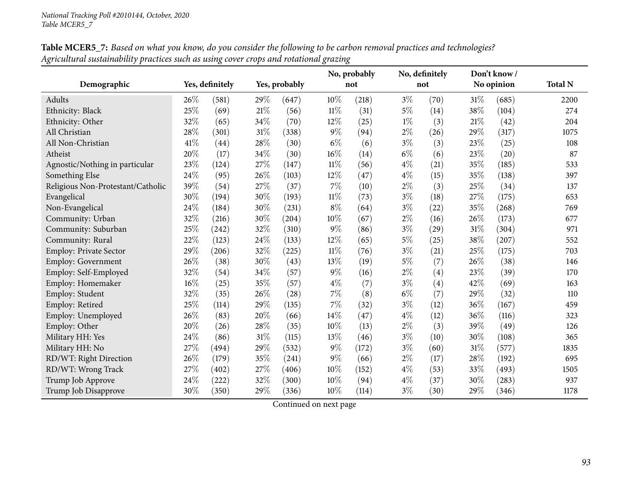|                                   |      |                 |        |               |        | No, probably |       | No, definitely |      | Don't know/ |                |
|-----------------------------------|------|-----------------|--------|---------------|--------|--------------|-------|----------------|------|-------------|----------------|
| Demographic                       |      | Yes, definitely |        | Yes, probably |        | not          |       | not            |      | No opinion  | <b>Total N</b> |
| Adults                            | 26%  | (581)           | 29%    | (647)         | 10%    | (218)        | $3\%$ | (70)           | 31\% | (685)       | 2200           |
| Ethnicity: Black                  | 25%  | (69)            | $21\%$ | (56)          | $11\%$ | (31)         | $5\%$ | (14)           | 38%  | (104)       | 274            |
| Ethnicity: Other                  | 32%  | (65)            | 34%    | (70)          | $12\%$ | (25)         | $1\%$ | (3)            | 21\% | (42)        | 204            |
| All Christian                     | 28%  | (301)           | $31\%$ | (338)         | $9\%$  | (94)         | $2\%$ | (26)           | 29%  | (317)       | 1075           |
| All Non-Christian                 | 41\% | (44)            | 28%    | (30)          | $6\%$  | (6)          | $3\%$ | (3)            | 23%  | (25)        | 108            |
| Atheist                           | 20%  | (17)            | 34\%   | (30)          | 16%    | (14)         | $6\%$ | (6)            | 23\% | (20)        | 87             |
| Agnostic/Nothing in particular    | 23%  | (124)           | 27%    | (147)         | $11\%$ | (56)         | $4\%$ | (21)           | 35%  | (185)       | 533            |
| Something Else                    | 24%  | (95)            | 26%    | (103)         | 12%    | (47)         | $4\%$ | (15)           | 35%  | (138)       | 397            |
| Religious Non-Protestant/Catholic | 39%  | (54)            | 27%    | (37)          | 7%     | (10)         | $2\%$ | (3)            | 25%  | (34)        | 137            |
| Evangelical                       | 30%  | (194)           | 30%    | (193)         | $11\%$ | (73)         | $3\%$ | (18)           | 27%  | (175)       | 653            |
| Non-Evangelical                   | 24%  | (184)           | 30%    | (231)         | $8\%$  | (64)         | $3\%$ | (22)           | 35%  | (268)       | 769            |
| Community: Urban                  | 32%  | (216)           | 30%    | (204)         | $10\%$ | (67)         | $2\%$ | (16)           | 26%  | (173)       | 677            |
| Community: Suburban               | 25%  | (242)           | 32%    | (310)         | $9\%$  | (86)         | $3\%$ | (29)           | 31%  | (304)       | 971            |
| Community: Rural                  | 22%  | (123)           | 24%    | (133)         | 12%    | (65)         | 5%    | (25)           | 38%  | (207)       | 552            |
| <b>Employ: Private Sector</b>     | 29%  | (206)           | 32%    | (225)         | $11\%$ | (76)         | $3\%$ | (21)           | 25%  | (175)       | 703            |
| <b>Employ: Government</b>         | 26%  | (38)            | 30%    | (43)          | 13%    | (19)         | $5\%$ | (7)            | 26%  | (38)        | 146            |
| Employ: Self-Employed             | 32%  | (54)            | 34%    | (57)          | $9\%$  | (16)         | $2\%$ | (4)            | 23%  | (39)        | 170            |
| Employ: Homemaker                 | 16%  | (25)            | 35%    | (57)          | $4\%$  | (7)          | $3\%$ | (4)            | 42%  | (69)        | 163            |
| Employ: Student                   | 32%  | (35)            | 26%    | (28)          | $7\%$  | (8)          | $6\%$ | (7)            | 29%  | (32)        | 110            |
| Employ: Retired                   | 25%  | (114)           | 29%    | (135)         | $7\%$  | (32)         | $3\%$ | (12)           | 36%  | (167)       | 459            |
| Employ: Unemployed                | 26%  | (83)            | 20%    | (66)          | $14\%$ | (47)         | $4\%$ | (12)           | 36%  | (116)       | 323            |
| Employ: Other                     | 20%  | (26)            | 28%    | (35)          | 10%    | (13)         | $2\%$ | (3)            | 39%  | (49)        | 126            |
| Military HH: Yes                  | 24%  | (86)            | $31\%$ | (115)         | 13%    | (46)         | $3\%$ | (10)           | 30%  | (108)       | 365            |
| Military HH: No                   | 27%  | (494)           | 29%    | (532)         | $9\%$  | (172)        | $3\%$ | (60)           | 31%  | (577)       | 1835           |
| RD/WT: Right Direction            | 26%  | (179)           | 35%    | (241)         | $9\%$  | (66)         | $2\%$ | (17)           | 28%  | (192)       | 695            |
| RD/WT: Wrong Track                | 27%  | (402)           | 27\%   | (406)         | 10%    | (152)        | $4\%$ | (53)           | 33%  | (493)       | 1505           |
| Trump Job Approve                 | 24%  | (222)           | 32%    | (300)         | 10%    | (94)         | $4\%$ | (37)           | 30%  | (283)       | 937            |
| Trump Job Disapprove              | 30%  | (350)           | 29%    | (336)         | 10%    | (114)        | $3\%$ | (30)           | 29%  | (346)       | 1178           |

Table MCER5\_7: Based on what you know, do you consider the following to be carbon removal practices and technologies? Agricultural sustainability practices such as using cover crops and rotational grazing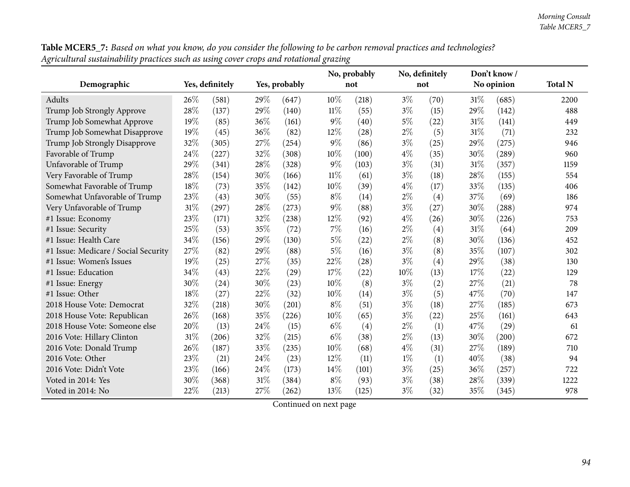| Table MCER5_7: Based on what you know, do you consider the following to be carbon removal practices and technologies? |
|-----------------------------------------------------------------------------------------------------------------------|
| Agricultural sustainability practices such as using cover crops and rotational grazing                                |

|                                      |      |                 |     |               |        | No, probably |       | No, definitely |      | Don't know / |                |
|--------------------------------------|------|-----------------|-----|---------------|--------|--------------|-------|----------------|------|--------------|----------------|
| Demographic                          |      | Yes, definitely |     | Yes, probably |        | not          |       | not            |      | No opinion   | <b>Total N</b> |
| Adults                               | 26\% | (581)           | 29% | (647)         | 10%    | (218)        | $3\%$ | (70)           | 31%  | (685)        | 2200           |
| Trump Job Strongly Approve           | 28%  | (137)           | 29% | (140)         | $11\%$ | (55)         | $3\%$ | (15)           | 29%  | (142)        | 488            |
| Trump Job Somewhat Approve           | 19%  | (85)            | 36% | (161)         | $9\%$  | (40)         | $5\%$ | (22)           | 31%  | (141)        | 449            |
| Trump Job Somewhat Disapprove        | 19%  | (45)            | 36% | (82)          | 12%    | (28)         | $2\%$ | (5)            | 31%  | (71)         | 232            |
| Trump Job Strongly Disapprove        | 32%  | (305)           | 27% | (254)         | $9\%$  | (86)         | $3\%$ | (25)           | 29%  | (275)        | 946            |
| Favorable of Trump                   | 24%  | (227)           | 32% | (308)         | 10%    | (100)        | $4\%$ | (35)           | 30%  | (289)        | 960            |
| Unfavorable of Trump                 | 29%  | (341)           | 28% | (328)         | $9\%$  | (103)        | $3\%$ | (31)           | 31%  | (357)        | 1159           |
| Very Favorable of Trump              | 28%  | (154)           | 30% | (166)         | $11\%$ | (61)         | $3\%$ | (18)           | 28%  | (155)        | 554            |
| Somewhat Favorable of Trump          | 18%  | (73)            | 35% | (142)         | 10%    | (39)         | $4\%$ | (17)           | 33%  | (135)        | 406            |
| Somewhat Unfavorable of Trump        | 23%  | (43)            | 30% | (55)          | $8\%$  | (14)         | $2\%$ | (4)            | 37%  | (69)         | 186            |
| Very Unfavorable of Trump            | 31%  | (297)           | 28% | (273)         | 9%     | (88)         | $3\%$ | (27)           | 30%  | (288)        | 974            |
| #1 Issue: Economy                    | 23%  | (171)           | 32% | (238)         | 12%    | (92)         | $4\%$ | (26)           | 30%  | (226)        | 753            |
| #1 Issue: Security                   | 25%  | (53)            | 35% | (72)          | 7%     | (16)         | $2\%$ | (4)            | 31%  | (64)         | 209            |
| #1 Issue: Health Care                | 34%  | (156)           | 29% | (130)         | $5\%$  | (22)         | $2\%$ | (8)            | 30%  | (136)        | 452            |
| #1 Issue: Medicare / Social Security | 27%  | (82)            | 29% | (88)          | $5\%$  | (16)         | $3\%$ | (8)            | 35%  | (107)        | 302            |
| #1 Issue: Women's Issues             | 19%  | (25)            | 27% | (35)          | 22%    | (28)         | $3\%$ | (4)            | 29%  | (38)         | 130            |
| #1 Issue: Education                  | 34%  | (43)            | 22% | (29)          | 17%    | (22)         | 10%   | (13)           | 17%  | (22)         | 129            |
| #1 Issue: Energy                     | 30%  | (24)            | 30% | (23)          | 10%    | (8)          | $3\%$ | (2)            | 27%  | (21)         | 78             |
| #1 Issue: Other                      | 18%  | (27)            | 22% | (32)          | 10%    | (14)         | $3\%$ | (5)            | 47\% | (70)         | 147            |
| 2018 House Vote: Democrat            | 32%  | (218)           | 30% | (201)         | $8\%$  | (51)         | $3\%$ | (18)           | 27%  | (185)        | 673            |
| 2018 House Vote: Republican          | 26%  | (168)           | 35% | (226)         | 10%    | (65)         | $3\%$ | (22)           | 25%  | (161)        | 643            |
| 2018 House Vote: Someone else        | 20%  | (13)            | 24% | (15)          | $6\%$  | (4)          | $2\%$ | (1)            | 47%  | (29)         | 61             |
| 2016 Vote: Hillary Clinton           | 31%  | (206)           | 32% | (215)         | $6\%$  | (38)         | $2\%$ | (13)           | 30%  | (200)        | 672            |
| 2016 Vote: Donald Trump              | 26%  | (187)           | 33% | (235)         | 10%    | (68)         | $4\%$ | (31)           | 27%  | (189)        | 710            |
| 2016 Vote: Other                     | 23%  | (21)            | 24% | (23)          | 12%    | (11)         | $1\%$ | (1)            | 40%  | (38)         | 94             |
| 2016 Vote: Didn't Vote               | 23%  | (166)           | 24% | (173)         | 14%    | (101)        | $3\%$ | (25)           | 36%  | (257)        | 722            |
| Voted in 2014: Yes                   | 30%  | (368)           | 31% | (384)         | $8\%$  | (93)         | $3\%$ | (38)           | 28%  | (339)        | 1222           |
| Voted in 2014: No                    | 22%  | (213)           | 27% | (262)         | 13%    | (125)        | $3\%$ | (32)           | 35%  | (345)        | 978            |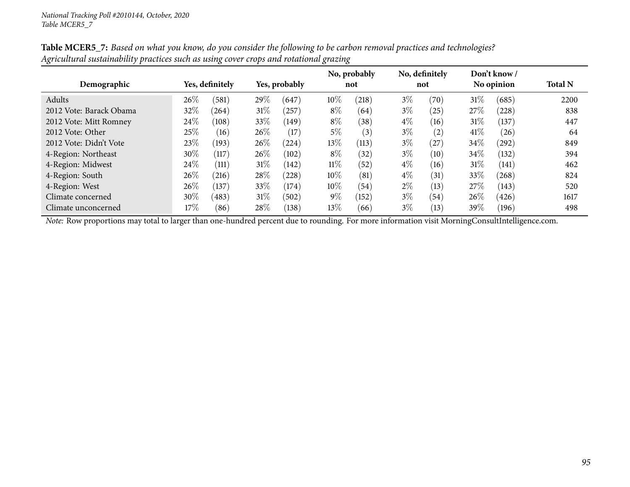|                         |        |                 |        |               |        | No, probably       |       | No, definitely |        | Don't know/ |                |
|-------------------------|--------|-----------------|--------|---------------|--------|--------------------|-------|----------------|--------|-------------|----------------|
| Demographic             |        | Yes, definitely |        | Yes, probably |        | not                |       | not            |        | No opinion  | <b>Total N</b> |
| Adults                  | 26\%   | (581)           | 29%    | (647)         | 10%    | (218)              | $3\%$ | (70)           | 31%    | (685)       | 2200           |
| 2012 Vote: Barack Obama | 32%    | (264)           | $31\%$ | (257)         | $8\%$  | (64)               | $3\%$ | (25)           | 27\%   | (228)       | 838            |
| 2012 Vote: Mitt Romney  | 24\%   | (108)           | 33\%   | (149)         | $8\%$  | (38)               | $4\%$ | (16)           | $31\%$ | (137)       | 447            |
| 2012 Vote: Other        | 25%    | (16)            | $26\%$ | (17)          | $5\%$  | (3)                | $3\%$ | (2)            | 41\%   | (26)        | 64             |
| 2012 Vote: Didn't Vote  | 23\%   | (193)           | 26%    | $^{(224)}$    | 13\%   | (113)              | $3\%$ | (27)           | 34\%   | (292)       | 849            |
| 4-Region: Northeast     | 30%    | (117)           | 26\%   | (102)         | $8\%$  | (32)               | $3\%$ | (10)           | 34\%   | (132)       | 394            |
| 4-Region: Midwest       | 24%    | (111)           | $31\%$ | (142)         | $11\%$ | (52)               | $4\%$ | (16)           | $31\%$ | (141)       | 462            |
| 4-Region: South         | 26\%   | $^{'}216)$      | 28\%   | (228)         | $10\%$ | $\left( 81\right)$ | $4\%$ | (31)           | 33\%   | (268)       | 824            |
| 4-Region: West          | 26%    | (137)           | 33\%   | (174)         | 10%    | (54)               | $2\%$ | (13)           | 27%    | (143)       | 520            |
| Climate concerned       | $30\%$ | (483)           | $31\%$ | (502)         | $9\%$  | (152)              | $3\%$ | (54)           | 26\%   | (426)       | 1617           |
| Climate unconcerned     | 17%    | (86)            | 28\%   | (138)         | 13\%   | (66)               | $3\%$ | (13)           | 39%    | (196)       | 498            |

Table MCER5\_7: Based on what you know, do you consider the following to be carbon removal practices and technologies? Agricultural sustainability practices such as using cover crops and rotational grazing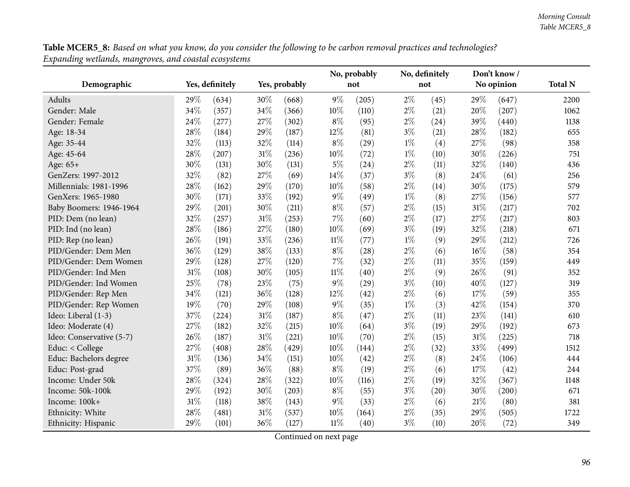**Table MCER5\_8:** Based on what you know, do you consider the following to be carbon removal practices and technologies? *Expanding wetlands, mangroves, and coastal ecosystems*

|                          |      |                 |        |               |        | No, probably |       | No, definitely |     | Don't know/ |                |
|--------------------------|------|-----------------|--------|---------------|--------|--------------|-------|----------------|-----|-------------|----------------|
| Demographic              |      | Yes, definitely |        | Yes, probably |        | not          |       | not            |     | No opinion  | <b>Total N</b> |
| Adults                   | 29%  | (634)           | 30%    | (668)         | 9%     | (205)        | $2\%$ | (45)           | 29% | (647)       | 2200           |
| Gender: Male             | 34%  | (357)           | 34%    | (366)         | 10%    | (110)        | $2\%$ | (21)           | 20% | (207)       | 1062           |
| Gender: Female           | 24\% | (277)           | 27%    | (302)         | $8\%$  | (95)         | $2\%$ | (24)           | 39% | (440)       | 1138           |
| Age: 18-34               | 28%  | (184)           | 29%    | (187)         | 12%    | (81)         | $3\%$ | (21)           | 28% | (182)       | 655            |
| Age: 35-44               | 32%  | (113)           | 32%    | (114)         | $8\%$  | (29)         | $1\%$ | (4)            | 27% | (98)        | 358            |
| Age: 45-64               | 28%  | (207)           | $31\%$ | (236)         | 10%    | (72)         | $1\%$ | (10)           | 30% | (226)       | 751            |
| Age: 65+                 | 30%  | (131)           | 30%    | (131)         | 5%     | (24)         | $2\%$ | (11)           | 32% | (140)       | 436            |
| GenZers: 1997-2012       | 32%  | (82)            | 27%    | (69)          | 14%    | (37)         | $3\%$ | (8)            | 24% | (61)        | 256            |
| Millennials: 1981-1996   | 28%  | (162)           | 29%    | (170)         | 10%    | (58)         | $2\%$ | (14)           | 30% | (175)       | 579            |
| GenXers: 1965-1980       | 30%  | (171)           | 33%    | (192)         | 9%     | (49)         | $1\%$ | (8)            | 27% | (156)       | 577            |
| Baby Boomers: 1946-1964  | 29%  | (201)           | 30%    | (211)         | $8\%$  | (57)         | $2\%$ | (15)           | 31% | (217)       | 702            |
| PID: Dem (no lean)       | 32%  | (257)           | 31%    | (253)         | $7\%$  | (60)         | $2\%$ | (17)           | 27% | (217)       | 803            |
| PID: Ind (no lean)       | 28%  | (186)           | 27%    | (180)         | $10\%$ | (69)         | $3\%$ | (19)           | 32% | (218)       | 671            |
| PID: Rep (no lean)       | 26%  | (191)           | 33%    | (236)         | $11\%$ | (77)         | $1\%$ | (9)            | 29% | (212)       | 726            |
| PID/Gender: Dem Men      | 36%  | (129)           | 38%    | (133)         | $8\%$  | (28)         | $2\%$ | (6)            | 16% | (58)        | 354            |
| PID/Gender: Dem Women    | 29%  | (128)           | 27%    | (120)         | $7\%$  | (32)         | $2\%$ | (11)           | 35% | (159)       | 449            |
| PID/Gender: Ind Men      | 31%  | (108)           | 30%    | (105)         | $11\%$ | (40)         | $2\%$ | (9)            | 26% | (91)        | 352            |
| PID/Gender: Ind Women    | 25%  | (78)            | 23%    | (75)          | 9%     | (29)         | $3\%$ | (10)           | 40% | (127)       | 319            |
| PID/Gender: Rep Men      | 34%  | (121)           | 36%    | (128)         | 12%    | (42)         | $2\%$ | (6)            | 17% | (59)        | 355            |
| PID/Gender: Rep Women    | 19%  | (70)            | 29%    | (108)         | 9%     | (35)         | $1\%$ | (3)            | 42% | (154)       | 370            |
| Ideo: Liberal (1-3)      | 37%  | (224)           | $31\%$ | (187)         | $8\%$  | (47)         | $2\%$ | (11)           | 23% | (141)       | 610            |
| Ideo: Moderate (4)       | 27%  | (182)           | 32%    | (215)         | 10%    | (64)         | $3\%$ | (19)           | 29% | (192)       | 673            |
| Ideo: Conservative (5-7) | 26%  | (187)           | 31%    | (221)         | 10%    | (70)         | $2\%$ | (15)           | 31% | (225)       | 718            |
| Educ: < College          | 27%  | (408)           | 28%    | (429)         | 10%    | (144)        | $2\%$ | (32)           | 33% | (499)       | 1512           |
| Educ: Bachelors degree   | 31%  | (136)           | 34%    | (151)         | 10%    | (42)         | $2\%$ | (8)            | 24% | (106)       | 444            |
| Educ: Post-grad          | 37%  | (89)            | 36%    | (88)          | $8\%$  | (19)         | $2\%$ | (6)            | 17% | (42)        | 244            |
| Income: Under 50k        | 28%  | (324)           | 28%    | (322)         | 10%    | (116)        | $2\%$ | (19)           | 32% | (367)       | 1148           |
| Income: 50k-100k         | 29%  | (192)           | 30%    | (203)         | $8\%$  | (55)         | $3\%$ | (20)           | 30% | (200)       | 671            |
| Income: 100k+            | 31%  | (118)           | 38%    | (143)         | 9%     | (33)         | $2\%$ | (6)            | 21% | (80)        | 381            |
| Ethnicity: White         | 28%  | (481)           | 31%    | (537)         | 10%    | (164)        | $2\%$ | (35)           | 29% | (505)       | 1722           |
| Ethnicity: Hispanic      | 29%  | (101)           | 36%    | (127)         | $11\%$ | (40)         | $3\%$ | (10)           | 20% | (72)        | 349            |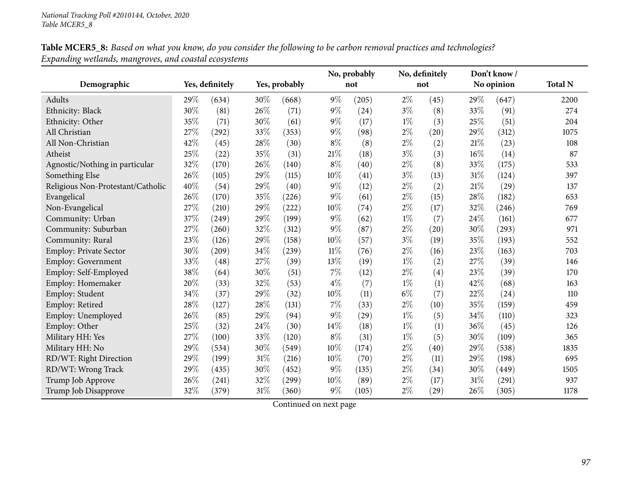| Table MCER5_8: Based on what you know, do you consider the following to be carbon removal practices and technologies? |
|-----------------------------------------------------------------------------------------------------------------------|
| Expanding wetlands, mangroves, and coastal ecosystems                                                                 |

|                                   |      |                 |        |               |        | No, probably |       | No, definitely |        | Don't know/ |                |
|-----------------------------------|------|-----------------|--------|---------------|--------|--------------|-------|----------------|--------|-------------|----------------|
| Demographic                       |      | Yes, definitely |        | Yes, probably |        | not          |       | not            |        | No opinion  | <b>Total N</b> |
| Adults                            | 29\% | (634)           | 30%    | (668)         | $9\%$  | (205)        | $2\%$ | (45)           | 29\%   | (647)       | 2200           |
| Ethnicity: Black                  | 30%  | (81)            | $26\%$ | (71)          | $9\%$  | (24)         | $3\%$ | (8)            | 33%    | (91)        | 274            |
| Ethnicity: Other                  | 35%  | (71)            | 30%    | (61)          | $9\%$  | (17)         | $1\%$ | (3)            | 25%    | (51)        | 204            |
| All Christian                     | 27%  | (292)           | 33%    | (353)         | $9\%$  | (98)         | $2\%$ | (20)           | 29%    | (312)       | 1075           |
| All Non-Christian                 | 42%  | (45)            | 28%    | (30)          | $8\%$  | (8)          | $2\%$ | (2)            | 21\%   | (23)        | 108            |
| Atheist                           | 25%  | (22)            | 35%    | (31)          | 21%    | (18)         | $3\%$ | (3)            | 16%    | (14)        | 87             |
| Agnostic/Nothing in particular    | 32%  | (170)           | $26\%$ | (140)         | $8\%$  | (40)         | $2\%$ | (8)            | 33%    | (175)       | 533            |
| Something Else                    | 26%  | (105)           | 29%    | (115)         | 10%    | (41)         | $3\%$ | (13)           | 31%    | (124)       | 397            |
| Religious Non-Protestant/Catholic | 40%  | (54)            | 29%    | (40)          | $9\%$  | (12)         | $2\%$ | (2)            | $21\%$ | (29)        | 137            |
| Evangelical                       | 26%  | (170)           | 35%    | (226)         | $9\%$  | (61)         | $2\%$ | (15)           | 28%    | (182)       | 653            |
| Non-Evangelical                   | 27%  | (210)           | $29\%$ | (222)         | 10%    | (74)         | $2\%$ | (17)           | 32%    | (246)       | 769            |
| Community: Urban                  | 37%  | (249)           | 29%    | (199)         | $9\%$  | (62)         | $1\%$ | (7)            | 24%    | (161)       | 677            |
| Community: Suburban               | 27%  | (260)           | 32%    | (312)         | 9%     | (87)         | $2\%$ | (20)           | 30%    | (293)       | 971            |
| Community: Rural                  | 23%  | (126)           | 29%    | (158)         | 10%    | (57)         | $3\%$ | (19)           | 35%    | (193)       | 552            |
| Employ: Private Sector            | 30%  | (209)           | 34%    | (239)         | $11\%$ | (76)         | $2\%$ | (16)           | 23%    | (163)       | 703            |
| Employ: Government                | 33%  | (48)            | 27%    | (39)          | 13%    | (19)         | $1\%$ | (2)            | 27%    | (39)        | 146            |
| Employ: Self-Employed             | 38%  | (64)            | $30\%$ | (51)          | 7%     | (12)         | $2\%$ | (4)            | 23%    | (39)        | 170            |
| Employ: Homemaker                 | 20%  | (33)            | 32%    | (53)          | $4\%$  | (7)          | $1\%$ | (1)            | 42%    | (68)        | 163            |
| Employ: Student                   | 34\% | (37)            | 29%    | (32)          | 10%    | (11)         | $6\%$ | (7)            | 22%    | (24)        | 110            |
| Employ: Retired                   | 28%  | (127)           | $28\%$ | (131)         | 7%     | (33)         | $2\%$ | (10)           | 35%    | (159)       | 459            |
| Employ: Unemployed                | 26%  | (85)            | 29%    | (94)          | $9\%$  | (29)         | $1\%$ | (5)            | 34%    | (110)       | 323            |
| Employ: Other                     | 25%  | (32)            | 24%    | (30)          | 14%    | (18)         | $1\%$ | (1)            | 36%    | (45)        | 126            |
| Military HH: Yes                  | 27%  | (100)           | 33%    | (120)         | $8\%$  | (31)         | $1\%$ | (5)            | 30%    | (109)       | 365            |
| Military HH: No                   | 29%  | (534)           | 30%    | (549)         | 10%    | (174)        | $2\%$ | (40)           | 29%    | (538)       | 1835           |
| RD/WT: Right Direction            | 29%  | (199)           | $31\%$ | (216)         | 10%    | (70)         | $2\%$ | (11)           | 29%    | (198)       | 695            |
| RD/WT: Wrong Track                | 29%  | (435)           | 30%    | (452)         | $9\%$  | (135)        | $2\%$ | (34)           | 30%    | (449)       | 1505           |
| Trump Job Approve                 | 26%  | (241)           | 32%    | (299)         | 10%    | (89)         | $2\%$ | (17)           | 31%    | (291)       | 937            |
| Trump Job Disapprove              | 32%  | (379)           | $31\%$ | (360)         | $9\%$  | (105)        | $2\%$ | (29)           | 26%    | (305)       | 1178           |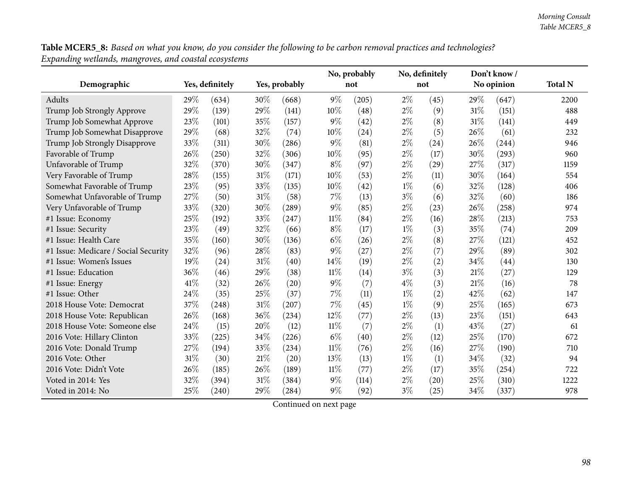Table MCER5\_8: Based on what you know, do you consider the following to be carbon removal practices and technologies? *Expanding wetlands, mangroves, and coastal ecosystems*

|                                      |      |                 |        |               |        | No, probably |       | No, definitely |      | Don't know/ |                |
|--------------------------------------|------|-----------------|--------|---------------|--------|--------------|-------|----------------|------|-------------|----------------|
| Demographic                          |      | Yes, definitely |        | Yes, probably |        | not          |       | not            |      | No opinion  | <b>Total N</b> |
| Adults                               | 29\% | (634)           | 30\%   | (668)         | $9\%$  | (205)        | $2\%$ | (45)           | 29\% | (647)       | 2200           |
| Trump Job Strongly Approve           | 29%  | (139)           | 29%    | (141)         | 10%    | (48)         | $2\%$ | (9)            | 31%  | (151)       | 488            |
| Trump Job Somewhat Approve           | 23%  | (101)           | 35%    | (157)         | $9\%$  | (42)         | $2\%$ | (8)            | 31%  | (141)       | 449            |
| Trump Job Somewhat Disapprove        | 29%  | (68)            | 32%    | (74)          | 10%    | (24)         | $2\%$ | (5)            | 26%  | (61)        | 232            |
| Trump Job Strongly Disapprove        | 33%  | (311)           | 30%    | (286)         | $9\%$  | (81)         | $2\%$ | (24)           | 26\% | (244)       | 946            |
| Favorable of Trump                   | 26%  | (250)           | 32%    | (306)         | 10%    | (95)         | $2\%$ | (17)           | 30%  | (293)       | 960            |
| Unfavorable of Trump                 | 32%  | (370)           | 30%    | (347)         | $8\%$  | (97)         | $2\%$ | (29)           | 27%  | (317)       | 1159           |
| Very Favorable of Trump              | 28%  | (155)           | 31%    | (171)         | 10%    | (53)         | $2\%$ | (11)           | 30%  | (164)       | 554            |
| Somewhat Favorable of Trump          | 23%  | (95)            | 33%    | (135)         | 10%    | (42)         | $1\%$ | (6)            | 32%  | (128)       | 406            |
| Somewhat Unfavorable of Trump        | 27%  | (50)            | 31%    | (58)          | $7\%$  | (13)         | $3\%$ | (6)            | 32%  | (60)        | 186            |
| Very Unfavorable of Trump            | 33%  | (320)           | 30%    | (289)         | $9\%$  | (85)         | $2\%$ | (23)           | 26%  | (258)       | 974            |
| #1 Issue: Economy                    | 25%  | (192)           | 33%    | (247)         | $11\%$ | (84)         | $2\%$ | (16)           | 28%  | (213)       | 753            |
| #1 Issue: Security                   | 23%  | (49)            | 32%    | (66)          | $8\%$  | (17)         | $1\%$ | (3)            | 35%  | (74)        | 209            |
| #1 Issue: Health Care                | 35%  | (160)           | 30%    | (136)         | $6\%$  | (26)         | $2\%$ | (8)            | 27%  | (121)       | 452            |
| #1 Issue: Medicare / Social Security | 32%  | (96)            | 28%    | (83)          | $9\%$  | (27)         | $2\%$ | (7)            | 29%  | (89)        | 302            |
| #1 Issue: Women's Issues             | 19%  | (24)            | 31%    | (40)          | 14%    | (19)         | $2\%$ | (2)            | 34%  | (44)        | 130            |
| #1 Issue: Education                  | 36%  | (46)            | 29%    | (38)          | $11\%$ | (14)         | $3\%$ | (3)            | 21%  | (27)        | 129            |
| #1 Issue: Energy                     | 41\% | (32)            | 26%    | (20)          | $9\%$  | (7)          | $4\%$ | (3)            | 21%  | (16)        | 78             |
| #1 Issue: Other                      | 24%  | (35)            | 25%    | (37)          | 7%     | (11)         | $1\%$ | (2)            | 42%  | (62)        | 147            |
| 2018 House Vote: Democrat            | 37%  | (248)           | $31\%$ | (207)         | 7%     | (45)         | $1\%$ | (9)            | 25%  | (165)       | 673            |
| 2018 House Vote: Republican          | 26%  | (168)           | 36%    | (234)         | 12%    | (77)         | $2\%$ | (13)           | 23%  | (151)       | 643            |
| 2018 House Vote: Someone else        | 24%  | (15)            | 20%    | (12)          | $11\%$ | (7)          | $2\%$ | (1)            | 43%  | (27)        | 61             |
| 2016 Vote: Hillary Clinton           | 33%  | (225)           | 34%    | (226)         | $6\%$  | (40)         | $2\%$ | (12)           | 25%  | (170)       | 672            |
| 2016 Vote: Donald Trump              | 27%  | (194)           | 33%    | (234)         | 11%    | (76)         | $2\%$ | (16)           | 27%  | (190)       | 710            |
| 2016 Vote: Other                     | 31%  | (30)            | 21%    | (20)          | 13%    | (13)         | $1\%$ | (1)            | 34%  | (32)        | 94             |
| 2016 Vote: Didn't Vote               | 26%  | (185)           | 26\%   | (189)         | $11\%$ | (77)         | $2\%$ | (17)           | 35%  | (254)       | 722            |
| Voted in 2014: Yes                   | 32%  | (394)           | 31%    | (384)         | $9\%$  | (114)        | $2\%$ | (20)           | 25%  | (310)       | 1222           |
| Voted in 2014: No                    | 25%  | (240)           | 29%    | (284)         | $9\%$  | (92)         | $3\%$ | (25)           | 34%  | (337)       | 978            |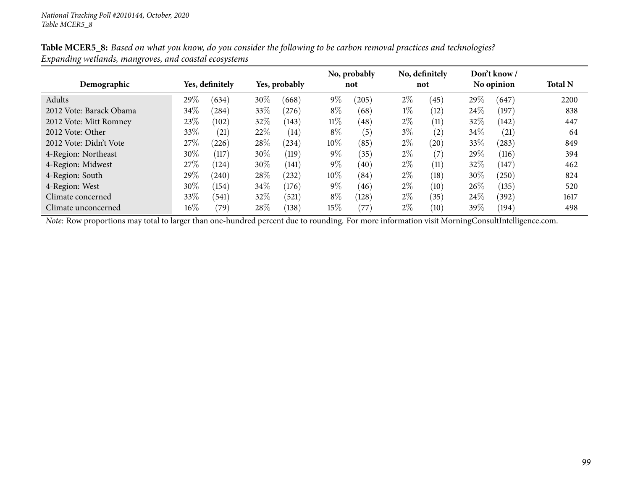|                         |        |                 |        |               |        | No, probably |       | No, definitely |        | Don't know/ |                |
|-------------------------|--------|-----------------|--------|---------------|--------|--------------|-------|----------------|--------|-------------|----------------|
| Demographic             |        | Yes, definitely |        | Yes, probably |        | not          |       | not            |        | No opinion  | <b>Total N</b> |
| Adults                  | 29%    | (634)           | 30\%   | (668)         | $9\%$  | (205)        | $2\%$ | (45)           | 29\%   | (647)       | 2200           |
| 2012 Vote: Barack Obama | 34\%   | (284)           | 33\%   | (276)         | $8\%$  | (68)         | $1\%$ | (12)           | $24\%$ | (197)       | 838            |
| 2012 Vote: Mitt Romney  | 23%    | (102)           | 32%    | (143)         | $11\%$ | (48)         | $2\%$ | (11)           | 32%    | (142)       | 447            |
| 2012 Vote: Other        | 33%    | (21)            | 22%    | (14)          | $8\%$  | (5)          | $3\%$ | (2)            | $34\%$ | (21)        | 64             |
| 2012 Vote: Didn't Vote  | 27\%   | (226)           | 28\%   | (234)         | 10%    | (85)         | $2\%$ | (20)           | 33\%   | (283)       | 849            |
| 4-Region: Northeast     | 30%    | (117)           | 30%    | (119)         | $9\%$  | (35)         | $2\%$ | (7)            | 29%    | (116)       | 394            |
| 4-Region: Midwest       | 27\%   | (124)           | 30%    | (141)         | $9\%$  | (40)         | $2\%$ | (11)           | 32%    | (147)       | 462            |
| 4-Region: South         | 29%    | (240)           | 28%    | (232)         | 10%    | (84)         | $2\%$ | (18)           | 30\%   | (250)       | 824            |
| 4-Region: West          | 30%    | (154)           | $34\%$ | (176)         | $9\%$  | (46)         | $2\%$ | (10)           | 26\%   | (135)       | 520            |
| Climate concerned       | 33%    | (541)           | 32%    | (521)         | $8\%$  | (128)        | $2\%$ | (35)           | 24\%   | (392)       | 1617           |
| Climate unconcerned     | $16\%$ | (79)            | 28\%   | (138)         | 15%    | (77)         | $2\%$ | (10)           | 39\%   | (194)       | 498            |

Table MCER5\_8: Based on what you know, do you consider the following to be carbon removal practices and technologies? *Expanding wetlands, mangroves, and coastal ecosystems*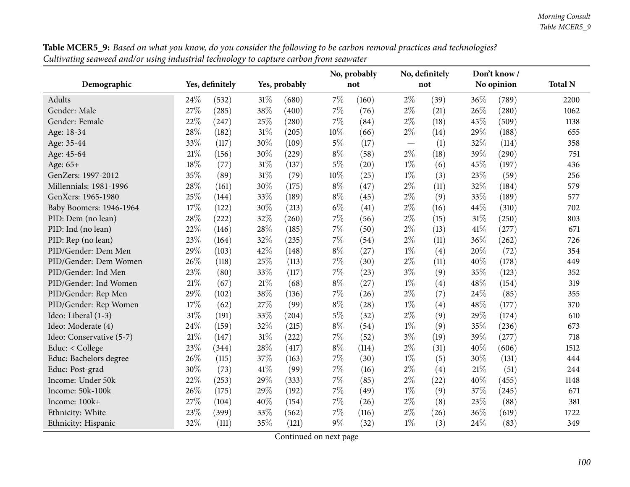|                          |      |                 |        |               |       | No, probably |       | No, definitely |            | Don't know/ |                |
|--------------------------|------|-----------------|--------|---------------|-------|--------------|-------|----------------|------------|-------------|----------------|
| Demographic              |      | Yes, definitely |        | Yes, probably |       | not          |       | not            | No opinion |             | <b>Total N</b> |
| Adults                   | 24\% | (532)           | $31\%$ | (680)         | 7%    | (160)        | $2\%$ | (39)           | 36%        | (789)       | 2200           |
| Gender: Male             | 27%  | (285)           | 38%    | (400)         | 7%    | (76)         | $2\%$ | (21)           | 26%        | (280)       | 1062           |
| Gender: Female           | 22%  | (247)           | 25%    | (280)         | 7%    | (84)         | $2\%$ | (18)           | 45%        | (509)       | 1138           |
| Age: 18-34               | 28%  | (182)           | $31\%$ | (205)         | 10%   | (66)         | $2\%$ | (14)           | 29%        | (188)       | 655            |
| Age: 35-44               | 33%  | (117)           | 30%    | (109)         | $5\%$ | (17)         |       | (1)            | 32%        | (114)       | 358            |
| Age: 45-64               | 21%  | (156)           | 30%    | (229)         | $8\%$ | (58)         | $2\%$ | (18)           | 39%        | (290)       | 751            |
| Age: 65+                 | 18%  | (77)            | $31\%$ | (137)         | $5\%$ | (20)         | $1\%$ | (6)            | 45%        | (197)       | 436            |
| GenZers: 1997-2012       | 35%  | (89)            | $31\%$ | (79)          | 10%   | (25)         | $1\%$ | (3)            | 23%        | (59)        | 256            |
| Millennials: 1981-1996   | 28%  | (161)           | 30%    | (175)         | $8\%$ | (47)         | $2\%$ | (11)           | 32%        | (184)       | 579            |
| GenXers: 1965-1980       | 25%  | (144)           | $33\%$ | (189)         | $8\%$ | (45)         | $2\%$ | (9)            | 33%        | (189)       | 577            |
| Baby Boomers: 1946-1964  | 17%  | (122)           | 30%    | (213)         | $6\%$ | (41)         | $2\%$ | (16)           | 44%        | (310)       | 702            |
| PID: Dem (no lean)       | 28%  | (222)           | 32%    | (260)         | 7%    | (56)         | $2\%$ | (15)           | 31%        | (250)       | 803            |
| PID: Ind (no lean)       | 22%  | (146)           | 28%    | (185)         | 7%    | (50)         | $2\%$ | (13)           | 41\%       | (277)       | 671            |
| PID: Rep (no lean)       | 23%  | (164)           | 32%    | (235)         | 7%    | (54)         | $2\%$ | (11)           | 36%        | (262)       | 726            |
| PID/Gender: Dem Men      | 29%  | (103)           | 42%    | (148)         | $8\%$ | (27)         | $1\%$ | (4)            | 20%        | (72)        | 354            |
| PID/Gender: Dem Women    | 26%  | (118)           | 25%    | (113)         | 7%    | (30)         | $2\%$ | (11)           | 40%        | (178)       | 449            |
| PID/Gender: Ind Men      | 23%  | (80)            | 33%    | (117)         | 7%    | (23)         | $3\%$ | (9)            | 35%        | (123)       | 352            |
| PID/Gender: Ind Women    | 21%  | (67)            | $21\%$ | (68)          | $8\%$ | (27)         | $1\%$ | (4)            | 48%        | (154)       | 319            |
| PID/Gender: Rep Men      | 29%  | (102)           | 38\%   | (136)         | 7%    | (26)         | $2\%$ | (7)            | 24%        | (85)        | 355            |
| PID/Gender: Rep Women    | 17%  | (62)            | 27%    | (99)          | $8\%$ | (28)         | $1\%$ | (4)            | 48%        | (177)       | 370            |
| Ideo: Liberal (1-3)      | 31%  | (191)           | 33%    | (204)         | $5\%$ | (32)         | $2\%$ | (9)            | 29%        | (174)       | 610            |
| Ideo: Moderate (4)       | 24%  | (159)           | 32%    | (215)         | $8\%$ | (54)         | $1\%$ | (9)            | 35%        | (236)       | 673            |
| Ideo: Conservative (5-7) | 21%  | (147)           | $31\%$ | (222)         | 7%    | (52)         | $3\%$ | (19)           | 39%        | (277)       | 718            |
| Educ: < College          | 23%  | (344)           | $28\%$ | (417)         | $8\%$ | (114)        | $2\%$ | (31)           | 40%        | (606)       | 1512           |
| Educ: Bachelors degree   | 26%  | (115)           | 37%    | (163)         | 7%    | (30)         | $1\%$ | (5)            | 30%        | (131)       | 444            |
| Educ: Post-grad          | 30%  | (73)            | $41\%$ | (99)          | 7%    | (16)         | $2\%$ | (4)            | 21%        | (51)        | 244            |
| Income: Under 50k        | 22%  | (253)           | 29%    | (333)         | 7%    | (85)         | $2\%$ | (22)           | 40%        | (455)       | 1148           |
| Income: 50k-100k         | 26%  | (175)           | 29%    | (192)         | $7\%$ | (49)         | $1\%$ | (9)            | 37%        | (245)       | 671            |
| Income: 100k+            | 27%  | (104)           | 40%    | (154)         | 7%    | (26)         | $2\%$ | (8)            | 23%        | (88)        | 381            |
| Ethnicity: White         | 23%  | (399)           | 33%    | (562)         | 7%    | (116)        | $2\%$ | (26)           | 36%        | (619)       | 1722           |
| Ethnicity: Hispanic      | 32%  | (111)           | 35%    | (121)         | $9\%$ | (32)         | $1\%$ | (3)            | 24\%       | (83)        | 349            |

**Table MCER5\_9:** Based on what you know, do you consider the following to be carbon removal practices and technologies? Cultivating seaweed and/or using industrial technology to capture carbon from seawater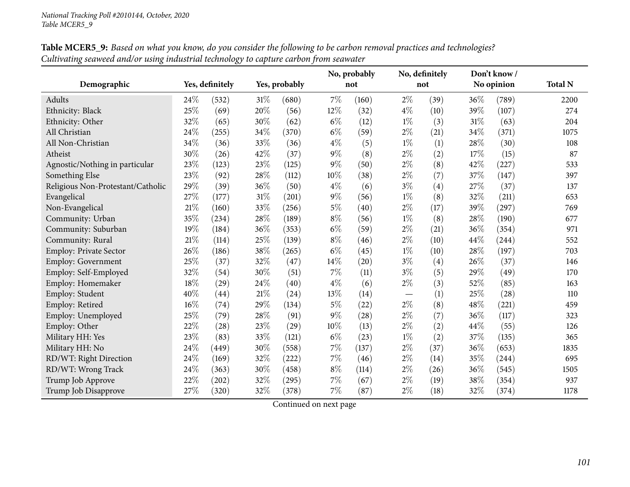|                                   |        |                 |        |               |        | No, probably | No, definitely<br>Don't know/   |                   |        |            |                |
|-----------------------------------|--------|-----------------|--------|---------------|--------|--------------|---------------------------------|-------------------|--------|------------|----------------|
| Demographic                       |        | Yes, definitely |        | Yes, probably |        | not          |                                 | not               |        | No opinion | <b>Total N</b> |
| Adults                            | 24\%   | (532)           | 31\%   | (680)         | 7%     | (160)        | $2\%$                           | (39)              | 36\%   | (789)      | 2200           |
| Ethnicity: Black                  | 25%    | (69)            | 20%    | (56)          | $12\%$ | (32)         | $4\%$                           | (10)              | 39%    | (107)      | 274            |
| Ethnicity: Other                  | 32%    | (65)            | 30%    | (62)          | $6\%$  | (12)         | $1\%$                           | (3)               | $31\%$ | (63)       | 204            |
| All Christian                     | 24%    | (255)           | 34%    | (370)         | $6\%$  | (59)         | $2\%$                           | (21)              | 34%    | (371)      | 1075           |
| All Non-Christian                 | 34%    | (36)            | 33%    | (36)          | $4\%$  | (5)          | $1\%$                           | (1)               | 28%    | (30)       | 108            |
| Atheist                           | 30%    | (26)            | 42%    | (37)          | $9\%$  | (8)          | $2\%$                           | (2)               | 17%    | (15)       | 87             |
| Agnostic/Nothing in particular    | 23%    | (123)           | 23%    | (125)         | $9\%$  | (50)         | $2\%$                           | (8)               | 42%    | (227)      | 533            |
| Something Else                    | $23\%$ | (92)            | 28\%   | (112)         | $10\%$ | (38)         | $2\%$                           | (7)               | 37%    | (147)      | 397            |
| Religious Non-Protestant/Catholic | 29%    | (39)            | 36%    | (50)          | $4\%$  | (6)          | $3\%$                           | $\left( 4\right)$ | 27%    | (37)       | 137            |
| Evangelical                       | 27\%   | (177)           | $31\%$ | (201)         | $9\%$  | (56)         | $1\%$                           | (8)               | 32%    | (211)      | 653            |
| Non-Evangelical                   | 21%    | (160)           | 33%    | (256)         | $5\%$  | (40)         | $2\%$                           | (17)              | 39%    | (297)      | 769            |
| Community: Urban                  | 35%    | (234)           | 28\%   | (189)         | $8\%$  | (56)         | $1\%$                           | (8)               | 28%    | (190)      | 677            |
| Community: Suburban               | 19%    | (184)           | 36%    | (353)         | $6\%$  | (59)         | $2\%$                           | (21)              | 36%    | (354)      | 971            |
| Community: Rural                  | 21%    | (114)           | 25%    | (139)         | $8\%$  | (46)         | $2\%$                           | (10)              | 44%    | (244)      | 552            |
| <b>Employ: Private Sector</b>     | 26%    | (186)           | 38%    | (265)         | $6\%$  | (45)         | $1\%$                           | (10)              | 28%    | (197)      | 703            |
| <b>Employ: Government</b>         | 25%    | (37)            | 32%    | (47)          | $14\%$ | (20)         | $3\%$                           | $\left( 4\right)$ | 26%    | (37)       | 146            |
| Employ: Self-Employed             | $32\%$ | (54)            | 30%    | (51)          | 7%     | (11)         | $3\%$                           | (5)               | 29%    | (49)       | 170            |
| Employ: Homemaker                 | 18%    | (29)            | 24\%   | (40)          | $4\%$  | (6)          | $2\%$                           | (3)               | 52%    | (85)       | 163            |
| Employ: Student                   | 40%    | (44)            | $21\%$ | (24)          | $13\%$ | (14)         | $\hspace{0.1mm}-\hspace{0.1mm}$ | (1)               | 25%    | (28)       | 110            |
| Employ: Retired                   | 16%    | (74)            | 29%    | (134)         | $5\%$  | (22)         | $2\%$                           | (8)               | 48%    | (221)      | 459            |
| Employ: Unemployed                | 25%    | (79)            | $28\%$ | (91)          | $9\%$  | (28)         | $2\%$                           | (7)               | 36%    | (117)      | 323            |
| Employ: Other                     | 22%    | (28)            | 23%    | (29)          | 10%    | (13)         | $2\%$                           | (2)               | 44%    | (55)       | 126            |
| Military HH: Yes                  | 23%    | (83)            | 33%    | (121)         | $6\%$  | (23)         | $1\%$                           | (2)               | 37%    | (135)      | 365            |
| Military HH: No                   | 24%    | (449)           | 30%    | (558)         | 7%     | (137)        | $2\%$                           | (37)              | 36%    | (653)      | 1835           |
| RD/WT: Right Direction            | 24%    | (169)           | 32%    | (222)         | 7%     | (46)         | $2\%$                           | (14)              | 35%    | (244)      | 695            |
| RD/WT: Wrong Track                | 24%    | (363)           | 30%    | (458)         | $8\%$  | (114)        | $2\%$                           | (26)              | 36%    | (545)      | 1505           |
| Trump Job Approve                 | 22%    | (202)           | 32%    | (295)         | 7%     | (67)         | $2\%$                           | (19)              | 38%    | (354)      | 937            |
| Trump Job Disapprove              | 27%    | (320)           | 32%    | (378)         | 7%     | (87)         | $2\%$                           | (18)              | 32%    | (374)      | 1178           |

Table MCER5\_9: Based on what you know, do you consider the following to be carbon removal practices and technologies? Cultivating seaweed and/or using industrial technology to capture carbon from seawater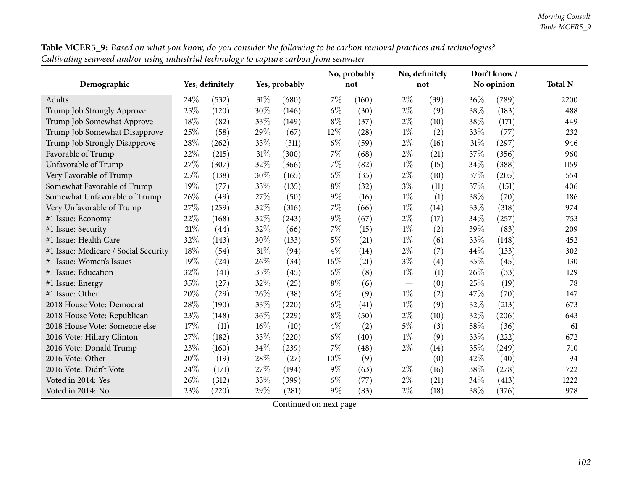| Table MCER5_9: Based on what you know, do you consider the following to be carbon removal practices and technologies? |
|-----------------------------------------------------------------------------------------------------------------------|
| Cultivating seaweed and/or using industrial technology to capture carbon from seawater                                |

|                                      |      |                 |      |               |       | No, probably |       | No, definitely |      | Don't know / |                |
|--------------------------------------|------|-----------------|------|---------------|-------|--------------|-------|----------------|------|--------------|----------------|
| Demographic                          |      | Yes, definitely |      | Yes, probably |       | not          |       | not            |      | No opinion   | <b>Total N</b> |
| Adults                               | 24\% | (532)           | 31\% | (680)         | 7%    | (160)        | $2\%$ | (39)           | 36%  | (789)        | 2200           |
| Trump Job Strongly Approve           | 25%  | (120)           | 30%  | (146)         | $6\%$ | (30)         | $2\%$ | (9)            | 38%  | (183)        | 488            |
| Trump Job Somewhat Approve           | 18%  | (82)            | 33%  | (149)         | $8\%$ | (37)         | $2\%$ | (10)           | 38%  | (171)        | 449            |
| Trump Job Somewhat Disapprove        | 25%  | (58)            | 29%  | (67)          | 12%   | (28)         | $1\%$ | (2)            | 33%  | (77)         | 232            |
| Trump Job Strongly Disapprove        | 28%  | (262)           | 33%  | (311)         | $6\%$ | (59)         | $2\%$ | (16)           | 31%  | (297)        | 946            |
| Favorable of Trump                   | 22%  | (215)           | 31%  | (300)         | 7%    | (68)         | $2\%$ | (21)           | 37%  | (356)        | 960            |
| Unfavorable of Trump                 | 27%  | (307)           | 32%  | (366)         | $7\%$ | (82)         | $1\%$ | (15)           | 34%  | (388)        | 1159           |
| Very Favorable of Trump              | 25%  | (138)           | 30%  | (165)         | $6\%$ | (35)         | $2\%$ | (10)           | 37%  | (205)        | 554            |
| Somewhat Favorable of Trump          | 19%  | (77)            | 33%  | (135)         | $8\%$ | (32)         | $3\%$ | (11)           | 37%  | (151)        | 406            |
| Somewhat Unfavorable of Trump        | 26%  | (49)            | 27%  | (50)          | $9\%$ | (16)         | $1\%$ | (1)            | 38%  | (70)         | 186            |
| Very Unfavorable of Trump            | 27%  | (259)           | 32%  | (316)         | 7%    | (66)         | $1\%$ | (14)           | 33%  | (318)        | 974            |
| #1 Issue: Economy                    | 22%  | (168)           | 32%  | (243)         | $9\%$ | (67)         | $2\%$ | (17)           | 34%  | (257)        | 753            |
| #1 Issue: Security                   | 21\% | (44)            | 32%  | (66)          | 7%    | (15)         | $1\%$ | (2)            | 39%  | (83)         | 209            |
| #1 Issue: Health Care                | 32%  | (143)           | 30%  | (133)         | $5\%$ | (21)         | $1\%$ | (6)            | 33%  | (148)        | 452            |
| #1 Issue: Medicare / Social Security | 18%  | (54)            | 31%  | (94)          | 4%    | (14)         | $2\%$ | (7)            | 44%  | (133)        | 302            |
| #1 Issue: Women's Issues             | 19%  | (24)            | 26%  | (34)          | 16%   | (21)         | $3\%$ | (4)            | 35%  | (45)         | 130            |
| #1 Issue: Education                  | 32%  | (41)            | 35%  | (45)          | $6\%$ | (8)          | $1\%$ | (1)            | 26%  | (33)         | 129            |
| #1 Issue: Energy                     | 35%  | (27)            | 32%  | (25)          | $8\%$ | (6)          |       | (0)            | 25%  | (19)         | 78             |
| #1 Issue: Other                      | 20%  | (29)            | 26%  | (38)          | $6\%$ | (9)          | $1\%$ | (2)            | 47\% | (70)         | 147            |
| 2018 House Vote: Democrat            | 28%  | (190)           | 33%  | (220)         | $6\%$ | (41)         | $1\%$ | (9)            | 32%  | (213)        | 673            |
| 2018 House Vote: Republican          | 23%  | (148)           | 36%  | (229)         | $8\%$ | (50)         | $2\%$ | (10)           | 32%  | (206)        | 643            |
| 2018 House Vote: Someone else        | 17%  | (11)            | 16%  | (10)          | $4\%$ | (2)          | $5\%$ | (3)            | 58%  | (36)         | 61             |
| 2016 Vote: Hillary Clinton           | 27%  | (182)           | 33%  | (220)         | $6\%$ | (40)         | $1\%$ | (9)            | 33%  | (222)        | 672            |
| 2016 Vote: Donald Trump              | 23%  | (160)           | 34%  | (239)         | 7%    | (48)         | $2\%$ | (14)           | 35%  | (249)        | 710            |
| 2016 Vote: Other                     | 20%  | (19)            | 28%  | (27)          | 10%   | (9)          |       | (0)            | 42%  | (40)         | 94             |
| 2016 Vote: Didn't Vote               | 24%  | (171)           | 27%  | (194)         | $9\%$ | (63)         | $2\%$ | (16)           | 38%  | (278)        | 722            |
| Voted in 2014: Yes                   | 26%  | (312)           | 33%  | (399)         | $6\%$ | (77)         | $2\%$ | (21)           | 34%  | (413)        | 1222           |
| Voted in 2014: No                    | 23%  | (220)           | 29%  | (281)         | $9\%$ | (83)         | $2\%$ | (18)           | 38%  | (376)        | 978            |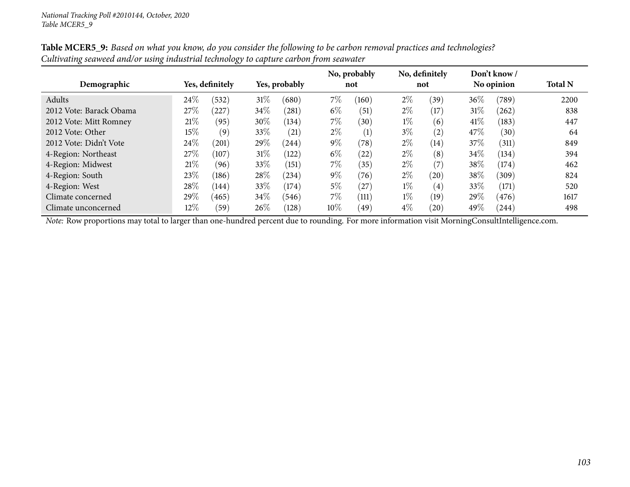|                         |        |                 |        | Yes, probably |       | No, probably | No, definitely |      |        | Don't know/ |                |
|-------------------------|--------|-----------------|--------|---------------|-------|--------------|----------------|------|--------|-------------|----------------|
| Demographic             |        | Yes, definitely |        |               |       | not          |                | not  |        | No opinion  | <b>Total N</b> |
| Adults                  | 24\%   | (532)           | $31\%$ | (680)         | 7\%   | (160)        | $2\%$          | (39) | $36\%$ | (789)       | 2200           |
| 2012 Vote: Barack Obama | 27\%   | 227             | 34\%   | (281)         | $6\%$ | (51)         | $2\%$          | (17) | $31\%$ | (262)       | 838            |
| 2012 Vote: Mitt Romney  | 21%    | (95)            | 30%    | (134)         | $7\%$ | (30)         | $1\%$          | (6)  | $41\%$ | (183)       | 447            |
| 2012 Vote: Other        | 15%    | (9)             | 33\%   | (21)          | $2\%$ | (1)          | $3\%$          | (2)  | 47\%   | (30)        | 64             |
| 2012 Vote: Didn't Vote  | 24\%   | (201)           | 29\%   | (244)         | $9\%$ | (78)         | $2\%$          | (14) | 37\%   | (311)       | 849            |
| 4-Region: Northeast     | 27\%   | (107)           | $31\%$ | (122)         | $6\%$ | (22)         | $2\%$          | (8)  | $34\%$ | (134)       | 394            |
| 4-Region: Midwest       | 21%    | (96)            | 33\%   | (151)         | 7\%   | (35)         | $2\%$          | (7)  | 38\%   | (174)       | 462            |
| 4-Region: South         | 23%    | (186)           | 28\%   | (234)         | $9\%$ | (76)         | $2\%$          | (20) | 38\%   | (309)       | 824            |
| 4-Region: West          | 28\%   | (144)           | 33%    | (174)         | $5\%$ | (27)         | $1\%$          | (4)  | 33\%   | (171)       | 520            |
| Climate concerned       | 29\%   | (465)           | 34%    | (546)         | 7\%   | (111)        | $1\%$          | (19) | 29\%   | (476)       | 1617           |
| Climate unconcerned     | $12\%$ | (59)            | $26\%$ | (128)         | 10%   | (49)         | $4\%$          | (20) | 49%    | (244)       | 498            |

Table MCER5\_9: Based on what you know, do you consider the following to be carbon removal practices and technologies? Cultivating seaweed and/or using industrial technology to capture carbon from seawater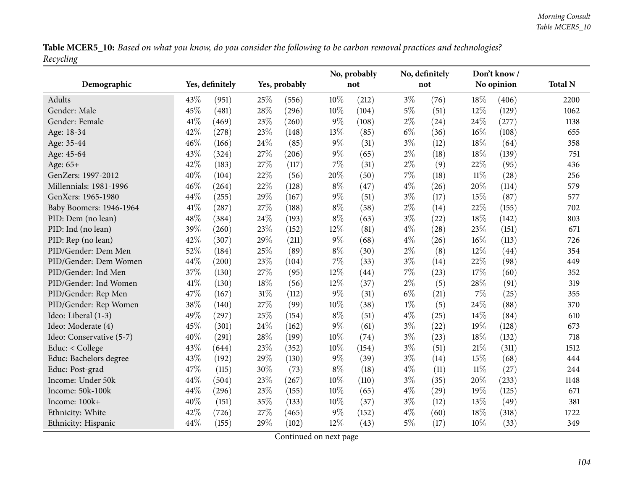Table MCER5\_10: Based on what you know, do you consider the following to be carbon removal practices and technologies? *Recycling*

|                          |      |                 |        |               |        | No, probably | No, definitely |      | Don't know/ |            |                |
|--------------------------|------|-----------------|--------|---------------|--------|--------------|----------------|------|-------------|------------|----------------|
| Demographic              |      | Yes, definitely |        | Yes, probably |        | not          |                | not  |             | No opinion | <b>Total N</b> |
| <b>Adults</b>            | 43%  | (951)           | 25%    | (556)         | 10%    | (212)        | $3\%$          | (76) | 18%         | (406)      | 2200           |
| Gender: Male             | 45%  | (481)           | 28%    | (296)         | 10%    | (104)        | $5\%$          | (51) | 12%         | (129)      | 1062           |
| Gender: Female           | 41\% | (469)           | 23%    | (260)         | $9\%$  | (108)        | $2\%$          | (24) | 24%         | (277)      | 1138           |
| Age: 18-34               | 42%  | (278)           | 23%    | (148)         | 13%    | (85)         | $6\%$          | (36) | 16%         | (108)      | 655            |
| Age: 35-44               | 46%  | (166)           | 24%    | (85)          | $9\%$  | (31)         | $3\%$          | (12) | 18%         | (64)       | 358            |
| Age: 45-64               | 43%  | (324)           | 27%    | (206)         | $9\%$  | (65)         | $2\%$          | (18) | 18%         | (139)      | 751            |
| Age: 65+                 | 42%  | (183)           | 27%    | (117)         | 7%     | (31)         | $2\%$          | (9)  | 22%         | (95)       | 436            |
| GenZers: 1997-2012       | 40%  | (104)           | 22%    | (56)          | 20%    | (50)         | $7\%$          | (18) | $11\%$      | (28)       | 256            |
| Millennials: 1981-1996   | 46%  | (264)           | 22%    | (128)         | $8\%$  | (47)         | $4\%$          | (26) | 20%         | (114)      | 579            |
| GenXers: 1965-1980       | 44%  | (255)           | 29%    | (167)         | $9\%$  | (51)         | $3\%$          | (17) | 15%         | (87)       | 577            |
| Baby Boomers: 1946-1964  | 41%  | (287)           | 27%    | (188)         | $8\%$  | (58)         | $2\%$          | (14) | 22%         | (155)      | 702            |
| PID: Dem (no lean)       | 48%  | (384)           | 24%    | (193)         | $8\%$  | (63)         | $3\%$          | (22) | 18%         | (142)      | 803            |
| PID: Ind (no lean)       | 39%  | (260)           | 23%    | (152)         | 12%    | (81)         | $4\%$          | (28) | 23%         | (151)      | 671            |
| PID: Rep (no lean)       | 42%  | (307)           | 29%    | (211)         | $9\%$  | (68)         | $4\%$          | (26) | 16%         | (113)      | 726            |
| PID/Gender: Dem Men      | 52%  | (184)           | 25%    | (89)          | $8\%$  | (30)         | $2\%$          | (8)  | 12%         | (44)       | 354            |
| PID/Gender: Dem Women    | 44%  | (200)           | 23%    | (104)         | $7\%$  | (33)         | $3\%$          | (14) | 22%         | (98)       | 449            |
| PID/Gender: Ind Men      | 37%  | (130)           | 27%    | (95)          | $12\%$ | (44)         | $7\%$          | (23) | 17%         | (60)       | 352            |
| PID/Gender: Ind Women    | 41\% | (130)           | 18%    | (56)          | 12%    | (37)         | $2\%$          | (5)  | 28%         | (91)       | 319            |
| PID/Gender: Rep Men      | 47%  | (167)           | $31\%$ | (112)         | 9%     | (31)         | $6\%$          | (21) | 7%          | (25)       | 355            |
| PID/Gender: Rep Women    | 38%  | (140)           | 27%    | (99)          | 10%    | (38)         | $1\%$          | (5)  | 24%         | (88)       | 370            |
| Ideo: Liberal (1-3)      | 49%  | (297)           | 25%    | (154)         | $8\%$  | (51)         | $4\%$          | (25) | 14\%        | (84)       | 610            |
| Ideo: Moderate (4)       | 45%  | (301)           | 24%    | (162)         | 9%     | (61)         | $3\%$          | (22) | 19%         | (128)      | 673            |
| Ideo: Conservative (5-7) | 40%  | (291)           | 28\%   | (199)         | 10%    | (74)         | $3\%$          | (23) | 18%         | (132)      | 718            |
| Educ: < College          | 43%  | (644)           | 23%    | (352)         | 10%    | (154)        | $3\%$          | (51) | 21%         | (311)      | 1512           |
| Educ: Bachelors degree   | 43%  | (192)           | 29%    | (130)         | 9%     | (39)         | $3\%$          | (14) | 15%         | (68)       | 444            |
| Educ: Post-grad          | 47%  | (115)           | 30%    | (73)          | $8\%$  | (18)         | $4\%$          | (11) | $11\%$      | (27)       | 244            |
| Income: Under 50k        | 44%  | (504)           | 23%    | (267)         | 10%    | (110)        | $3\%$          | (35) | 20%         | (233)      | 1148           |
| Income: 50k-100k         | 44%  | (296)           | 23%    | (155)         | 10%    | (65)         | $4\%$          | (29) | 19%         | (125)      | 671            |
| Income: 100k+            | 40%  | (151)           | 35%    | (133)         | 10%    | (37)         | $3\%$          | (12) | 13%         | (49)       | 381            |
| Ethnicity: White         | 42%  | (726)           | 27%    | (465)         | 9%     | (152)        | $4\%$          | (60) | 18%         | (318)      | 1722           |
| Ethnicity: Hispanic      | 44%  | (155)           | 29%    | (102)         | 12%    | (43)         | $5\%$          | (17) | 10%         | (33)       | 349            |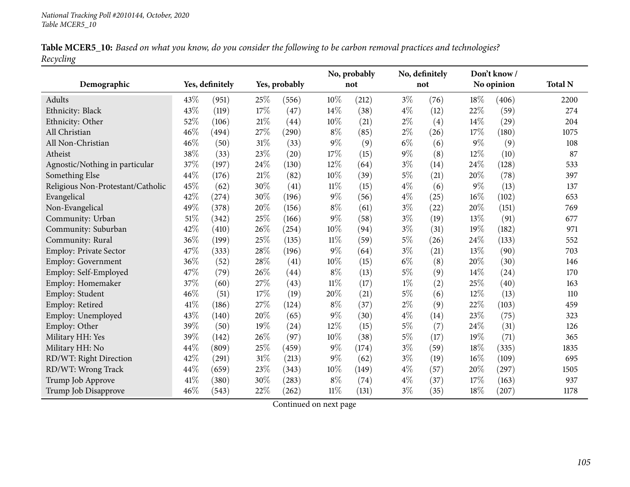|           |  |  | Table MCER5_10: Based on what you know, do you consider the following to be carbon removal practices and technologies? |  |
|-----------|--|--|------------------------------------------------------------------------------------------------------------------------|--|
| Recycling |  |  |                                                                                                                        |  |

|                                   |      |                 |        |               |        | No, probably | No, definitely |      | Don't know/ |            |                |
|-----------------------------------|------|-----------------|--------|---------------|--------|--------------|----------------|------|-------------|------------|----------------|
| Demographic                       |      | Yes, definitely |        | Yes, probably |        | not          |                | not  |             | No opinion | <b>Total N</b> |
| Adults                            | 43\% | (951)           | 25%    | (556)         | 10%    | (212)        | $3\%$          | (76) | 18%         | (406)      | 2200           |
| Ethnicity: Black                  | 43%  | (119)           | $17\%$ | (47)          | 14%    | (38)         | $4\%$          | (12) | 22%         | (59)       | 274            |
| Ethnicity: Other                  | 52%  | (106)           | 21%    | (44)          | 10%    | (21)         | $2\%$          | (4)  | 14%         | (29)       | 204            |
| All Christian                     | 46%  | (494)           | 27%    | (290)         | $8\%$  | (85)         | $2\%$          | (26) | 17%         | (180)      | 1075           |
| All Non-Christian                 | 46%  | (50)            | 31%    | (33)          | $9\%$  | (9)          | $6\%$          | (6)  | $9\%$       | (9)        | 108            |
| Atheist                           | 38%  | (33)            | 23%    | (20)          | 17%    | (15)         | $9\%$          | (8)  | 12%         | (10)       | 87             |
| Agnostic/Nothing in particular    | 37%  | (197)           | 24%    | (130)         | 12%    | (64)         | $3\%$          | (14) | 24%         | (128)      | 533            |
| Something Else                    | 44%  | (176)           | 21%    | (82)          | 10%    | (39)         | $5\%$          | (21) | 20%         | (78)       | 397            |
| Religious Non-Protestant/Catholic | 45%  | (62)            | 30%    | (41)          | $11\%$ | (15)         | $4\%$          | (6)  | $9\%$       | (13)       | 137            |
| Evangelical                       | 42%  | (274)           | 30%    | (196)         | $9\%$  | (56)         | $4\%$          | (25) | 16%         | (102)      | 653            |
| Non-Evangelical                   | 49%  | (378)           | 20%    | (156)         | $8\%$  | (61)         | $3\%$          | (22) | 20%         | (151)      | 769            |
| Community: Urban                  | 51%  | (342)           | $25\%$ | (166)         | $9\%$  | (58)         | $3\%$          | (19) | 13%         | (91)       | 677            |
| Community: Suburban               | 42%  | (410)           | 26%    | (254)         | 10%    | (94)         | $3\%$          | (31) | 19%         | (182)      | 971            |
| Community: Rural                  | 36%  | (199)           | 25%    | (135)         | 11%    | (59)         | $5\%$          | (26) | 24%         | (133)      | 552            |
| Employ: Private Sector            | 47%  | (333)           | 28%    | (196)         | 9%     | (64)         | $3\%$          | (21) | 13%         | (90)       | 703            |
| Employ: Government                | 36%  | (52)            | 28%    | (41)          | 10%    | (15)         | $6\%$          | (8)  | 20%         | (30)       | 146            |
| Employ: Self-Employed             | 47%  | (79)            | 26%    | (44)          | $8\%$  | (13)         | $5\%$          | (9)  | 14%         | (24)       | 170            |
| Employ: Homemaker                 | 37%  | (60)            | 27%    | (43)          | $11\%$ | (17)         | $1\%$          | (2)  | 25%         | (40)       | 163            |
| Employ: Student                   | 46%  | (51)            | 17%    | (19)          | 20%    | (21)         | $5\%$          | (6)  | 12%         | (13)       | 110            |
| Employ: Retired                   | 41\% | (186)           | 27%    | (124)         | $8\%$  | (37)         | $2\%$          | (9)  | 22%         | (103)      | 459            |
| Employ: Unemployed                | 43%  | (140)           | 20%    | (65)          | $9\%$  | (30)         | $4\%$          | (14) | 23%         | (75)       | 323            |
| Employ: Other                     | 39%  | (50)            | 19%    | (24)          | 12%    | (15)         | $5\%$          | (7)  | 24%         | (31)       | 126            |
| Military HH: Yes                  | 39%  | (142)           | 26%    | (97)          | 10%    | (38)         | $5\%$          | (17) | 19%         | (71)       | 365            |
| Military HH: No                   | 44\% | (809)           | 25%    | (459)         | $9\%$  | (174)        | $3\%$          | (59) | 18%         | (335)      | 1835           |
| RD/WT: Right Direction            | 42%  | (291)           | 31%    | (213)         | $9\%$  | (62)         | $3\%$          | (19) | 16%         | (109)      | 695            |
| RD/WT: Wrong Track                | 44%  | (659)           | 23%    | (343)         | 10%    | (149)        | $4\%$          | (57) | 20%         | (297)      | 1505           |
| Trump Job Approve                 | 41\% | (380)           | 30%    | (283)         | $8\%$  | (74)         | $4\%$          | (37) | 17%         | (163)      | 937            |
| Trump Job Disapprove              | 46%  | (543)           | 22%    | (262)         | $11\%$ | (131)        | $3\%$          | (35) | 18%         | (207)      | 1178           |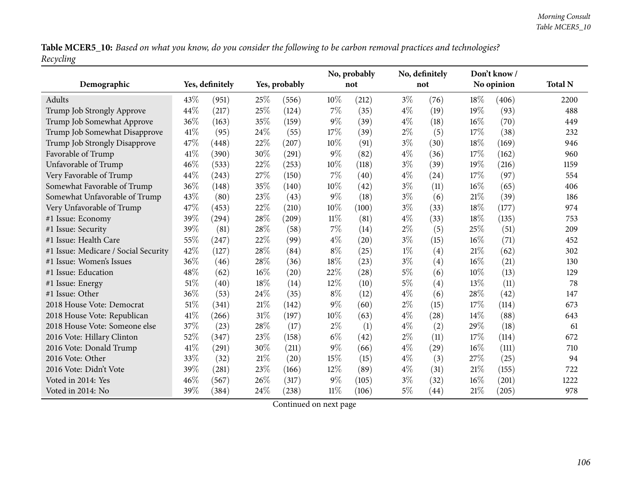Table MCER5\_10: Based on what you know, do you consider the following to be carbon removal practices and technologies? *Recycling*

|                                      |      |                 |        |               |        | No, probably |       | No, definitely |        | Don't know/ | <b>Total N</b> |
|--------------------------------------|------|-----------------|--------|---------------|--------|--------------|-------|----------------|--------|-------------|----------------|
| Demographic                          |      | Yes, definitely |        | Yes, probably |        | not          |       | not            |        | No opinion  |                |
| Adults                               | 43\% | (951)           | 25%    | (556)         | 10%    | (212)        | $3\%$ | (76)           | 18\%   | (406)       | 2200           |
| Trump Job Strongly Approve           | 44%  | (217)           | 25%    | (124)         | 7%     | (35)         | $4\%$ | (19)           | 19%    | (93)        | 488            |
| Trump Job Somewhat Approve           | 36%  | (163)           | 35%    | (159)         | $9\%$  | (39)         | $4\%$ | (18)           | $16\%$ | (70)        | 449            |
| Trump Job Somewhat Disapprove        | 41\% | (95)            | 24\%   | (55)          | 17%    | (39)         | $2\%$ | (5)            | 17%    | (38)        | 232            |
| Trump Job Strongly Disapprove        | 47%  | (448)           | 22%    | (207)         | 10%    | (91)         | $3\%$ | (30)           | 18%    | (169)       | 946            |
| Favorable of Trump                   | 41\% | (390)           | 30%    | (291)         | $9\%$  | (82)         | $4\%$ | (36)           | 17%    | (162)       | 960            |
| Unfavorable of Trump                 | 46%  | (533)           | 22%    | (253)         | 10%    | (118)        | $3\%$ | (39)           | 19%    | (216)       | 1159           |
| Very Favorable of Trump              | 44%  | (243)           | 27%    | (150)         | 7%     | (40)         | $4\%$ | (24)           | 17%    | (97)        | 554            |
| Somewhat Favorable of Trump          | 36%  | (148)           | 35%    | (140)         | 10%    | (42)         | $3\%$ | (11)           | 16%    | (65)        | 406            |
| Somewhat Unfavorable of Trump        | 43%  | (80)            | 23%    | (43)          | $9\%$  | (18)         | $3\%$ | (6)            | 21\%   | (39)        | 186            |
| Very Unfavorable of Trump            | 47%  | (453)           | 22%    | (210)         | 10%    | (100)        | $3\%$ | (33)           | 18%    | (177)       | 974            |
| #1 Issue: Economy                    | 39%  | (294)           | $28\%$ | (209)         | $11\%$ | (81)         | $4\%$ | (33)           | 18%    | (135)       | 753            |
| #1 Issue: Security                   | 39%  | (81)            | 28%    | (58)          | 7%     | (14)         | $2\%$ | (5)            | 25%    | (51)        | 209            |
| #1 Issue: Health Care                | 55%  | (247)           | 22%    | (99)          | $4\%$  | (20)         | $3\%$ | (15)           | 16%    | (71)        | 452            |
| #1 Issue: Medicare / Social Security | 42%  | (127)           | 28\%   | (84)          | $8\%$  | (25)         | $1\%$ | (4)            | 21\%   | (62)        | 302            |
| #1 Issue: Women's Issues             | 36%  | (46)            | 28%    | (36)          | 18%    | (23)         | $3\%$ | (4)            | 16%    | (21)        | 130            |
| #1 Issue: Education                  | 48%  | (62)            | 16%    | (20)          | 22%    | (28)         | 5%    | (6)            | 10%    | (13)        | 129            |
| #1 Issue: Energy                     | 51%  | (40)            | 18%    | (14)          | 12%    | (10)         | $5\%$ | (4)            | 13%    | (11)        | 78             |
| #1 Issue: Other                      | 36%  | (53)            | 24\%   | (35)          | $8\%$  | (12)         | $4\%$ | (6)            | 28%    | (42)        | 147            |
| 2018 House Vote: Democrat            | 51%  | (341)           | $21\%$ | (142)         | $9\%$  | (60)         | $2\%$ | (15)           | 17%    | (114)       | 673            |
| 2018 House Vote: Republican          | 41%  | (266)           | $31\%$ | (197)         | 10%    | (63)         | $4\%$ | (28)           | 14%    | (88)        | 643            |
| 2018 House Vote: Someone else        | 37%  | (23)            | 28%    | (17)          | $2\%$  | (1)          | $4\%$ | (2)            | 29%    | (18)        | 61             |
| 2016 Vote: Hillary Clinton           | 52%  | (347)           | 23%    | (158)         | $6\%$  | (42)         | $2\%$ | (11)           | 17%    | (114)       | 672            |
| 2016 Vote: Donald Trump              | 41\% | (291)           | 30%    | (211)         | $9\%$  | (66)         | $4\%$ | (29)           | 16%    | (111)       | 710            |
| 2016 Vote: Other                     | 33%  | (32)            | $21\%$ | (20)          | 15%    | (15)         | $4\%$ | (3)            | 27%    | (25)        | 94             |
| 2016 Vote: Didn't Vote               | 39%  | (281)           | 23%    | (166)         | 12%    | (89)         | $4\%$ | (31)           | 21%    | (155)       | 722            |
| Voted in 2014: Yes                   | 46%  | (567)           | 26%    | (317)         | $9\%$  | (105)        | $3\%$ | (32)           | 16%    | (201)       | 1222           |
| Voted in 2014: No                    | 39%  | (384)           | 24\%   | (238)         | $11\%$ | (106)        | $5\%$ | (44)           | 21%    | (205)       | 978            |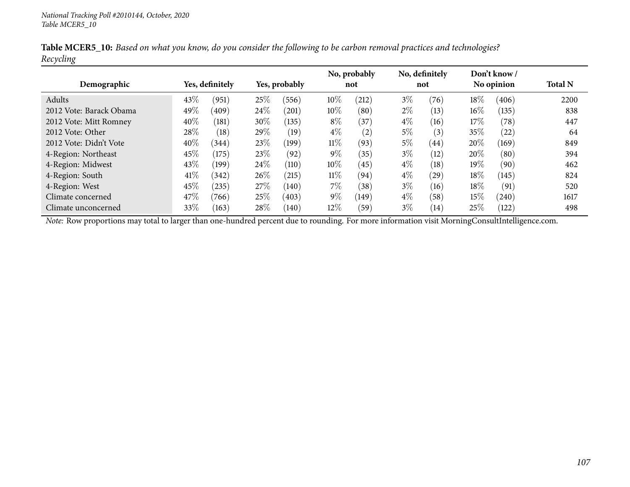|           |  |  |  | Table MCER5_10: Based on what you know, do you consider the following to be carbon removal practices and technologies? |
|-----------|--|--|--|------------------------------------------------------------------------------------------------------------------------|
| Recycling |  |  |  |                                                                                                                        |

| Demographic             |        | Yes, definitely |        | Yes, probably |        | No, probably<br>not |       | No, definitely<br>not |        | Don't know/<br>No opinion | <b>Total N</b> |
|-------------------------|--------|-----------------|--------|---------------|--------|---------------------|-------|-----------------------|--------|---------------------------|----------------|
| Adults                  | 43%    | (951)           | 25%    | (556)         | 10\%   | (212)               | $3\%$ | (76)                  | $18\%$ | (406)                     | 2200           |
| 2012 Vote: Barack Obama | 49\%   | (409)           | $24\%$ | (201)         | 10\%   | (80)                | $2\%$ | (13)                  | $16\%$ | (135)                     | 838            |
| 2012 Vote: Mitt Romney  | 40%    | (181)           | 30\%   | (135)         | $8\%$  | (37)                | $4\%$ | (16)                  | $17\%$ | (78)                      | 447            |
| 2012 Vote: Other        | 28%    | (18)            | 29%    | (19)          | $4\%$  | (2)                 | $5\%$ | (3)                   | 35\%   | (22)                      | 64             |
| 2012 Vote: Didn't Vote  | $40\%$ | (344)           | 23\%   | (199)         | $11\%$ | (93)                | $5\%$ | (44)                  | 20%    | (169)                     | 849            |
| 4-Region: Northeast     | 45%    | (175)           | 23\%   | (92)          | $9\%$  | (35)                | $3\%$ | (12)                  | 20%    | (80)                      | 394            |
| 4-Region: Midwest       | 43%    | (199)           | 24\%   | (110)         | 10\%   | (45)                | $4\%$ | $\left(18\right)$     | 19%    | (90)                      | 462            |
| 4-Region: South         | 41\%   | 342             | $26\%$ | (215)         | $11\%$ | (94)                | $4\%$ | (29)                  | $18\%$ | (145)                     | 824            |
| 4-Region: West          | 45%    | (235)           | 27\%   | (140)         | $7\%$  | (38)                | $3\%$ | (16)                  | $18\%$ | (91)                      | 520            |
| Climate concerned       | 47\%   | (766)           | 25%    | (403)         | $9\%$  | (149)               | $4\%$ | (58)                  | 15%    | (240)                     | 1617           |
| Climate unconcerned     | 33%    | (163)           | 28\%   | (140)         | 12%    | (59)                | $3\%$ | (14)                  | 25\%   | (122)                     | 498            |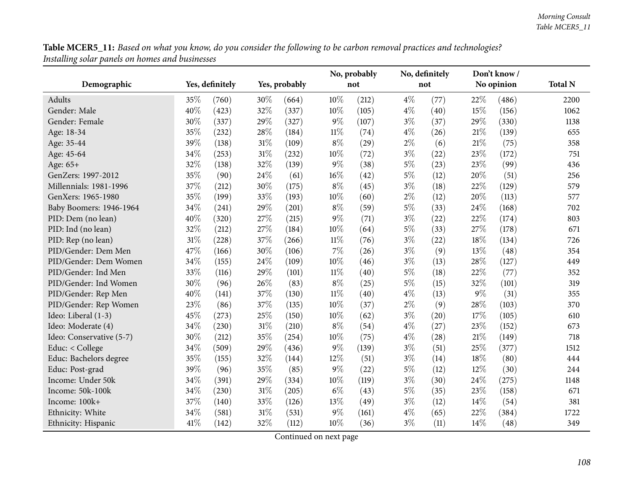Table MCER5\_11: Based on what you know, do you consider the following to be carbon removal practices and technologies? *Installing solar panels on homes and businesses*

|                          |      |                 |      |               |        | No, probably | No, definitely |      |        | Don't know/ |                |
|--------------------------|------|-----------------|------|---------------|--------|--------------|----------------|------|--------|-------------|----------------|
| Demographic              |      | Yes, definitely |      | Yes, probably |        | not          |                | not  |        | No opinion  | <b>Total N</b> |
| Adults                   | 35%  | (760)           | 30%  | (664)         | 10%    | (212)        | $4\%$          | (77) | 22%    | (486)       | 2200           |
| Gender: Male             | 40%  | (423)           | 32%  | (337)         | 10%    | (105)        | $4\%$          | (40) | 15%    | (156)       | 1062           |
| Gender: Female           | 30%  | (337)           | 29%  | (327)         | $9\%$  | (107)        | $3\%$          | (37) | 29%    | (330)       | 1138           |
| Age: 18-34               | 35%  | (232)           | 28\% | (184)         | $11\%$ | (74)         | $4\%$          | (26) | 21%    | (139)       | 655            |
| Age: 35-44               | 39%  | (138)           | 31%  | (109)         | $8\%$  | (29)         | $2\%$          | (6)  | $21\%$ | (75)        | 358            |
| Age: 45-64               | 34%  | (253)           | 31%  | (232)         | 10%    | (72)         | $3\%$          | (22) | 23%    | (172)       | 751            |
| Age: 65+                 | 32%  | (138)           | 32%  | (139)         | $9\%$  | (38)         | $5\%$          | (23) | 23%    | (99)        | 436            |
| GenZers: 1997-2012       | 35%  | (90)            | 24%  | (61)          | $16\%$ | (42)         | $5\%$          | (12) | 20%    | (51)        | 256            |
| Millennials: 1981-1996   | 37%  | (212)           | 30%  | (175)         | $8\%$  | (45)         | $3\%$          | (18) | 22%    | (129)       | 579            |
| GenXers: 1965-1980       | 35%  | (199)           | 33%  | (193)         | 10%    | (60)         | $2\%$          | (12) | 20%    | (113)       | 577            |
| Baby Boomers: 1946-1964  | 34%  | (241)           | 29%  | (201)         | $8\%$  | (59)         | 5%             | (33) | 24%    | (168)       | 702            |
| PID: Dem (no lean)       | 40%  | (320)           | 27%  | (215)         | $9\%$  | (71)         | $3\%$          | (22) | 22%    | (174)       | 803            |
| PID: Ind (no lean)       | 32%  | (212)           | 27%  | (184)         | 10%    | (64)         | $5\%$          | (33) | 27%    | (178)       | 671            |
| PID: Rep (no lean)       | 31%  | (228)           | 37%  | (266)         | $11\%$ | (76)         | $3\%$          | (22) | 18%    | (134)       | 726            |
| PID/Gender: Dem Men      | 47%  | (166)           | 30%  | (106)         | $7\%$  | (26)         | $3\%$          | (9)  | 13%    | (48)        | 354            |
| PID/Gender: Dem Women    | 34%  | (155)           | 24%  | (109)         | 10%    | (46)         | $3\%$          | (13) | 28%    | (127)       | 449            |
| PID/Gender: Ind Men      | 33%  | (116)           | 29%  | (101)         | $11\%$ | (40)         | $5\%$          | (18) | 22%    | (77)        | 352            |
| PID/Gender: Ind Women    | 30%  | (96)            | 26%  | (83)          | $8\%$  | (25)         | $5\%$          | (15) | 32%    | (101)       | 319            |
| PID/Gender: Rep Men      | 40%  | (141)           | 37%  | (130)         | $11\%$ | (40)         | $4\%$          | (13) | $9\%$  | (31)        | 355            |
| PID/Gender: Rep Women    | 23%  | (86)            | 37%  | (135)         | 10%    | (37)         | $2\%$          | (9)  | 28%    | (103)       | 370            |
| Ideo: Liberal (1-3)      | 45%  | (273)           | 25%  | (150)         | 10%    | (62)         | $3\%$          | (20) | 17\%   | (105)       | 610            |
| Ideo: Moderate (4)       | 34%  | (230)           | 31%  | (210)         | $8\%$  | (54)         | $4\%$          | (27) | 23%    | (152)       | 673            |
| Ideo: Conservative (5-7) | 30%  | (212)           | 35%  | (254)         | 10%    | (75)         | $4\%$          | (28) | 21%    | (149)       | 718            |
| Educ: < College          | 34%  | (509)           | 29%  | (436)         | $9\%$  | (139)        | $3\%$          | (51) | 25%    | (377)       | 1512           |
| Educ: Bachelors degree   | 35%  | (155)           | 32%  | (144)         | 12%    | (51)         | $3\%$          | (14) | 18%    | (80)        | 444            |
| Educ: Post-grad          | 39%  | (96)            | 35%  | (85)          | $9\%$  | (22)         | $5\%$          | (12) | 12%    | (30)        | 244            |
| Income: Under 50k        | 34%  | (391)           | 29%  | (334)         | 10%    | (119)        | $3\%$          | (30) | 24%    | (275)       | 1148           |
| Income: 50k-100k         | 34%  | (230)           | 31%  | (205)         | $6\%$  | (43)         | $5\%$          | (35) | 23%    | (158)       | 671            |
| Income: 100k+            | 37%  | (140)           | 33%  | (126)         | 13%    | (49)         | $3\%$          | (12) | 14\%   | (54)        | 381            |
| Ethnicity: White         | 34%  | (581)           | 31%  | (531)         | $9\%$  | (161)        | $4\%$          | (65) | 22%    | (384)       | 1722           |
| Ethnicity: Hispanic      | 41\% | (142)           | 32%  | (112)         | 10%    | (36)         | $3\%$          | (11) | 14%    | (48)        | 349            |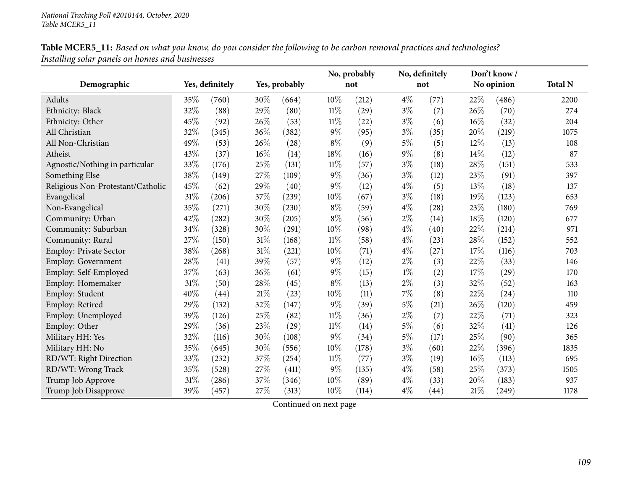| Table MCER5_11: Based on what you know, do you consider the following to be carbon removal practices and technologies? |  |
|------------------------------------------------------------------------------------------------------------------------|--|
| Installing solar panels on homes and businesses                                                                        |  |

|                                   |     |                 |        |               |        | No, probably |       | No, definitely |     | Don't know/ |                |
|-----------------------------------|-----|-----------------|--------|---------------|--------|--------------|-------|----------------|-----|-------------|----------------|
| Demographic                       |     | Yes, definitely |        | Yes, probably |        | not          |       | not            |     | No opinion  | <b>Total N</b> |
| Adults                            | 35% | (760)           | 30%    | (664)         | 10%    | (212)        | $4\%$ | (77)           | 22% | (486)       | 2200           |
| Ethnicity: Black                  | 32% | (88)            | 29%    | (80)          | $11\%$ | (29)         | $3\%$ | (7)            | 26% | (70)        | 274            |
| Ethnicity: Other                  | 45% | (92)            | 26%    | (53)          | $11\%$ | (22)         | $3\%$ | (6)            | 16% | (32)        | 204            |
| All Christian                     | 32% | (345)           | $36\%$ | (382)         | $9\%$  | (95)         | $3\%$ | (35)           | 20% | (219)       | 1075           |
| All Non-Christian                 | 49% | (53)            | 26%    | (28)          | $8\%$  | (9)          | $5\%$ | (5)            | 12% | (13)        | 108            |
| Atheist                           | 43% | (37)            | 16%    | (14)          | 18%    | (16)         | $9\%$ | (8)            | 14% | (12)        | 87             |
| Agnostic/Nothing in particular    | 33% | (176)           | 25%    | (131)         | $11\%$ | (57)         | $3\%$ | (18)           | 28% | (151)       | 533            |
| Something Else                    | 38% | (149)           | 27%    | (109)         | $9\%$  | (36)         | $3\%$ | (12)           | 23% | (91)        | 397            |
| Religious Non-Protestant/Catholic | 45% | (62)            | 29%    | (40)          | $9\%$  | (12)         | $4\%$ | (5)            | 13% | (18)        | 137            |
| Evangelical                       | 31% | (206)           | 37%    | (239)         | 10%    | (67)         | $3\%$ | (18)           | 19% | (123)       | 653            |
| Non-Evangelical                   | 35% | (271)           | 30%    | (230)         | $8\%$  | (59)         | $4\%$ | (28)           | 23% | (180)       | 769            |
| Community: Urban                  | 42% | (282)           | $30\%$ | (205)         | $8\%$  | (56)         | $2\%$ | (14)           | 18% | (120)       | 677            |
| Community: Suburban               | 34% | (328)           | 30%    | (291)         | 10%    | (98)         | $4\%$ | (40)           | 22% | (214)       | 971            |
| Community: Rural                  | 27% | (150)           | $31\%$ | (168)         | $11\%$ | (58)         | $4\%$ | (23)           | 28% | (152)       | 552            |
| Employ: Private Sector            | 38% | (268)           | 31%    | (221)         | 10%    | (71)         | $4\%$ | (27)           | 17% | (116)       | 703            |
| Employ: Government                | 28% | (41)            | 39%    | (57)          | $9\%$  | (12)         | $2\%$ | (3)            | 22% | (33)        | 146            |
| Employ: Self-Employed             | 37% | (63)            | 36%    | (61)          | $9\%$  | (15)         | $1\%$ | (2)            | 17% | (29)        | 170            |
| Employ: Homemaker                 | 31% | (50)            | 28%    | (45)          | $8\%$  | (13)         | $2\%$ | (3)            | 32% | (52)        | 163            |
| Employ: Student                   | 40% | (44)            | $21\%$ | (23)          | 10%    | (11)         | 7%    | (8)            | 22% | (24)        | 110            |
| Employ: Retired                   | 29% | (132)           | 32%    | (147)         | $9\%$  | (39)         | $5\%$ | (21)           | 26% | (120)       | 459            |
| Employ: Unemployed                | 39% | (126)           | 25%    | (82)          | $11\%$ | (36)         | $2\%$ | (7)            | 22% | (71)        | 323            |
| Employ: Other                     | 29% | (36)            | 23%    | (29)          | $11\%$ | (14)         | $5\%$ | (6)            | 32% | (41)        | 126            |
| Military HH: Yes                  | 32% | (116)           | 30%    | (108)         | $9\%$  | (34)         | $5\%$ | (17)           | 25% | (90)        | 365            |
| Military HH: No                   | 35% | (645)           | 30%    | (556)         | 10%    | (178)        | $3\%$ | (60)           | 22% | (396)       | 1835           |
| RD/WT: Right Direction            | 33% | (232)           | 37%    | (254)         | $11\%$ | (77)         | $3\%$ | (19)           | 16% | (113)       | 695            |
| RD/WT: Wrong Track                | 35% | (528)           | 27%    | (411)         | $9\%$  | (135)        | $4\%$ | (58)           | 25% | (373)       | 1505           |
| Trump Job Approve                 | 31% | (286)           | 37%    | (346)         | 10%    | (89)         | $4\%$ | (33)           | 20% | (183)       | 937            |
| Trump Job Disapprove              | 39% | (457)           | 27%    | (313)         | 10%    | (114)        | $4\%$ | (44)           | 21% | (249)       | 1178           |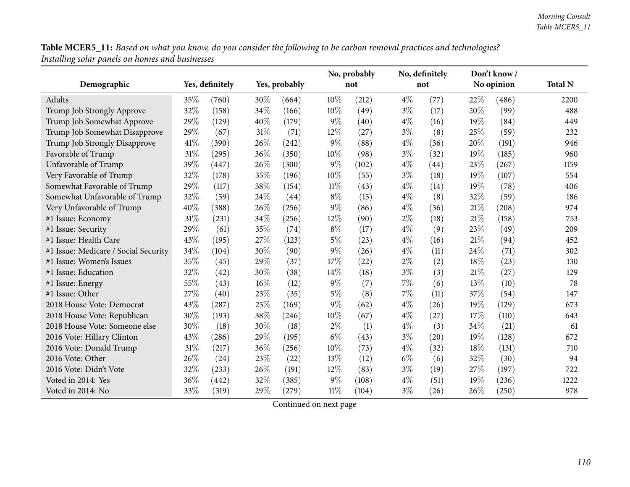Table MCER5\_11: Based on what you know, do you consider the following to be carbon removal practices and technologies? *Installing solar panels on homes and businesses*

|                                      |      |                 |        |               |        | No, probably |       | No, definitely     |      | Don't know/ |                |
|--------------------------------------|------|-----------------|--------|---------------|--------|--------------|-------|--------------------|------|-------------|----------------|
| Demographic                          |      | Yes, definitely |        | Yes, probably |        | not          |       | not                |      | No opinion  | <b>Total N</b> |
| Adults                               | 35\% | (760)           | $30\%$ | (664)         | 10%    | (212)        | $4\%$ | (77)               | 22\% | (486)       | 2200           |
| Trump Job Strongly Approve           | 32%  | (158)           | 34%    | (166)         | 10%    | (49)         | $3\%$ | (17)               | 20%  | (99)        | 488            |
| Trump Job Somewhat Approve           | 29%  | (129)           | 40%    | (179)         | $9\%$  | (40)         | $4\%$ | (16)               | 19%  | (84)        | 449            |
| Trump Job Somewhat Disapprove        | 29%  | (67)            | 31%    | (71)          | 12%    | (27)         | $3\%$ | (8)                | 25%  | (59)        | 232            |
| Trump Job Strongly Disapprove        | 41\% | (390)           | 26%    | (242)         | $9\%$  | (88)         | $4\%$ | (36)               | 20%  | (191)       | 946            |
| Favorable of Trump                   | 31%  | (295)           | 36%    | (350)         | 10%    | (98)         | $3\%$ | (32)               | 19%  | (185)       | 960            |
| Unfavorable of Trump                 | 39%  | (447)           | 26%    | (300)         | $9\%$  | (102)        | $4\%$ | (44)               | 23%  | (267)       | 1159           |
| Very Favorable of Trump              | 32%  | (178)           | 35%    | (196)         | 10%    | (55)         | $3\%$ | (18)               | 19%  | (107)       | 554            |
| Somewhat Favorable of Trump          | 29%  | (117)           | 38%    | (154)         | 11%    | (43)         | $4\%$ | (14)               | 19%  | (78)        | 406            |
| Somewhat Unfavorable of Trump        | 32%  | (59)            | 24\%   | (44)          | $8\%$  | (15)         | $4\%$ | (8)                | 32%  | (59)        | 186            |
| Very Unfavorable of Trump            | 40%  | (388)           | $26\%$ | (256)         | $9\%$  | (86)         | $4\%$ | (36)               | 21%  | (208)       | 974            |
| #1 Issue: Economy                    | 31%  | (231)           | 34%    | (256)         | 12%    | (90)         | $2\%$ | (18)               | 21%  | (158)       | 753            |
| #1 Issue: Security                   | 29%  | (61)            | 35%    | (74)          | $8\%$  | (17)         | $4\%$ | (9)                | 23%  | (49)        | 209            |
| #1 Issue: Health Care                | 43%  | (195)           | 27%    | (123)         | $5\%$  | (23)         | $4\%$ | (16)               | 21\% | (94)        | 452            |
| #1 Issue: Medicare / Social Security | 34%  | (104)           | 30%    | (90)          | $9\%$  | (26)         | $4\%$ | (11)               | 24%  | (71)        | 302            |
| #1 Issue: Women's Issues             | 35%  | (45)            | 29%    | (37)          | 17%    | (22)         | $2\%$ | (2)                | 18%  | (23)        | 130            |
| #1 Issue: Education                  | 32%  | (42)            | 30%    | (38)          | 14%    | (18)         | $3\%$ | (3)                | 21%  | (27)        | 129            |
| #1 Issue: Energy                     | 55%  | (43)            | 16%    | (12)          | $9\%$  | (7)          | 7%    | (6)                | 13%  | (10)        | 78             |
| #1 Issue: Other                      | 27%  | (40)            | 23%    | (35)          | $5\%$  | (8)          | 7%    | (11)               | 37%  | (54)        | 147            |
| 2018 House Vote: Democrat            | 43%  | (287)           | 25%    | (169)         | $9\%$  | (62)         | $4\%$ | (26)               | 19%  | (129)       | 673            |
| 2018 House Vote: Republican          | 30%  | (193)           | 38%    | (246)         | 10%    | (67)         | $4\%$ | (27)               | 17%  | (110)       | 643            |
| 2018 House Vote: Someone else        | 30%  | (18)            | 30%    | (18)          | $2\%$  | (1)          | $4\%$ | (3)                | 34%  | (21)        | 61             |
| 2016 Vote: Hillary Clinton           | 43%  | (286)           | 29%    | (195)         | $6\%$  | (43)         | $3\%$ | $\left( 20\right)$ | 19%  | (128)       | 672            |
| 2016 Vote: Donald Trump              | 31%  | (217)           | 36%    | (256)         | 10%    | (73)         | $4\%$ | (32)               | 18%  | (131)       | 710            |
| 2016 Vote: Other                     | 26%  | (24)            | 23%    | (22)          | 13%    | (12)         | $6\%$ | (6)                | 32%  | (30)        | 94             |
| 2016 Vote: Didn't Vote               | 32%  | (233)           | 26%    | (191)         | 12%    | (83)         | $3\%$ | (19)               | 27%  | (197)       | 722            |
| Voted in 2014: Yes                   | 36%  | (442)           | 32%    | (385)         | $9\%$  | (108)        | $4\%$ | (51)               | 19%  | (236)       | 1222           |
| Voted in 2014: No                    | 33%  | (319)           | 29%    | (279)         | $11\%$ | (104)        | $3\%$ | (26)               | 26%  | (250)       | 978            |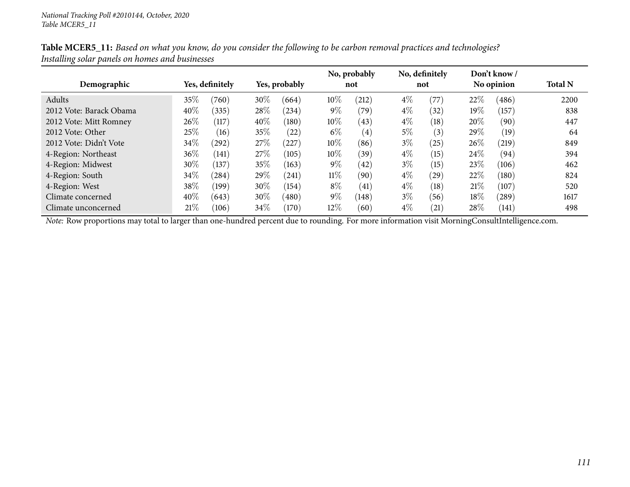|                         |                 |            |               |       |        | No, probably |       | No, definitely |        | Don't know/ |                |
|-------------------------|-----------------|------------|---------------|-------|--------|--------------|-------|----------------|--------|-------------|----------------|
| Demographic             | Yes, definitely |            | Yes, probably |       | not    |              | not   |                |        | No opinion  | <b>Total N</b> |
| Adults                  | 35%             | (760)      | 30\%          | (664) | 10%    | (212)        | $4\%$ | (77)           | 22\%   | (486)       | 2200           |
| 2012 Vote: Barack Obama | $40\%$          | (335)      | 28%           | (234) | $9\%$  | (79)         | $4\%$ | (32)           | $19\%$ | (157)       | 838            |
| 2012 Vote: Mitt Romney  | 26%             | (117)      | 40%           | (180) | $10\%$ | (43)         | $4\%$ | (18)           | 20%    | (90)        | 447            |
| 2012 Vote: Other        | 25\%            | (16)       | 35\%          | (22)  | $6\%$  | (4)          | $5\%$ | (3)            | 29\%   | (19)        | 64             |
| 2012 Vote: Didn't Vote  | $34\%$          | (292)      | 27\%          | (227) | 10%    | (86)         | $3\%$ | (25)           | 26\%   | (219)       | 849            |
| 4-Region: Northeast     | 36%             | (141)      | 27\%          | (105) | 10%    | (39)         | $4\%$ | (15)           | $24\%$ | (94)        | 394            |
| 4-Region: Midwest       | 30%             | (137)      | 35%           | (163) | $9\%$  | (42)         | $3\%$ | (15)           | 23\%   | (106)       | 462            |
| 4-Region: South         | $34\%$          | $^{(284)}$ | 29\%          | (241) | $11\%$ | (90)         | $4\%$ | (29)           | 22\%   | (180)       | 824            |
| 4-Region: West          | 38%             | (199)      | 30\%          | (154) | $8\%$  | (41)         | $4\%$ | (18)           | 21%    | (107)       | 520            |
| Climate concerned       | 40\%            | (643)      | 30%           | (480) | $9\%$  | (148)        | $3\%$ | (56)           | 18%    | (289)       | 1617           |
| Climate unconcerned     | 21%             | (106)      | 34\%          | (170) | 12%    | (60)         | $4\%$ | (21)           | $28\%$ | (141)       | 498            |

Table MCER5\_11: Based on what you know, do you consider the following to be carbon removal practices and technologies? *Installing solar panels on homes and businesses*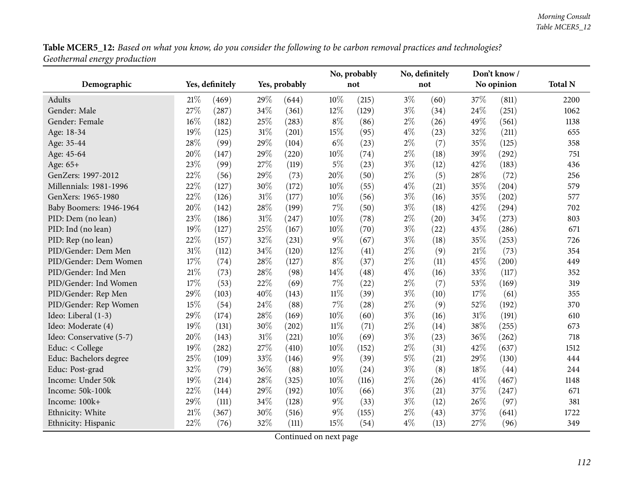Table MCER5\_12: Based on what you know, do you consider the following to be carbon removal practices and technologies? *Geothermal energy production*

|                          |        |                 |        |               |        | No, probably |       | No, definitely |     | Don't know/ |                |
|--------------------------|--------|-----------------|--------|---------------|--------|--------------|-------|----------------|-----|-------------|----------------|
| Demographic              |        | Yes, definitely |        | Yes, probably |        | not          |       | not            |     | No opinion  | <b>Total N</b> |
| <b>Adults</b>            | 21%    | (469)           | 29%    | (644)         | 10%    | (215)        | $3\%$ | (60)           | 37% | (811)       | 2200           |
| Gender: Male             | 27%    | (287)           | 34%    | (361)         | 12%    | (129)        | $3\%$ | (34)           | 24% | (251)       | 1062           |
| Gender: Female           | 16%    | (182)           | 25%    | (283)         | $8\%$  | (86)         | $2\%$ | (26)           | 49% | (561)       | 1138           |
| Age: 18-34               | 19%    | (125)           | 31%    | (201)         | 15%    | (95)         | $4\%$ | (23)           | 32% | (211)       | 655            |
| Age: 35-44               | 28%    | (99)            | 29%    | (104)         | $6\%$  | (23)         | $2\%$ | (7)            | 35% | (125)       | 358            |
| Age: 45-64               | 20%    | (147)           | 29%    | (220)         | 10%    | (74)         | $2\%$ | (18)           | 39% | (292)       | 751            |
| Age: 65+                 | 23%    | (99)            | 27%    | (119)         | $5\%$  | (23)         | $3\%$ | (12)           | 42% | (183)       | 436            |
| GenZers: 1997-2012       | 22%    | (56)            | 29%    | (73)          | 20%    | (50)         | $2\%$ | (5)            | 28% | (72)        | 256            |
| Millennials: 1981-1996   | 22%    | (127)           | 30%    | (172)         | 10%    | (55)         | $4\%$ | (21)           | 35% | (204)       | 579            |
| GenXers: 1965-1980       | 22%    | (126)           | $31\%$ | (177)         | 10%    | (56)         | $3\%$ | (16)           | 35% | (202)       | 577            |
| Baby Boomers: 1946-1964  | 20%    | (142)           | 28%    | (199)         | 7%     | (50)         | $3\%$ | (18)           | 42% | (294)       | 702            |
| PID: Dem (no lean)       | 23%    | (186)           | 31%    | (247)         | 10%    | (78)         | $2\%$ | (20)           | 34% | (273)       | 803            |
| PID: Ind (no lean)       | 19%    | (127)           | 25%    | (167)         | 10%    | (70)         | $3\%$ | (22)           | 43% | (286)       | 671            |
| PID: Rep (no lean)       | 22%    | (157)           | 32%    | (231)         | 9%     | (67)         | $3\%$ | (18)           | 35% | (253)       | 726            |
| PID/Gender: Dem Men      | 31%    | (112)           | 34%    | (120)         | 12%    | (41)         | $2\%$ | (9)            | 21% | (73)        | 354            |
| PID/Gender: Dem Women    | 17%    | (74)            | 28%    | (127)         | $8\%$  | (37)         | $2\%$ | (11)           | 45% | (200)       | 449            |
| PID/Gender: Ind Men      | $21\%$ | (73)            | 28%    | (98)          | $14\%$ | (48)         | $4\%$ | (16)           | 33% | (117)       | 352            |
| PID/Gender: Ind Women    | 17%    | (53)            | 22%    | (69)          | 7%     | (22)         | $2\%$ | (7)            | 53% | (169)       | 319            |
| PID/Gender: Rep Men      | 29%    | (103)           | 40%    | (143)         | $11\%$ | (39)         | $3\%$ | (10)           | 17% | (61)        | 355            |
| PID/Gender: Rep Women    | 15%    | (54)            | 24%    | (88)          | 7%     | (28)         | $2\%$ | (9)            | 52% | (192)       | 370            |
| Ideo: Liberal (1-3)      | 29%    | (174)           | 28%    | (169)         | $10\%$ | (60)         | $3\%$ | (16)           | 31% | (191)       | 610            |
| Ideo: Moderate (4)       | 19%    | (131)           | 30%    | (202)         | $11\%$ | (71)         | $2\%$ | (14)           | 38% | (255)       | 673            |
| Ideo: Conservative (5-7) | 20%    | (143)           | 31%    | (221)         | 10%    | (69)         | $3\%$ | (23)           | 36% | (262)       | 718            |
| Educ: < College          | 19%    | (282)           | 27%    | (410)         | 10%    | (152)        | $2\%$ | (31)           | 42% | (637)       | 1512           |
| Educ: Bachelors degree   | 25%    | (109)           | 33%    | (146)         | 9%     | (39)         | $5\%$ | (21)           | 29% | (130)       | 444            |
| Educ: Post-grad          | 32%    | (79)            | 36%    | (88)          | 10%    | (24)         | $3\%$ | (8)            | 18% | (44)        | 244            |
| Income: Under 50k        | 19%    | (214)           | 28%    | (325)         | 10%    | (116)        | $2\%$ | (26)           | 41% | (467)       | 1148           |
| Income: 50k-100k         | 22%    | (144)           | 29%    | (192)         | 10%    | (66)         | $3\%$ | (21)           | 37% | (247)       | 671            |
| Income: 100k+            | 29%    | (111)           | 34%    | (128)         | $9\%$  | (33)         | $3\%$ | (12)           | 26% | (97)        | 381            |
| Ethnicity: White         | 21%    | (367)           | 30%    | (516)         | 9%     | (155)        | $2\%$ | (43)           | 37% | (641)       | 1722           |
| Ethnicity: Hispanic      | 22%    | (76)            | 32%    | (111)         | 15%    | (54)         | $4\%$ | (13)           | 27% | (96)        | 349            |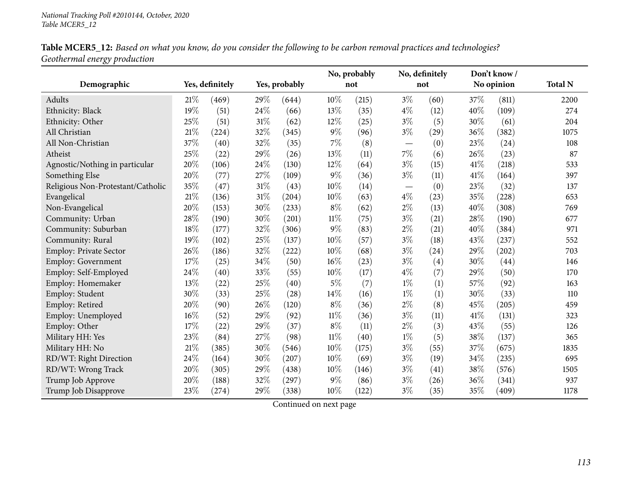|                              |  | Table MCER5_12: Based on what you know, do you consider the following to be carbon removal practices and technologies? |  |
|------------------------------|--|------------------------------------------------------------------------------------------------------------------------|--|
| Geothermal energy production |  |                                                                                                                        |  |

|                                   |     |                 |        |               |        | No, probably |       | No, definitely    |      | Don't know/ |                |
|-----------------------------------|-----|-----------------|--------|---------------|--------|--------------|-------|-------------------|------|-------------|----------------|
| Demographic                       |     | Yes, definitely |        | Yes, probably |        | not          |       | not               |      | No opinion  | <b>Total N</b> |
| Adults                            | 21% | (469)           | 29%    | (644)         | 10%    | (215)        | $3\%$ | (60)              | 37\% | (811)       | 2200           |
| Ethnicity: Black                  | 19% | (51)            | 24%    | (66)          | 13%    | (35)         | $4\%$ | (12)              | 40%  | (109)       | 274            |
| Ethnicity: Other                  | 25% | (51)            | $31\%$ | (62)          | 12%    | (25)         | $3\%$ | (5)               | 30%  | (61)        | 204            |
| All Christian                     | 21% | (224)           | 32%    | (345)         | $9\%$  | (96)         | $3\%$ | (29)              | 36%  | (382)       | 1075           |
| All Non-Christian                 | 37% | (40)            | 32%    | (35)          | 7%     | (8)          |       | (0)               | 23%  | (24)        | 108            |
| Atheist                           | 25% | (22)            | 29%    | (26)          | 13%    | (11)         | $7\%$ | (6)               | 26\% | (23)        | 87             |
| Agnostic/Nothing in particular    | 20% | (106)           | 24%    | (130)         | 12%    | (64)         | $3\%$ | (15)              | 41%  | (218)       | 533            |
| Something Else                    | 20% | (77)            | $27\%$ | (109)         | $9\%$  | (36)         | $3\%$ | (11)              | 41%  | (164)       | 397            |
| Religious Non-Protestant/Catholic | 35% | (47)            | $31\%$ | (43)          | 10%    | (14)         |       | (0)               | 23%  | (32)        | 137            |
| Evangelical                       | 21% | (136)           | 31%    | (204)         | 10%    | (63)         | $4\%$ | (23)              | 35%  | (228)       | 653            |
| Non-Evangelical                   | 20% | (153)           | 30%    | (233)         | $8\%$  | (62)         | $2\%$ | (13)              | 40%  | (308)       | 769            |
| Community: Urban                  | 28% | (190)           | 30%    | (201)         | $11\%$ | (75)         | $3\%$ | (21)              | 28%  | (190)       | 677            |
| Community: Suburban               | 18% | (177)           | 32%    | (306)         | 9%     | (83)         | $2\%$ | (21)              | 40%  | (384)       | 971            |
| Community: Rural                  | 19% | (102)           | 25%    | (137)         | 10%    | (57)         | $3\%$ | (18)              | 43%  | (237)       | 552            |
| Employ: Private Sector            | 26% | (186)           | 32%    | (222)         | 10%    | (68)         | $3\%$ | (24)              | 29%  | (202)       | 703            |
| <b>Employ: Government</b>         | 17% | (25)            | $34\%$ | (50)          | 16%    | (23)         | $3\%$ | $\left( 4\right)$ | 30%  | (44)        | 146            |
| Employ: Self-Employed             | 24% | (40)            | 33%    | (55)          | 10%    | (17)         | $4\%$ | (7)               | 29%  | (50)        | 170            |
| Employ: Homemaker                 | 13% | (22)            | 25%    | (40)          | $5\%$  | (7)          | $1\%$ | (1)               | 57%  | (92)        | 163            |
| Employ: Student                   | 30% | (33)            | 25%    | (28)          | 14%    | (16)         | $1\%$ | (1)               | 30%  | (33)        | 110            |
| Employ: Retired                   | 20% | (90)            | 26%    | (120)         | $8\%$  | (36)         | $2\%$ | (8)               | 45%  | (205)       | 459            |
| Employ: Unemployed                | 16% | (52)            | 29%    | (92)          | $11\%$ | (36)         | $3\%$ | (11)              | 41\% | (131)       | 323            |
| Employ: Other                     | 17% | (22)            | 29%    | (37)          | $8\%$  | (11)         | $2\%$ | (3)               | 43\% | (55)        | 126            |
| Military HH: Yes                  | 23% | (84)            | 27%    | (98)          | $11\%$ | (40)         | $1\%$ | (5)               | 38%  | (137)       | 365            |
| Military HH: No                   | 21% | (385)           | 30%    | (546)         | 10%    | (175)        | $3\%$ | (55)              | 37%  | (675)       | 1835           |
| RD/WT: Right Direction            | 24% | (164)           | 30%    | (207)         | 10%    | (69)         | $3\%$ | (19)              | 34%  | (235)       | 695            |
| RD/WT: Wrong Track                | 20% | (305)           | 29%    | (438)         | 10%    | (146)        | $3\%$ | (41)              | 38%  | (576)       | 1505           |
| Trump Job Approve                 | 20% | (188)           | 32%    | (297)         | $9\%$  | (86)         | $3\%$ | (26)              | 36%  | (341)       | 937            |
| Trump Job Disapprove              | 23% | (274)           | 29%    | (338)         | 10%    | (122)        | $3\%$ | (35)              | 35%  | (409)       | 1178           |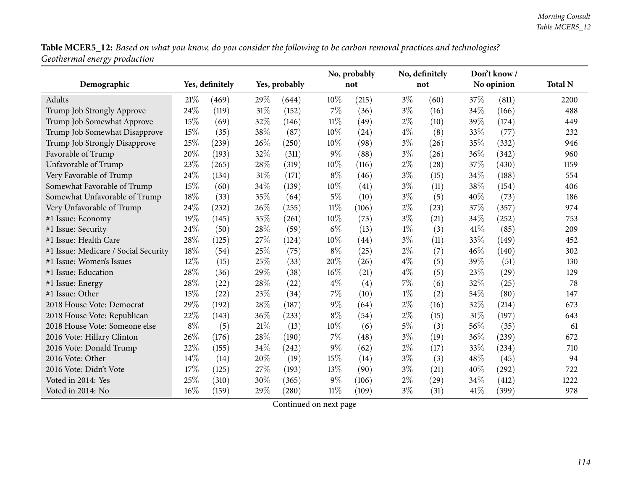Table MCER5\_12: Based on what you know, do you consider the following to be carbon removal practices and technologies? *Geothermal energy production*

|                                      |       |                 |        |               |        | No, probably |       | No, definitely |      | Don't know/ |                |
|--------------------------------------|-------|-----------------|--------|---------------|--------|--------------|-------|----------------|------|-------------|----------------|
| Demographic                          |       | Yes, definitely |        | Yes, probably |        | not          |       | not            |      | No opinion  | <b>Total N</b> |
| <b>Adults</b>                        | 21%   | (469)           | 29\%   | (644)         | 10%    | (215)        | $3\%$ | (60)           | 37%  | (811)       | 2200           |
| Trump Job Strongly Approve           | 24%   | (119)           | $31\%$ | (152)         | 7%     | (36)         | $3\%$ | (16)           | 34%  | (166)       | 488            |
| Trump Job Somewhat Approve           | 15%   | (69)            | 32%    | (146)         | $11\%$ | (49)         | $2\%$ | (10)           | 39%  | (174)       | 449            |
| Trump Job Somewhat Disapprove        | 15%   | (35)            | 38%    | (87)          | 10%    | (24)         | $4\%$ | (8)            | 33%  | (77)        | 232            |
| Trump Job Strongly Disapprove        | 25%   | (239)           | 26%    | (250)         | 10%    | (98)         | $3\%$ | (26)           | 35%  | (332)       | 946            |
| Favorable of Trump                   | 20%   | (193)           | 32%    | (311)         | $9\%$  | (88)         | $3\%$ | (26)           | 36%  | (342)       | 960            |
| Unfavorable of Trump                 | 23%   | (265)           | 28%    | (319)         | 10%    | (116)        | $2\%$ | (28)           | 37%  | (430)       | 1159           |
| Very Favorable of Trump              | 24%   | (134)           | $31\%$ | (171)         | $8\%$  | (46)         | $3\%$ | (15)           | 34%  | (188)       | 554            |
| Somewhat Favorable of Trump          | 15%   | (60)            | 34%    | (139)         | 10%    | (41)         | $3\%$ | (11)           | 38%  | (154)       | 406            |
| Somewhat Unfavorable of Trump        | 18%   | (33)            | 35%    | (64)          | $5\%$  | (10)         | $3\%$ | (5)            | 40%  | (73)        | 186            |
| Very Unfavorable of Trump            | 24%   | (232)           | 26%    | (255)         | $11\%$ | (106)        | $2\%$ | (23)           | 37%  | (357)       | 974            |
| #1 Issue: Economy                    | 19%   | (145)           | 35%    | (261)         | 10%    | (73)         | $3\%$ | (21)           | 34%  | (252)       | 753            |
| #1 Issue: Security                   | 24%   | (50)            | 28%    | (59)          | $6\%$  | (13)         | $1\%$ | (3)            | 41\% | (85)        | 209            |
| #1 Issue: Health Care                | 28%   | (125)           | 27%    | (124)         | 10%    | (44)         | $3\%$ | (11)           | 33%  | (149)       | 452            |
| #1 Issue: Medicare / Social Security | 18%   | (54)            | 25%    | (75)          | $8\%$  | (25)         | 2%    | (7)            | 46%  | (140)       | 302            |
| #1 Issue: Women's Issues             | 12%   | (15)            | 25%    | (33)          | 20%    | (26)         | $4\%$ | (5)            | 39%  | (51)        | 130            |
| #1 Issue: Education                  | 28%   | (36)            | 29%    | (38)          | 16%    | (21)         | $4\%$ | (5)            | 23%  | (29)        | 129            |
| #1 Issue: Energy                     | 28%   | (22)            | 28%    | (22)          | $4\%$  | (4)          | 7%    | (6)            | 32%  | (25)        | 78             |
| #1 Issue: Other                      | 15%   | (22)            | 23%    | (34)          | 7%     | (10)         | $1\%$ | (2)            | 54%  | (80)        | 147            |
| 2018 House Vote: Democrat            | 29%   | (192)           | 28%    | (187)         | $9\%$  | (64)         | $2\%$ | (16)           | 32%  | (214)       | 673            |
| 2018 House Vote: Republican          | 22%   | (143)           | 36%    | (233)         | $8\%$  | (54)         | $2\%$ | (15)           | 31%  | (197)       | 643            |
| 2018 House Vote: Someone else        | $8\%$ | (5)             | 21%    | (13)          | 10%    | (6)          | $5\%$ | (3)            | 56%  | (35)        | 61             |
| 2016 Vote: Hillary Clinton           | 26%   | (176)           | 28%    | (190)         | 7%     | (48)         | $3\%$ | (19)           | 36%  | (239)       | 672            |
| 2016 Vote: Donald Trump              | 22%   | (155)           | 34%    | (242)         | $9\%$  | (62)         | $2\%$ | (17)           | 33%  | (234)       | 710            |
| 2016 Vote: Other                     | 14%   | (14)            | 20%    | (19)          | 15%    | (14)         | $3\%$ | (3)            | 48%  | (45)        | 94             |
| 2016 Vote: Didn't Vote               | 17%   | (125)           | 27%    | (193)         | 13%    | (90)         | $3\%$ | (21)           | 40%  | (292)       | 722            |
| Voted in 2014: Yes                   | 25%   | (310)           | 30%    | (365)         | $9\%$  | (106)        | $2\%$ | (29)           | 34%  | (412)       | 1222           |
| Voted in 2014: No                    | 16%   | (159)           | 29%    | (280)         | $11\%$ | (109)        | $3\%$ | (31)           | 41\% | (399)       | 978            |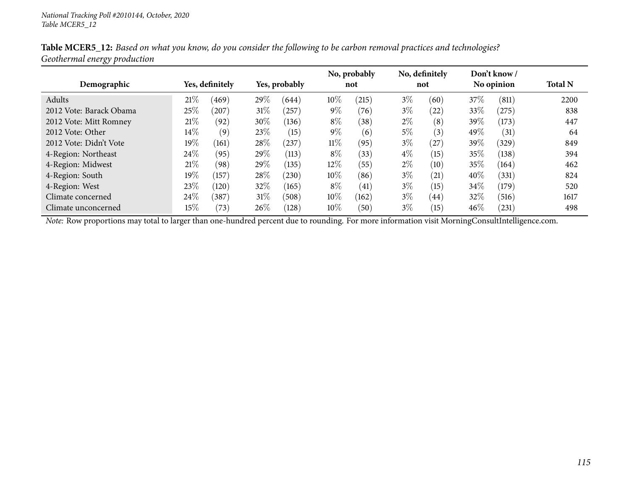|                         |        |                 |        |               |        | No, probably |       | No, definitely |        | Don't know/ |                |
|-------------------------|--------|-----------------|--------|---------------|--------|--------------|-------|----------------|--------|-------------|----------------|
| Demographic             |        | Yes, definitely |        | Yes, probably |        | not          |       | not            |        | No opinion  | <b>Total N</b> |
| Adults                  | 21%    | (469)           | 29\%   | (644)         | 10%    | (215)        | $3\%$ | (60)           | 37%    | (811)       | 2200           |
| 2012 Vote: Barack Obama | 25%    | (207)           | $31\%$ | (257)         | $9\%$  | (76)         | $3\%$ | (22)           | 33\%   | (275)       | 838            |
| 2012 Vote: Mitt Romney  | 21%    | (92)            | 30\%   | (136)         | $8\%$  | (38)         | $2\%$ | (8)            | 39\%   | (173)       | 447            |
| 2012 Vote: Other        | 14\%   | (9)             | 23\%   | (15)          | $9\%$  | (6)          | $5\%$ | (3)            | 49\%   | (31)        | 64             |
| 2012 Vote: Didn't Vote  | 19%    | (161)           | 28\%   | (237)         | $11\%$ | (95)         | $3\%$ | (27)           | 39\%   | (329)       | 849            |
| 4-Region: Northeast     | 24\%   | (95)            | 29\%   | (113)         | $8\%$  | (33)         | $4\%$ | (15)           | $35\%$ | (138)       | 394            |
| 4-Region: Midwest       | 21%    | (98)            | 29%    | (135)         | 12%    | (55)         | $2\%$ | (10)           | 35%    | (164)       | 462            |
| 4-Region: South         | 19%    | $^{'}157)$      | 28\%   | (230)         | 10%    | (86)         | $3\%$ | (21)           | 40%    | (331)       | 824            |
| 4-Region: West          | 23\%   | (120)           | 32%    | (165)         | $8\%$  | (41)         | $3\%$ | (15)           | $34\%$ | (179)       | 520            |
| Climate concerned       | 24\%   | 387             | $31\%$ | (508)         | 10%    | (162)        | $3\%$ | (44)           | 32%    | (516)       | 1617           |
| Climate unconcerned     | $15\%$ | (73)            | 26\%   | (128)         | 10%    | (50)         | $3\%$ | (15)           | 46%    | (231)       | 498            |

Table MCER5\_12: Based on what you know, do you consider the following to be carbon removal practices and technologies? *Geothermal energy production*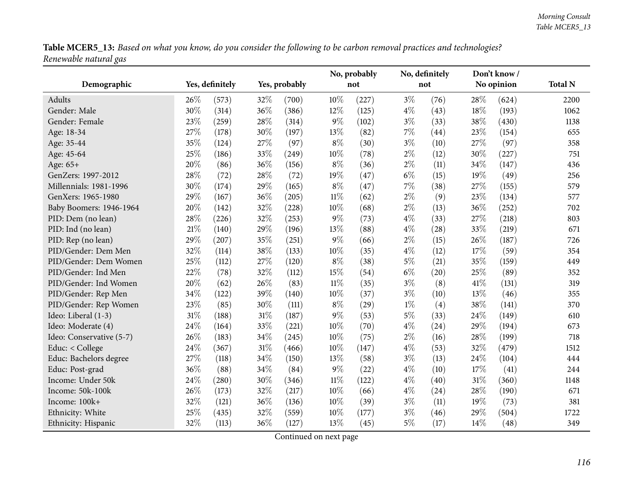Table MCER5\_13: Based on what you know, do you consider the following to be carbon removal practices and technologies? *Renewable natural gas*

|                          |     |                 |     |               |        | No, probably |       | No, definitely |      | Don't know / |                |
|--------------------------|-----|-----------------|-----|---------------|--------|--------------|-------|----------------|------|--------------|----------------|
| Demographic              |     | Yes, definitely |     | Yes, probably |        | not          |       | not            |      | No opinion   | <b>Total N</b> |
| Adults                   | 26% | (573)           | 32% | (700)         | 10%    | (227)        | $3\%$ | (76)           | 28%  | (624)        | 2200           |
| Gender: Male             | 30% | (314)           | 36% | (386)         | 12%    | (125)        | $4\%$ | (43)           | 18%  | (193)        | 1062           |
| Gender: Female           | 23% | (259)           | 28% | (314)         | 9%     | (102)        | $3\%$ | (33)           | 38%  | (430)        | 1138           |
| Age: 18-34               | 27% | (178)           | 30% | (197)         | 13\%   | (82)         | 7%    | (44)           | 23%  | (154)        | 655            |
| Age: 35-44               | 35% | (124)           | 27% | (97)          | $8\%$  | (30)         | $3\%$ | (10)           | 27%  | (97)         | 358            |
| Age: 45-64               | 25% | (186)           | 33% | (249)         | 10%    | (78)         | $2\%$ | (12)           | 30%  | (227)        | 751            |
| Age: 65+                 | 20% | (86)            | 36% | (156)         | $8\%$  | (36)         | $2\%$ | (11)           | 34%  | (147)        | 436            |
| GenZers: 1997-2012       | 28% | (72)            | 28% | (72)          | 19%    | (47)         | $6\%$ | (15)           | 19%  | (49)         | 256            |
| Millennials: 1981-1996   | 30% | (174)           | 29% | (165)         | $8\%$  | (47)         | 7%    | (38)           | 27%  | (155)        | 579            |
| GenXers: 1965-1980       | 29% | (167)           | 36% | (205)         | $11\%$ | (62)         | $2\%$ | (9)            | 23%  | (134)        | 577            |
| Baby Boomers: 1946-1964  | 20% | (142)           | 32% | (228)         | 10%    | (68)         | $2\%$ | (13)           | 36%  | (252)        | 702            |
| PID: Dem (no lean)       | 28% | (226)           | 32% | (253)         | $9\%$  | (73)         | $4\%$ | (33)           | 27%  | (218)        | 803            |
| PID: Ind (no lean)       | 21% | (140)           | 29% | (196)         | 13%    | (88)         | $4\%$ | (28)           | 33%  | (219)        | 671            |
| PID: Rep (no lean)       | 29% | (207)           | 35% | (251)         | $9\%$  | (66)         | $2\%$ | (15)           | 26\% | (187)        | 726            |
| PID/Gender: Dem Men      | 32% | (114)           | 38% | (133)         | 10%    | (35)         | $4\%$ | (12)           | 17%  | (59)         | 354            |
| PID/Gender: Dem Women    | 25% | (112)           | 27% | (120)         | $8\%$  | (38)         | $5\%$ | (21)           | 35%  | (159)        | 449            |
| PID/Gender: Ind Men      | 22% | (78)            | 32% | (112)         | 15%    | (54)         | $6\%$ | (20)           | 25%  | (89)         | 352            |
| PID/Gender: Ind Women    | 20% | (62)            | 26% | (83)          | $11\%$ | (35)         | $3\%$ | (8)            | 41\% | (131)        | 319            |
| PID/Gender: Rep Men      | 34% | (122)           | 39% | (140)         | $10\%$ | (37)         | $3\%$ | (10)           | 13%  | (46)         | 355            |
| PID/Gender: Rep Women    | 23% | (85)            | 30% | (111)         | $8\%$  | (29)         | $1\%$ | (4)            | 38%  | (141)        | 370            |
| Ideo: Liberal (1-3)      | 31% | (188)           | 31% | (187)         | $9\%$  | (53)         | $5\%$ | (33)           | 24\% | (149)        | 610            |
| Ideo: Moderate (4)       | 24% | (164)           | 33% | (221)         | $10\%$ | (70)         | $4\%$ | (24)           | 29%  | (194)        | 673            |
| Ideo: Conservative (5-7) | 26% | (183)           | 34% | (245)         | 10%    | (75)         | $2\%$ | (16)           | 28%  | (199)        | 718            |
| Educ: < College          | 24% | (367)           | 31% | (466)         | 10%    | (147)        | $4\%$ | (53)           | 32%  | (479)        | 1512           |
| Educ: Bachelors degree   | 27% | (118)           | 34% | (150)         | 13%    | (58)         | $3\%$ | (13)           | 24%  | (104)        | 444            |
| Educ: Post-grad          | 36% | (88)            | 34% | (84)          | 9%     | (22)         | $4\%$ | (10)           | 17%  | (41)         | 244            |
| Income: Under 50k        | 24% | (280)           | 30% | (346)         | $11\%$ | (122)        | $4\%$ | (40)           | 31%  | (360)        | 1148           |
| Income: 50k-100k         | 26% | (173)           | 32% | (217)         | 10%    | (66)         | $4\%$ | (24)           | 28%  | (190)        | 671            |
| Income: 100k+            | 32% | (121)           | 36% | (136)         | 10%    | (39)         | $3\%$ | (11)           | 19%  | (73)         | 381            |
| Ethnicity: White         | 25% | (435)           | 32% | (559)         | 10%    | (177)        | $3\%$ | (46)           | 29%  | (504)        | 1722           |
| Ethnicity: Hispanic      | 32% | (113)           | 36% | (127)         | 13%    | (45)         | $5\%$ | (17)           | 14\% | (48)         | 349            |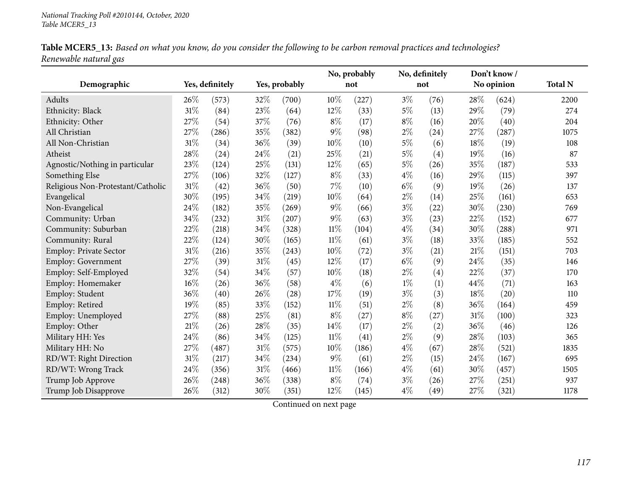|                       |  | Table MCER5_13: Based on what you know, do you consider the following to be carbon removal practices and technologies? |  |
|-----------------------|--|------------------------------------------------------------------------------------------------------------------------|--|
| Renewable natural gas |  |                                                                                                                        |  |

|                                   |      |                 |        |               |        | No, probably |       | No, definitely |      | Don't know/ |                |
|-----------------------------------|------|-----------------|--------|---------------|--------|--------------|-------|----------------|------|-------------|----------------|
| Demographic                       |      | Yes, definitely |        | Yes, probably |        | not          |       | not            |      | No opinion  | <b>Total N</b> |
| Adults                            | 26%  | (573)           | 32%    | (700)         | 10%    | (227)        | $3\%$ | (76)           | 28%  | (624)       | 2200           |
| Ethnicity: Black                  | 31%  | (84)            | 23%    | (64)          | 12%    | (33)         | $5\%$ | (13)           | 29%  | (79)        | 274            |
| Ethnicity: Other                  | 27%  | (54)            | 37%    | (76)          | $8\%$  | (17)         | $8\%$ | (16)           | 20%  | (40)        | 204            |
| All Christian                     | 27%  | (286)           | 35%    | (382)         | $9\%$  | (98)         | $2\%$ | (24)           | 27%  | (287)       | 1075           |
| All Non-Christian                 | 31%  | (34)            | 36%    | (39)          | 10%    | (10)         | 5%    | (6)            | 18%  | (19)        | 108            |
| Atheist                           | 28%  | (24)            | 24%    | (21)          | 25%    | (21)         | $5\%$ | (4)            | 19%  | (16)        | 87             |
| Agnostic/Nothing in particular    | 23%  | (124)           | 25%    | (131)         | 12%    | (65)         | $5\%$ | (26)           | 35%  | (187)       | 533            |
| Something Else                    | 27%  | (106)           | $32\%$ | (127)         | $8\%$  | (33)         | $4\%$ | (16)           | 29%  | (115)       | 397            |
| Religious Non-Protestant/Catholic | 31%  | (42)            | 36%    | (50)          | 7%     | (10)         | $6\%$ | (9)            | 19%  | (26)        | 137            |
| Evangelical                       | 30%  | (195)           | 34%    | (219)         | 10%    | (64)         | $2\%$ | (14)           | 25%  | (161)       | 653            |
| Non-Evangelical                   | 24%  | (182)           | 35%    | (269)         | $9\%$  | (66)         | $3\%$ | (22)           | 30%  | (230)       | 769            |
| Community: Urban                  | 34%  | (232)           | 31%    | (207)         | $9\%$  | (63)         | $3\%$ | (23)           | 22%  | (152)       | 677            |
| Community: Suburban               | 22%  | (218)           | 34%    | (328)         | $11\%$ | (104)        | $4\%$ | (34)           | 30%  | (288)       | 971            |
| Community: Rural                  | 22%  | (124)           | 30%    | (165)         | $11\%$ | (61)         | $3\%$ | (18)           | 33%  | (185)       | 552            |
| Employ: Private Sector            | 31%  | (216)           | 35%    | (243)         | 10%    | (72)         | $3\%$ | (21)           | 21\% | (151)       | 703            |
| <b>Employ: Government</b>         | 27%  | (39)            | $31\%$ | (45)          | 12%    | (17)         | $6\%$ | (9)            | 24%  | (35)        | 146            |
| Employ: Self-Employed             | 32%  | (54)            | 34%    | (57)          | 10%    | (18)         | $2\%$ | (4)            | 22%  | (37)        | 170            |
| Employ: Homemaker                 | 16%  | (26)            | 36%    | (58)          | $4\%$  | (6)          | $1\%$ | (1)            | 44%  | (71)        | 163            |
| Employ: Student                   | 36%  | (40)            | 26%    | (28)          | 17%    | (19)         | $3\%$ | (3)            | 18%  | (20)        | 110            |
| Employ: Retired                   | 19%  | (85)            | 33%    | (152)         | $11\%$ | (51)         | $2\%$ | (8)            | 36%  | (164)       | 459            |
| Employ: Unemployed                | 27%  | (88)            | 25%    | (81)          | $8\%$  | (27)         | $8\%$ | (27)           | 31%  | (100)       | 323            |
| Employ: Other                     | 21%  | (26)            | 28%    | (35)          | 14%    | (17)         | $2\%$ | (2)            | 36%  | (46)        | 126            |
| Military HH: Yes                  | 24%  | (86)            | 34%    | (125)         | $11\%$ | (41)         | $2\%$ | (9)            | 28%  | (103)       | 365            |
| Military HH: No                   | 27\% | (487)           | $31\%$ | (575)         | 10%    | (186)        | $4\%$ | (67)           | 28%  | (521)       | 1835           |
| RD/WT: Right Direction            | 31%  | (217)           | 34%    | (234)         | 9%     | (61)         | $2\%$ | (15)           | 24\% | (167)       | 695            |
| RD/WT: Wrong Track                | 24%  | (356)           | 31%    | (466)         | $11\%$ | (166)        | $4\%$ | (61)           | 30%  | (457)       | 1505           |
| Trump Job Approve                 | 26%  | (248)           | 36%    | (338)         | $8\%$  | (74)         | $3\%$ | (26)           | 27%  | (251)       | 937            |
| Trump Job Disapprove              | 26%  | (312)           | 30%    | (351)         | 12%    | (145)        | $4\%$ | (49)           | 27%  | (321)       | 1178           |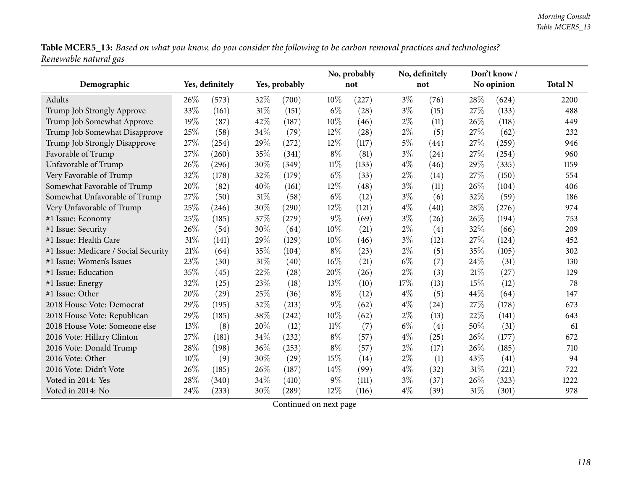Table MCER5\_13: Based on what you know, do you consider the following to be carbon removal practices and technologies? *Renewable natural gas*

|                                      |        |                 |        |               | No, probably |       |       | No, definitely |      | Don't know/ |                |
|--------------------------------------|--------|-----------------|--------|---------------|--------------|-------|-------|----------------|------|-------------|----------------|
| Demographic                          |        | Yes, definitely |        | Yes, probably |              | not   |       | not            |      | No opinion  | <b>Total N</b> |
| Adults                               | 26%    | (573)           | 32%    | (700)         | 10%          | (227) | $3\%$ | (76)           | 28%  | (624)       | 2200           |
| Trump Job Strongly Approve           | 33%    | (161)           | $31\%$ | (151)         | $6\%$        | (28)  | $3\%$ | (15)           | 27%  | (133)       | 488            |
| Trump Job Somewhat Approve           | 19%    | (87)            | 42%    | (187)         | 10%          | (46)  | $2\%$ | (11)           | 26%  | (118)       | 449            |
| Trump Job Somewhat Disapprove        | 25%    | (58)            | 34%    | (79)          | 12%          | (28)  | $2\%$ | (5)            | 27%  | (62)        | 232            |
| Trump Job Strongly Disapprove        | 27%    | (254)           | 29%    | (272)         | 12%          | (117) | $5\%$ | (44)           | 27%  | (259)       | 946            |
| Favorable of Trump                   | 27%    | (260)           | 35%    | (341)         | $8\%$        | (81)  | $3\%$ | (24)           | 27%  | (254)       | 960            |
| Unfavorable of Trump                 | 26%    | (296)           | 30%    | (349)         | $11\%$       | (133) | $4\%$ | (46)           | 29%  | (335)       | 1159           |
| Very Favorable of Trump              | 32%    | (178)           | 32%    | (179)         | $6\%$        | (33)  | $2\%$ | (14)           | 27%  | (150)       | 554            |
| Somewhat Favorable of Trump          | 20%    | (82)            | 40%    | (161)         | 12%          | (48)  | $3\%$ | (11)           | 26%  | (104)       | 406            |
| Somewhat Unfavorable of Trump        | 27\%   | (50)            | $31\%$ | (58)          | $6\%$        | (12)  | $3\%$ | (6)            | 32%  | (59)        | 186            |
| Very Unfavorable of Trump            | 25%    | (246)           | 30%    | (290)         | 12%          | (121) | $4\%$ | (40)           | 28%  | (276)       | 974            |
| #1 Issue: Economy                    | $25\%$ | (185)           | 37%    | (279)         | $9\%$        | (69)  | $3\%$ | (26)           | 26%  | (194)       | 753            |
| #1 Issue: Security                   | 26%    | (54)            | 30%    | (64)          | 10%          | (21)  | $2\%$ | (4)            | 32%  | (66)        | 209            |
| #1 Issue: Health Care                | 31%    | (141)           | 29%    | (129)         | 10%          | (46)  | $3\%$ | (12)           | 27%  | (124)       | 452            |
| #1 Issue: Medicare / Social Security | 21%    | (64)            | 35%    | (104)         | $8\%$        | (23)  | $2\%$ | (5)            | 35%  | (105)       | 302            |
| #1 Issue: Women's Issues             | 23%    | (30)            | 31%    | (40)          | 16%          | (21)  | $6\%$ | (7)            | 24%  | (31)        | 130            |
| #1 Issue: Education                  | 35%    | (45)            | 22%    | (28)          | 20%          | (26)  | $2\%$ | (3)            | 21\% | (27)        | 129            |
| #1 Issue: Energy                     | 32%    | (25)            | 23%    | (18)          | 13%          | (10)  | 17%   | (13)           | 15%  | (12)        | 78             |
| #1 Issue: Other                      | 20%    | (29)            | 25%    | (36)          | $8\%$        | (12)  | $4\%$ | (5)            | 44%  | (64)        | 147            |
| 2018 House Vote: Democrat            | 29%    | (195)           | 32%    | (213)         | $9\%$        | (62)  | $4\%$ | (24)           | 27%  | (178)       | 673            |
| 2018 House Vote: Republican          | 29%    | (185)           | 38%    | (242)         | 10%          | (62)  | $2\%$ | (13)           | 22%  | (141)       | 643            |
| 2018 House Vote: Someone else        | 13%    | (8)             | 20%    | (12)          | $11\%$       | (7)   | $6\%$ | (4)            | 50%  | (31)        | 61             |
| 2016 Vote: Hillary Clinton           | 27%    | (181)           | 34%    | (232)         | $8\%$        | (57)  | $4\%$ | (25)           | 26%  | (177)       | 672            |
| 2016 Vote: Donald Trump              | 28%    | (198)           | 36%    | (253)         | $8\%$        | (57)  | $2\%$ | (17)           | 26%  | (185)       | 710            |
| 2016 Vote: Other                     | 10%    | (9)             | 30%    | (29)          | 15%          | (14)  | $2\%$ | (1)            | 43%  | (41)        | 94             |
| 2016 Vote: Didn't Vote               | 26%    | (185)           | 26%    | (187)         | 14%          | (99)  | $4\%$ | (32)           | 31%  | (221)       | 722            |
| Voted in 2014: Yes                   | 28%    | (340)           | 34%    | (410)         | $9\%$        | (111) | $3\%$ | (37)           | 26%  | (323)       | 1222           |
| Voted in 2014: No                    | 24%    | (233)           | 30%    | (289)         | 12%          | (116) | $4\%$ | (39)           | 31%  | (301)       | 978            |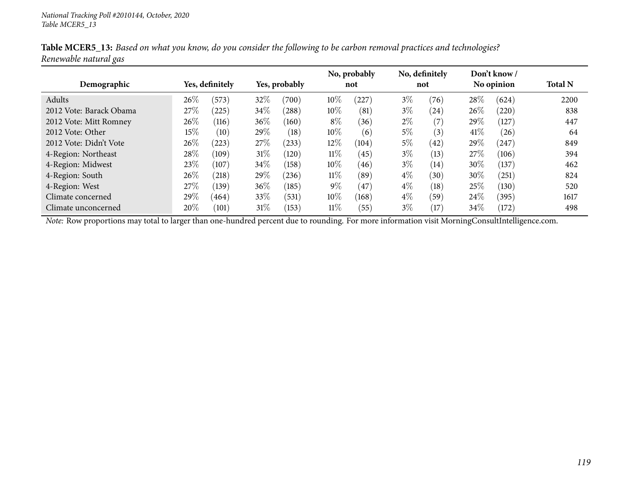|                         |        |                 |        |               |        | No, probably |       | No, definitely |      | Don't know/ |                |
|-------------------------|--------|-----------------|--------|---------------|--------|--------------|-------|----------------|------|-------------|----------------|
| Demographic             |        | Yes, definitely |        | Yes, probably |        | not          |       | not            |      | No opinion  | <b>Total N</b> |
| Adults                  | 26\%   | (573)           | 32%    | (700)         | $10\%$ | (227)        | $3\%$ | (76)           | 28\% | (624)       | 2200           |
| 2012 Vote: Barack Obama | 27\%   | (225)           | 34\%   | (288)         | 10%    | (81)         | $3\%$ | (24)           | 26\% | (220)       | 838            |
| 2012 Vote: Mitt Romney  | 26\%   | (116)           | $36\%$ | (160)         | $8\%$  | (36)         | $2\%$ | (7)            | 29%  | (127)       | 447            |
| 2012 Vote: Other        | $15\%$ | (10)            | 29\%   | (18)          | 10%    | (6)          | 5%    | (3)            | 41\% | (26)        | 64             |
| 2012 Vote: Didn't Vote  | 26%    | (223)           | 27\%   | (233)         | $12\%$ | (104)        | $5\%$ | (42)           | 29\% | (247)       | 849            |
| 4-Region: Northeast     | 28\%   | (109)           | $31\%$ | (120)         | $11\%$ | (45)         | $3\%$ | (13)           | 27\% | (106)       | 394            |
| 4-Region: Midwest       | 23%    | (107)           | 34\%   | (158)         | 10%    | (46)         | $3\%$ | (14)           | 30%  | (137)       | 462            |
| 4-Region: South         | 26\%   | (218)           | 29%    | (236)         | $11\%$ | (89)         | $4\%$ | (30)           | 30%  | (251)       | 824            |
| 4-Region: West          | 27\%   | (139)           | $36\%$ | (185)         | $9\%$  | (47)         | $4\%$ | (18)           | 25\% | (130)       | 520            |
| Climate concerned       | 29\%   | (464)           | 33\%   | (531)         | $10\%$ | (168)        | $4\%$ | (59)           | 24\% | (395)       | 1617           |
| Climate unconcerned     | 20%    | (101)           | $31\%$ | (153)         | $11\%$ | (55)         | $3\%$ | (17)           | 34%  | (172)       | 498            |

Table MCER5\_13: Based on what you know, do you consider the following to be carbon removal practices and technologies? *Renewable natural gas*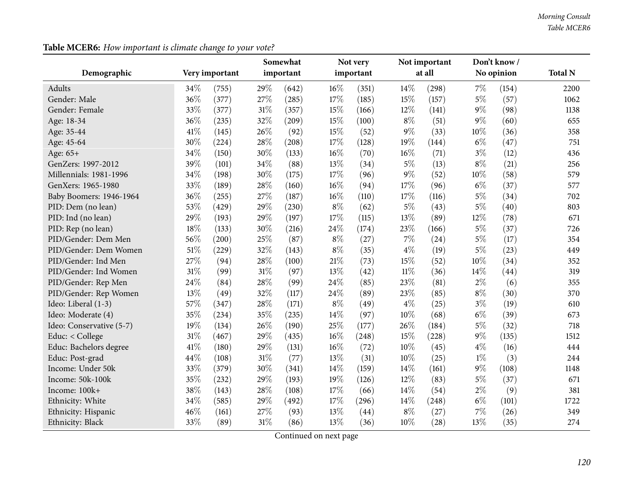|  |  |  | Table MCER6: How important is climate change to your vote? |  |
|--|--|--|------------------------------------------------------------|--|
|--|--|--|------------------------------------------------------------|--|

|                          |      |                |        | Somewhat  |       | Not very  |        | Not important |       | Don't know/ |                |
|--------------------------|------|----------------|--------|-----------|-------|-----------|--------|---------------|-------|-------------|----------------|
| Demographic              |      | Very important |        | important |       | important |        | at all        |       | No opinion  | <b>Total N</b> |
| Adults                   | 34%  | (755)          | 29%    | (642)     | 16%   | (351)     | 14%    | (298)         | $7\%$ | (154)       | 2200           |
| Gender: Male             | 36%  | (377)          | 27%    | (285)     | 17%   | (185)     | 15%    | (157)         | $5\%$ | (57)        | 1062           |
| Gender: Female           | 33%  | (377)          | $31\%$ | (357)     | 15%   | (166)     | 12%    | (141)         | $9\%$ | (98)        | 1138           |
| Age: 18-34               | 36%  | (235)          | 32%    | (209)     | 15%   | (100)     | $8\%$  | (51)          | $9\%$ | (60)        | 655            |
| Age: 35-44               | 41\% | (145)          | 26%    | (92)      | 15%   | (52)      | $9\%$  | (33)          | 10%   | (36)        | 358            |
| Age: 45-64               | 30%  | (224)          | 28\%   | (208)     | 17%   | (128)     | 19%    | (144)         | $6\%$ | (47)        | 751            |
| Age: 65+                 | 34%  | (150)          | 30%    | (133)     | 16%   | (70)      | $16\%$ | (71)          | $3\%$ | (12)        | 436            |
| GenZers: 1997-2012       | 39%  | (101)          | 34%    | (88)      | 13%   | (34)      | $5\%$  | (13)          | $8\%$ | (21)        | 256            |
| Millennials: 1981-1996   | 34%  | (198)          | 30%    | (175)     | 17%   | (96)      | $9\%$  | (52)          | 10%   | (58)        | 579            |
| GenXers: 1965-1980       | 33%  | (189)          | 28%    | (160)     | 16%   | (94)      | 17%    | (96)          | $6\%$ | (37)        | 577            |
| Baby Boomers: 1946-1964  | 36%  | (255)          | 27%    | (187)     | 16%   | (110)     | 17%    | (116)         | $5\%$ | (34)        | 702            |
| PID: Dem (no lean)       | 53%  | (429)          | 29%    | (230)     | $8\%$ | (62)      | $5\%$  | (43)          | $5\%$ | (40)        | 803            |
| PID: Ind (no lean)       | 29%  | (193)          | 29%    | (197)     | 17%   | (115)     | 13%    | (89)          | 12%   | (78)        | 671            |
| PID: Rep (no lean)       | 18%  | (133)          | 30%    | (216)     | 24%   | (174)     | 23%    | (166)         | $5\%$ | (37)        | 726            |
| PID/Gender: Dem Men      | 56%  | (200)          | 25%    | (87)      | $8\%$ | (27)      | 7%     | (24)          | $5\%$ | (17)        | 354            |
| PID/Gender: Dem Women    | 51%  | (229)          | 32%    | (143)     | $8\%$ | (35)      | $4\%$  | (19)          | $5\%$ | (23)        | 449            |
| PID/Gender: Ind Men      | 27%  | (94)           | 28%    | (100)     | 21%   | (73)      | 15%    | (52)          | 10%   | (34)        | 352            |
| PID/Gender: Ind Women    | 31%  | (99)           | 31%    | (97)      | 13%   | (42)      | $11\%$ | (36)          | 14%   | (44)        | 319            |
| PID/Gender: Rep Men      | 24%  | (84)           | 28\%   | (99)      | 24%   | (85)      | 23%    | (81)          | $2\%$ | (6)         | 355            |
| PID/Gender: Rep Women    | 13%  | (49)           | 32%    | (117)     | 24%   | (89)      | 23%    | (85)          | $8\%$ | (30)        | 370            |
| Ideo: Liberal (1-3)      | 57%  | (347)          | 28%    | (171)     | $8\%$ | (49)      | $4\%$  | (25)          | $3\%$ | (19)        | 610            |
| Ideo: Moderate (4)       | 35%  | (234)          | 35%    | (235)     | 14%   | (97)      | 10%    | (68)          | $6\%$ | (39)        | 673            |
| Ideo: Conservative (5-7) | 19%  | (134)          | 26%    | (190)     | 25%   | (177)     | 26%    | (184)         | $5\%$ | (32)        | 718            |
| Educ: < College          | 31%  | (467)          | 29%    | (435)     | 16%   | (248)     | 15%    | (228)         | $9\%$ | (135)       | 1512           |
| Educ: Bachelors degree   | 41%  | (180)          | 29%    | (131)     | 16%   | (72)      | 10%    | (45)          | $4\%$ | (16)        | 444            |
| Educ: Post-grad          | 44%  | (108)          | $31\%$ | (77)      | 13%   | (31)      | 10%    | (25)          | $1\%$ | (3)         | 244            |
| Income: Under 50k        | 33%  | (379)          | 30%    | (341)     | 14%   | (159)     | 14%    | (161)         | $9\%$ | (108)       | 1148           |
| Income: 50k-100k         | 35%  | (232)          | 29%    | (193)     | 19%   | (126)     | 12%    | (83)          | $5\%$ | (37)        | 671            |
| Income: 100k+            | 38%  | (143)          | 28\%   | (108)     | 17%   | (66)      | 14%    | (54)          | $2\%$ | (9)         | 381            |
| Ethnicity: White         | 34%  | (585)          | 29%    | (492)     | 17%   | (296)     | 14%    | (248)         | $6\%$ | (101)       | 1722           |
| Ethnicity: Hispanic      | 46%  | (161)          | 27%    | (93)      | 13%   | (44)      | $8\%$  | (27)          | $7\%$ | (26)        | 349            |
| Ethnicity: Black         | 33%  | (89)           | $31\%$ | (86)      | 13%   | (36)      | 10%    | (28)          | 13%   | (35)        | 274            |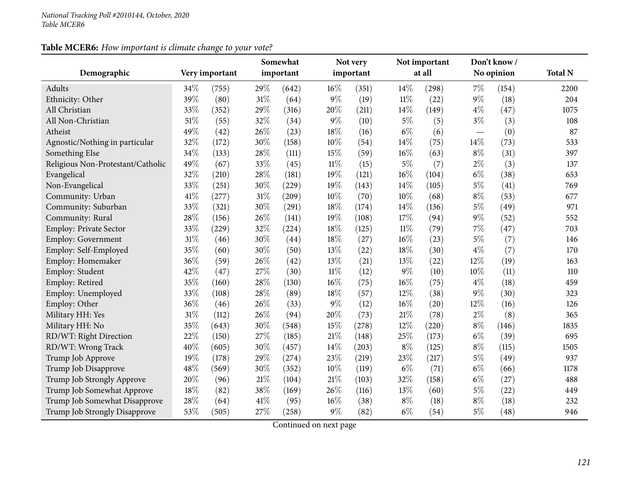## **Table MCER6:** *How important is climate change to your vote?*

|                                   |     |                | Somewhat |           |        | Not very  |        | Not important |                          | Don't know/ |                |
|-----------------------------------|-----|----------------|----------|-----------|--------|-----------|--------|---------------|--------------------------|-------------|----------------|
| Demographic                       |     | Very important |          | important |        | important |        | at all        |                          | No opinion  | <b>Total N</b> |
| Adults                            | 34% | (755)          | 29%      | (642)     | 16%    | (351)     | 14%    | (298)         | 7%                       | (154)       | 2200           |
| Ethnicity: Other                  | 39% | (80)           | $31\%$   | (64)      | $9\%$  | (19)      | $11\%$ | (22)          | $9\%$                    | (18)        | 204            |
| All Christian                     | 33% | (352)          | 29%      | (316)     | 20%    | (211)     | 14%    | (149)         | $4\%$                    | (47)        | 1075           |
| All Non-Christian                 | 51% | (55)           | 32%      | (34)      | $9\%$  | (10)      | $5\%$  | (5)           | $3\%$                    | (3)         | 108            |
| Atheist                           | 49% | (42)           | 26%      | (23)      | 18%    | (16)      | $6\%$  | (6)           | $\overline{\phantom{0}}$ | (0)         | 87             |
| Agnostic/Nothing in particular    | 32% | (172)          | 30%      | (158)     | 10%    | (54)      | 14%    | (75)          | 14%                      | (73)        | 533            |
| Something Else                    | 34% | (133)          | 28\%     | (111)     | 15%    | (59)      | $16\%$ | (63)          | $8\%$                    | (31)        | 397            |
| Religious Non-Protestant/Catholic | 49% | (67)           | 33%      | (45)      | $11\%$ | (15)      | 5%     | (7)           | $2\%$                    | (3)         | 137            |
| Evangelical                       | 32% | (210)          | 28%      | (181)     | 19%    | (121)     | 16%    | (104)         | $6\%$                    | (38)        | 653            |
| Non-Evangelical                   | 33% | (251)          | 30%      | (229)     | 19%    | (143)     | 14%    | (105)         | $5\%$                    | (41)        | 769            |
| Community: Urban                  | 41% | (277)          | $31\%$   | (209)     | 10%    | (70)      | 10%    | (68)          | $8\%$                    | (53)        | 677            |
| Community: Suburban               | 33% | (321)          | 30%      | (291)     | 18%    | (174)     | 14%    | (136)         | $5\%$                    | (49)        | 971            |
| Community: Rural                  | 28% | (156)          | 26%      | (141)     | 19%    | (108)     | 17%    | (94)          | $9\%$                    | (52)        | 552            |
| Employ: Private Sector            | 33% | (229)          | 32%      | (224)     | $18\%$ | (125)     | $11\%$ | (79)          | 7%                       | (47)        | 703            |
| <b>Employ: Government</b>         | 31% | (46)           | 30%      | (44)      | 18%    | (27)      | 16%    | (23)          | 5%                       | (7)         | 146            |
| Employ: Self-Employed             | 35% | (60)           | 30%      | (50)      | 13%    | (22)      | 18%    | (30)          | $4\%$                    | (7)         | 170            |
| Employ: Homemaker                 | 36% | (59)           | 26%      | (42)      | 13%    | (21)      | 13%    | (22)          | 12%                      | (19)        | 163            |
| Employ: Student                   | 42% | (47)           | 27\%     | (30)      | $11\%$ | (12)      | 9%     | (10)          | 10%                      | (11)        | 110            |
| Employ: Retired                   | 35% | (160)          | 28\%     | (130)     | $16\%$ | (75)      | 16%    | (75)          | $4\%$                    | (18)        | 459            |
| Employ: Unemployed                | 33% | (108)          | 28%      | (89)      | $18\%$ | (57)      | 12%    | (38)          | 9%                       | (30)        | 323            |
| Employ: Other                     | 36% | (46)           | 26%      | (33)      | $9\%$  | (12)      | 16%    | (20)          | 12%                      | (16)        | 126            |
| Military HH: Yes                  | 31% | (112)          | 26%      | (94)      | 20%    | (73)      | 21%    | (78)          | $2\%$                    | (8)         | 365            |
| Military HH: No                   | 35% | (643)          | 30%      | (548)     | 15%    | (278)     | 12%    | (220)         | $8\%$                    | (146)       | 1835           |
| RD/WT: Right Direction            | 22% | (150)          | 27\%     | (185)     | 21%    | (148)     | 25%    | (173)         | $6\%$                    | (39)        | 695            |
| RD/WT: Wrong Track                | 40% | (605)          | 30%      | (457)     | 14%    | (203)     | $8\%$  | (125)         | $8\%$                    | (115)       | 1505           |
| Trump Job Approve                 | 19% | (178)          | 29%      | (274)     | 23%    | (219)     | 23%    | (217)         | $5\%$                    | (49)        | 937            |
| Trump Job Disapprove              | 48% | (569)          | 30%      | (352)     | $10\%$ | (119)     | $6\%$  | (71)          | $6\%$                    | (66)        | 1178           |
| Trump Job Strongly Approve        | 20% | (96)           | $21\%$   | (104)     | $21\%$ | (103)     | 32%    | (158)         | $6\%$                    | (27)        | 488            |
| Trump Job Somewhat Approve        | 18% | (82)           | 38%      | (169)     | 26%    | (116)     | 13%    | (60)          | $5\%$                    | (22)        | 449            |
| Trump Job Somewhat Disapprove     | 28% | (64)           | 41\%     | (95)      | 16%    | (38)      | $8\%$  | (18)          | $8\%$                    | (18)        | 232            |
| Trump Job Strongly Disapprove     | 53% | (505)          | 27%      | (258)     | $9\%$  | (82)      | $6\%$  | (54)          | $5\%$                    | (48)        | 946            |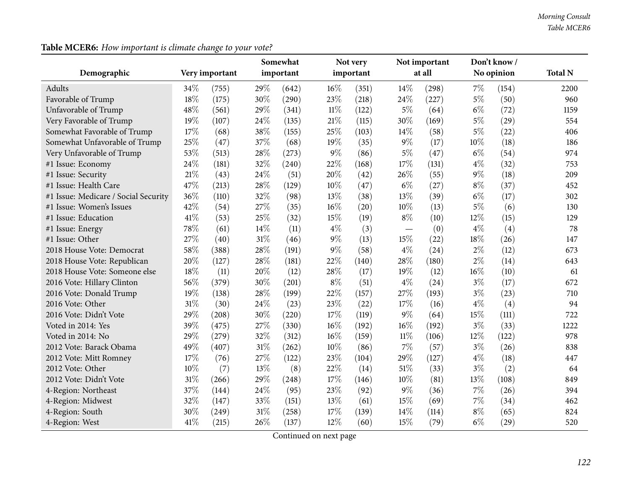# **Table MCER6:** *How important is climate change to your vote?*

|                                      |     |                |        | Somewhat  |        | Not very  |        | Not important |        | Don't know/ |                |
|--------------------------------------|-----|----------------|--------|-----------|--------|-----------|--------|---------------|--------|-------------|----------------|
| Demographic                          |     | Very important |        | important |        | important |        | at all        |        | No opinion  | <b>Total N</b> |
| Adults                               | 34% | (755)          | 29%    | (642)     | $16\%$ | (351)     | 14%    | (298)         | $7\%$  | (154)       | 2200           |
| Favorable of Trump                   | 18% | (175)          | 30%    | (290)     | 23%    | (218)     | 24%    | (227)         | $5\%$  | (50)        | 960            |
| Unfavorable of Trump                 | 48% | (561)          | 29%    | (341)     | $11\%$ | (122)     | $5\%$  | (64)          | $6\%$  | (72)        | 1159           |
| Very Favorable of Trump              | 19% | (107)          | 24\%   | (135)     | 21%    | (115)     | 30%    | (169)         | $5\%$  | (29)        | 554            |
| Somewhat Favorable of Trump          | 17% | (68)           | 38%    | (155)     | 25%    | (103)     | 14%    | (58)          | $5\%$  | (22)        | 406            |
| Somewhat Unfavorable of Trump        | 25% | (47)           | 37%    | (68)      | 19%    | (35)      | $9\%$  | (17)          | $10\%$ | (18)        | 186            |
| Very Unfavorable of Trump            | 53% | (513)          | 28\%   | (273)     | $9\%$  | (86)      | $5\%$  | (47)          | $6\%$  | (54)        | 974            |
| #1 Issue: Economy                    | 24% | (181)          | 32%    | (240)     | 22%    | (168)     | 17%    | (131)         | $4\%$  | (32)        | 753            |
| #1 Issue: Security                   | 21% | (43)           | 24\%   | (51)      | 20%    | (42)      | 26%    | (55)          | $9\%$  | (18)        | 209            |
| #1 Issue: Health Care                | 47% | (213)          | 28%    | (129)     | 10%    | (47)      | $6\%$  | (27)          | $8\%$  | (37)        | 452            |
| #1 Issue: Medicare / Social Security | 36% | (110)          | 32%    | (98)      | 13%    | (38)      | 13%    | (39)          | $6\%$  | (17)        | 302            |
| #1 Issue: Women's Issues             | 42% | (54)           | 27\%   | (35)      | 16%    | (20)      | 10%    | (13)          | $5\%$  | (6)         | 130            |
| #1 Issue: Education                  | 41% | (53)           | 25%    | (32)      | 15%    | (19)      | $8\%$  | (10)          | 12%    | (15)        | 129            |
| #1 Issue: Energy                     | 78% | (61)           | 14\%   | (11)      | $4\%$  | (3)       |        | (0)           | $4\%$  | (4)         | 78             |
| #1 Issue: Other                      | 27% | (40)           | $31\%$ | (46)      | $9\%$  | (13)      | 15%    | (22)          | 18%    | (26)        | 147            |
| 2018 House Vote: Democrat            | 58% | (388)          | 28%    | (191)     | $9\%$  | (58)      | $4\%$  | (24)          | $2\%$  | (12)        | 673            |
| 2018 House Vote: Republican          | 20% | (127)          | 28\%   | (181)     | 22%    | (140)     | 28%    | (180)         | $2\%$  | (14)        | 643            |
| 2018 House Vote: Someone else        | 18% | (11)           | 20%    | (12)      | 28%    | (17)      | 19%    | (12)          | 16%    | (10)        | 61             |
| 2016 Vote: Hillary Clinton           | 56% | (379)          | 30%    | (201)     | $8\%$  | (51)      | $4\%$  | (24)          | $3\%$  | (17)        | 672            |
| 2016 Vote: Donald Trump              | 19% | (138)          | 28%    | (199)     | 22%    | (157)     | 27%    | (193)         | $3\%$  | (23)        | 710            |
| 2016 Vote: Other                     | 31% | (30)           | 24\%   | (23)      | 23%    | (22)      | 17%    | (16)          | $4\%$  | (4)         | 94             |
| 2016 Vote: Didn't Vote               | 29% | (208)          | 30%    | (220)     | 17%    | (119)     | 9%     | (64)          | 15%    | (111)       | 722            |
| Voted in 2014: Yes                   | 39% | (475)          | 27%    | (330)     | 16%    | (192)     | 16%    | (192)         | $3\%$  | (33)        | 1222           |
| Voted in 2014: No                    | 29% | (279)          | 32%    | (312)     | 16%    | (159)     | $11\%$ | (106)         | 12%    | (122)       | 978            |
| 2012 Vote: Barack Obama              | 49% | (407)          | $31\%$ | (262)     | 10%    | (86)      | 7%     | (57)          | $3\%$  | (26)        | 838            |
| 2012 Vote: Mitt Romney               | 17% | (76)           | 27%    | (122)     | 23%    | (104)     | 29%    | (127)         | $4\%$  | (18)        | 447            |
| 2012 Vote: Other                     | 10% | (7)            | $13\%$ | (8)       | 22%    | (14)      | 51%    | (33)          | $3\%$  | (2)         | 64             |
| 2012 Vote: Didn't Vote               | 31% | (266)          | 29%    | (248)     | 17%    | (146)     | 10%    | (81)          | 13%    | (108)       | 849            |
| 4-Region: Northeast                  | 37% | (144)          | 24\%   | (95)      | 23%    | (92)      | 9%     | (36)          | 7%     | (26)        | 394            |
| 4-Region: Midwest                    | 32% | (147)          | 33%    | (151)     | 13%    | (61)      | 15%    | (69)          | $7\%$  | (34)        | 462            |
| 4-Region: South                      | 30% | (249)          | $31\%$ | (258)     | 17%    | (139)     | 14\%   | (114)         | $8\%$  | (65)        | 824            |
| 4-Region: West                       | 41% | (215)          | 26%    | (137)     | 12%    | (60)      | 15%    | (79)          | $6\%$  | (29)        | 520            |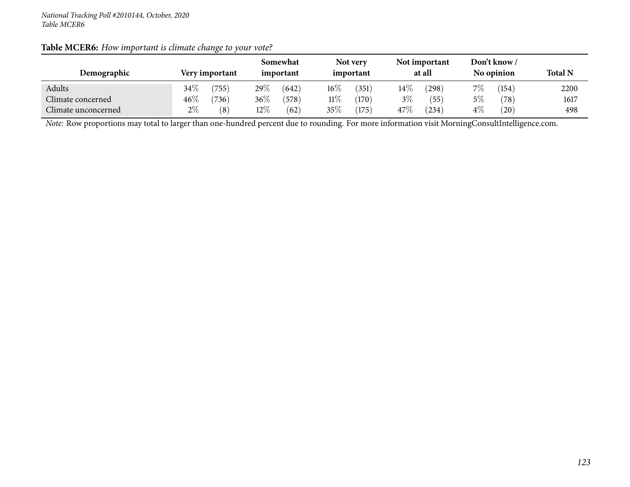| Table MCER6: How important is climate change to your vote? |  |
|------------------------------------------------------------|--|
|                                                            |  |

|                     |        |                |        | Somewhat  |        | Not very  |        | Not important |       | Don't know / |                |
|---------------------|--------|----------------|--------|-----------|--------|-----------|--------|---------------|-------|--------------|----------------|
| Demographic         |        | Very important |        | important |        | important |        | at all        |       | No opinion   | <b>Total N</b> |
| Adults              | $34\%$ | (755)          | 29\%   | (642)     | $16\%$ | (351)     | $14\%$ | (298)         | $7\%$ | 154          | 2200           |
| Climate concerned   | $46\%$ | (736)          | 36\%   | (578)     | $11\%$ | (170)     | $3\%$  | (55)          | 5%    | (78)         | 1617           |
| Climate unconcerned | $2\%$  | (8)            | $12\%$ | (62)      | 35\%   | (175)     | 47\%   | (234)         | $4\%$ | $^{'}20)$    | 498            |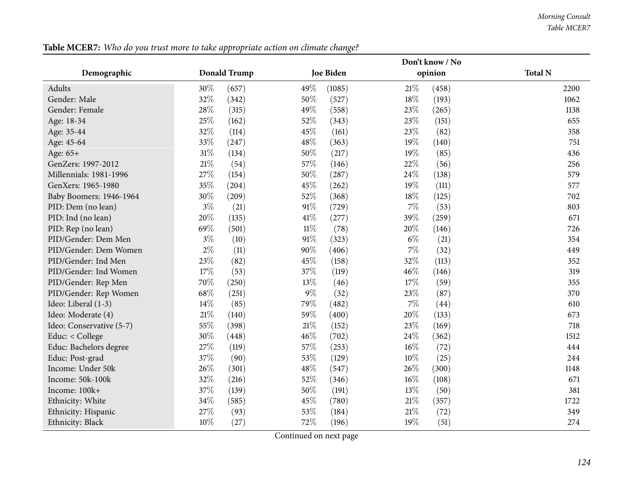#### *Morning Consult Table MCER7*

|                          | Don't know / No |                     |                   |                  |        |         |                |  |
|--------------------------|-----------------|---------------------|-------------------|------------------|--------|---------|----------------|--|
| Demographic              |                 | <b>Donald Trump</b> |                   | <b>Joe Biden</b> |        | opinion | <b>Total N</b> |  |
| Adults                   | 30%             | (657)               | 49%               | (1085)           | 21%    | (458)   | 2200           |  |
| Gender: Male             | 32%             | (342)               | 50%               | (527)            | $18\%$ | (193)   | 1062           |  |
| Gender: Female           | 28%             | (315)               | 49%               | (558)            | 23\%   | (265)   | 1138           |  |
| Age: 18-34               | 25%             | (162)               | 52%               | (343)            | 23%    | (151)   | 655            |  |
| Age: 35-44               | 32%             | (114)               | 45%               | (161)            | 23%    | (82)    | 358            |  |
| Age: 45-64               | 33%             | (247)               | 48%               | (363)            | 19%    | (140)   | 751            |  |
| Age: 65+                 | $31\%$          | (134)               | 50%               | (217)            | 19%    | (85)    | 436            |  |
| GenZers: 1997-2012       | $21\%$          | (54)                | 57%               | (146)            | 22%    | (56)    | 256            |  |
| Millennials: 1981-1996   | 27%             | (154)               | 50%               | (287)            | 24\%   | (138)   | 579            |  |
| GenXers: 1965-1980       | 35%             | (204)               | 45%               | (262)            | 19%    | (111)   | 577            |  |
| Baby Boomers: 1946-1964  | 30%             | (209)               | 52%               | (368)            | 18%    | (125)   | 702            |  |
| PID: Dem (no lean)       | $3\%$           | (21)                | 91%               | (729)            | $7\%$  | (53)    | 803            |  |
| PID: Ind (no lean)       | 20%             | (135)               | 41\%              | (277)            | 39%    | (259)   | 671            |  |
| PID: Rep (no lean)       | 69%             | (501)               | $11\%$            | (78)             | 20%    | (146)   | 726            |  |
| PID/Gender: Dem Men      | $3\%$           | (10)                | 91%               | (323)            | $6\%$  | (21)    | 354            |  |
| PID/Gender: Dem Women    | $2\%$           | (11)                | 90%               | (406)            | $7\%$  | (32)    | 449            |  |
| PID/Gender: Ind Men      | 23%             | (82)                | 45%               | (158)            | 32%    | (113)   | 352            |  |
| PID/Gender: Ind Women    | 17%             | (53)                | 37%               | (119)            | 46%    | (146)   | 319            |  |
| PID/Gender: Rep Men      | 70%             | (250)               | 13%               | (46)             | 17%    | (59)    | 355            |  |
| PID/Gender: Rep Women    | 68%             | (251)               | $9\%$             | (32)             | 23%    | (87)    | 370            |  |
| Ideo: Liberal (1-3)      | 14%             | (85)                | 79%               | (482)            | $7\%$  | (44)    | 610            |  |
| Ideo: Moderate (4)       | 21%             | (140)               | 59%               | (400)            | 20%    | (133)   | 673            |  |
| Ideo: Conservative (5-7) | 55%             | (398)               | $21\%$            | (152)            | 23\%   | (169)   | 718            |  |
| Educ: < College          | 30%             | (448)               | 46%               | (702)            | 24\%   | (362)   | 1512           |  |
| Educ: Bachelors degree   | 27%             | (119)               | 57%               | (253)            | $16\%$ | (72)    | 444            |  |
| Educ: Post-grad          | 37%             | (90)                | 53%               | (129)            | 10%    | (25)    | 244            |  |
| Income: Under 50k        | 26%             | (301)               | 48%               | (547)            | 26\%   | (300)   | 1148           |  |
| Income: 50k-100k         | 32%             | (216)               | 52%               | (346)            | 16%    | (108)   | 671            |  |
| Income: 100k+            | 37%             | (139)               | 50%               | (191)            | $13\%$ | (50)    | 381            |  |
| Ethnicity: White         | 34%             | (585)               | 45%               | (780)            | 21%    | (357)   | 1722           |  |
| Ethnicity: Hispanic      | 27\%            | (93)                | 53%               | (184)            | 21%    | (72)    | 349            |  |
| Ethnicity: Black         | 10%             | (27)                | 72%<br>$\sqrt{2}$ | (196)            | $19\%$ | (51)    | 274            |  |

Table MCER7: Who do you trust more to take appropriate action on climate change?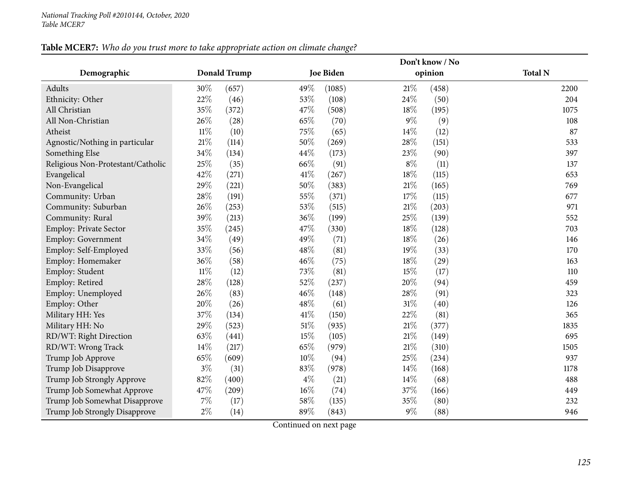# Table MCER7: Who do you trust more to take appropriate action on climate change?

|                                   |        |                     | Don't know / No |                  |        |         |                |  |  |
|-----------------------------------|--------|---------------------|-----------------|------------------|--------|---------|----------------|--|--|
| Demographic                       |        | <b>Donald Trump</b> |                 | <b>Joe Biden</b> |        | opinion | <b>Total N</b> |  |  |
| Adults                            | 30%    | (657)               | 49%             | (1085)           | 21%    | (458)   | 2200           |  |  |
| Ethnicity: Other                  | 22%    | (46)                | 53%             | (108)            | 24%    | (50)    | 204            |  |  |
| All Christian                     | 35%    | (372)               | 47%             | (508)            | 18%    | (195)   | 1075           |  |  |
| All Non-Christian                 | 26%    | (28)                | 65%             | (70)             | $9\%$  | (9)     | 108            |  |  |
| Atheist                           | $11\%$ | (10)                | 75%             | (65)             | 14%    | (12)    | 87             |  |  |
| Agnostic/Nothing in particular    | $21\%$ | (114)               | $50\%$          | (269)            | 28%    | (151)   | 533            |  |  |
| Something Else                    | $34\%$ | (134)               | 44%             | (173)            | 23\%   | (90)    | 397            |  |  |
| Religious Non-Protestant/Catholic | 25%    | (35)                | 66%             | (91)             | $8\%$  | (11)    | 137            |  |  |
| Evangelical                       | 42%    | (271)               | 41\%            | (267)            | 18%    | (115)   | 653            |  |  |
| Non-Evangelical                   | 29%    | (221)               | 50%             | (383)            | $21\%$ | (165)   | 769            |  |  |
| Community: Urban                  | 28%    | (191)               | 55%             | (371)            | 17%    | (115)   | 677            |  |  |
| Community: Suburban               | 26%    | (253)               | 53%             | (515)            | $21\%$ | (203)   | 971            |  |  |
| Community: Rural                  | 39%    | (213)               | 36%             | (199)            | 25%    | (139)   | 552            |  |  |
| Employ: Private Sector            | 35%    | (245)               | 47%             | (330)            | 18%    | (128)   | 703            |  |  |
| <b>Employ: Government</b>         | $34\%$ | (49)                | 49%             | (71)             | 18%    | (26)    | 146            |  |  |
| Employ: Self-Employed             | 33%    | (56)                | 48%             | (81)             | 19%    | (33)    | 170            |  |  |
| Employ: Homemaker                 | 36\%   | (58)                | 46%             | (75)             | 18%    | (29)    | 163            |  |  |
| Employ: Student                   | $11\%$ | (12)                | 73%             | (81)             | 15%    | (17)    | 110            |  |  |
| Employ: Retired                   | 28\%   | (128)               | 52%             | (237)            | 20%    | (94)    | 459            |  |  |
| Employ: Unemployed                | 26\%   | (83)                | 46%             | (148)            | 28%    | (91)    | 323            |  |  |
| Employ: Other                     | 20%    | (26)                | 48%             | (61)             | 31%    | (40)    | 126            |  |  |
| Military HH: Yes                  | 37%    | (134)               | 41\%            | (150)            | 22%    | (81)    | 365            |  |  |
| Military HH: No                   | 29%    | (523)               | 51\%            | (935)            | 21%    | (377)   | 1835           |  |  |
| RD/WT: Right Direction            | 63%    | (441)               | 15%             | (105)            | 21%    | (149)   | 695            |  |  |
| RD/WT: Wrong Track                | 14%    | (217)               | 65%             | (979)            | $21\%$ | (310)   | 1505           |  |  |
| Trump Job Approve                 | 65%    | (609)               | 10%             | (94)             | 25%    | (234)   | 937            |  |  |
| Trump Job Disapprove              | $3\%$  | (31)                | $83\%$          | (978)            | 14%    | (168)   | 1178           |  |  |
| Trump Job Strongly Approve        | 82%    | (400)               | $4\%$           | (21)             | 14\%   | (68)    | 488            |  |  |
| Trump Job Somewhat Approve        | 47%    | (209)               | 16%             | (74)             | 37%    | (166)   | 449            |  |  |
| Trump Job Somewhat Disapprove     | $7\%$  | (17)                | 58%             | (135)            | 35%    | (80)    | 232            |  |  |
| Trump Job Strongly Disapprove     | $2\%$  | (14)                | 89%             | (843)            | 9%     | (88)    | 946            |  |  |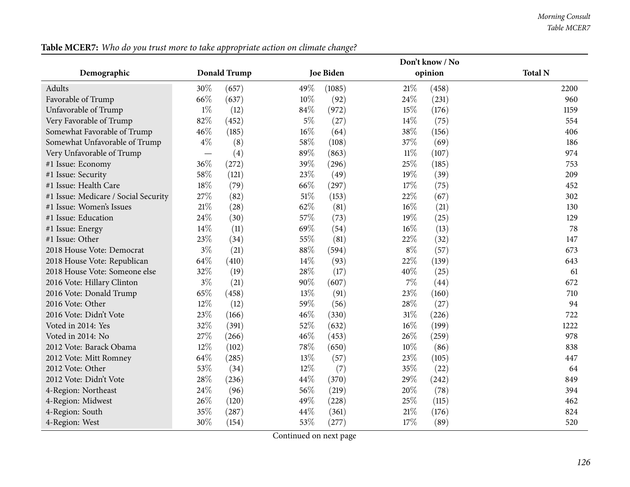| Don't know / No                      |       |              |        |                  |        |         |                |
|--------------------------------------|-------|--------------|--------|------------------|--------|---------|----------------|
| Demographic                          |       | Donald Trump |        | <b>Joe Biden</b> |        | opinion | <b>Total N</b> |
| Adults                               | 30%   | (657)        | 49%    | (1085)           | 21%    | (458)   | 2200           |
| Favorable of Trump                   | 66%   | (637)        | 10%    | (92)             | 24\%   | (231)   | 960            |
| Unfavorable of Trump                 | $1\%$ | (12)         | 84%    | (972)            | 15%    | (176)   | 1159           |
| Very Favorable of Trump              | 82%   | (452)        | $5\%$  | (27)             | $14\%$ | (75)    | 554            |
| Somewhat Favorable of Trump          | 46%   | (185)        | 16%    | (64)             | 38%    | (156)   | 406            |
| Somewhat Unfavorable of Trump        | $4\%$ | (8)          | 58%    | (108)            | 37%    | (69)    | 186            |
| Very Unfavorable of Trump            |       | (4)          | 89%    | (863)            | $11\%$ | (107)   | 974            |
| #1 Issue: Economy                    | 36%   | (272)        | 39%    | (296)            | 25%    | (185)   | 753            |
| #1 Issue: Security                   | 58%   | (121)        | 23%    | (49)             | 19%    | (39)    | 209            |
| #1 Issue: Health Care                | 18%   | (79)         | 66\%   | (297)            | 17%    | (75)    | 452            |
| #1 Issue: Medicare / Social Security | 27%   | (82)         | $51\%$ | (153)            | 22%    | (67)    | 302            |
| #1 Issue: Women's Issues             | 21\%  | (28)         | 62%    | (81)             | 16%    | (21)    | 130            |
| #1 Issue: Education                  | 24%   | (30)         | 57%    | (73)             | 19%    | (25)    | 129            |
| #1 Issue: Energy                     | 14%   | (11)         | 69%    | (54)             | 16%    | (13)    | 78             |
| #1 Issue: Other                      | 23%   | (34)         | $55\%$ | (81)             | 22%    | (32)    | 147            |
| 2018 House Vote: Democrat            | $3\%$ | (21)         | 88%    | (594)            | $8\%$  | (57)    | 673            |
| 2018 House Vote: Republican          | 64%   | (410)        | 14\%   | (93)             | 22%    | (139)   | 643            |
| 2018 House Vote: Someone else        | 32%   | (19)         | 28%    | (17)             | 40%    | (25)    | 61             |
| 2016 Vote: Hillary Clinton           | $3\%$ | (21)         | 90%    | (607)            | $7\%$  | (44)    | 672            |
| 2016 Vote: Donald Trump              | 65%   | (458)        | 13%    | (91)             | 23%    | (160)   | 710            |
| 2016 Vote: Other                     | 12%   | (12)         | 59%    | (56)             | 28%    | (27)    | 94             |
| 2016 Vote: Didn't Vote               | 23%   | (166)        | 46%    | (330)            | $31\%$ | (226)   | 722            |
| Voted in 2014: Yes                   | 32%   | (391)        | 52%    | (632)            | 16%    | (199)   | 1222           |
| Voted in 2014: No                    | 27%   | (266)        | 46%    | (453)            | 26\%   | (259)   | 978            |
| 2012 Vote: Barack Obama              | 12%   | (102)        | 78%    | (650)            | 10%    | (86)    | 838            |
| 2012 Vote: Mitt Romney               | 64%   | (285)        | 13%    | (57)             | 23%    | (105)   | 447            |
| 2012 Vote: Other                     | 53%   | (34)         | 12%    | (7)              | 35%    | (22)    | 64             |
| 2012 Vote: Didn't Vote               | 28%   | (236)        | 44%    | (370)            | 29%    | (242)   | 849            |
| 4-Region: Northeast                  | 24%   | (96)         | 56%    | (219)            | 20%    | (78)    | 394            |
| 4-Region: Midwest                    | 26%   | (120)        | 49%    | (228)            | 25\%   | (115)   | 462            |
| 4-Region: South                      | 35%   | (287)        | 44%    | (361)            | 21%    | (176)   | 824            |
| 4-Region: West                       | 30%   | (154)        | 53%    | (277)            | 17%    | (89)    | 520            |

Table MCER7: Who do you trust more to take appropriate action on climate change?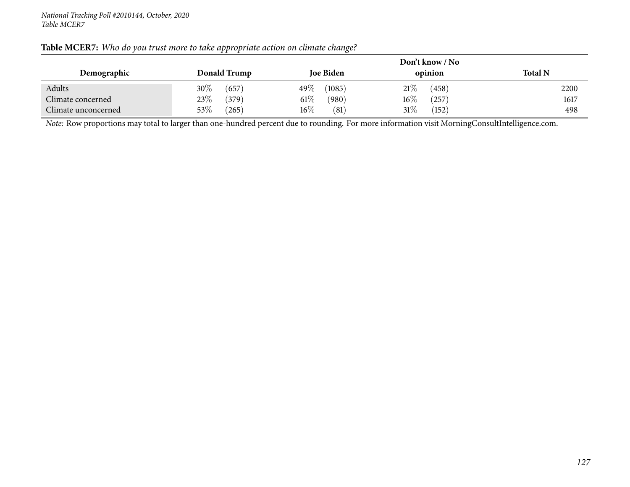|                     |                 |                   | Don't know / No |                |
|---------------------|-----------------|-------------------|-----------------|----------------|
| Demographic         | Donald Trump    | <b>Joe Biden</b>  | opinion         | <b>Total N</b> |
| Adults              | $30\%$<br>(657) | (1085)<br>49 $\%$ | 21%<br>(458)    | 2200           |
| Climate concerned   | 23\%<br>(379)   | $61\%$<br>(980)   | $16\%$<br>257   | 1617           |
| Climate unconcerned | $53\%$<br>(265) | $16\%$<br>(81)    | 31\%<br>(152)   | 498            |

### Table MCER7: Who do you trust more to take appropriate action on climate change?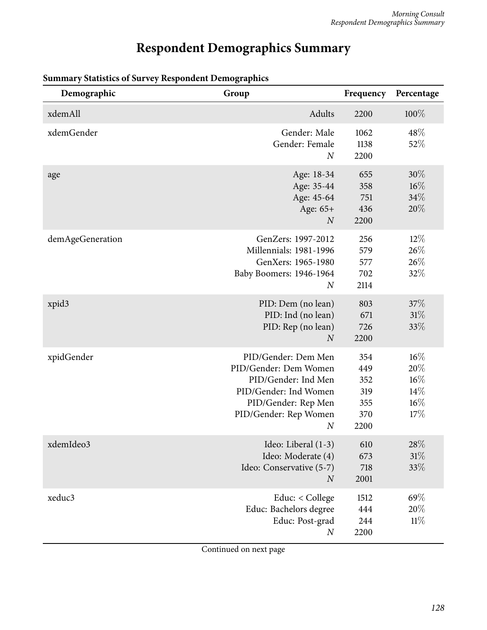# **Respondent Demographics Summary**

| Demographic      | Group                                                                                                                                                            | Frequency                                      | Percentage                             |
|------------------|------------------------------------------------------------------------------------------------------------------------------------------------------------------|------------------------------------------------|----------------------------------------|
| xdemAll          | Adults                                                                                                                                                           | 2200                                           | 100%                                   |
| xdemGender       | Gender: Male<br>Gender: Female<br>N                                                                                                                              | 1062<br>1138<br>2200                           | 48%<br>52%                             |
| age              | Age: 18-34<br>Age: 35-44<br>Age: 45-64<br>Age: 65+<br>$\boldsymbol{N}$                                                                                           | 655<br>358<br>751<br>436<br>2200               | $30\%$<br>$16\%$<br>34%<br>20%         |
| demAgeGeneration | GenZers: 1997-2012<br><b>Millennials: 1981-1996</b><br>GenXers: 1965-1980<br>Baby Boomers: 1946-1964<br>$\boldsymbol{N}$                                         | 256<br>579<br>577<br>702<br>2114               | $12\%$<br>26%<br>26%<br>32%            |
| xpid3            | PID: Dem (no lean)<br>PID: Ind (no lean)<br>PID: Rep (no lean)<br>$\overline{N}$                                                                                 | 803<br>671<br>726<br>2200                      | 37%<br>31%<br>33%                      |
| xpidGender       | PID/Gender: Dem Men<br>PID/Gender: Dem Women<br>PID/Gender: Ind Men<br>PID/Gender: Ind Women<br>PID/Gender: Rep Men<br>PID/Gender: Rep Women<br>$\boldsymbol{N}$ | 354<br>449<br>352<br>319<br>355<br>370<br>2200 | 16%<br>20%<br>16%<br>14%<br>16%<br>17% |
| xdemIdeo3        | Ideo: Liberal (1-3)<br>Ideo: Moderate (4)<br>Ideo: Conservative (5-7)<br>$\boldsymbol{N}$                                                                        | 610<br>673<br>718<br>2001                      | $28\%$<br>31%<br>33\%                  |
| xeduc3           | Educ: < College<br>Educ: Bachelors degree<br>Educ: Post-grad<br>$\boldsymbol{N}$                                                                                 | 1512<br>444<br>244<br>2200                     | 69%<br>20%<br>11%                      |

## **Summary Statistics of Survey Respondent Demographics**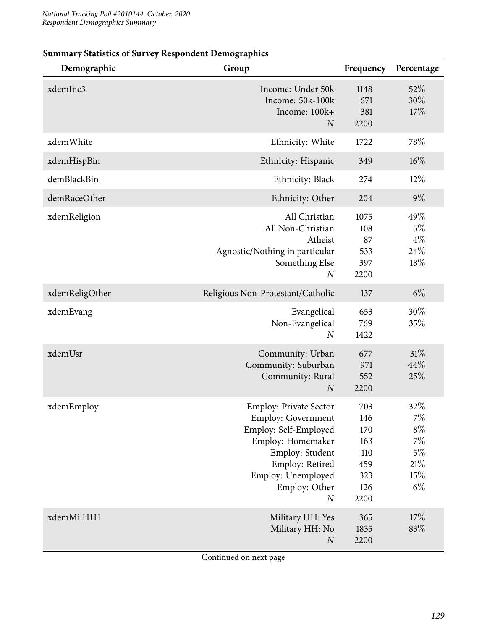| Demographic    | Group                                                                                                                                                                                                     | Frequency                                                    | Percentage                                                        |
|----------------|-----------------------------------------------------------------------------------------------------------------------------------------------------------------------------------------------------------|--------------------------------------------------------------|-------------------------------------------------------------------|
| xdemInc3       | Income: Under 50k<br>Income: 50k-100k<br>Income: 100k+<br>$\boldsymbol{N}$                                                                                                                                | 1148<br>671<br>381<br>2200                                   | 52%<br>30%<br>17%                                                 |
| xdemWhite      | Ethnicity: White                                                                                                                                                                                          | 1722                                                         | 78%                                                               |
| xdemHispBin    | Ethnicity: Hispanic                                                                                                                                                                                       | 349                                                          | $16\%$                                                            |
| demBlackBin    | Ethnicity: Black                                                                                                                                                                                          | 274                                                          | $12\%$                                                            |
| demRaceOther   | Ethnicity: Other                                                                                                                                                                                          | 204                                                          | $9\%$                                                             |
| xdemReligion   | All Christian<br>All Non-Christian<br>Atheist<br>Agnostic/Nothing in particular<br>Something Else<br>$\boldsymbol{N}$                                                                                     | 1075<br>108<br>87<br>533<br>397<br>2200                      | 49%<br>$5\%$<br>$4\%$<br>24\%<br>18%                              |
| xdemReligOther | Religious Non-Protestant/Catholic                                                                                                                                                                         | 137                                                          | $6\%$                                                             |
| xdemEvang      | Evangelical<br>Non-Evangelical<br>$\boldsymbol{N}$                                                                                                                                                        | 653<br>769<br>1422                                           | 30%<br>35%                                                        |
| xdemUsr        | Community: Urban<br>Community: Suburban<br>Community: Rural<br>$\boldsymbol{N}$                                                                                                                           | 677<br>971<br>552<br>2200                                    | 31%<br>44%<br>25%                                                 |
| xdemEmploy     | <b>Employ: Private Sector</b><br><b>Employ: Government</b><br>Employ: Self-Employed<br>Employ: Homemaker<br>Employ: Student<br>Employ: Retired<br>Employ: Unemployed<br>Employ: Other<br>$\boldsymbol{N}$ | 703<br>146<br>170<br>163<br>110<br>459<br>323<br>126<br>2200 | 32%<br>$7\%$<br>$8\%$<br>$7\%$<br>$5\%$<br>$21\%$<br>15%<br>$6\%$ |
| xdemMilHH1     | Military HH: Yes<br>Military HH: No<br>$\boldsymbol{N}$                                                                                                                                                   | 365<br>1835<br>2200                                          | 17%<br>83%                                                        |

## **Summary Statistics of Survey Respondent Demographics**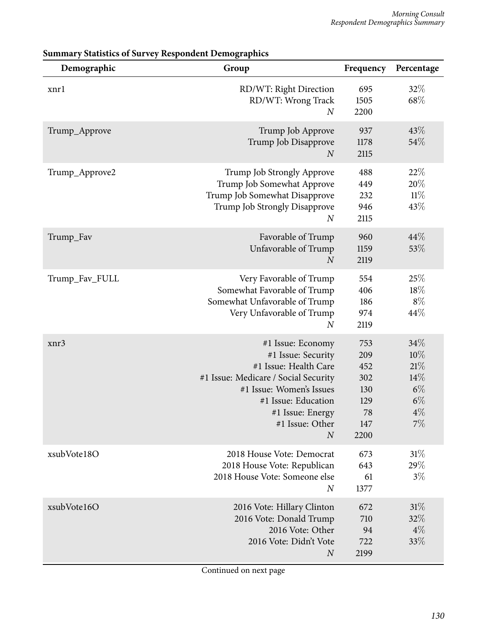| Demographic    | Group                                                                                                                                                                                                                  | Frequency                                                   | Percentage                                                |
|----------------|------------------------------------------------------------------------------------------------------------------------------------------------------------------------------------------------------------------------|-------------------------------------------------------------|-----------------------------------------------------------|
| xnrl           | RD/WT: Right Direction<br>RD/WT: Wrong Track<br>$\boldsymbol{N}$                                                                                                                                                       | 695<br>1505<br>2200                                         | 32%<br>68\%                                               |
| Trump_Approve  | Trump Job Approve<br>Trump Job Disapprove<br>$\boldsymbol{N}$                                                                                                                                                          | 937<br>1178<br>2115                                         | 43%<br>54%                                                |
| Trump_Approve2 | Trump Job Strongly Approve<br>Trump Job Somewhat Approve<br>Trump Job Somewhat Disapprove<br>Trump Job Strongly Disapprove<br>$\overline{N}$                                                                           | 488<br>449<br>232<br>946<br>2115                            | 22%<br>20%<br>$11\%$<br>43%                               |
| Trump_Fav      | Favorable of Trump<br>Unfavorable of Trump<br>$\overline{N}$                                                                                                                                                           | 960<br>1159<br>2119                                         | 44%<br>53%                                                |
| Trump_Fav_FULL | Very Favorable of Trump<br>Somewhat Favorable of Trump<br>Somewhat Unfavorable of Trump<br>Very Unfavorable of Trump<br>$\overline{N}$                                                                                 | 554<br>406<br>186<br>974<br>2119                            | 25%<br>18%<br>$8\%$<br>44\%                               |
| xnr3           | #1 Issue: Economy<br>#1 Issue: Security<br>#1 Issue: Health Care<br>#1 Issue: Medicare / Social Security<br>#1 Issue: Women's Issues<br>#1 Issue: Education<br>#1 Issue: Energy<br>#1 Issue: Other<br>$\boldsymbol{N}$ | 753<br>209<br>452<br>302<br>130<br>129<br>78<br>147<br>2200 | 34%<br>10%<br>21%<br>14%<br>$6\%$<br>$6\%$<br>$4\%$<br>7% |
| xsubVote18O    | 2018 House Vote: Democrat<br>2018 House Vote: Republican<br>2018 House Vote: Someone else<br>$\boldsymbol{N}$                                                                                                          | 673<br>643<br>61<br>1377                                    | 31%<br>29%<br>$3\%$                                       |
| xsubVote16O    | 2016 Vote: Hillary Clinton<br>2016 Vote: Donald Trump<br>2016 Vote: Other<br>2016 Vote: Didn't Vote<br>$\boldsymbol{N}$                                                                                                | 672<br>710<br>94<br>722<br>2199                             | 31%<br>32%<br>$4\%$<br>33%                                |

**Summary Statistics of Survey Respondent Demographics**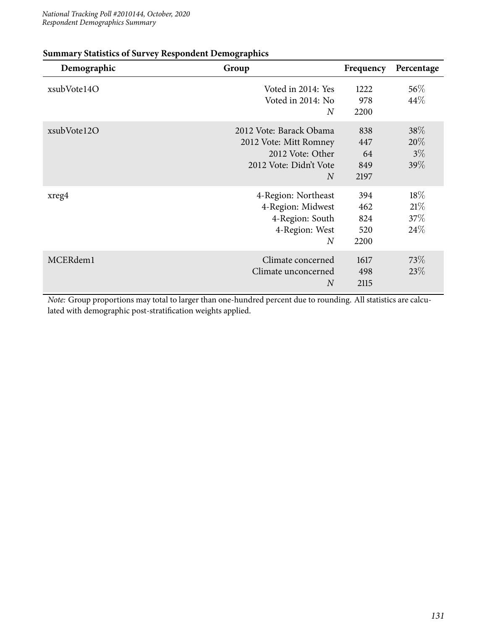| Demographic | Group                                                                                                             | Frequency                        | Percentage                          |
|-------------|-------------------------------------------------------------------------------------------------------------------|----------------------------------|-------------------------------------|
| xsubVote14O | Voted in 2014: Yes<br>Voted in 2014: No<br>$\overline{N}$                                                         | 1222<br>978<br>2200              | $56\%$<br>$44\%$                    |
| xsubVote12O | 2012 Vote: Barack Obama<br>2012 Vote: Mitt Romney<br>2012 Vote: Other<br>2012 Vote: Didn't Vote<br>$\overline{N}$ | 838<br>447<br>64<br>849<br>2197  | $38\%$<br>$20\%$<br>$3\%$<br>$39\%$ |
| xreg4       | 4-Region: Northeast<br>4-Region: Midwest<br>4-Region: South<br>4-Region: West<br>$\overline{N}$                   | 394<br>462<br>824<br>520<br>2200 | $18\%$<br>21%<br>37%<br>24%         |
| MCERdem1    | Climate concerned<br>Climate unconcerned<br>$\boldsymbol{N}$                                                      | 1617<br>498<br>2115              | 73\%<br>23%                         |

### **Summary Statistics of Survey Respondent Demographics**

*Note:* Group proportions may total to larger than one-hundred percent due to rounding. All statistics are calculated with demographic post-stratification weights applied.